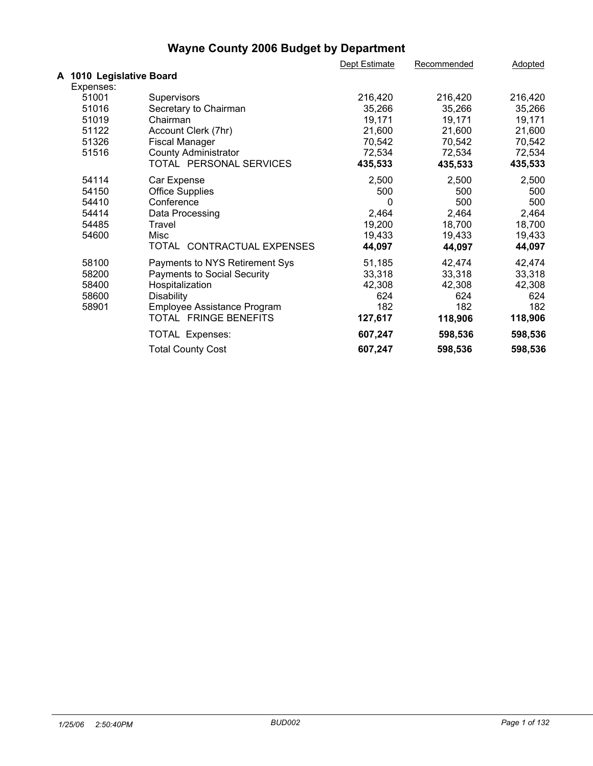|                          |                                    | Dept Estimate | Recommended | <b>Adopted</b> |  |
|--------------------------|------------------------------------|---------------|-------------|----------------|--|
| A 1010 Legislative Board |                                    |               |             |                |  |
| Expenses:                |                                    |               |             |                |  |
| 51001                    | Supervisors                        | 216,420       | 216,420     | 216,420        |  |
| 51016                    | Secretary to Chairman              | 35,266        | 35,266      | 35,266         |  |
| 51019                    | Chairman                           | 19,171        | 19,171      | 19,171         |  |
| 51122                    | Account Clerk (7hr)                | 21,600        | 21,600      | 21,600         |  |
| 51326                    | <b>Fiscal Manager</b>              | 70,542        | 70,542      | 70,542         |  |
| 51516                    | <b>County Administrator</b>        | 72,534        | 72,534      | 72,534         |  |
|                          | TOTAL PERSONAL SERVICES            | 435,533       | 435,533     | 435,533        |  |
| 54114                    | Car Expense                        | 2,500         | 2,500       | 2,500          |  |
| 54150                    | <b>Office Supplies</b>             | 500           | 500         | 500            |  |
| 54410                    | Conference                         | 0             | 500         | 500            |  |
| 54414                    | Data Processing                    | 2,464         | 2,464       | 2,464          |  |
| 54485                    | Travel                             | 19,200        | 18,700      | 18,700         |  |
| 54600                    | Misc                               | 19,433        | 19,433      | 19,433         |  |
|                          | TOTAL CONTRACTUAL EXPENSES         | 44,097        | 44,097      | 44,097         |  |
| 58100                    | Payments to NYS Retirement Sys     | 51,185        | 42,474      | 42,474         |  |
| 58200                    | <b>Payments to Social Security</b> | 33,318        | 33,318      | 33,318         |  |
| 58400                    | Hospitalization                    | 42,308        | 42,308      | 42,308         |  |
| 58600                    | <b>Disability</b>                  | 624           | 624         | 624            |  |
| 58901                    | Employee Assistance Program        | 182           | 182         | 182            |  |
|                          | TOTAL FRINGE BENEFITS              | 127,617       | 118,906     | 118,906        |  |
|                          | TOTAL Expenses:                    | 607,247       | 598,536     | 598,536        |  |
|                          | <b>Total County Cost</b>           | 607,247       | 598,536     | 598,536        |  |
|                          |                                    |               |             |                |  |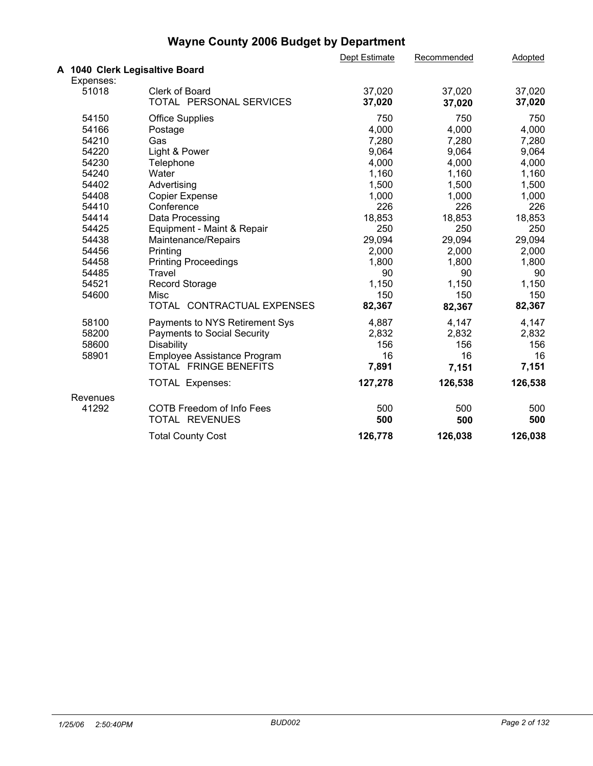|                                |                                    | Dept Estimate | Recommended | Adopted |  |
|--------------------------------|------------------------------------|---------------|-------------|---------|--|
| A 1040 Clerk Legisaltive Board |                                    |               |             |         |  |
| Expenses:                      |                                    |               |             |         |  |
| 51018                          | Clerk of Board                     | 37,020        | 37,020      | 37,020  |  |
|                                | TOTAL PERSONAL SERVICES            | 37,020        | 37,020      | 37,020  |  |
| 54150                          | <b>Office Supplies</b>             | 750           | 750         | 750     |  |
| 54166                          | Postage                            | 4,000         | 4,000       | 4,000   |  |
| 54210                          | Gas                                | 7,280         | 7,280       | 7,280   |  |
| 54220                          | Light & Power                      | 9,064         | 9,064       | 9,064   |  |
| 54230                          | Telephone                          | 4,000         | 4,000       | 4,000   |  |
| 54240                          | Water                              | 1,160         | 1,160       | 1,160   |  |
| 54402                          | Advertising                        | 1,500         | 1,500       | 1,500   |  |
| 54408                          | <b>Copier Expense</b>              | 1,000         | 1,000       | 1,000   |  |
| 54410                          | Conference                         | 226           | 226         | 226     |  |
| 54414                          | Data Processing                    | 18,853        | 18,853      | 18,853  |  |
| 54425                          | Equipment - Maint & Repair         | 250           | 250         | 250     |  |
| 54438                          | Maintenance/Repairs                | 29,094        | 29,094      | 29,094  |  |
| 54456                          | Printing                           | 2,000         | 2,000       | 2,000   |  |
| 54458                          | <b>Printing Proceedings</b>        | 1,800         | 1,800       | 1,800   |  |
| 54485                          | Travel                             | 90            | 90          | 90      |  |
| 54521                          | <b>Record Storage</b>              | 1,150         | 1,150       | 1,150   |  |
| 54600                          | Misc                               | 150           | 150         | 150     |  |
|                                | TOTAL CONTRACTUAL EXPENSES         | 82,367        | 82,367      | 82,367  |  |
| 58100                          | Payments to NYS Retirement Sys     | 4,887         | 4,147       | 4,147   |  |
| 58200                          | <b>Payments to Social Security</b> | 2,832         | 2,832       | 2,832   |  |
| 58600                          | Disability                         | 156           | 156         | 156     |  |
| 58901                          | Employee Assistance Program        | 16            | 16          | 16      |  |
|                                | TOTAL FRINGE BENEFITS              | 7,891         | 7,151       | 7,151   |  |
|                                | TOTAL Expenses:                    | 127,278       | 126,538     | 126,538 |  |
| Revenues                       |                                    |               |             |         |  |
| 41292                          | <b>COTB Freedom of Info Fees</b>   | 500           | 500         | 500     |  |
|                                | TOTAL REVENUES                     | 500           | 500         | 500     |  |
|                                | <b>Total County Cost</b>           | 126,778       | 126,038     | 126,038 |  |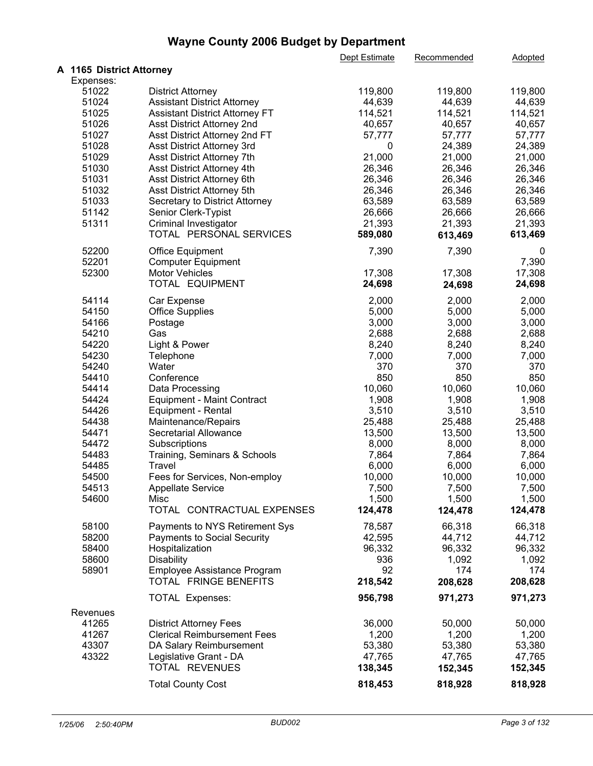|                          |                                       | Dept Estimate | Recommended | Adopted |  |
|--------------------------|---------------------------------------|---------------|-------------|---------|--|
| A 1165 District Attorney |                                       |               |             |         |  |
| Expenses:                |                                       |               |             |         |  |
| 51022                    | <b>District Attorney</b>              | 119,800       | 119,800     | 119,800 |  |
| 51024                    | <b>Assistant District Attorney</b>    | 44,639        | 44,639      | 44,639  |  |
| 51025                    | <b>Assistant District Attorney FT</b> | 114,521       | 114,521     | 114,521 |  |
| 51026                    | Asst District Attorney 2nd            | 40,657        | 40,657      | 40,657  |  |
| 51027                    | Asst District Attorney 2nd FT         | 57,777        | 57,777      | 57,777  |  |
| 51028                    | Asst District Attorney 3rd            | 0             | 24,389      | 24,389  |  |
| 51029                    | Asst District Attorney 7th            | 21,000        | 21,000      | 21,000  |  |
| 51030                    | Asst District Attorney 4th            | 26,346        | 26,346      | 26,346  |  |
| 51031                    | Asst District Attorney 6th            | 26,346        | 26,346      | 26,346  |  |
| 51032                    | Asst District Attorney 5th            | 26,346        | 26,346      | 26,346  |  |
| 51033                    | Secretary to District Attorney        | 63,589        | 63,589      | 63,589  |  |
| 51142                    | Senior Clerk-Typist                   | 26,666        | 26,666      | 26,666  |  |
| 51311                    | Criminal Investigator                 | 21,393        | 21,393      | 21,393  |  |
|                          | TOTAL PERSONAL SERVICES               | 589,080       | 613,469     | 613,469 |  |
| 52200                    | <b>Office Equipment</b>               | 7,390         | 7,390       | 0       |  |
| 52201                    | <b>Computer Equipment</b>             |               |             | 7,390   |  |
| 52300                    | <b>Motor Vehicles</b>                 | 17,308        | 17,308      | 17,308  |  |
|                          | TOTAL EQUIPMENT                       | 24,698        | 24,698      | 24,698  |  |
| 54114                    | Car Expense                           | 2,000         | 2,000       | 2,000   |  |
| 54150                    | <b>Office Supplies</b>                | 5,000         | 5,000       | 5,000   |  |
| 54166                    | Postage                               | 3,000         | 3,000       | 3,000   |  |
| 54210                    | Gas                                   | 2,688         | 2,688       | 2,688   |  |
| 54220                    | Light & Power                         | 8,240         | 8,240       | 8,240   |  |
| 54230                    | Telephone                             | 7,000         | 7,000       | 7,000   |  |
| 54240                    | Water                                 | 370           | 370         | 370     |  |
| 54410                    | Conference                            | 850           | 850         | 850     |  |
| 54414                    | Data Processing                       | 10,060        | 10,060      | 10,060  |  |
| 54424                    | <b>Equipment - Maint Contract</b>     | 1,908         | 1,908       | 1,908   |  |
| 54426                    | Equipment - Rental                    | 3,510         | 3,510       | 3,510   |  |
| 54438                    | Maintenance/Repairs                   | 25,488        | 25,488      | 25,488  |  |
| 54471                    | <b>Secretarial Allowance</b>          | 13,500        | 13,500      | 13,500  |  |
| 54472                    | Subscriptions                         | 8,000         | 8,000       | 8,000   |  |
| 54483                    | Training, Seminars & Schools          | 7,864         | 7,864       | 7,864   |  |
| 54485                    | Travel                                | 6,000         | 6,000       | 6,000   |  |
| 54500                    | Fees for Services, Non-employ         | 10,000        | 10,000      | 10,000  |  |
| 54513                    | <b>Appellate Service</b>              | 7,500         | 7,500       | 7,500   |  |
| 54600                    | Misc                                  | 1,500         | 1,500       | 1,500   |  |
|                          | TOTAL CONTRACTUAL EXPENSES            | 124,478       | 124,478     | 124,478 |  |
| 58100                    | Payments to NYS Retirement Sys        | 78,587        | 66,318      | 66,318  |  |
| 58200                    | <b>Payments to Social Security</b>    | 42,595        | 44,712      | 44,712  |  |
| 58400                    | Hospitalization                       | 96,332        | 96,332      | 96,332  |  |
| 58600                    | <b>Disability</b>                     | 936           | 1,092       | 1,092   |  |
| 58901                    | Employee Assistance Program           | 92            | 174         | 174     |  |
|                          | TOTAL FRINGE BENEFITS                 | 218,542       | 208,628     | 208,628 |  |
|                          |                                       |               |             |         |  |
|                          | <b>TOTAL Expenses:</b>                | 956,798       | 971,273     | 971,273 |  |
| Revenues                 |                                       |               |             |         |  |
| 41265                    | <b>District Attorney Fees</b>         | 36,000        | 50,000      | 50,000  |  |
| 41267                    | <b>Clerical Reimbursement Fees</b>    | 1,200         | 1,200       | 1,200   |  |
| 43307                    | DA Salary Reimbursement               | 53,380        | 53,380      | 53,380  |  |
| 43322                    | Legislative Grant - DA                | 47,765        | 47,765      | 47,765  |  |
|                          | TOTAL REVENUES                        | 138,345       | 152,345     | 152,345 |  |
|                          | <b>Total County Cost</b>              | 818,453       | 818,928     | 818,928 |  |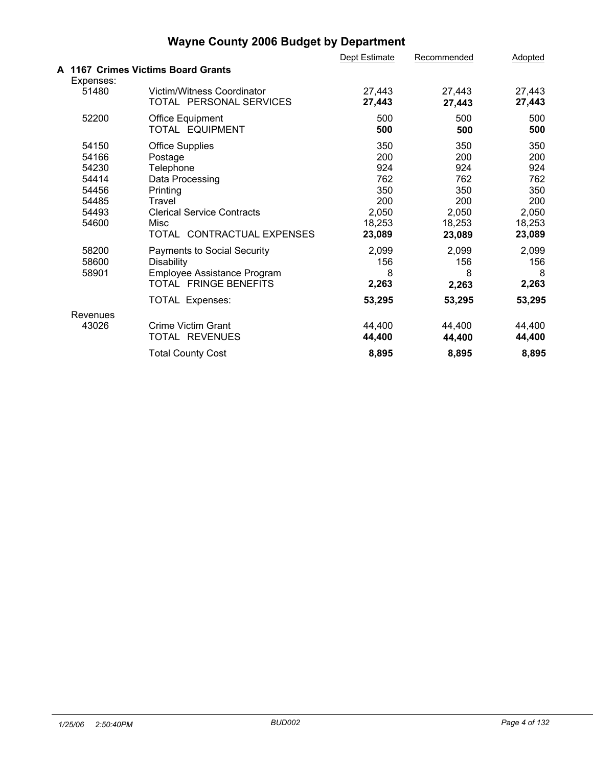|                                                                      |                                                                                                                                                                    | Dept Estimate                                                       | Recommended                                                         | Adopted                                                             |  |
|----------------------------------------------------------------------|--------------------------------------------------------------------------------------------------------------------------------------------------------------------|---------------------------------------------------------------------|---------------------------------------------------------------------|---------------------------------------------------------------------|--|
|                                                                      | A 1167 Crimes Victims Board Grants                                                                                                                                 |                                                                     |                                                                     |                                                                     |  |
| Expenses:<br>51480                                                   | Victim/Witness Coordinator<br>TOTAL PERSONAL SERVICES                                                                                                              | 27,443<br>27,443                                                    | 27,443<br>27,443                                                    | 27,443<br>27,443                                                    |  |
| 52200                                                                | Office Equipment<br>TOTAL EQUIPMENT                                                                                                                                | 500<br>500                                                          | 500<br>500                                                          | 500<br>500                                                          |  |
| 54150<br>54166<br>54230<br>54414<br>54456<br>54485<br>54493<br>54600 | <b>Office Supplies</b><br>Postage<br>Telephone<br>Data Processing<br>Printing<br>Travel<br><b>Clerical Service Contracts</b><br>Misc<br>TOTAL CONTRACTUAL EXPENSES | 350<br>200<br>924<br>762<br>350<br>200<br>2,050<br>18,253<br>23,089 | 350<br>200<br>924<br>762<br>350<br>200<br>2,050<br>18,253<br>23,089 | 350<br>200<br>924<br>762<br>350<br>200<br>2,050<br>18,253<br>23,089 |  |
| 58200<br>58600<br>58901                                              | <b>Payments to Social Security</b><br><b>Disability</b><br>Employee Assistance Program<br>TOTAL FRINGE BENEFITS<br>TOTAL Expenses:                                 | 2,099<br>156<br>8<br>2,263<br>53,295                                | 2,099<br>156<br>8<br>2,263<br>53,295                                | 2,099<br>156<br>8<br>2,263<br>53,295                                |  |
| Revenues<br>43026                                                    | Crime Victim Grant<br>TOTAL REVENUES                                                                                                                               | 44,400<br>44,400                                                    | 44,400<br>44,400                                                    | 44,400<br>44,400                                                    |  |
|                                                                      | <b>Total County Cost</b>                                                                                                                                           | 8,895                                                               | 8,895                                                               | 8,895                                                               |  |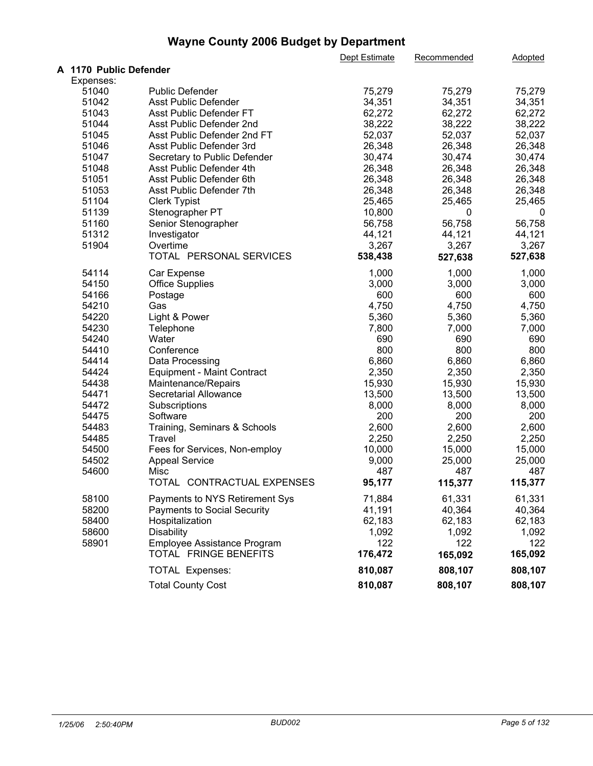|                        |                                                      | Dept Estimate | Recommended | Adopted |  |
|------------------------|------------------------------------------------------|---------------|-------------|---------|--|
| A 1170 Public Defender |                                                      |               |             |         |  |
| Expenses:              |                                                      |               |             |         |  |
| 51040                  | <b>Public Defender</b>                               | 75,279        | 75,279      | 75,279  |  |
| 51042                  | Asst Public Defender                                 | 34,351        | 34,351      | 34,351  |  |
| 51043                  | Asst Public Defender FT                              | 62,272        | 62,272      | 62,272  |  |
| 51044                  | Asst Public Defender 2nd                             | 38,222        | 38,222      | 38,222  |  |
| 51045                  | Asst Public Defender 2nd FT                          | 52,037        | 52,037      | 52,037  |  |
| 51046                  | Asst Public Defender 3rd                             | 26,348        | 26,348      | 26,348  |  |
| 51047                  | Secretary to Public Defender                         | 30,474        | 30,474      | 30,474  |  |
| 51048                  | Asst Public Defender 4th                             | 26,348        | 26,348      | 26,348  |  |
| 51051                  | Asst Public Defender 6th                             | 26,348        | 26,348      | 26,348  |  |
| 51053                  | Asst Public Defender 7th                             | 26,348        | 26,348      | 26,348  |  |
| 51104                  | <b>Clerk Typist</b>                                  | 25,465        | 25,465      | 25,465  |  |
| 51139                  | Stenographer PT                                      | 10,800        | 0           | 0       |  |
| 51160                  | Senior Stenographer                                  | 56,758        | 56,758      | 56,758  |  |
| 51312                  | Investigator                                         | 44,121        | 44,121      | 44,121  |  |
| 51904                  | Overtime                                             | 3,267         | 3,267       | 3,267   |  |
|                        | TOTAL PERSONAL SERVICES                              | 538,438       | 527,638     | 527,638 |  |
|                        |                                                      |               |             |         |  |
| 54114                  | Car Expense                                          | 1,000         | 1,000       | 1,000   |  |
| 54150                  | <b>Office Supplies</b>                               | 3,000         | 3,000       | 3,000   |  |
| 54166                  | Postage                                              | 600           | 600         | 600     |  |
| 54210                  | Gas                                                  | 4,750         | 4,750       | 4,750   |  |
| 54220                  | Light & Power                                        | 5,360         | 5,360       | 5,360   |  |
| 54230                  | Telephone                                            | 7,800         | 7,000       | 7,000   |  |
| 54240                  | Water                                                | 690           | 690         | 690     |  |
| 54410                  | Conference                                           | 800           | 800         | 800     |  |
| 54414                  | Data Processing                                      | 6,860         | 6,860       | 6,860   |  |
| 54424                  | <b>Equipment - Maint Contract</b>                    | 2,350         | 2,350       | 2,350   |  |
| 54438                  | Maintenance/Repairs                                  | 15,930        | 15,930      | 15,930  |  |
| 54471                  | Secretarial Allowance                                | 13,500        | 13,500      | 13,500  |  |
| 54472                  | Subscriptions                                        | 8,000         | 8,000       | 8,000   |  |
| 54475                  | Software                                             | 200           | 200         | 200     |  |
| 54483                  | Training, Seminars & Schools                         | 2,600         | 2,600       | 2,600   |  |
| 54485                  | Travel                                               | 2,250         | 2,250       | 2,250   |  |
| 54500                  | Fees for Services, Non-employ                        | 10,000        | 15,000      | 15,000  |  |
| 54502                  | <b>Appeal Service</b>                                | 9,000         | 25,000      | 25,000  |  |
| 54600                  | Misc                                                 | 487           | 487         | 487     |  |
|                        | TOTAL CONTRACTUAL EXPENSES                           | 95,177        | 115,377     | 115,377 |  |
| 58100                  | Payments to NYS Retirement Sys                       | 71,884        | 61,331      | 61,331  |  |
| 58200                  | <b>Payments to Social Security</b>                   | 41,191        | 40,364      | 40,364  |  |
| 58400                  |                                                      | 62,183        | 62,183      | 62,183  |  |
|                        | Hospitalization                                      |               |             | 1,092   |  |
| 58600                  | <b>Disability</b>                                    | 1,092         | 1,092       |         |  |
| 58901                  | Employee Assistance Program<br>TOTAL FRINGE BENEFITS | 122           | 122         | 122     |  |
|                        |                                                      | 176,472       | 165,092     | 165,092 |  |
|                        | TOTAL Expenses:                                      | 810,087       | 808,107     | 808,107 |  |
|                        | <b>Total County Cost</b>                             | 810,087       | 808,107     | 808,107 |  |
|                        |                                                      |               |             |         |  |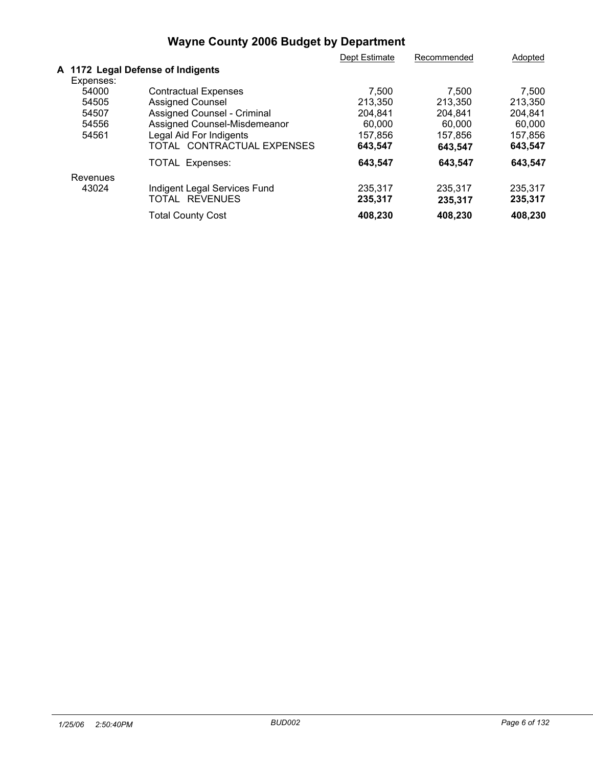| Dept Estimate<br>Recommended                                | Adopted |
|-------------------------------------------------------------|---------|
| A 1172 Legal Defense of Indigents                           |         |
| Expenses:                                                   |         |
| 54000<br><b>Contractual Expenses</b><br>7.500<br>7.500      | 7,500   |
| <b>Assigned Counsel</b><br>54505<br>213,350<br>213,350      | 213,350 |
| Assigned Counsel - Criminal<br>54507<br>204.841<br>204.841  | 204.841 |
| Assigned Counsel-Misdemeanor<br>54556<br>60,000<br>60,000   | 60,000  |
| Legal Aid For Indigents<br>54561<br>157.856<br>157.856      | 157.856 |
| TOTAL CONTRACTUAL EXPENSES<br>643,547<br>643,547            | 643,547 |
| <b>TOTAL Expenses:</b><br>643,547<br>643,547                | 643.547 |
| Revenues                                                    |         |
| 43024<br>Indigent Legal Services Fund<br>235,317<br>235.317 | 235.317 |
| <b>REVENUES</b><br>TOTAL<br>235,317<br>235,317              | 235,317 |
| 408,230<br>408,230<br><b>Total County Cost</b>              | 408.230 |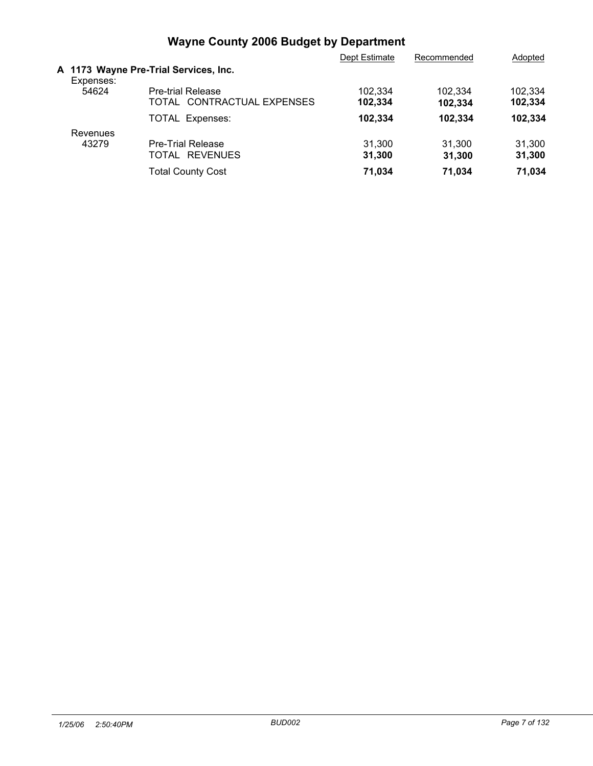|           |                                                        | Dept Estimate      | Recommended        | Adopted            |
|-----------|--------------------------------------------------------|--------------------|--------------------|--------------------|
| Expenses: | A 1173 Wayne Pre-Trial Services, Inc.                  |                    |                    |                    |
| 54624     | <b>Pre-trial Release</b><br>TOTAL CONTRACTUAL EXPENSES | 102,334<br>102,334 | 102.334<br>102.334 | 102.334<br>102,334 |
|           | <b>TOTAL Expenses:</b>                                 | 102,334            | 102,334            | 102.334            |
| Revenues  |                                                        |                    |                    |                    |
| 43279     | <b>Pre-Trial Release</b><br>TOTAL REVENUES             | 31.300<br>31,300   | 31.300<br>31.300   | 31.300<br>31,300   |
|           | <b>Total County Cost</b>                               | 71.034             | 71,034             | 71,034             |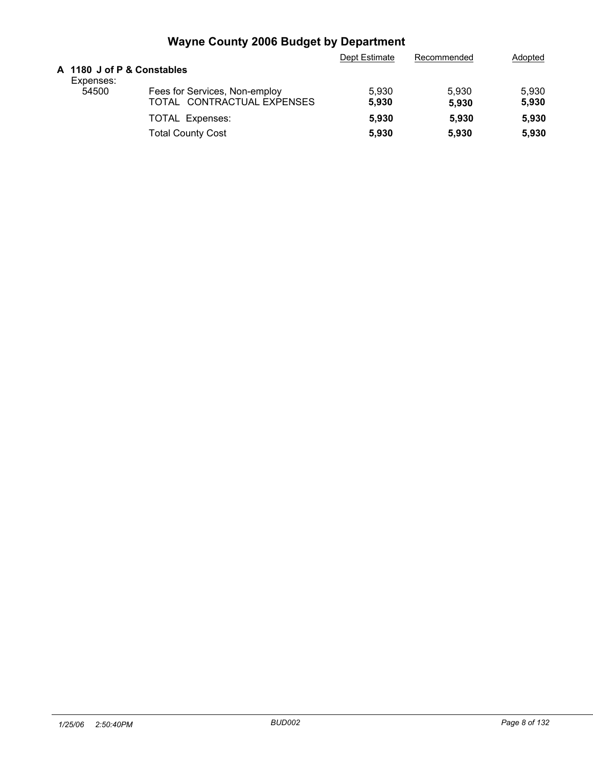|                                         |                                                             | Dept Estimate  | Recommended    | Adopted        |
|-----------------------------------------|-------------------------------------------------------------|----------------|----------------|----------------|
| A 1180 J of P & Constables<br>Expenses: |                                                             |                |                |                |
| 54500                                   | Fees for Services, Non-employ<br>TOTAL CONTRACTUAL EXPENSES | 5.930<br>5.930 | 5.930<br>5.930 | 5.930<br>5,930 |
|                                         | <b>TOTAL Expenses:</b><br><b>Total County Cost</b>          | 5.930<br>5.930 | 5.930<br>5.930 | 5,930<br>5,930 |
|                                         |                                                             |                |                |                |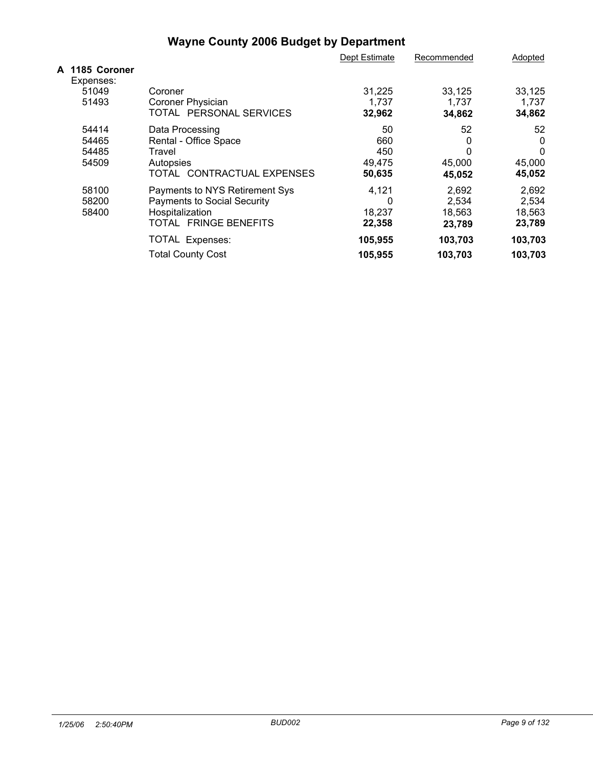|                             |                                    | Dept Estimate | Recommended | Adopted |  |
|-----------------------------|------------------------------------|---------------|-------------|---------|--|
| A 1185 Coroner<br>Expenses: |                                    |               |             |         |  |
| 51049                       | Coroner                            | 31,225        | 33,125      | 33,125  |  |
| 51493                       | Coroner Physician                  | 1,737         | 1,737       | 1.737   |  |
|                             | TOTAL PERSONAL SERVICES            | 32,962        | 34,862      | 34,862  |  |
| 54414                       | Data Processing                    | 50            | 52          | 52      |  |
| 54465                       | Rental - Office Space              | 660           | 0           | 0       |  |
| 54485                       | Travel                             | 450           | 0           |         |  |
| 54509                       | Autopsies                          | 49,475        | 45,000      | 45,000  |  |
|                             | TOTAL CONTRACTUAL EXPENSES         | 50,635        | 45,052      | 45,052  |  |
| 58100                       | Payments to NYS Retirement Sys     | 4,121         | 2,692       | 2,692   |  |
| 58200                       | <b>Payments to Social Security</b> | 0             | 2,534       | 2,534   |  |
| 58400                       | Hospitalization                    | 18,237        | 18,563      | 18,563  |  |
|                             | TOTAL FRINGE BENEFITS              | 22,358        | 23,789      | 23,789  |  |
|                             | TOTAL Expenses:                    | 105,955       | 103,703     | 103,703 |  |
|                             | <b>Total County Cost</b>           | 105,955       | 103,703     | 103,703 |  |
|                             |                                    |               |             |         |  |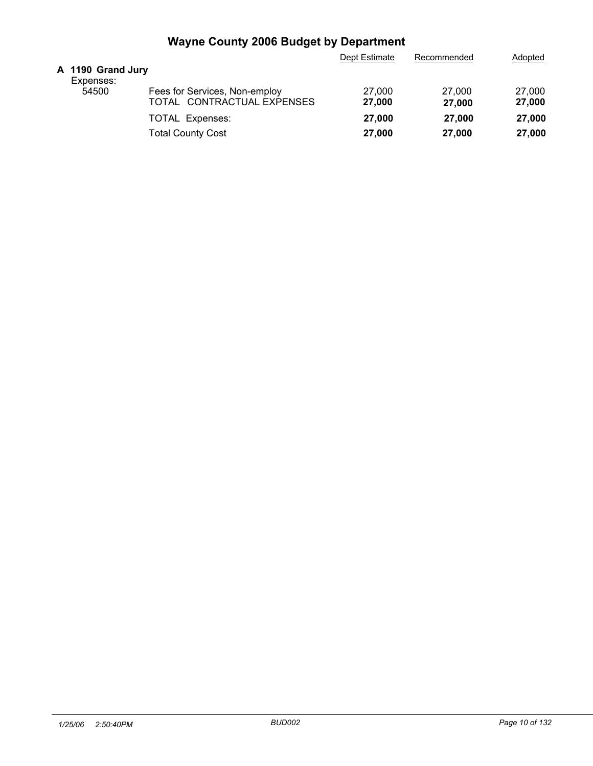|                                |                                                             | Dept Estimate    | Recommended      | Adopted          |
|--------------------------------|-------------------------------------------------------------|------------------|------------------|------------------|
| A 1190 Grand Jury<br>Expenses: |                                                             |                  |                  |                  |
| 54500                          | Fees for Services, Non-employ<br>TOTAL CONTRACTUAL EXPENSES | 27,000<br>27,000 | 27,000<br>27,000 | 27,000<br>27,000 |
|                                | <b>TOTAL Expenses:</b>                                      | 27,000           | 27,000           | 27,000           |
|                                | <b>Total County Cost</b>                                    | 27,000           | 27,000           | 27,000           |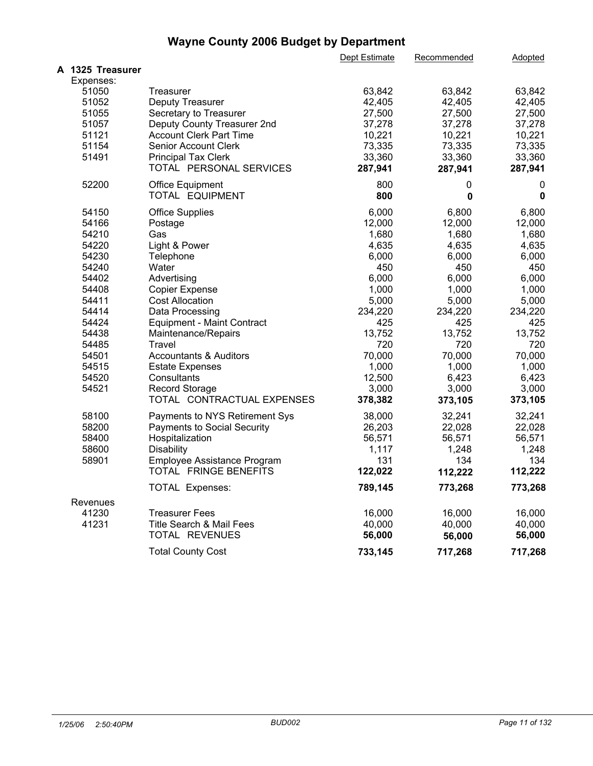|                  |                                    | Dept Estimate | Recommended | Adopted |  |
|------------------|------------------------------------|---------------|-------------|---------|--|
| A 1325 Treasurer |                                    |               |             |         |  |
| Expenses:        |                                    |               |             |         |  |
| 51050            | Treasurer                          | 63,842        | 63,842      | 63,842  |  |
| 51052            | Deputy Treasurer                   | 42,405        | 42,405      | 42,405  |  |
| 51055            | Secretary to Treasurer             | 27,500        | 27,500      | 27,500  |  |
| 51057            | Deputy County Treasurer 2nd        | 37,278        | 37,278      | 37,278  |  |
| 51121            | <b>Account Clerk Part Time</b>     | 10,221        | 10,221      | 10,221  |  |
| 51154            | <b>Senior Account Clerk</b>        | 73,335        | 73,335      | 73,335  |  |
| 51491            | <b>Principal Tax Clerk</b>         | 33,360        | 33,360      | 33,360  |  |
|                  | TOTAL PERSONAL SERVICES            | 287,941       | 287,941     | 287,941 |  |
| 52200            | <b>Office Equipment</b>            | 800           | 0           | 0       |  |
|                  | TOTAL EQUIPMENT                    | 800           | 0           | 0       |  |
| 54150            | <b>Office Supplies</b>             | 6,000         | 6,800       | 6,800   |  |
| 54166            | Postage                            | 12,000        | 12,000      | 12,000  |  |
| 54210            | Gas                                | 1,680         | 1,680       | 1,680   |  |
| 54220            | Light & Power                      | 4,635         | 4,635       | 4,635   |  |
| 54230            | Telephone                          | 6,000         | 6,000       | 6,000   |  |
| 54240            | Water                              | 450           | 450         | 450     |  |
| 54402            | Advertising                        | 6,000         | 6,000       | 6,000   |  |
| 54408            | <b>Copier Expense</b>              | 1,000         | 1,000       | 1,000   |  |
| 54411            | <b>Cost Allocation</b>             | 5,000         | 5,000       | 5,000   |  |
| 54414            | Data Processing                    | 234,220       | 234,220     | 234,220 |  |
| 54424            | <b>Equipment - Maint Contract</b>  | 425           | 425         | 425     |  |
| 54438            | Maintenance/Repairs                | 13,752        | 13,752      | 13,752  |  |
| 54485            | Travel                             | 720           | 720         | 720     |  |
| 54501            | <b>Accountants &amp; Auditors</b>  | 70,000        | 70,000      | 70,000  |  |
| 54515            | <b>Estate Expenses</b>             | 1,000         | 1,000       | 1,000   |  |
| 54520            | Consultants                        | 12,500        | 6,423       | 6,423   |  |
| 54521            | <b>Record Storage</b>              | 3,000         | 3,000       | 3,000   |  |
|                  | TOTAL CONTRACTUAL EXPENSES         | 378,382       | 373,105     | 373,105 |  |
| 58100            | Payments to NYS Retirement Sys     | 38,000        | 32,241      | 32,241  |  |
| 58200            | <b>Payments to Social Security</b> | 26,203        | 22,028      | 22,028  |  |
| 58400            | Hospitalization                    | 56,571        | 56,571      | 56,571  |  |
| 58600            | <b>Disability</b>                  | 1,117         | 1,248       | 1,248   |  |
| 58901            | Employee Assistance Program        | 131           | 134         | 134     |  |
|                  | TOTAL FRINGE BENEFITS              | 122,022       | 112,222     | 112,222 |  |
|                  | <b>TOTAL Expenses:</b>             | 789,145       | 773,268     | 773,268 |  |
| Revenues         |                                    |               |             |         |  |
| 41230            | <b>Treasurer Fees</b>              | 16,000        | 16,000      | 16,000  |  |
| 41231            | Title Search & Mail Fees           | 40,000        | 40,000      | 40,000  |  |
|                  | TOTAL REVENUES                     | 56,000        | 56,000      | 56,000  |  |
|                  | <b>Total County Cost</b>           | 733,145       | 717,268     | 717,268 |  |
|                  |                                    |               |             |         |  |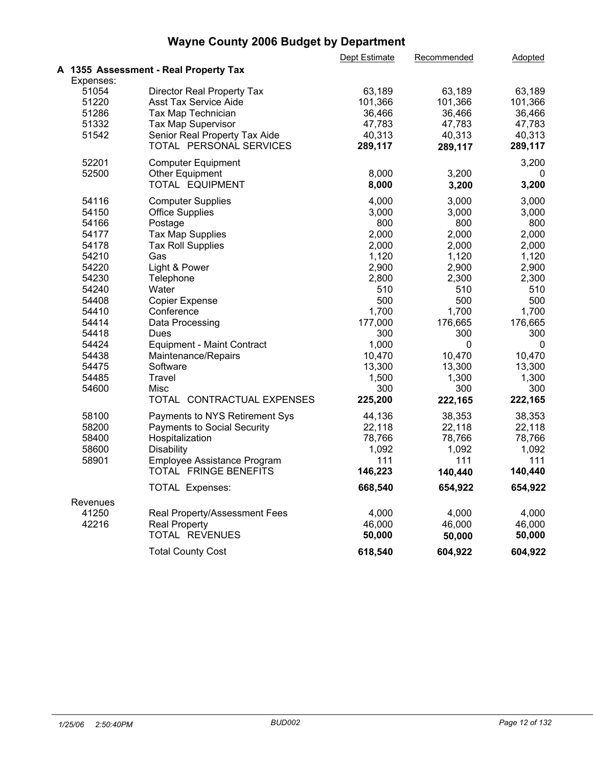|           |                                       | Dept Estimate | Recommended | Adopted |  |
|-----------|---------------------------------------|---------------|-------------|---------|--|
|           | A 1355 Assessment - Real Property Tax |               |             |         |  |
| Expenses: |                                       |               |             |         |  |
| 51054     | Director Real Property Tax            | 63,189        | 63,189      | 63,189  |  |
| 51220     | <b>Asst Tax Service Aide</b>          | 101,366       | 101,366     | 101,366 |  |
| 51286     | Tax Map Technician                    | 36,466        | 36,466      | 36,466  |  |
| 51332     | Tax Map Supervisor                    | 47,783        | 47,783      | 47,783  |  |
| 51542     | Senior Real Property Tax Aide         | 40,313        | 40,313      | 40,313  |  |
|           | TOTAL PERSONAL SERVICES               | 289,117       | 289,117     | 289,117 |  |
|           |                                       |               |             |         |  |
| 52201     | <b>Computer Equipment</b>             |               |             | 3,200   |  |
| 52500     | <b>Other Equipment</b>                | 8,000         | 3,200       | 0       |  |
|           | TOTAL EQUIPMENT                       | 8,000         | 3,200       | 3,200   |  |
| 54116     | <b>Computer Supplies</b>              | 4,000         | 3,000       | 3,000   |  |
| 54150     | <b>Office Supplies</b>                | 3,000         | 3,000       | 3,000   |  |
| 54166     | Postage                               | 800           | 800         | 800     |  |
| 54177     | <b>Tax Map Supplies</b>               | 2,000         | 2,000       | 2,000   |  |
| 54178     | <b>Tax Roll Supplies</b>              | 2,000         | 2,000       | 2,000   |  |
| 54210     | Gas                                   | 1,120         | 1,120       | 1,120   |  |
| 54220     | Light & Power                         | 2,900         | 2,900       | 2,900   |  |
| 54230     | Telephone                             | 2,800         | 2,300       | 2,300   |  |
| 54240     | Water                                 | 510           | 510         | 510     |  |
| 54408     | <b>Copier Expense</b>                 | 500           | 500         | 500     |  |
| 54410     | Conference                            | 1,700         | 1,700       | 1,700   |  |
| 54414     | Data Processing                       | 177,000       | 176,665     | 176,665 |  |
| 54418     | Dues                                  | 300           | 300         | 300     |  |
| 54424     | <b>Equipment - Maint Contract</b>     | 1,000         | 0           | 0       |  |
| 54438     | Maintenance/Repairs                   | 10,470        | 10,470      | 10,470  |  |
| 54475     | Software                              | 13,300        | 13,300      | 13,300  |  |
| 54485     | <b>Travel</b>                         | 1,500         | 1,300       | 1,300   |  |
| 54600     | Misc                                  | 300           | 300         | 300     |  |
|           | TOTAL CONTRACTUAL EXPENSES            | 225,200       |             | 222,165 |  |
|           |                                       |               | 222,165     |         |  |
| 58100     | Payments to NYS Retirement Sys        | 44,136        | 38,353      | 38,353  |  |
| 58200     | Payments to Social Security           | 22,118        | 22,118      | 22,118  |  |
| 58400     | Hospitalization                       | 78,766        | 78,766      | 78,766  |  |
| 58600     | Disability                            | 1,092         | 1,092       | 1,092   |  |
| 58901     | Employee Assistance Program           | 111           | 111         | 111     |  |
|           | TOTAL FRINGE BENEFITS                 | 146,223       | 140,440     | 140,440 |  |
|           | TOTAL Expenses:                       | 668,540       | 654,922     | 654,922 |  |
| Revenues  |                                       |               |             |         |  |
| 41250     | Real Property/Assessment Fees         | 4,000         | 4,000       | 4,000   |  |
| 42216     | <b>Real Property</b>                  | 46,000        | 46,000      | 46,000  |  |
|           | TOTAL REVENUES                        | 50,000        | 50,000      | 50,000  |  |
|           | <b>Total County Cost</b>              | 618,540       | 604,922     | 604,922 |  |
|           |                                       |               |             |         |  |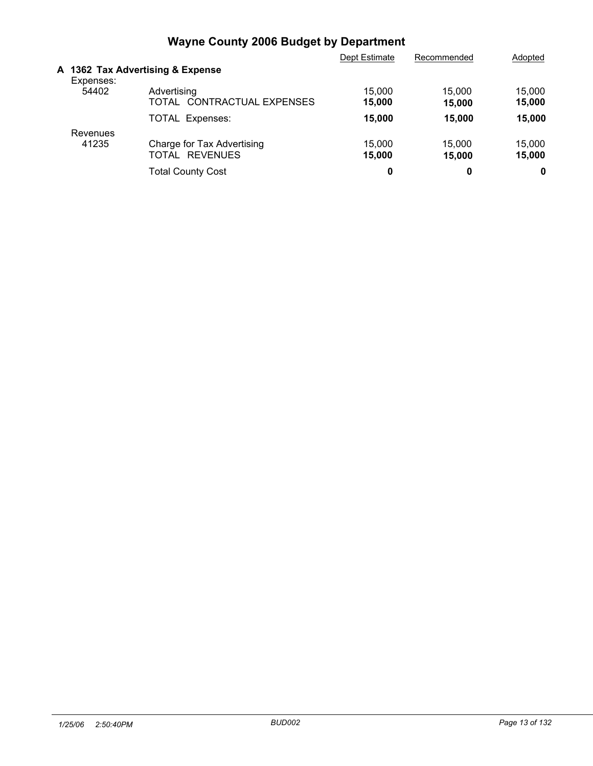|                   |                                                        | Dept Estimate    | Recommended      | Adopted          |  |
|-------------------|--------------------------------------------------------|------------------|------------------|------------------|--|
| Expenses:         | A 1362 Tax Advertising & Expense                       |                  |                  |                  |  |
| 54402             | Advertising<br>TOTAL CONTRACTUAL EXPENSES              | 15,000<br>15,000 | 15.000<br>15,000 | 15,000<br>15,000 |  |
|                   | <b>TOTAL Expenses:</b>                                 | 15,000           | 15,000           | 15.000           |  |
| Revenues<br>41235 | Charge for Tax Advertising<br><b>REVENUES</b><br>TOTAL | 15,000<br>15,000 | 15,000<br>15,000 | 15,000<br>15,000 |  |
|                   | <b>Total County Cost</b>                               | 0                | 0                | 0                |  |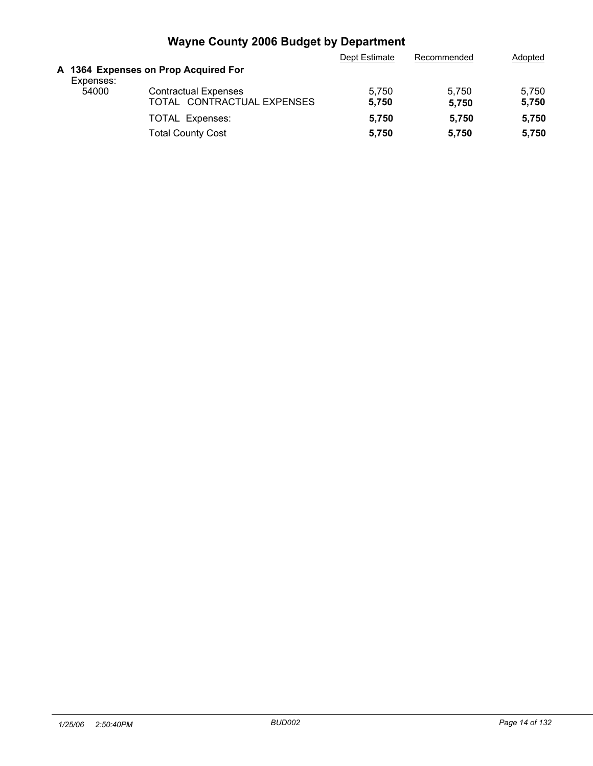|           |                                                           | Dept Estimate  | Recommended    | Adopted        |
|-----------|-----------------------------------------------------------|----------------|----------------|----------------|
| Expenses: | A 1364 Expenses on Prop Acquired For                      |                |                |                |
| 54000     | <b>Contractual Expenses</b><br>TOTAL CONTRACTUAL EXPENSES | 5.750<br>5.750 | 5.750<br>5.750 | 5.750<br>5,750 |
|           | <b>TOTAL Expenses:</b><br><b>Total County Cost</b>        | 5.750<br>5.750 | 5.750<br>5.750 | 5,750<br>5,750 |
|           |                                                           |                |                |                |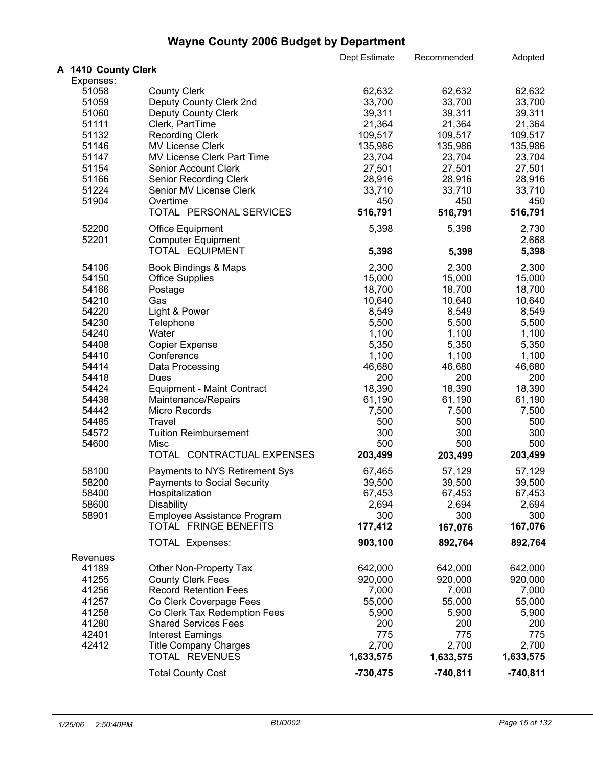|                     |                                    | Dept Estimate   | Recommended      | Adopted          |  |
|---------------------|------------------------------------|-----------------|------------------|------------------|--|
| A 1410 County Clerk |                                    |                 |                  |                  |  |
| Expenses:           |                                    |                 |                  |                  |  |
| 51058               | <b>County Clerk</b>                | 62,632          | 62,632           | 62,632           |  |
| 51059               | Deputy County Clerk 2nd            | 33,700          | 33,700           | 33,700           |  |
| 51060               | <b>Deputy County Clerk</b>         | 39,311          | 39,311           | 39,311           |  |
| 51111               | Clerk, PartTime                    | 21,364          | 21,364           | 21,364           |  |
| 51132               | <b>Recording Clerk</b>             | 109,517         | 109,517          | 109,517          |  |
| 51146               | MV License Clerk                   | 135,986         | 135,986          | 135,986          |  |
| 51147               | MV License Clerk Part Time         | 23,704          | 23,704           | 23,704           |  |
| 51154               | <b>Senior Account Clerk</b>        | 27,501          | 27,501           | 27,501           |  |
| 51166               | Senior Recording Clerk             | 28,916          | 28,916           | 28,916           |  |
| 51224               | Senior MV License Clerk            | 33,710          | 33,710           | 33,710           |  |
| 51904               | Overtime                           | 450             | 450              | 450              |  |
|                     | TOTAL PERSONAL SERVICES            | 516,791         | 516,791          | 516,791          |  |
| 52200               | <b>Office Equipment</b>            | 5,398           | 5,398            | 2,730            |  |
| 52201               | <b>Computer Equipment</b>          |                 |                  | 2,668            |  |
|                     | TOTAL EQUIPMENT                    | 5,398           | 5,398            | 5,398            |  |
| 54106               | Book Bindings & Maps               | 2,300           | 2,300            | 2,300            |  |
| 54150               |                                    | 15,000          |                  |                  |  |
| 54166               | <b>Office Supplies</b><br>Postage  | 18,700          | 15,000<br>18,700 | 15,000<br>18,700 |  |
| 54210               |                                    |                 |                  |                  |  |
| 54220               | Gas                                | 10,640<br>8,549 | 10,640<br>8,549  | 10,640<br>8,549  |  |
|                     | Light & Power                      |                 |                  |                  |  |
| 54230<br>54240      | Telephone                          | 5,500           | 5,500            | 5,500            |  |
|                     | Water                              | 1,100           | 1,100            | 1,100            |  |
| 54408               | <b>Copier Expense</b>              | 5,350           | 5,350            | 5,350            |  |
| 54410               | Conference                         | 1,100           | 1,100            | 1,100            |  |
| 54414               | Data Processing                    | 46,680          | 46,680           | 46,680           |  |
| 54418               | Dues                               | 200             | 200              | 200              |  |
| 54424               | <b>Equipment - Maint Contract</b>  | 18,390          | 18,390           | 18,390           |  |
| 54438               | Maintenance/Repairs                | 61,190          | 61,190           | 61,190           |  |
| 54442               | Micro Records                      | 7,500           | 7,500            | 7,500            |  |
| 54485               | Travel                             | 500             | 500              | 500              |  |
| 54572               | <b>Tuition Reimbursement</b>       | 300             | 300              | 300              |  |
| 54600               | Misc<br>TOTAL CONTRACTUAL EXPENSES | 500<br>203,499  | 500              | 500<br>203,499   |  |
|                     |                                    |                 | 203,499          |                  |  |
| 58100               | Payments to NYS Retirement Sys     | 67,465          | 57,129           | 57,129           |  |
| 58200               | <b>Payments to Social Security</b> | 39,500          | 39,500           | 39,500           |  |
| 58400               | Hospitalization                    | 67,453          | 67,453           | 67,453           |  |
| 58600               | <b>Disability</b>                  | 2,694           | 2,694            | 2,694            |  |
| 58901               | Employee Assistance Program        | 300             | 300              | 300              |  |
|                     | TOTAL FRINGE BENEFITS              | 177,412         | 167,076          | 167,076          |  |
|                     | <b>TOTAL Expenses:</b>             | 903,100         | 892,764          | 892,764          |  |
| Revenues            |                                    |                 |                  |                  |  |
| 41189               | Other Non-Property Tax             | 642,000         | 642,000          | 642,000          |  |
| 41255               | <b>County Clerk Fees</b>           | 920,000         | 920,000          | 920,000          |  |
| 41256               | <b>Record Retention Fees</b>       | 7,000           | 7,000            | 7,000            |  |
| 41257               | Co Clerk Coverpage Fees            | 55,000          | 55,000           | 55,000           |  |
| 41258               | Co Clerk Tax Redemption Fees       | 5,900           | 5,900            | 5,900            |  |
| 41280               | <b>Shared Services Fees</b>        | 200             | 200              | 200              |  |
| 42401               | <b>Interest Earnings</b>           | 775             | 775              | 775              |  |
| 42412               | <b>Title Company Charges</b>       | 2,700           | 2,700            | 2,700            |  |
|                     | TOTAL REVENUES                     | 1,633,575       | 1,633,575        | 1,633,575        |  |
|                     | <b>Total County Cost</b>           | $-730,475$      | $-740,811$       | $-740,811$       |  |
|                     |                                    |                 |                  |                  |  |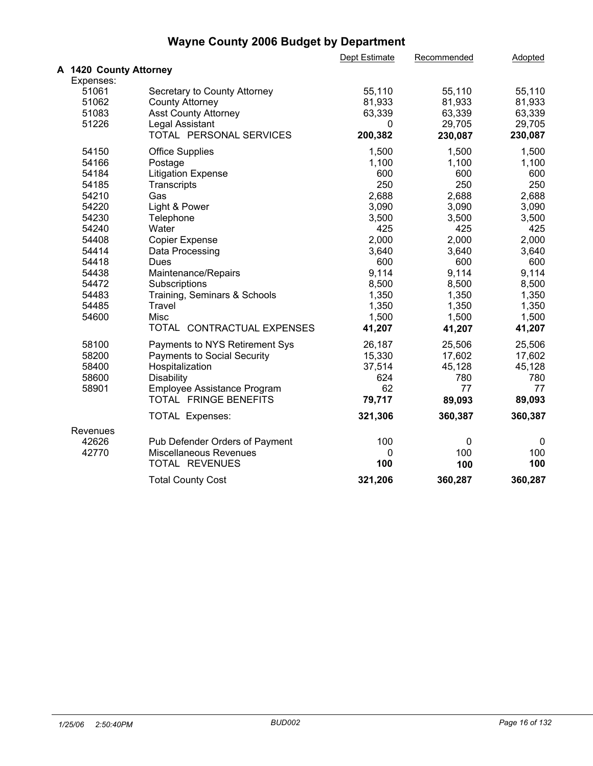|                        |                                | Dept Estimate | Recommended | Adopted     |  |
|------------------------|--------------------------------|---------------|-------------|-------------|--|
| A 1420 County Attorney |                                |               |             |             |  |
| Expenses:              |                                |               |             |             |  |
| 51061                  | Secretary to County Attorney   | 55,110        | 55,110      | 55,110      |  |
| 51062                  | <b>County Attorney</b>         | 81,933        | 81,933      | 81,933      |  |
| 51083                  | <b>Asst County Attorney</b>    | 63,339        | 63,339      | 63,339      |  |
| 51226                  | Legal Assistant                | 0             | 29,705      | 29,705      |  |
|                        | TOTAL PERSONAL SERVICES        | 200,382       | 230,087     | 230,087     |  |
| 54150                  | <b>Office Supplies</b>         | 1,500         | 1,500       | 1,500       |  |
| 54166                  | Postage                        | 1,100         | 1,100       | 1,100       |  |
| 54184                  | <b>Litigation Expense</b>      | 600           | 600         | 600         |  |
| 54185                  | Transcripts                    | 250           | 250         | 250         |  |
| 54210                  | Gas                            | 2,688         | 2,688       | 2,688       |  |
| 54220                  | Light & Power                  | 3,090         | 3,090       | 3,090       |  |
| 54230                  | Telephone                      | 3,500         | 3,500       | 3,500       |  |
| 54240                  | Water                          | 425           | 425         | 425         |  |
| 54408                  | <b>Copier Expense</b>          | 2,000         | 2,000       | 2,000       |  |
| 54414                  | Data Processing                | 3,640         | 3,640       | 3,640       |  |
| 54418                  | <b>Dues</b>                    | 600           | 600         | 600         |  |
| 54438                  | Maintenance/Repairs            | 9,114         | 9,114       | 9,114       |  |
| 54472                  | Subscriptions                  | 8,500         | 8,500       | 8,500       |  |
| 54483                  | Training, Seminars & Schools   | 1,350         | 1,350       | 1,350       |  |
| 54485                  | Travel                         | 1,350         | 1,350       | 1,350       |  |
| 54600                  | Misc                           | 1,500         | 1,500       | 1,500       |  |
|                        | TOTAL CONTRACTUAL EXPENSES     | 41,207        | 41,207      | 41,207      |  |
| 58100                  | Payments to NYS Retirement Sys | 26,187        | 25,506      | 25,506      |  |
| 58200                  | Payments to Social Security    | 15,330        | 17,602      | 17,602      |  |
| 58400                  | Hospitalization                | 37,514        | 45,128      | 45,128      |  |
| 58600                  | Disability                     | 624           | 780         | 780         |  |
| 58901                  | Employee Assistance Program    | 62            | 77          | 77          |  |
|                        | TOTAL FRINGE BENEFITS          | 79,717        | 89,093      | 89,093      |  |
|                        | <b>TOTAL Expenses:</b>         | 321,306       | 360,387     | 360,387     |  |
| Revenues               |                                |               |             |             |  |
| 42626                  | Pub Defender Orders of Payment | 100           | 0           | $\mathbf 0$ |  |
| 42770                  | <b>Miscellaneous Revenues</b>  | 0             | 100         | 100         |  |
|                        | TOTAL REVENUES                 | 100           | 100         | 100         |  |
|                        | <b>Total County Cost</b>       | 321,206       | 360,287     | 360,287     |  |
|                        |                                |               |             |             |  |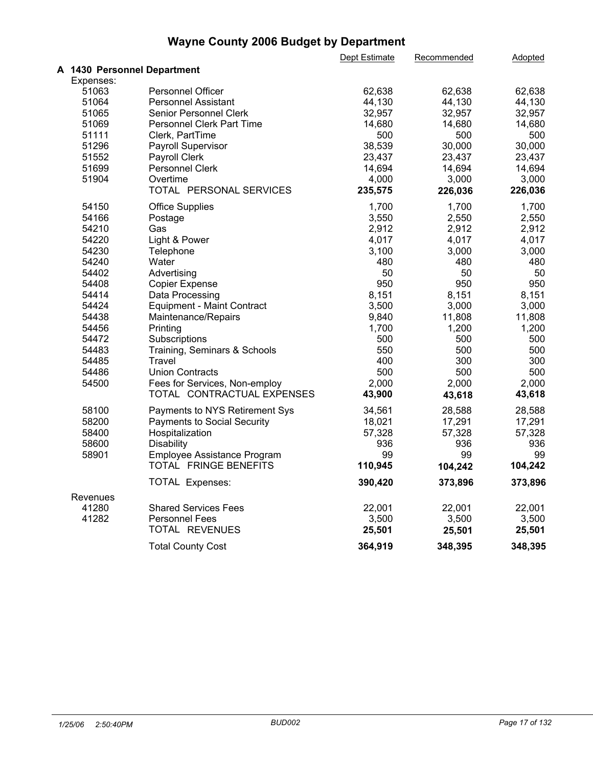|                             |                                    | Dept Estimate | Recommended | Adopted |  |
|-----------------------------|------------------------------------|---------------|-------------|---------|--|
| A 1430 Personnel Department |                                    |               |             |         |  |
| Expenses:                   |                                    |               |             |         |  |
| 51063                       | Personnel Officer                  | 62,638        | 62,638      | 62,638  |  |
| 51064                       | <b>Personnel Assistant</b>         | 44,130        | 44,130      | 44,130  |  |
| 51065                       | Senior Personnel Clerk             | 32,957        | 32,957      | 32,957  |  |
| 51069                       | Personnel Clerk Part Time          | 14,680        | 14,680      | 14,680  |  |
| 51111                       | Clerk, PartTime                    | 500           | 500         | 500     |  |
| 51296                       | Payroll Supervisor                 | 38,539        | 30,000      | 30,000  |  |
| 51552                       | Payroll Clerk                      | 23,437        | 23,437      | 23,437  |  |
| 51699                       | Personnel Clerk                    | 14,694        | 14,694      | 14,694  |  |
| 51904                       | Overtime                           | 4,000         | 3,000       | 3,000   |  |
|                             | TOTAL PERSONAL SERVICES            | 235,575       | 226,036     | 226,036 |  |
| 54150                       | <b>Office Supplies</b>             | 1,700         | 1,700       | 1,700   |  |
| 54166                       | Postage                            | 3,550         | 2,550       | 2,550   |  |
| 54210                       | Gas                                | 2,912         | 2,912       | 2,912   |  |
| 54220                       | Light & Power                      | 4,017         | 4,017       | 4,017   |  |
| 54230                       | Telephone                          | 3,100         | 3,000       | 3,000   |  |
| 54240                       | Water                              | 480           | 480         | 480     |  |
| 54402                       | Advertising                        | 50            | 50          | 50      |  |
| 54408                       | <b>Copier Expense</b>              | 950           | 950         | 950     |  |
| 54414                       | Data Processing                    | 8,151         | 8,151       | 8,151   |  |
| 54424                       | <b>Equipment - Maint Contract</b>  | 3,500         | 3,000       | 3,000   |  |
| 54438                       | Maintenance/Repairs                | 9,840         | 11,808      | 11,808  |  |
| 54456                       | Printing                           | 1,700         | 1,200       | 1,200   |  |
| 54472                       | Subscriptions                      | 500           | 500         | 500     |  |
| 54483                       | Training, Seminars & Schools       | 550           | 500         | 500     |  |
| 54485                       | Travel                             | 400           | 300         | 300     |  |
| 54486                       | <b>Union Contracts</b>             | 500           | 500         | 500     |  |
| 54500                       | Fees for Services, Non-employ      | 2,000         | 2,000       | 2,000   |  |
|                             | TOTAL CONTRACTUAL EXPENSES         | 43,900        | 43,618      | 43,618  |  |
| 58100                       | Payments to NYS Retirement Sys     | 34,561        | 28,588      | 28,588  |  |
| 58200                       | <b>Payments to Social Security</b> | 18,021        | 17,291      | 17,291  |  |
| 58400                       | Hospitalization                    | 57,328        | 57,328      | 57,328  |  |
| 58600                       | Disability                         | 936           | 936         | 936     |  |
| 58901                       | Employee Assistance Program        | 99            | 99          | 99      |  |
|                             | TOTAL FRINGE BENEFITS              | 110,945       | 104,242     | 104,242 |  |
|                             | <b>TOTAL Expenses:</b>             | 390,420       | 373,896     | 373,896 |  |
| Revenues                    |                                    |               |             |         |  |
| 41280                       | <b>Shared Services Fees</b>        | 22,001        | 22,001      | 22,001  |  |
| 41282                       | <b>Personnel Fees</b>              | 3,500         | 3,500       | 3,500   |  |
|                             | TOTAL REVENUES                     | 25,501        | 25,501      | 25,501  |  |
|                             | <b>Total County Cost</b>           | 364,919       | 348,395     | 348,395 |  |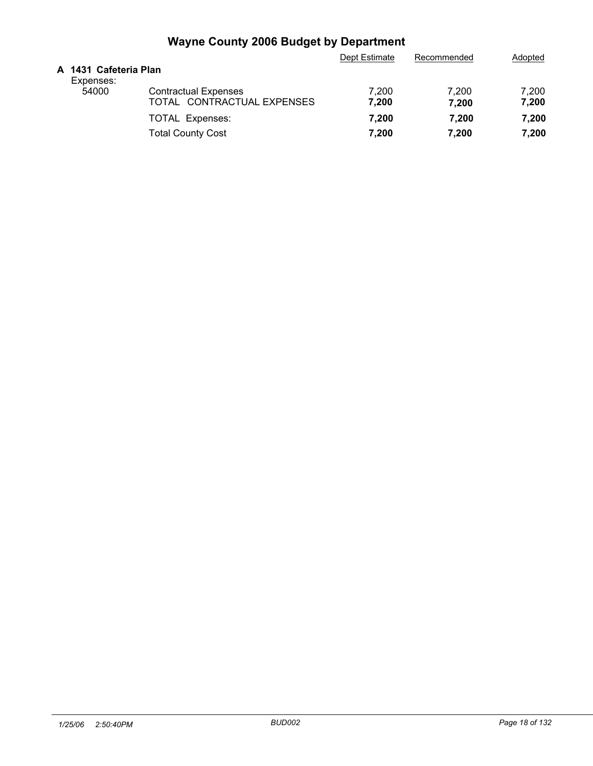|                                    |                                                           | Dept Estimate  | Recommended    | Adopted        |
|------------------------------------|-----------------------------------------------------------|----------------|----------------|----------------|
| A 1431 Cafeteria Plan<br>Expenses: |                                                           |                |                |                |
| 54000                              | <b>Contractual Expenses</b><br>TOTAL CONTRACTUAL EXPENSES | 7.200<br>7,200 | 7.200<br>7,200 | 7,200<br>7,200 |
|                                    | <b>TOTAL Expenses:</b>                                    | 7.200          | 7.200          | 7,200          |
|                                    | <b>Total County Cost</b>                                  | 7,200          | 7,200          | 7,200          |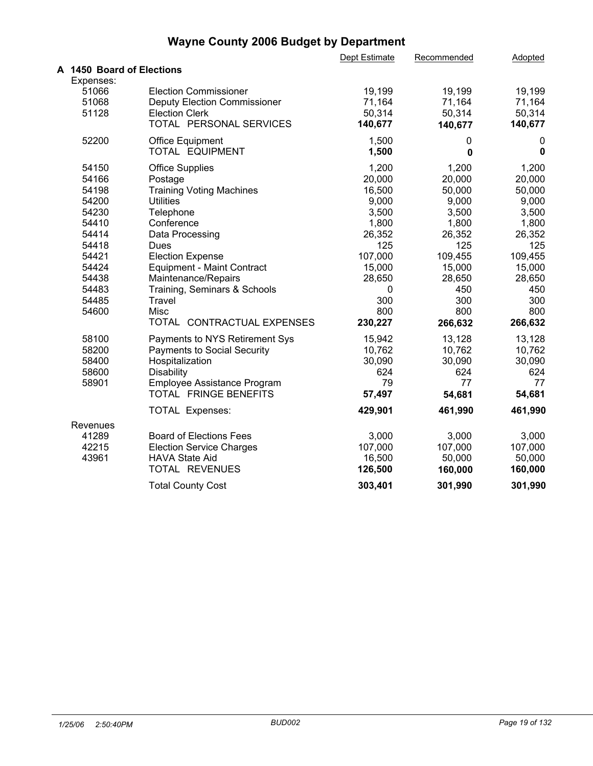|                           |                                     | Dept Estimate | Recommended | Adopted |  |
|---------------------------|-------------------------------------|---------------|-------------|---------|--|
| A 1450 Board of Elections |                                     |               |             |         |  |
| Expenses:                 |                                     |               |             |         |  |
| 51066                     | <b>Election Commissioner</b>        | 19,199        | 19,199      | 19,199  |  |
| 51068                     | <b>Deputy Election Commissioner</b> | 71,164        | 71,164      | 71,164  |  |
| 51128                     | <b>Election Clerk</b>               | 50,314        | 50,314      | 50,314  |  |
|                           | TOTAL PERSONAL SERVICES             | 140,677       | 140,677     | 140,677 |  |
| 52200                     | <b>Office Equipment</b>             | 1,500         | 0           | 0       |  |
|                           | TOTAL EQUIPMENT                     | 1,500         | 0           | 0       |  |
| 54150                     | <b>Office Supplies</b>              | 1,200         | 1,200       | 1,200   |  |
| 54166                     | Postage                             | 20,000        | 20,000      | 20,000  |  |
| 54198                     | <b>Training Voting Machines</b>     | 16,500        | 50,000      | 50,000  |  |
| 54200                     | <b>Utilities</b>                    | 9,000         | 9,000       | 9,000   |  |
| 54230                     | Telephone                           | 3,500         | 3,500       | 3,500   |  |
| 54410                     | Conference                          | 1,800         | 1,800       | 1,800   |  |
| 54414                     | Data Processing                     | 26,352        | 26,352      | 26,352  |  |
| 54418                     | Dues                                | 125           | 125         | 125     |  |
| 54421                     | <b>Election Expense</b>             | 107,000       | 109,455     | 109,455 |  |
| 54424                     | <b>Equipment - Maint Contract</b>   | 15,000        | 15,000      | 15,000  |  |
| 54438                     | Maintenance/Repairs                 | 28,650        | 28,650      | 28,650  |  |
| 54483                     | Training, Seminars & Schools        | 0             | 450         | 450     |  |
| 54485                     | <b>Travel</b>                       | 300           | 300         | 300     |  |
| 54600                     | Misc                                | 800           | 800         | 800     |  |
|                           | TOTAL CONTRACTUAL EXPENSES          | 230,227       | 266,632     | 266,632 |  |
| 58100                     | Payments to NYS Retirement Sys      | 15,942        | 13,128      | 13,128  |  |
| 58200                     | <b>Payments to Social Security</b>  | 10,762        | 10,762      | 10,762  |  |
| 58400                     | Hospitalization                     | 30,090        | 30,090      | 30,090  |  |
| 58600                     | Disability                          | 624           | 624         | 624     |  |
| 58901                     | Employee Assistance Program         | 79            | 77          | 77      |  |
|                           | TOTAL FRINGE BENEFITS               | 57,497        | 54,681      | 54,681  |  |
|                           | TOTAL Expenses:                     | 429,901       | 461,990     | 461,990 |  |
| Revenues                  |                                     |               |             |         |  |
| 41289                     | <b>Board of Elections Fees</b>      | 3,000         | 3,000       | 3,000   |  |
| 42215                     | <b>Election Service Charges</b>     | 107,000       | 107,000     | 107,000 |  |
| 43961                     | <b>HAVA State Aid</b>               | 16,500        | 50,000      | 50,000  |  |
|                           | TOTAL REVENUES                      | 126,500       | 160,000     | 160,000 |  |
|                           | <b>Total County Cost</b>            | 303,401       | 301,990     | 301,990 |  |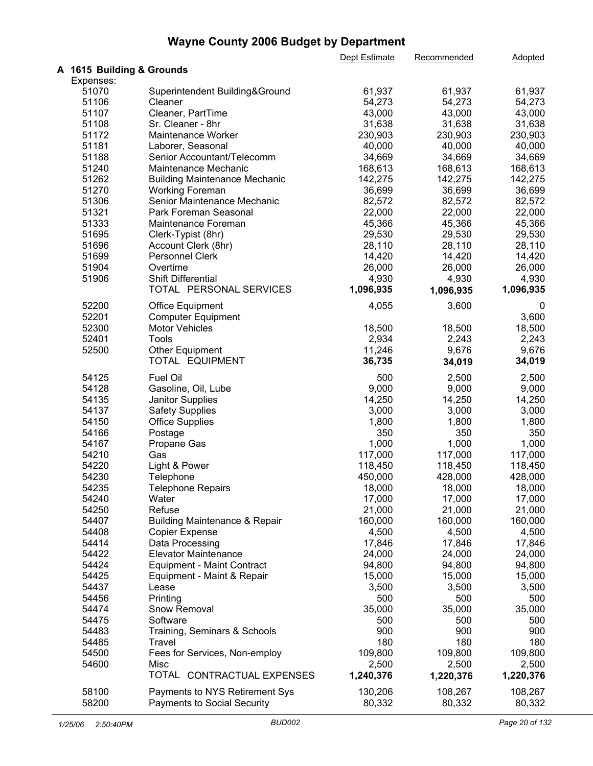|                           |                                          | Dept Estimate | Recommended | <b>Adopted</b> |
|---------------------------|------------------------------------------|---------------|-------------|----------------|
| A 1615 Building & Grounds |                                          |               |             |                |
| Expenses:                 |                                          |               |             |                |
| 51070                     | Superintendent Building&Ground           | 61,937        | 61,937      | 61,937         |
| 51106                     | Cleaner                                  | 54,273        | 54,273      | 54,273         |
| 51107                     | Cleaner, PartTime                        | 43,000        | 43,000      | 43,000         |
| 51108                     | Sr. Cleaner - 8hr                        | 31,638        | 31,638      | 31,638         |
| 51172                     | Maintenance Worker                       | 230,903       | 230,903     | 230,903        |
| 51181                     | Laborer, Seasonal                        | 40,000        | 40,000      | 40,000         |
| 51188                     | Senior Accountant/Telecomm               | 34,669        | 34,669      | 34,669         |
| 51240                     | Maintenance Mechanic                     | 168,613       | 168,613     | 168,613        |
| 51262                     | <b>Building Maintenance Mechanic</b>     | 142,275       | 142,275     | 142,275        |
| 51270                     | <b>Working Foreman</b>                   | 36,699        | 36,699      | 36,699         |
| 51306                     | Senior Maintenance Mechanic              | 82,572        | 82,572      | 82,572         |
| 51321                     | Park Foreman Seasonal                    | 22,000        | 22,000      | 22,000         |
| 51333                     |                                          | 45,366        | 45,366      |                |
|                           | Maintenance Foreman                      |               |             | 45,366         |
| 51695                     | Clerk-Typist (8hr)                       | 29,530        | 29,530      | 29,530         |
| 51696                     | Account Clerk (8hr)                      | 28,110        | 28,110      | 28,110         |
| 51699                     | Personnel Clerk                          | 14,420        | 14,420      | 14,420         |
| 51904                     | Overtime                                 | 26,000        | 26,000      | 26,000         |
| 51906                     | <b>Shift Differential</b>                | 4,930         | 4,930       | 4,930          |
|                           | TOTAL PERSONAL SERVICES                  | 1,096,935     | 1,096,935   | 1,096,935      |
| 52200                     | <b>Office Equipment</b>                  | 4,055         | 3,600       | 0              |
| 52201                     | <b>Computer Equipment</b>                |               |             | 3,600          |
| 52300                     | <b>Motor Vehicles</b>                    | 18,500        | 18,500      | 18,500         |
| 52401                     | <b>Tools</b>                             | 2,934         | 2,243       | 2,243          |
| 52500                     | <b>Other Equipment</b>                   | 11,246        | 9,676       | 9,676          |
|                           | TOTAL EQUIPMENT                          | 36,735        | 34,019      | 34,019         |
| 54125                     | Fuel Oil                                 | 500           | 2,500       | 2,500          |
|                           |                                          |               |             |                |
| 54128                     | Gasoline, Oil, Lube                      | 9,000         | 9,000       | 9,000          |
| 54135                     | Janitor Supplies                         | 14,250        | 14,250      | 14,250         |
| 54137                     | <b>Safety Supplies</b>                   | 3,000         | 3,000       | 3,000          |
| 54150                     | <b>Office Supplies</b>                   | 1,800         | 1,800       | 1,800          |
| 54166                     | Postage                                  | 350           | 350         | 350            |
| 54167                     | Propane Gas                              | 1,000         | 1,000       | 1,000          |
| 54210                     | Gas                                      | 117,000       | 117,000     | 117,000        |
| 54220                     | Light & Power                            | 118,450       | 118,450     | 118,450        |
| 54230                     | Telephone                                | 450,000       | 428,000     | 428,000        |
| 54235                     | <b>Telephone Repairs</b>                 | 18,000        | 18,000      | 18,000         |
| 54240                     | Water                                    | 17,000        | 17,000      | 17,000         |
| 54250                     | Refuse                                   | 21,000        | 21,000      | 21,000         |
| 54407                     | <b>Building Maintenance &amp; Repair</b> | 160,000       | 160,000     | 160,000        |
| 54408                     | <b>Copier Expense</b>                    | 4,500         | 4,500       | 4,500          |
|                           |                                          |               |             |                |
| 54414                     | Data Processing                          | 17,846        | 17,846      | 17,846         |
| 54422                     | <b>Elevator Maintenance</b>              | 24,000        | 24,000      | 24,000         |
| 54424                     | <b>Equipment - Maint Contract</b>        | 94,800        | 94,800      | 94,800         |
| 54425                     | Equipment - Maint & Repair               | 15,000        | 15,000      | 15,000         |
| 54437                     | Lease                                    | 3,500         | 3,500       | 3,500          |
| 54456                     | Printing                                 | 500           | 500         | 500            |
| 54474                     | Snow Removal                             | 35,000        | 35,000      | 35,000         |
| 54475                     | Software                                 | 500           | 500         | 500            |
| 54483                     | Training, Seminars & Schools             | 900           | 900         | 900            |
| 54485                     | Travel                                   | 180           | 180         | 180            |
|                           |                                          |               |             |                |
| 54500                     | Fees for Services, Non-employ            | 109,800       | 109,800     | 109,800        |
| 54600                     | Misc                                     | 2,500         | 2,500       | 2,500          |
|                           | TOTAL CONTRACTUAL EXPENSES               | 1,240,376     | 1,220,376   | 1,220,376      |
| 58100                     | Payments to NYS Retirement Sys           | 130,206       | 108,267     | 108,267        |
| 58200                     | <b>Payments to Social Security</b>       | 80,332        | 80,332      | 80,332         |
|                           |                                          |               |             |                |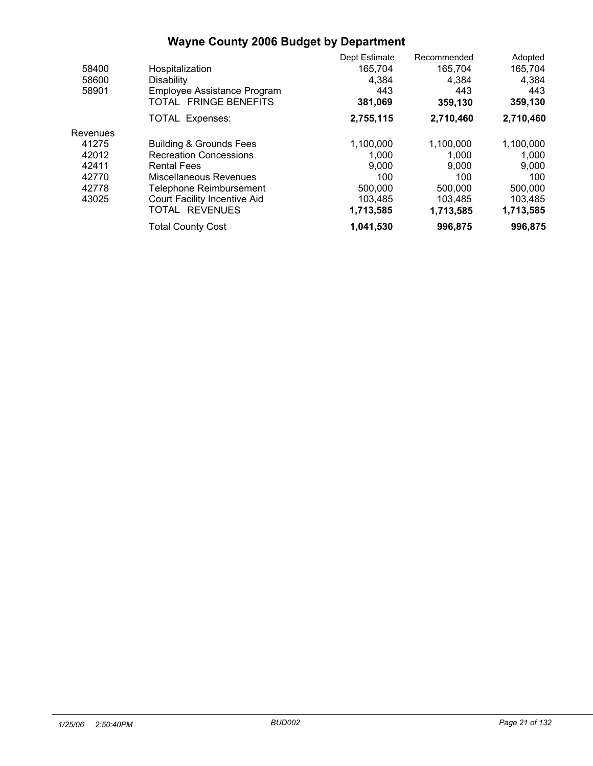|          |                                     | Dept Estimate | Recommended | Adopted   |
|----------|-------------------------------------|---------------|-------------|-----------|
| 58400    | Hospitalization                     | 165,704       | 165,704     | 165,704   |
| 58600    | <b>Disability</b>                   | 4,384         | 4.384       | 4,384     |
| 58901    | Employee Assistance Program         | 443           | 443         | 443       |
|          | TOTAL FRINGE BENEFITS               | 381,069       | 359,130     | 359,130   |
|          | <b>TOTAL Expenses:</b>              | 2,755,115     | 2,710,460   | 2,710,460 |
| Revenues |                                     |               |             |           |
| 41275    | <b>Building &amp; Grounds Fees</b>  | 1,100,000     | 1,100,000   | 1,100,000 |
| 42012    | <b>Recreation Concessions</b>       | 1,000         | 1.000       | 1,000     |
| 42411    | <b>Rental Fees</b>                  | 9,000         | 9.000       | 9,000     |
| 42770    | Miscellaneous Revenues              | 100           | 100         | 100       |
| 42778    | Telephone Reimbursement             | 500,000       | 500,000     | 500,000   |
| 43025    | <b>Court Facility Incentive Aid</b> | 103.485       | 103,485     | 103,485   |
|          | TOTAL REVENUES                      | 1,713,585     | 1,713,585   | 1,713,585 |
|          | <b>Total County Cost</b>            | 1,041,530     | 996,875     | 996,875   |
|          |                                     |               |             |           |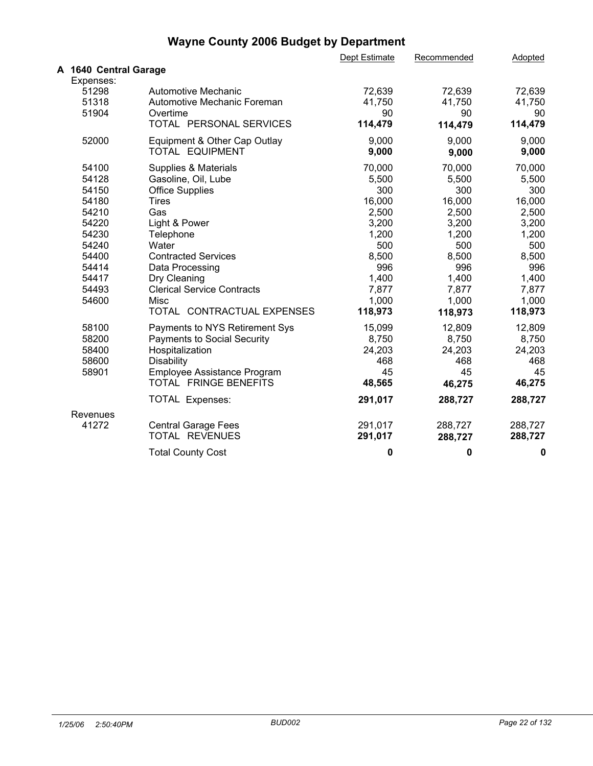|                                                                                                                   |                                                                                                                                                                                                                                                   | Dept Estimate                                                                                                 | Recommended                                                                                                   | Adopted                                                                                                       |
|-------------------------------------------------------------------------------------------------------------------|---------------------------------------------------------------------------------------------------------------------------------------------------------------------------------------------------------------------------------------------------|---------------------------------------------------------------------------------------------------------------|---------------------------------------------------------------------------------------------------------------|---------------------------------------------------------------------------------------------------------------|
| A 1640 Central Garage                                                                                             |                                                                                                                                                                                                                                                   |                                                                                                               |                                                                                                               |                                                                                                               |
| Expenses:<br>51298<br>51318<br>51904                                                                              | Automotive Mechanic<br>Automotive Mechanic Foreman<br>Overtime                                                                                                                                                                                    | 72,639<br>41,750<br>90                                                                                        | 72,639<br>41,750<br>90                                                                                        | 72,639<br>41,750<br>90                                                                                        |
|                                                                                                                   | TOTAL PERSONAL SERVICES                                                                                                                                                                                                                           | 114,479                                                                                                       | 114,479                                                                                                       | 114,479                                                                                                       |
| 52000                                                                                                             | Equipment & Other Cap Outlay<br>TOTAL EQUIPMENT                                                                                                                                                                                                   | 9,000<br>9,000                                                                                                | 9,000<br>9,000                                                                                                | 9,000<br>9,000                                                                                                |
| 54100<br>54128<br>54150<br>54180<br>54210<br>54220<br>54230<br>54240<br>54400<br>54414<br>54417<br>54493<br>54600 | Supplies & Materials<br>Gasoline, Oil, Lube<br><b>Office Supplies</b><br><b>Tires</b><br>Gas<br>Light & Power<br>Telephone<br>Water<br><b>Contracted Services</b><br>Data Processing<br>Dry Cleaning<br><b>Clerical Service Contracts</b><br>Misc | 70,000<br>5,500<br>300<br>16,000<br>2,500<br>3,200<br>1,200<br>500<br>8,500<br>996<br>1,400<br>7,877<br>1,000 | 70,000<br>5,500<br>300<br>16,000<br>2,500<br>3,200<br>1,200<br>500<br>8,500<br>996<br>1,400<br>7,877<br>1,000 | 70,000<br>5,500<br>300<br>16,000<br>2,500<br>3,200<br>1,200<br>500<br>8,500<br>996<br>1,400<br>7,877<br>1,000 |
|                                                                                                                   | TOTAL CONTRACTUAL EXPENSES                                                                                                                                                                                                                        | 118,973                                                                                                       | 118,973                                                                                                       | 118,973                                                                                                       |
| 58100<br>58200<br>58400<br>58600<br>58901                                                                         | Payments to NYS Retirement Sys<br><b>Payments to Social Security</b><br>Hospitalization<br><b>Disability</b><br>Employee Assistance Program<br>TOTAL FRINGE BENEFITS                                                                              | 15,099<br>8,750<br>24,203<br>468<br>45<br>48,565                                                              | 12,809<br>8,750<br>24,203<br>468<br>45<br>46,275                                                              | 12,809<br>8,750<br>24,203<br>468<br>45<br>46,275                                                              |
|                                                                                                                   | <b>TOTAL Expenses:</b>                                                                                                                                                                                                                            | 291,017                                                                                                       | 288,727                                                                                                       | 288,727                                                                                                       |
| Revenues<br>41272                                                                                                 | <b>Central Garage Fees</b><br>TOTAL REVENUES                                                                                                                                                                                                      | 291,017<br>291,017                                                                                            | 288,727<br>288,727                                                                                            | 288,727<br>288,727                                                                                            |
|                                                                                                                   | <b>Total County Cost</b>                                                                                                                                                                                                                          | 0                                                                                                             | 0                                                                                                             | 0                                                                                                             |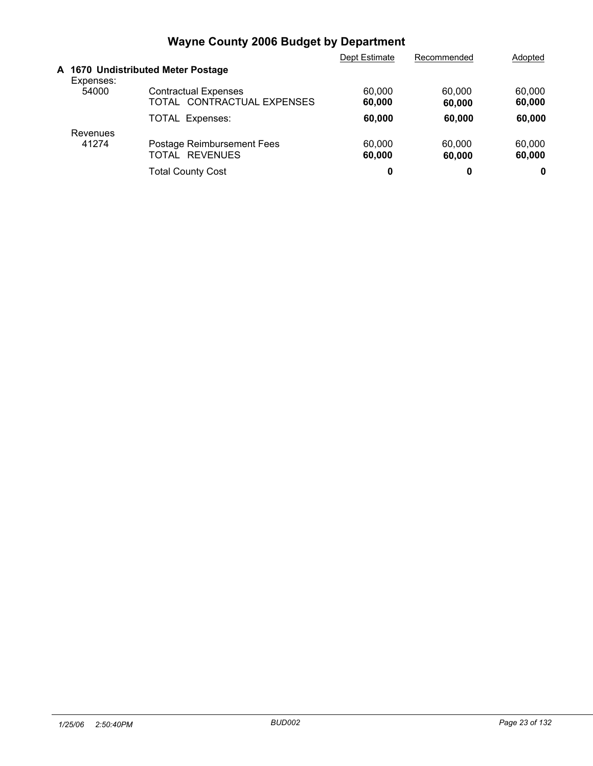|                   |                                                           | Dept Estimate    | Recommended      | Adopted          |  |
|-------------------|-----------------------------------------------------------|------------------|------------------|------------------|--|
| Expenses:         | A 1670 Undistributed Meter Postage                        |                  |                  |                  |  |
| 54000             | <b>Contractual Expenses</b><br>TOTAL CONTRACTUAL EXPENSES | 60,000<br>60,000 | 60,000<br>60,000 | 60,000<br>60,000 |  |
|                   | <b>TOTAL Expenses:</b>                                    | 60,000           | 60,000           | 60,000           |  |
| Revenues<br>41274 | Postage Reimbursement Fees<br>TOTAL REVENUES              | 60,000<br>60,000 | 60,000<br>60,000 | 60,000<br>60,000 |  |
|                   | <b>Total County Cost</b>                                  | 0                | 0                | 0                |  |
|                   |                                                           |                  |                  |                  |  |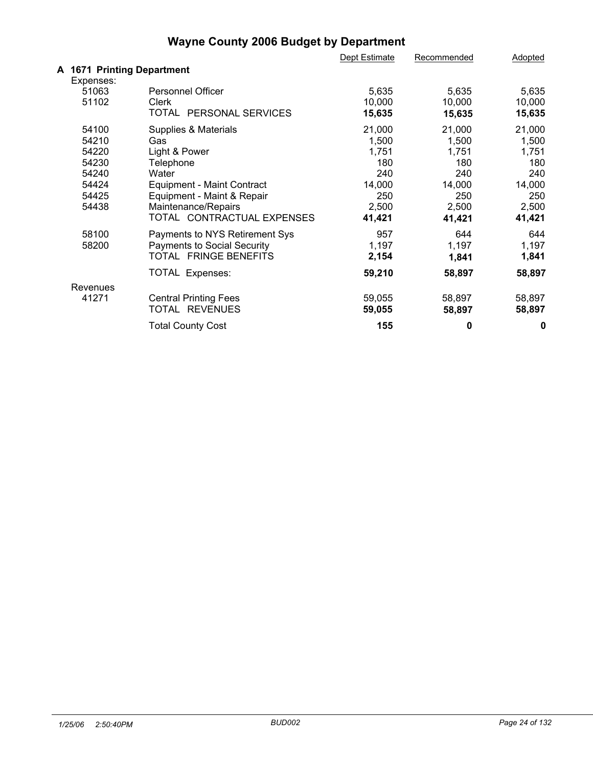|                            |                                    | Dept Estimate | Recommended | Adopted |  |
|----------------------------|------------------------------------|---------------|-------------|---------|--|
| A 1671 Printing Department |                                    |               |             |         |  |
| Expenses:                  |                                    |               |             |         |  |
| 51063                      | Personnel Officer                  | 5,635         | 5,635       | 5,635   |  |
| 51102                      | Clerk                              | 10,000        | 10,000      | 10,000  |  |
|                            | TOTAL PERSONAL SERVICES            | 15,635        | 15,635      | 15,635  |  |
| 54100                      | Supplies & Materials               | 21,000        | 21,000      | 21,000  |  |
| 54210                      | Gas                                | 1,500         | 1,500       | 1,500   |  |
| 54220                      | Light & Power                      | 1,751         | 1,751       | 1,751   |  |
| 54230                      | Telephone                          | 180           | 180         | 180     |  |
| 54240                      | Water                              | 240           | 240         | 240     |  |
| 54424                      | <b>Equipment - Maint Contract</b>  | 14,000        | 14,000      | 14,000  |  |
| 54425                      | Equipment - Maint & Repair         | 250           | 250         | 250     |  |
| 54438                      | Maintenance/Repairs                | 2,500         | 2,500       | 2,500   |  |
|                            | TOTAL CONTRACTUAL EXPENSES         | 41,421        | 41,421      | 41,421  |  |
| 58100                      | Payments to NYS Retirement Sys     | 957           | 644         | 644     |  |
| 58200                      | <b>Payments to Social Security</b> | 1,197         | 1,197       | 1,197   |  |
|                            | TOTAL FRINGE BENEFITS              | 2,154         | 1,841       | 1,841   |  |
|                            | TOTAL Expenses:                    | 59,210        | 58,897      | 58,897  |  |
| Revenues                   |                                    |               |             |         |  |
| 41271                      | <b>Central Printing Fees</b>       | 59,055        | 58,897      | 58,897  |  |
|                            | TOTAL REVENUES                     | 59,055        | 58,897      | 58,897  |  |
|                            | <b>Total County Cost</b>           | 155           | 0           | 0       |  |
|                            |                                    |               |             |         |  |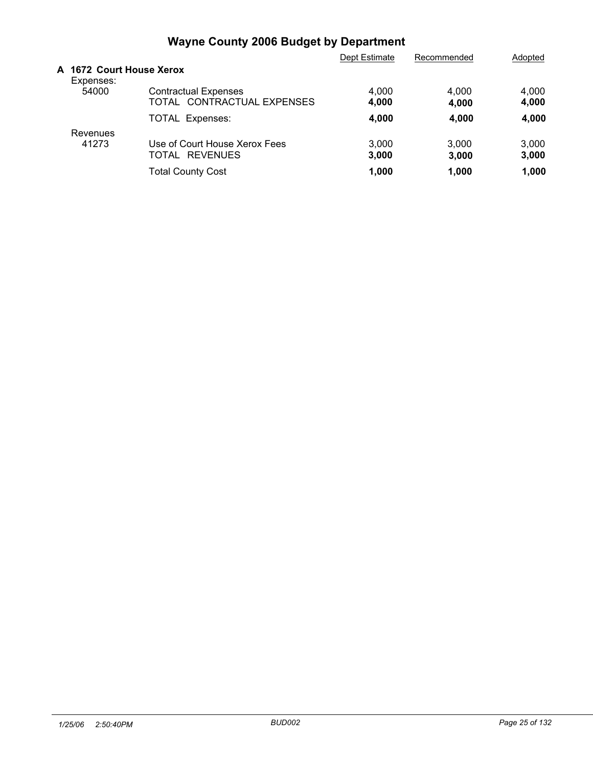|                                       |                                                           | Dept Estimate  | Recommended    | Adopted        |
|---------------------------------------|-----------------------------------------------------------|----------------|----------------|----------------|
| A 1672 Court House Xerox<br>Expenses: |                                                           |                |                |                |
| 54000                                 | <b>Contractual Expenses</b><br>TOTAL CONTRACTUAL EXPENSES | 4,000<br>4,000 | 4.000<br>4,000 | 4,000<br>4,000 |
|                                       | <b>TOTAL Expenses:</b>                                    | 4,000          | 4,000          | 4,000          |
| Revenues                              |                                                           |                |                |                |
| 41273                                 | Use of Court House Xerox Fees<br><b>REVENUES</b><br>TOTAL | 3,000<br>3,000 | 3.000<br>3,000 | 3,000<br>3,000 |
|                                       | <b>Total County Cost</b>                                  | 1.000          | 1.000          | 1,000          |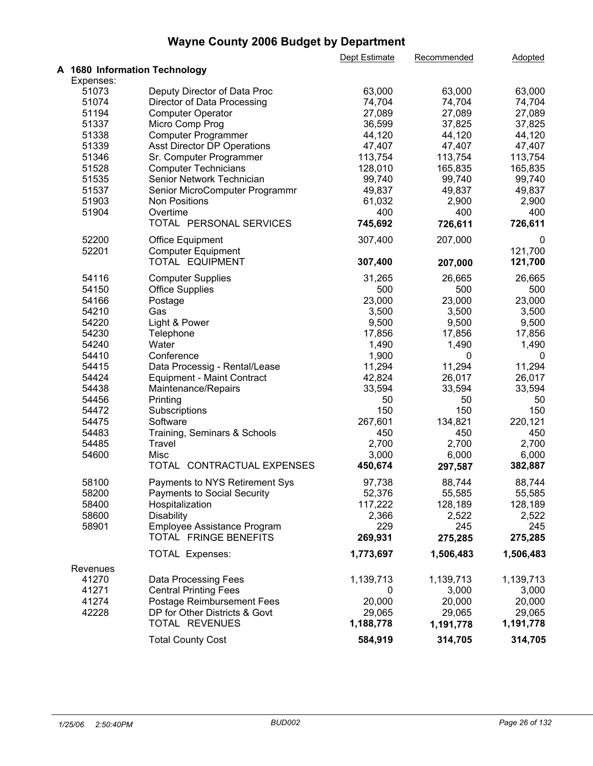|           |                                    | Dept Estimate | Recommended | <b>Adopted</b> |  |
|-----------|------------------------------------|---------------|-------------|----------------|--|
|           | A 1680 Information Technology      |               |             |                |  |
| Expenses: |                                    |               |             |                |  |
| 51073     | Deputy Director of Data Proc       | 63,000        | 63,000      | 63,000         |  |
| 51074     | Director of Data Processing        | 74,704        | 74,704      | 74,704         |  |
| 51194     | <b>Computer Operator</b>           | 27,089        | 27,089      | 27,089         |  |
| 51337     | Micro Comp Prog                    | 36,599        | 37,825      | 37,825         |  |
| 51338     | Computer Programmer                | 44,120        | 44,120      | 44,120         |  |
| 51339     | Asst Director DP Operations        | 47,407        | 47,407      | 47,407         |  |
| 51346     | Sr. Computer Programmer            | 113,754       | 113,754     | 113,754        |  |
| 51528     | <b>Computer Technicians</b>        | 128,010       | 165,835     | 165,835        |  |
| 51535     | Senior Network Technician          | 99,740        | 99,740      | 99,740         |  |
|           |                                    |               |             |                |  |
| 51537     | Senior MicroComputer Programmr     | 49,837        | 49,837      | 49,837         |  |
| 51903     | Non Positions                      | 61,032        | 2,900       | 2,900          |  |
| 51904     | Overtime                           | 400           | 400         | 400            |  |
|           | TOTAL PERSONAL SERVICES            | 745,692       | 726,611     | 726,611        |  |
| 52200     | <b>Office Equipment</b>            | 307,400       | 207,000     | 0              |  |
| 52201     | <b>Computer Equipment</b>          |               |             | 121,700        |  |
|           | TOTAL EQUIPMENT                    | 307,400       | 207,000     | 121,700        |  |
| 54116     | <b>Computer Supplies</b>           | 31,265        | 26,665      | 26,665         |  |
| 54150     | <b>Office Supplies</b>             | 500           | 500         | 500            |  |
| 54166     | Postage                            | 23,000        | 23,000      | 23,000         |  |
| 54210     | Gas                                | 3,500         | 3,500       | 3,500          |  |
|           |                                    |               |             |                |  |
| 54220     | Light & Power                      | 9,500         | 9,500       | 9,500          |  |
| 54230     | Telephone                          | 17,856        | 17,856      | 17,856         |  |
| 54240     | Water                              | 1,490         | 1,490       | 1,490          |  |
| 54410     | Conference                         | 1,900         | 0           | 0              |  |
| 54415     | Data Processig - Rental/Lease      | 11,294        | 11,294      | 11,294         |  |
| 54424     | <b>Equipment - Maint Contract</b>  | 42,824        | 26,017      | 26,017         |  |
| 54438     | Maintenance/Repairs                | 33,594        | 33,594      | 33,594         |  |
| 54456     | Printing                           | 50            | 50          | 50             |  |
| 54472     | Subscriptions                      | 150           | 150         | 150            |  |
| 54475     | Software                           | 267,601       | 134,821     | 220,121        |  |
| 54483     | Training, Seminars & Schools       | 450           | 450         | 450            |  |
| 54485     | Travel                             | 2,700         | 2,700       | 2,700          |  |
| 54600     | Misc                               | 3,000         | 6,000       | 6,000          |  |
|           | TOTAL CONTRACTUAL EXPENSES         | 450,674       | 297,587     | 382,887        |  |
| 58100     | Payments to NYS Retirement Sys     | 97,738        | 88,744      | 88,744         |  |
| 58200     | <b>Payments to Social Security</b> | 52,376        | 55,585      | 55,585         |  |
| 58400     | Hospitalization                    | 117,222       | 128,189     | 128,189        |  |
| 58600     |                                    | 2,366         | 2,522       | 2,522          |  |
|           | <b>Disability</b>                  | 229           | 245         | 245            |  |
| 58901     | Employee Assistance Program        |               |             |                |  |
|           | TOTAL FRINGE BENEFITS              | 269,931       | 275,285     | 275,285        |  |
|           | TOTAL Expenses:                    | 1,773,697     | 1,506,483   | 1,506,483      |  |
| Revenues  |                                    |               |             |                |  |
| 41270     | Data Processing Fees               | 1,139,713     | 1,139,713   | 1,139,713      |  |
| 41271     | <b>Central Printing Fees</b>       | 0             | 3,000       | 3,000          |  |
| 41274     | <b>Postage Reimbursement Fees</b>  | 20,000        | 20,000      | 20,000         |  |
| 42228     | DP for Other Districts & Govt      | 29,065        | 29,065      | 29,065         |  |
|           | TOTAL REVENUES                     | 1,188,778     | 1,191,778   | 1,191,778      |  |
|           |                                    |               |             |                |  |
|           | <b>Total County Cost</b>           | 584,919       | 314,705     | 314,705        |  |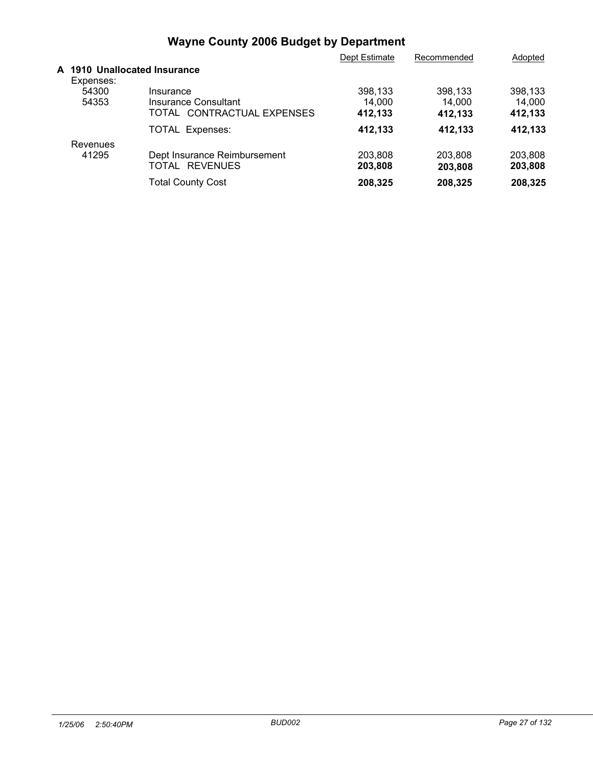|                                           |                              | Dept Estimate | Recommended | Adopted |  |
|-------------------------------------------|------------------------------|---------------|-------------|---------|--|
| A 1910 Unallocated Insurance<br>Expenses: |                              |               |             |         |  |
| 54300                                     | Insurance                    | 398,133       | 398.133     | 398.133 |  |
| 54353                                     | Insurance Consultant         | 14.000        | 14.000      | 14.000  |  |
|                                           | TOTAL CONTRACTUAL EXPENSES   | 412,133       | 412,133     | 412,133 |  |
|                                           | <b>TOTAL Expenses:</b>       | 412,133       | 412,133     | 412.133 |  |
| Revenues                                  |                              |               |             |         |  |
| 41295                                     | Dept Insurance Reimbursement | 203,808       | 203.808     | 203,808 |  |
|                                           | TOTAL REVENUES               | 203,808       | 203.808     | 203,808 |  |
|                                           | <b>Total County Cost</b>     | 208,325       | 208,325     | 208,325 |  |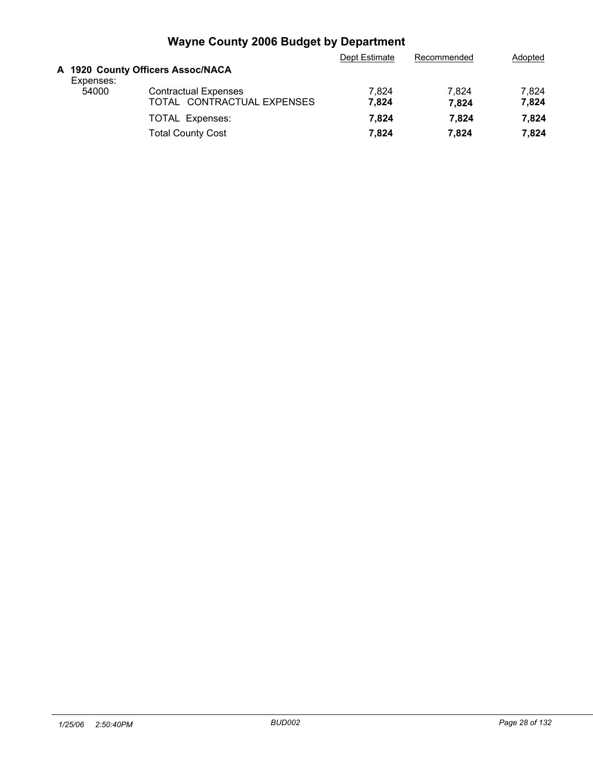|           |                                                           | Dept Estimate  | Recommended    | Adopted        |
|-----------|-----------------------------------------------------------|----------------|----------------|----------------|
| Expenses: | A 1920 County Officers Assoc/NACA                         |                |                |                |
| 54000     | <b>Contractual Expenses</b><br>TOTAL CONTRACTUAL EXPENSES | 7.824<br>7.824 | 7.824<br>7.824 | 7,824<br>7,824 |
|           | <b>TOTAL Expenses:</b>                                    | 7.824          | 7.824          | 7.824          |
|           | <b>Total County Cost</b>                                  | 7.824          | 7.824          | 7.824          |
|           |                                                           |                |                |                |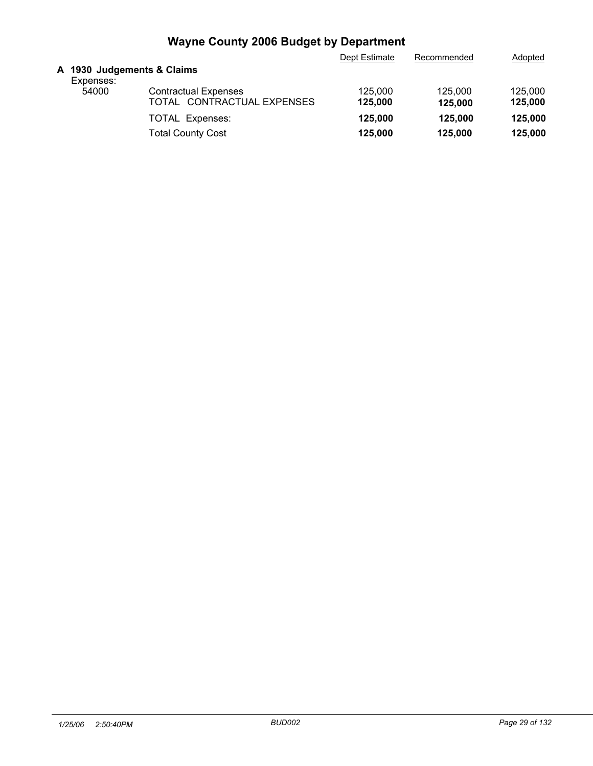|                                         |                                                           | Dept Estimate      | Recommended        | Adopted            |
|-----------------------------------------|-----------------------------------------------------------|--------------------|--------------------|--------------------|
| A 1930 Judgements & Claims<br>Expenses: |                                                           |                    |                    |                    |
| 54000                                   | <b>Contractual Expenses</b><br>TOTAL CONTRACTUAL EXPENSES | 125,000<br>125,000 | 125,000<br>125,000 | 125,000<br>125,000 |
|                                         | <b>TOTAL Expenses:</b>                                    | 125,000            | 125,000            | 125,000            |
|                                         | <b>Total County Cost</b>                                  | 125,000            | 125,000            | 125,000            |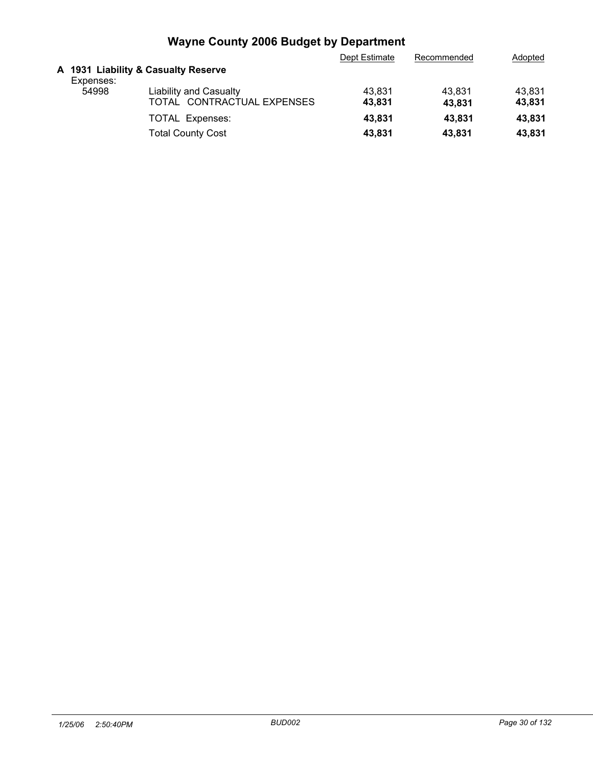|           |                                                             | Dept Estimate    | Recommended      | Adopted          |
|-----------|-------------------------------------------------------------|------------------|------------------|------------------|
| Expenses: | A 1931 Liability & Casualty Reserve                         |                  |                  |                  |
| 54998     | <b>Liability and Casualty</b><br>TOTAL CONTRACTUAL EXPENSES | 43,831<br>43.831 | 43.831<br>43.831 | 43.831<br>43,831 |
|           | <b>TOTAL Expenses:</b>                                      | 43.831           | 43.831           | 43.831           |
|           | Total County Cost                                           | 43,831           | 43.831           | 43,831           |
|           |                                                             |                  |                  |                  |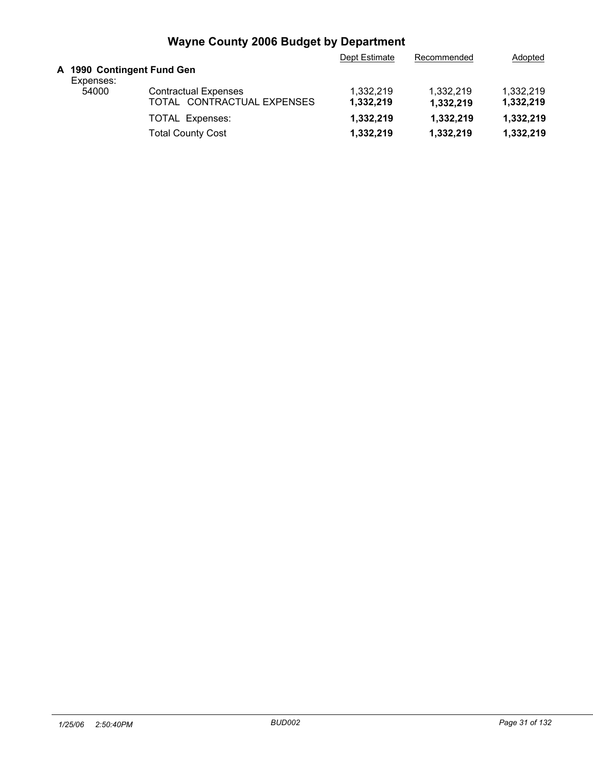|           |                                                           | Dept Estimate              | Recommended            | Adopted                |
|-----------|-----------------------------------------------------------|----------------------------|------------------------|------------------------|
| Expenses: |                                                           |                            |                        |                        |
| 54000     | <b>Contractual Expenses</b><br>TOTAL CONTRACTUAL EXPENSES | 1.332.219<br>1,332,219     | 1.332.219<br>1,332,219 | 1.332.219<br>1,332,219 |
|           | <b>TOTAL Expenses:</b>                                    | 1,332,219                  | 1,332,219              | 1,332,219              |
|           | <b>Total County Cost</b>                                  | 1,332,219                  | 1,332,219              | 1,332,219              |
|           |                                                           | A 1990 Contingent Fund Gen |                        |                        |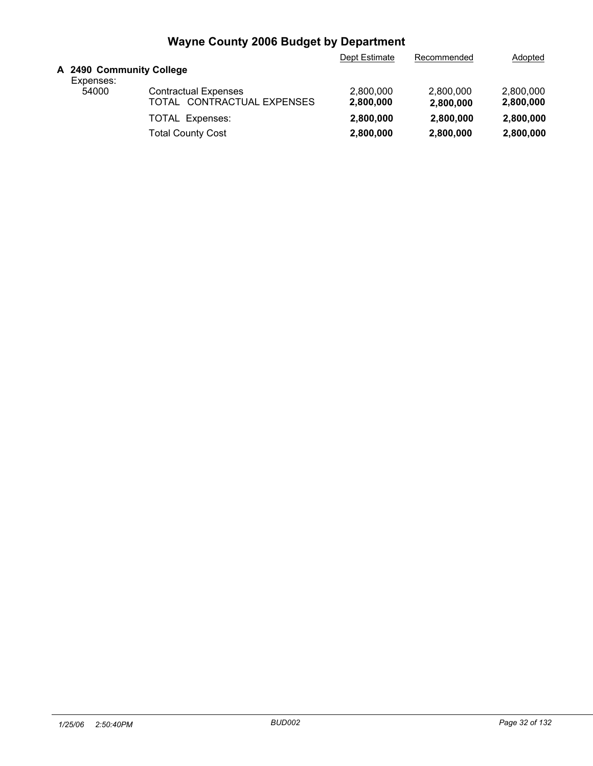|                                                           | Dept Estimate            | Recommended            | Adopted                |
|-----------------------------------------------------------|--------------------------|------------------------|------------------------|
|                                                           |                          |                        |                        |
| <b>Contractual Expenses</b><br>TOTAL CONTRACTUAL EXPENSES | 2.800.000<br>2,800,000   | 2,800,000<br>2,800,000 | 2,800,000<br>2,800,000 |
| <b>TOTAL Expenses:</b>                                    | 2,800,000                | 2,800,000              | 2,800,000              |
| <b>Total County Cost</b>                                  | 2,800,000                | 2,800,000              | 2,800,000              |
|                                                           | A 2490 Community College |                        |                        |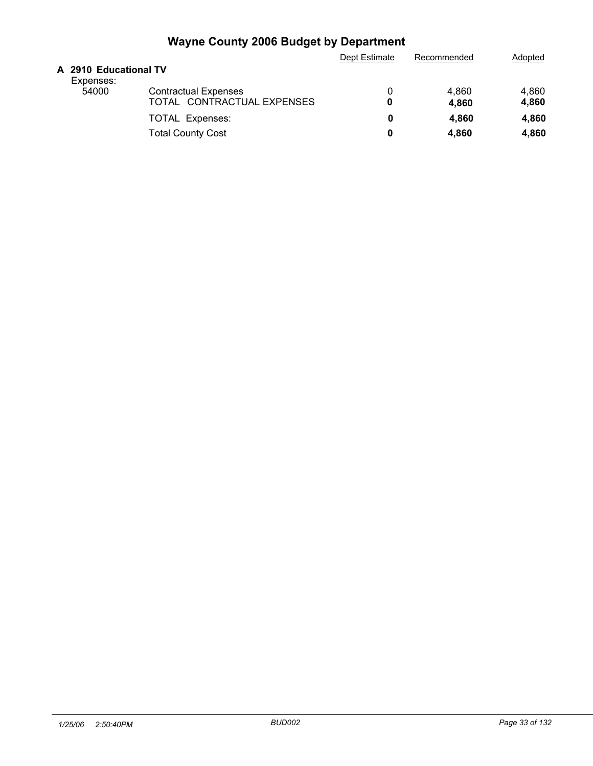| 4,860 |
|-------|
| 4,860 |
| 4,860 |
| 4,860 |
|       |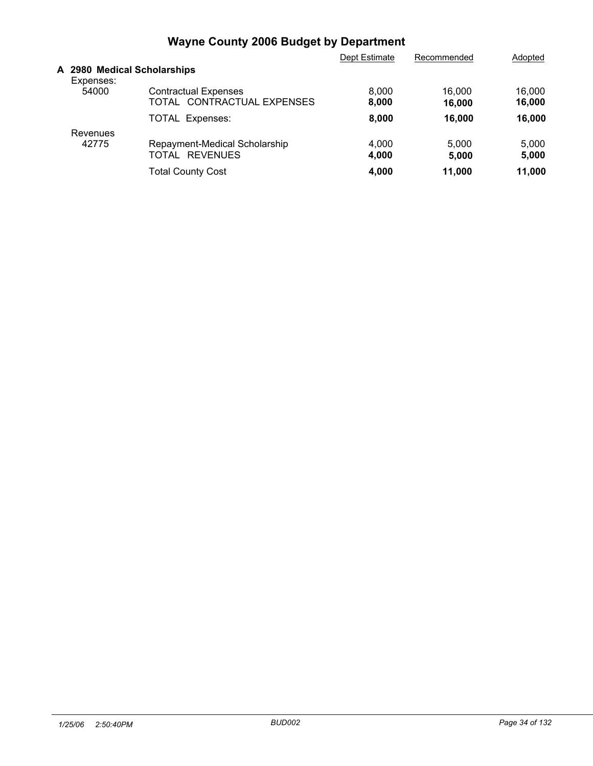|                                          |                                                           | Dept Estimate  | Recommended      | Adopted          |
|------------------------------------------|-----------------------------------------------------------|----------------|------------------|------------------|
| A 2980 Medical Scholarships<br>Expenses: |                                                           |                |                  |                  |
| 54000                                    | <b>Contractual Expenses</b><br>TOTAL CONTRACTUAL EXPENSES | 8,000<br>8,000 | 16.000<br>16.000 | 16,000<br>16,000 |
|                                          | <b>TOTAL Expenses:</b>                                    | 8,000          | 16,000           | 16.000           |
| Revenues                                 |                                                           |                |                  |                  |
| 42775                                    | Repayment-Medical Scholarship<br>TOTAL REVENUES           | 4,000<br>4,000 | 5.000<br>5.000   | 5,000<br>5,000   |
|                                          | <b>Total County Cost</b>                                  | 4.000          | 11.000           | 11.000           |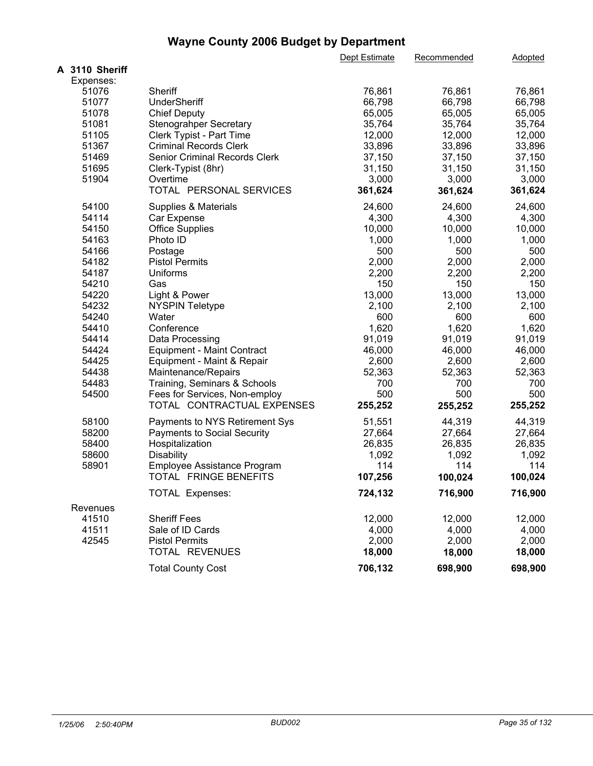|                |                                                             | Dept Estimate  | Recommended    | Adopted        |  |
|----------------|-------------------------------------------------------------|----------------|----------------|----------------|--|
| A 3110 Sheriff |                                                             |                |                |                |  |
| Expenses:      |                                                             |                |                |                |  |
| 51076          | Sheriff                                                     | 76,861         | 76,861         | 76,861         |  |
| 51077          | UnderSheriff                                                | 66,798         | 66,798         | 66,798         |  |
| 51078          | <b>Chief Deputy</b>                                         | 65,005         | 65,005         | 65,005         |  |
| 51081          | <b>Stenograhper Secretary</b>                               | 35,764         | 35,764         | 35,764         |  |
| 51105          | Clerk Typist - Part Time                                    | 12,000         | 12,000         | 12,000         |  |
| 51367          | <b>Criminal Records Clerk</b>                               | 33,896         | 33,896         | 33,896         |  |
| 51469          | <b>Senior Criminal Records Clerk</b>                        | 37,150         | 37,150         | 37,150         |  |
| 51695          | Clerk-Typist (8hr)                                          | 31,150         | 31,150         | 31,150         |  |
| 51904          | Overtime                                                    | 3,000          | 3,000          | 3,000          |  |
|                | TOTAL PERSONAL SERVICES                                     | 361,624        | 361,624        | 361,624        |  |
| 54100          | Supplies & Materials                                        | 24,600         | 24,600         | 24,600         |  |
| 54114          | Car Expense                                                 | 4,300          | 4,300          | 4,300          |  |
| 54150          | <b>Office Supplies</b>                                      | 10,000         | 10,000         | 10,000         |  |
| 54163          | Photo ID                                                    | 1,000          | 1,000          | 1,000          |  |
| 54166          | Postage                                                     | 500            | 500            | 500            |  |
| 54182          | <b>Pistol Permits</b>                                       | 2,000          | 2,000          | 2,000          |  |
| 54187          | Uniforms                                                    | 2,200          | 2,200          | 2,200          |  |
| 54210          | Gas                                                         | 150            | 150            | 150            |  |
| 54220          | Light & Power                                               | 13,000         | 13,000         | 13,000         |  |
| 54232          | <b>NYSPIN Teletype</b>                                      | 2,100          | 2,100          | 2,100          |  |
| 54240          | Water                                                       | 600            | 600            | 600            |  |
| 54410          | Conference                                                  | 1,620          | 1,620          | 1,620          |  |
| 54414          | Data Processing                                             | 91,019         | 91,019         | 91,019         |  |
| 54424          | <b>Equipment - Maint Contract</b>                           | 46,000         | 46,000         | 46,000         |  |
| 54425          |                                                             | 2,600          | 2,600          | 2,600          |  |
|                | Equipment - Maint & Repair                                  |                |                |                |  |
| 54438<br>54483 | Maintenance/Repairs                                         | 52,363<br>700  | 52,363         | 52,363         |  |
|                | Training, Seminars & Schools                                |                | 700            | 700            |  |
| 54500          | Fees for Services, Non-employ<br>TOTAL CONTRACTUAL EXPENSES | 500<br>255,252 | 500<br>255,252 | 500<br>255,252 |  |
| 58100          | Payments to NYS Retirement Sys                              | 51,551         | 44,319         | 44,319         |  |
| 58200          | Payments to Social Security                                 | 27,664         | 27,664         | 27,664         |  |
| 58400          | Hospitalization                                             | 26,835         | 26,835         | 26,835         |  |
| 58600          | <b>Disability</b>                                           | 1,092          | 1,092          | 1,092          |  |
| 58901          |                                                             | 114            | 114            | 114            |  |
|                | Employee Assistance Program<br>TOTAL FRINGE BENEFITS        | 107,256        | 100,024        | 100,024        |  |
|                |                                                             |                |                |                |  |
|                | TOTAL Expenses:                                             | 724,132        | 716,900        | 716,900        |  |
| Revenues       |                                                             |                |                |                |  |
| 41510          | <b>Sheriff Fees</b>                                         | 12,000         | 12,000         | 12,000         |  |
| 41511          | Sale of ID Cards                                            | 4,000          | 4,000          | 4,000          |  |
| 42545          | <b>Pistol Permits</b>                                       | 2,000          | 2,000          | 2,000          |  |
|                | TOTAL REVENUES                                              | 18,000         | 18,000         | 18,000         |  |
|                | <b>Total County Cost</b>                                    | 706,132        | 698,900        | 698,900        |  |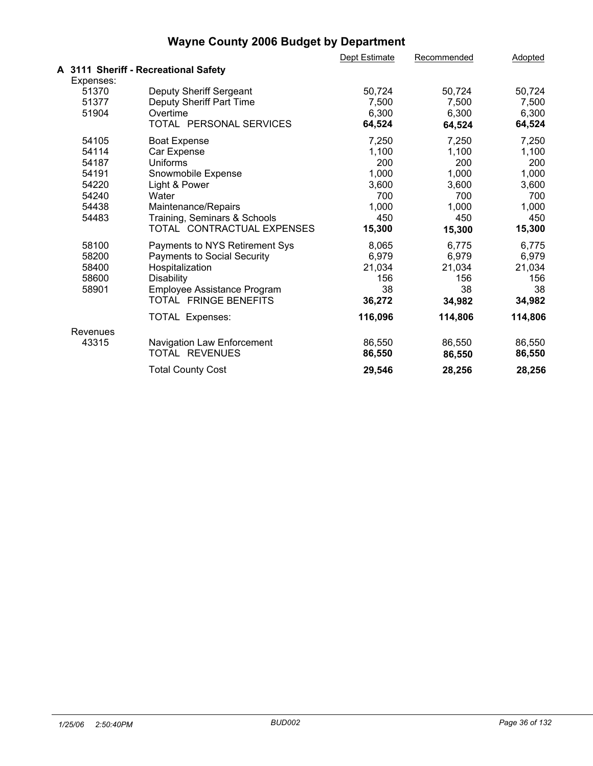|           |                                      | Dept Estimate | Recommended | Adopted |  |
|-----------|--------------------------------------|---------------|-------------|---------|--|
|           | A 3111 Sheriff - Recreational Safety |               |             |         |  |
| Expenses: |                                      |               |             |         |  |
| 51370     | Deputy Sheriff Sergeant              | 50,724        | 50,724      | 50,724  |  |
| 51377     | Deputy Sheriff Part Time             | 7,500         | 7,500       | 7,500   |  |
| 51904     | Overtime                             | 6,300         | 6,300       | 6,300   |  |
|           | TOTAL PERSONAL SERVICES              | 64,524        | 64,524      | 64,524  |  |
| 54105     | <b>Boat Expense</b>                  | 7,250         | 7,250       | 7,250   |  |
| 54114     | Car Expense                          | 1,100         | 1,100       | 1,100   |  |
| 54187     | Uniforms                             | 200           | 200         | 200     |  |
| 54191     | Snowmobile Expense                   | 1,000         | 1,000       | 1,000   |  |
| 54220     | Light & Power                        | 3,600         | 3,600       | 3,600   |  |
| 54240     | Water                                | 700           | 700         | 700     |  |
| 54438     | Maintenance/Repairs                  | 1,000         | 1,000       | 1,000   |  |
| 54483     | Training, Seminars & Schools         | 450           | 450         | 450     |  |
|           | TOTAL CONTRACTUAL EXPENSES           | 15,300        | 15,300      | 15,300  |  |
| 58100     | Payments to NYS Retirement Sys       | 8,065         | 6,775       | 6,775   |  |
| 58200     | <b>Payments to Social Security</b>   | 6,979         | 6,979       | 6,979   |  |
| 58400     | Hospitalization                      | 21,034        | 21,034      | 21,034  |  |
| 58600     | <b>Disability</b>                    | 156           | 156         | 156     |  |
| 58901     | Employee Assistance Program          | 38            | 38          | 38      |  |
|           | TOTAL FRINGE BENEFITS                | 36,272        | 34,982      | 34,982  |  |
|           | <b>TOTAL Expenses:</b>               | 116,096       | 114,806     | 114,806 |  |
| Revenues  |                                      |               |             |         |  |
| 43315     | Navigation Law Enforcement           | 86,550        | 86,550      | 86,550  |  |
|           | TOTAL REVENUES                       | 86,550        | 86,550      | 86,550  |  |
|           | <b>Total County Cost</b>             | 29,546        | 28,256      | 28,256  |  |
|           |                                      |               |             |         |  |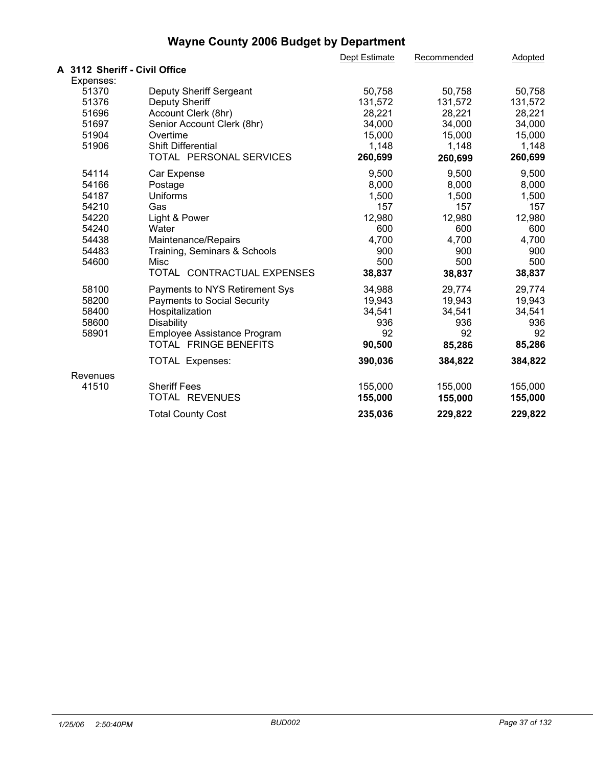|                               |                                    | Dept Estimate | Recommended | Adopted |  |
|-------------------------------|------------------------------------|---------------|-------------|---------|--|
| A 3112 Sheriff - Civil Office |                                    |               |             |         |  |
| Expenses:                     |                                    |               |             |         |  |
| 51370                         | Deputy Sheriff Sergeant            | 50,758        | 50,758      | 50,758  |  |
| 51376                         | <b>Deputy Sheriff</b>              | 131,572       | 131,572     | 131,572 |  |
| 51696                         | Account Clerk (8hr)                | 28,221        | 28,221      | 28,221  |  |
| 51697                         | Senior Account Clerk (8hr)         | 34,000        | 34,000      | 34,000  |  |
| 51904                         | Overtime                           | 15,000        | 15,000      | 15,000  |  |
| 51906                         | Shift Differential                 | 1,148         | 1,148       | 1,148   |  |
|                               | TOTAL PERSONAL SERVICES            | 260,699       | 260,699     | 260,699 |  |
| 54114                         | Car Expense                        | 9,500         | 9,500       | 9,500   |  |
| 54166                         | Postage                            | 8,000         | 8,000       | 8,000   |  |
| 54187                         | Uniforms                           | 1,500         | 1,500       | 1,500   |  |
| 54210                         | Gas                                | 157           | 157         | 157     |  |
| 54220                         | Light & Power                      | 12,980        | 12,980      | 12,980  |  |
| 54240                         | Water                              | 600           | 600         | 600     |  |
| 54438                         | Maintenance/Repairs                | 4,700         | 4,700       | 4,700   |  |
| 54483                         | Training, Seminars & Schools       | 900           | 900         | 900     |  |
| 54600                         | Misc                               | 500           | 500         | 500     |  |
|                               | TOTAL CONTRACTUAL EXPENSES         | 38,837        | 38,837      | 38,837  |  |
| 58100                         | Payments to NYS Retirement Sys     | 34,988        | 29,774      | 29,774  |  |
| 58200                         | <b>Payments to Social Security</b> | 19,943        | 19,943      | 19,943  |  |
| 58400                         | Hospitalization                    | 34,541        | 34,541      | 34,541  |  |
| 58600                         | Disability                         | 936           | 936         | 936     |  |
| 58901                         | Employee Assistance Program        | 92            | 92          | 92      |  |
|                               | TOTAL FRINGE BENEFITS              | 90,500        | 85,286      | 85,286  |  |
|                               | <b>TOTAL Expenses:</b>             | 390,036       | 384,822     | 384,822 |  |
| Revenues                      |                                    |               |             |         |  |
| 41510                         | <b>Sheriff Fees</b>                | 155,000       | 155,000     | 155,000 |  |
|                               | TOTAL REVENUES                     | 155,000       | 155,000     | 155,000 |  |
|                               | <b>Total County Cost</b>           | 235,036       | 229,822     | 229,822 |  |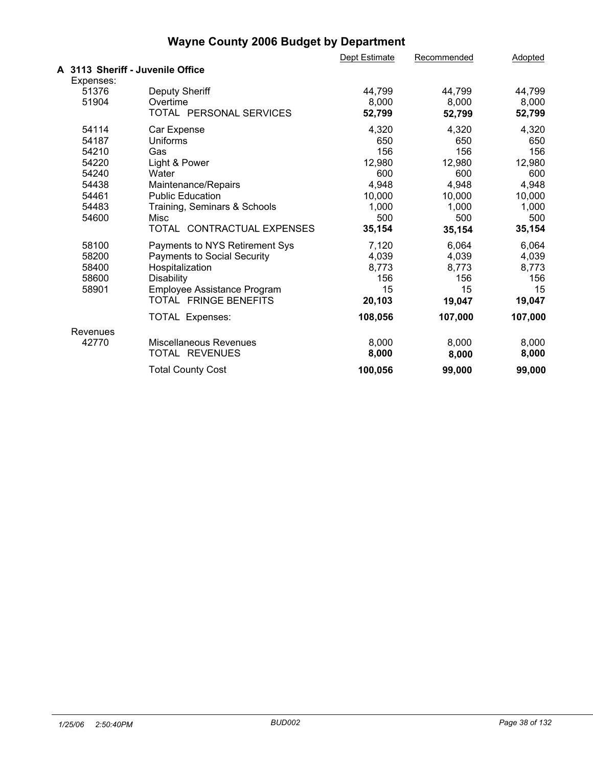|           |                                    | Dept Estimate | Recommended | Adopted |  |
|-----------|------------------------------------|---------------|-------------|---------|--|
|           | A 3113 Sheriff - Juvenile Office   |               |             |         |  |
| Expenses: |                                    |               |             |         |  |
| 51376     | <b>Deputy Sheriff</b>              | 44,799        | 44,799      | 44,799  |  |
| 51904     | Overtime                           | 8,000         | 8,000       | 8,000   |  |
|           | TOTAL PERSONAL SERVICES            | 52,799        | 52,799      | 52,799  |  |
| 54114     | Car Expense                        | 4,320         | 4,320       | 4,320   |  |
| 54187     | Uniforms                           | 650           | 650         | 650     |  |
| 54210     | Gas                                | 156           | 156         | 156     |  |
| 54220     | Light & Power                      | 12,980        | 12,980      | 12,980  |  |
| 54240     | Water                              | 600           | 600         | 600     |  |
| 54438     | Maintenance/Repairs                | 4,948         | 4,948       | 4,948   |  |
| 54461     | <b>Public Education</b>            | 10,000        | 10,000      | 10,000  |  |
| 54483     | Training, Seminars & Schools       | 1,000         | 1,000       | 1,000   |  |
| 54600     | Misc                               | 500           | 500         | 500     |  |
|           | TOTAL CONTRACTUAL EXPENSES         | 35,154        | 35,154      | 35,154  |  |
| 58100     | Payments to NYS Retirement Sys     | 7,120         | 6,064       | 6,064   |  |
| 58200     | <b>Payments to Social Security</b> | 4,039         | 4,039       | 4,039   |  |
| 58400     | Hospitalization                    | 8,773         | 8,773       | 8,773   |  |
| 58600     | <b>Disability</b>                  | 156           | 156         | 156     |  |
| 58901     | Employee Assistance Program        | 15            | 15          | 15      |  |
|           | TOTAL FRINGE BENEFITS              | 20,103        | 19,047      | 19,047  |  |
|           | <b>TOTAL Expenses:</b>             | 108,056       | 107,000     | 107,000 |  |
| Revenues  |                                    |               |             |         |  |
| 42770     | <b>Miscellaneous Revenues</b>      | 8,000         | 8,000       | 8,000   |  |
|           | TOTAL REVENUES                     | 8,000         | 8,000       | 8,000   |  |
|           | <b>Total County Cost</b>           | 100,056       | 99,000      | 99,000  |  |
|           |                                    |               |             |         |  |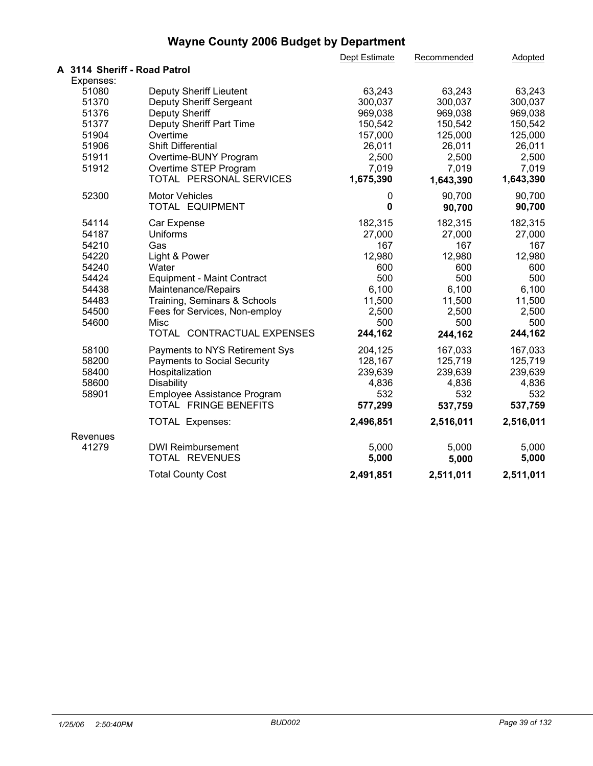|                              |                                                  | Dept Estimate | Recommended    | Adopted        |  |
|------------------------------|--------------------------------------------------|---------------|----------------|----------------|--|
| A 3114 Sheriff - Road Patrol |                                                  |               |                |                |  |
| Expenses:                    |                                                  |               |                |                |  |
| 51080                        | Deputy Sheriff Lieutent                          | 63,243        | 63,243         | 63,243         |  |
| 51370                        | Deputy Sheriff Sergeant                          | 300,037       | 300,037        | 300,037        |  |
| 51376                        | <b>Deputy Sheriff</b>                            | 969,038       | 969,038        | 969,038        |  |
| 51377                        | Deputy Sheriff Part Time                         | 150,542       | 150,542        | 150,542        |  |
| 51904                        | Overtime                                         | 157,000       | 125,000        | 125,000        |  |
| 51906                        | <b>Shift Differential</b>                        | 26,011        | 26,011         | 26,011         |  |
| 51911<br>51912               | Overtime-BUNY Program                            | 2,500         | 2,500<br>7,019 | 2,500<br>7,019 |  |
|                              | Overtime STEP Program<br>TOTAL PERSONAL SERVICES | 7,019         |                |                |  |
|                              |                                                  | 1,675,390     | 1,643,390      | 1,643,390      |  |
| 52300                        | <b>Motor Vehicles</b>                            | 0             | 90,700         | 90,700         |  |
|                              | TOTAL EQUIPMENT                                  | $\mathbf 0$   | 90,700         | 90,700         |  |
| 54114                        | Car Expense                                      | 182,315       | 182,315        | 182,315        |  |
| 54187                        | Uniforms                                         | 27,000        | 27,000         | 27,000         |  |
| 54210                        | Gas                                              | 167           | 167            | 167            |  |
| 54220                        | Light & Power                                    | 12,980        | 12,980         | 12,980         |  |
| 54240                        | Water                                            | 600           | 600            | 600            |  |
| 54424                        | <b>Equipment - Maint Contract</b>                | 500           | 500            | 500            |  |
| 54438                        | Maintenance/Repairs                              | 6,100         | 6,100          | 6,100          |  |
| 54483                        | Training, Seminars & Schools                     | 11,500        | 11,500         | 11,500         |  |
| 54500                        | Fees for Services, Non-employ                    | 2,500         | 2,500          | 2,500          |  |
| 54600                        | Misc                                             | 500           | 500            | 500            |  |
|                              | TOTAL CONTRACTUAL EXPENSES                       | 244,162       | 244,162        | 244,162        |  |
| 58100                        | Payments to NYS Retirement Sys                   | 204,125       | 167,033        | 167,033        |  |
| 58200                        | <b>Payments to Social Security</b>               | 128,167       | 125,719        | 125,719        |  |
| 58400                        | Hospitalization                                  | 239,639       | 239,639        | 239,639        |  |
| 58600                        | <b>Disability</b>                                | 4,836         | 4,836          | 4,836          |  |
| 58901                        | Employee Assistance Program                      | 532           | 532            | 532            |  |
|                              | TOTAL FRINGE BENEFITS                            | 577,299       | 537,759        | 537,759        |  |
|                              | <b>TOTAL Expenses:</b>                           | 2,496,851     | 2,516,011      | 2,516,011      |  |
| Revenues                     |                                                  |               |                |                |  |
| 41279                        | <b>DWI Reimbursement</b>                         | 5,000         | 5,000          | 5,000          |  |
|                              | TOTAL REVENUES                                   | 5,000         | 5,000          | 5,000          |  |
|                              | <b>Total County Cost</b>                         | 2,491,851     | 2,511,011      | 2,511,011      |  |
|                              |                                                  |               |                |                |  |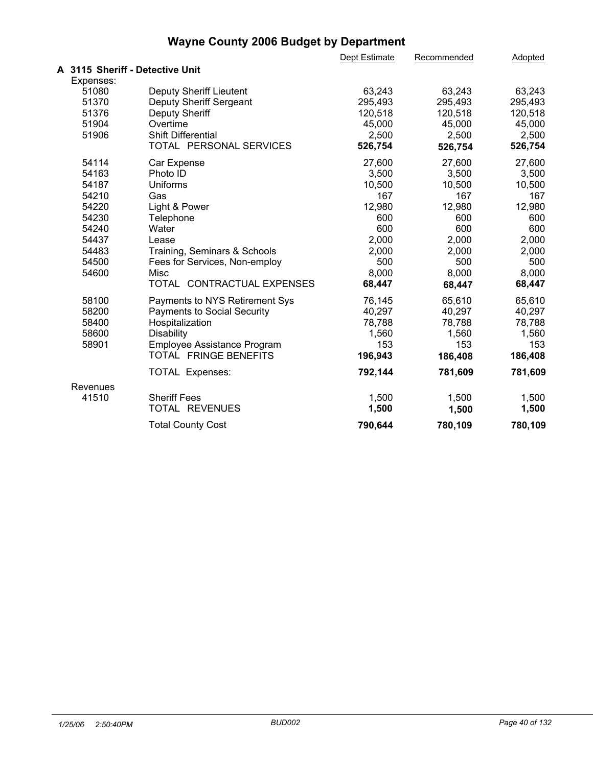|                                 |                                    | Dept Estimate | Recommended | Adopted |  |
|---------------------------------|------------------------------------|---------------|-------------|---------|--|
| A 3115 Sheriff - Detective Unit |                                    |               |             |         |  |
| Expenses:                       |                                    |               |             |         |  |
| 51080                           | <b>Deputy Sheriff Lieutent</b>     | 63,243        | 63,243      | 63,243  |  |
| 51370                           | Deputy Sheriff Sergeant            | 295,493       | 295,493     | 295,493 |  |
| 51376                           | Deputy Sheriff                     | 120,518       | 120,518     | 120,518 |  |
| 51904                           | Overtime                           | 45,000        | 45,000      | 45,000  |  |
| 51906                           | <b>Shift Differential</b>          | 2,500         | 2,500       | 2,500   |  |
|                                 | TOTAL PERSONAL SERVICES            | 526,754       | 526,754     | 526,754 |  |
| 54114                           | Car Expense                        | 27,600        | 27,600      | 27,600  |  |
| 54163                           | Photo ID                           | 3,500         | 3,500       | 3,500   |  |
| 54187                           | <b>Uniforms</b>                    | 10,500        | 10,500      | 10,500  |  |
| 54210                           | Gas                                | 167           | 167         | 167     |  |
| 54220                           | Light & Power                      | 12,980        | 12,980      | 12,980  |  |
| 54230                           | Telephone                          | 600           | 600         | 600     |  |
| 54240                           | Water                              | 600           | 600         | 600     |  |
| 54437                           | Lease                              | 2,000         | 2,000       | 2,000   |  |
| 54483                           | Training, Seminars & Schools       | 2,000         | 2,000       | 2,000   |  |
| 54500                           | Fees for Services, Non-employ      | 500           | 500         | 500     |  |
| 54600                           | Misc                               | 8,000         | 8,000       | 8,000   |  |
|                                 | TOTAL CONTRACTUAL EXPENSES         | 68,447        | 68,447      | 68,447  |  |
| 58100                           | Payments to NYS Retirement Sys     | 76,145        | 65,610      | 65,610  |  |
| 58200                           | <b>Payments to Social Security</b> | 40,297        | 40,297      | 40,297  |  |
| 58400                           | Hospitalization                    | 78,788        | 78,788      | 78,788  |  |
| 58600                           | <b>Disability</b>                  | 1,560         | 1,560       | 1,560   |  |
| 58901                           | Employee Assistance Program        | 153           | 153         | 153     |  |
|                                 | TOTAL FRINGE BENEFITS              | 196,943       | 186,408     | 186,408 |  |
|                                 | <b>TOTAL Expenses:</b>             | 792,144       | 781,609     | 781,609 |  |
| Revenues                        |                                    |               |             |         |  |
| 41510                           | <b>Sheriff Fees</b>                | 1,500         | 1,500       | 1,500   |  |
|                                 | TOTAL REVENUES                     | 1,500         | 1,500       | 1,500   |  |
|                                 | <b>Total County Cost</b>           | 790,644       | 780,109     | 780,109 |  |
|                                 |                                    |               |             |         |  |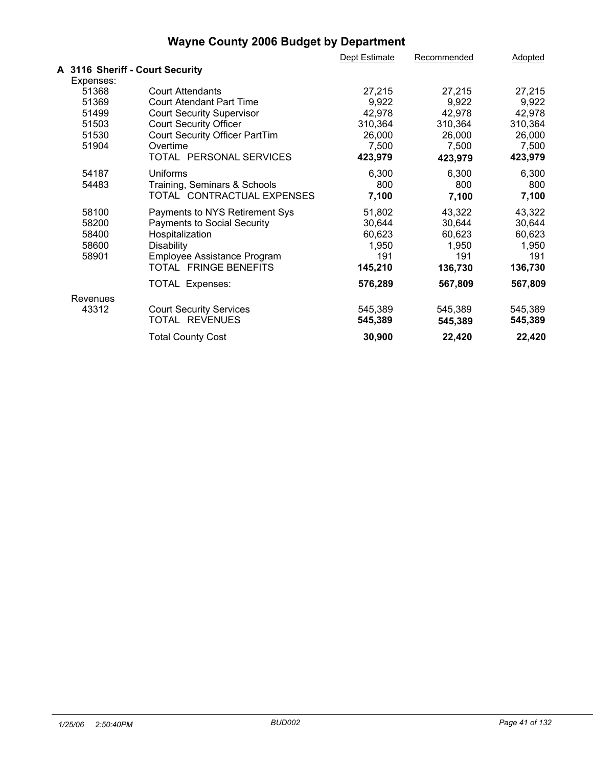|                                 |                                       | Dept Estimate | Recommended | Adopted |  |
|---------------------------------|---------------------------------------|---------------|-------------|---------|--|
| A 3116 Sheriff - Court Security |                                       |               |             |         |  |
| Expenses:                       |                                       |               |             |         |  |
| 51368                           | <b>Court Attendants</b>               | 27,215        | 27,215      | 27,215  |  |
| 51369                           | <b>Court Atendant Part Time</b>       | 9,922         | 9,922       | 9,922   |  |
| 51499                           | <b>Court Security Supervisor</b>      | 42,978        | 42,978      | 42,978  |  |
| 51503                           | <b>Court Security Officer</b>         | 310,364       | 310,364     | 310,364 |  |
| 51530                           | <b>Court Security Officer PartTim</b> | 26,000        | 26,000      | 26,000  |  |
| 51904                           | Overtime                              | 7,500         | 7,500       | 7,500   |  |
|                                 | TOTAL PERSONAL SERVICES               | 423,979       | 423,979     | 423,979 |  |
| 54187                           | <b>Uniforms</b>                       | 6,300         | 6,300       | 6,300   |  |
| 54483                           | Training, Seminars & Schools          | 800           | 800         | 800     |  |
|                                 | TOTAL CONTRACTUAL EXPENSES            | 7,100         | 7,100       | 7,100   |  |
| 58100                           | Payments to NYS Retirement Sys        | 51,802        | 43,322      | 43,322  |  |
| 58200                           | <b>Payments to Social Security</b>    | 30,644        | 30,644      | 30,644  |  |
| 58400                           | Hospitalization                       | 60,623        | 60,623      | 60,623  |  |
| 58600                           | <b>Disability</b>                     | 1,950         | 1,950       | 1,950   |  |
| 58901                           | Employee Assistance Program           | 191           | 191         | 191     |  |
|                                 | TOTAL FRINGE BENEFITS                 | 145,210       | 136,730     | 136,730 |  |
|                                 | <b>TOTAL Expenses:</b>                | 576,289       | 567,809     | 567,809 |  |
| Revenues                        |                                       |               |             |         |  |
| 43312                           | <b>Court Security Services</b>        | 545,389       | 545,389     | 545,389 |  |
|                                 | TOTAL REVENUES                        | 545,389       | 545,389     | 545,389 |  |
|                                 | <b>Total County Cost</b>              | 30,900        | 22,420      | 22,420  |  |
|                                 |                                       |               |             |         |  |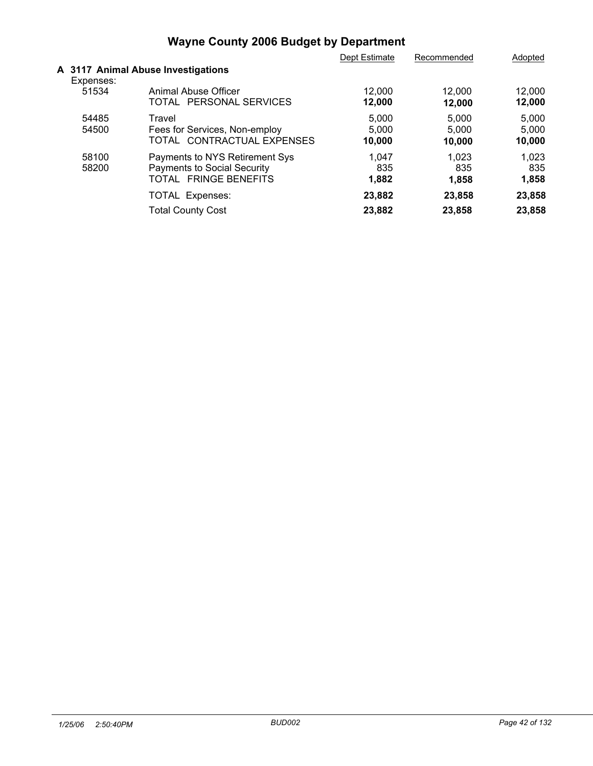|                |                                                                                               | Dept Estimate            | Recommended              | Adopted                  |  |
|----------------|-----------------------------------------------------------------------------------------------|--------------------------|--------------------------|--------------------------|--|
| Expenses:      | A 3117 Animal Abuse Investigations                                                            |                          |                          |                          |  |
| 51534          | Animal Abuse Officer<br>PERSONAL SERVICES<br>TOTAL                                            | 12,000<br>12,000         | 12,000<br>12,000         | 12,000<br>12,000         |  |
| 54485<br>54500 | Travel<br>Fees for Services, Non-employ<br>TOTAL CONTRACTUAL EXPENSES                         | 5,000<br>5,000<br>10,000 | 5,000<br>5.000<br>10,000 | 5,000<br>5.000<br>10,000 |  |
| 58100<br>58200 | Payments to NYS Retirement Sys<br><b>Payments to Social Security</b><br>TOTAL FRINGE BENEFITS | 1,047<br>835<br>1,882    | 1,023<br>835<br>1,858    | 1,023<br>835<br>1,858    |  |
|                | <b>TOTAL Expenses:</b><br><b>Total County Cost</b>                                            | 23,882<br>23,882         | 23,858<br>23,858         | 23,858<br>23,858         |  |
|                |                                                                                               |                          |                          |                          |  |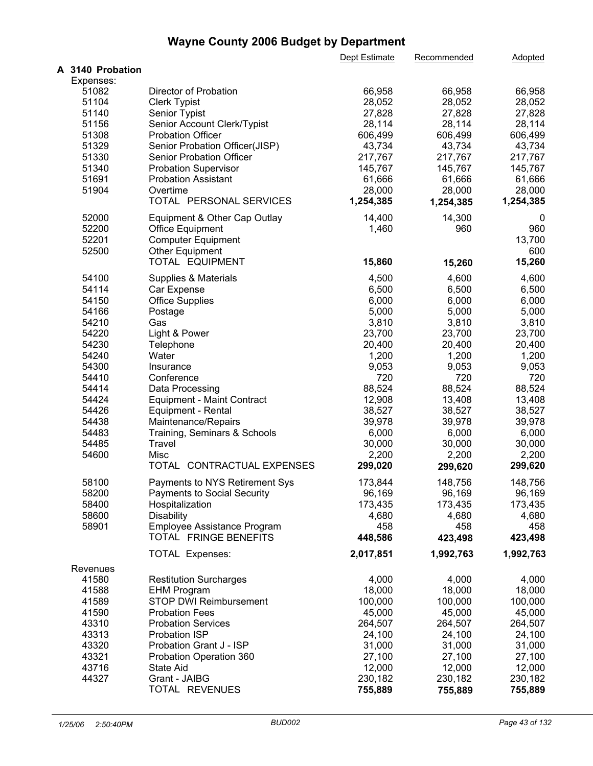|                  |                                    | Dept Estimate | Recommended | Adopted   |  |
|------------------|------------------------------------|---------------|-------------|-----------|--|
| A 3140 Probation |                                    |               |             |           |  |
| Expenses:        |                                    |               |             |           |  |
| 51082            | Director of Probation              | 66,958        | 66,958      | 66,958    |  |
| 51104            | <b>Clerk Typist</b>                | 28,052        | 28,052      | 28,052    |  |
| 51140            | Senior Typist                      | 27,828        | 27,828      | 27,828    |  |
| 51156            | Senior Account Clerk/Typist        | 28,114        | 28,114      | 28,114    |  |
| 51308            | <b>Probation Officer</b>           | 606,499       | 606,499     | 606,499   |  |
| 51329            | Senior Probation Officer(JISP)     | 43,734        | 43,734      | 43,734    |  |
| 51330            | Senior Probation Officer           | 217,767       | 217,767     | 217,767   |  |
| 51340            | <b>Probation Supervisor</b>        | 145,767       | 145,767     | 145,767   |  |
| 51691            | <b>Probation Assistant</b>         | 61,666        | 61,666      | 61,666    |  |
| 51904            | Overtime                           | 28,000        | 28,000      | 28,000    |  |
|                  | TOTAL PERSONAL SERVICES            | 1,254,385     | 1,254,385   | 1,254,385 |  |
| 52000            | Equipment & Other Cap Outlay       | 14,400        | 14,300      | 0         |  |
| 52200            | <b>Office Equipment</b>            | 1,460         | 960         | 960       |  |
| 52201            | <b>Computer Equipment</b>          |               |             | 13,700    |  |
| 52500            | <b>Other Equipment</b>             |               |             | 600       |  |
|                  | TOTAL EQUIPMENT                    | 15,860        | 15,260      | 15,260    |  |
| 54100            | Supplies & Materials               | 4,500         | 4,600       | 4,600     |  |
| 54114            | Car Expense                        | 6,500         | 6,500       | 6,500     |  |
| 54150            | <b>Office Supplies</b>             | 6,000         | 6,000       | 6,000     |  |
| 54166            | Postage                            | 5,000         | 5,000       | 5,000     |  |
| 54210            | Gas                                | 3,810         | 3,810       | 3,810     |  |
| 54220            | Light & Power                      | 23,700        | 23,700      | 23,700    |  |
|                  |                                    |               |             |           |  |
| 54230            | Telephone                          | 20,400        | 20,400      | 20,400    |  |
| 54240            | Water                              | 1,200         | 1,200       | 1,200     |  |
| 54300            | Insurance                          | 9,053         | 9,053       | 9,053     |  |
| 54410            | Conference                         | 720           | 720         | 720       |  |
| 54414            | Data Processing                    | 88,524        | 88,524      | 88,524    |  |
| 54424            | <b>Equipment - Maint Contract</b>  | 12,908        | 13,408      | 13,408    |  |
| 54426            | <b>Equipment - Rental</b>          | 38,527        | 38,527      | 38,527    |  |
| 54438            | Maintenance/Repairs                | 39,978        | 39,978      | 39,978    |  |
| 54483            | Training, Seminars & Schools       | 6,000         | 6,000       | 6,000     |  |
| 54485            | Travel                             | 30,000        | 30,000      | 30,000    |  |
| 54600            | Misc                               | 2,200         | 2,200       | 2,200     |  |
|                  | TOTAL CONTRACTUAL EXPENSES         | 299,020       | 299,620     | 299,620   |  |
| 58100            | Payments to NYS Retirement Sys     | 173,844       | 148,756     | 148,756   |  |
| 58200            | <b>Payments to Social Security</b> | 96,169        | 96,169      | 96,169    |  |
| 58400            | Hospitalization                    | 173,435       | 173,435     | 173,435   |  |
| 58600            | <b>Disability</b>                  | 4,680         | 4,680       | 4,680     |  |
| 58901            | Employee Assistance Program        | 458           | 458         | 458       |  |
|                  | TOTAL FRINGE BENEFITS              | 448,586       | 423,498     | 423,498   |  |
|                  | <b>TOTAL Expenses:</b>             | 2,017,851     | 1,992,763   | 1,992,763 |  |
| Revenues         |                                    |               |             |           |  |
| 41580            | <b>Restitution Surcharges</b>      | 4,000         | 4,000       | 4,000     |  |
| 41588            | <b>EHM Program</b>                 | 18,000        | 18,000      | 18,000    |  |
| 41589            | STOP DWI Reimbursement             | 100,000       | 100,000     | 100,000   |  |
| 41590            | <b>Probation Fees</b>              | 45,000        | 45,000      | 45,000    |  |
|                  |                                    |               |             |           |  |
| 43310            | <b>Probation Services</b>          | 264,507       | 264,507     | 264,507   |  |
| 43313            | <b>Probation ISP</b>               | 24,100        | 24,100      | 24,100    |  |
| 43320            | Probation Grant J - ISP            | 31,000        | 31,000      | 31,000    |  |
| 43321            | Probation Operation 360            | 27,100        | 27,100      | 27,100    |  |
| 43716            | State Aid                          | 12,000        | 12,000      | 12,000    |  |
| 44327            | Grant - JAIBG                      | 230,182       | 230,182     | 230,182   |  |
|                  | TOTAL REVENUES                     | 755,889       | 755,889     | 755,889   |  |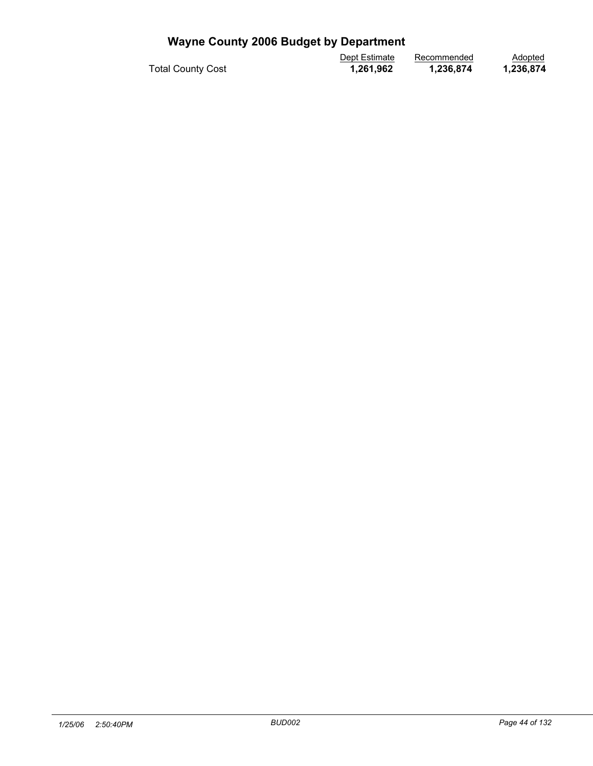|                          | Dept Estimate | Recommended | Adopted   |  |
|--------------------------|---------------|-------------|-----------|--|
| <b>Total County Cost</b> | 1,261,962     | 1,236,874   | .236,874. |  |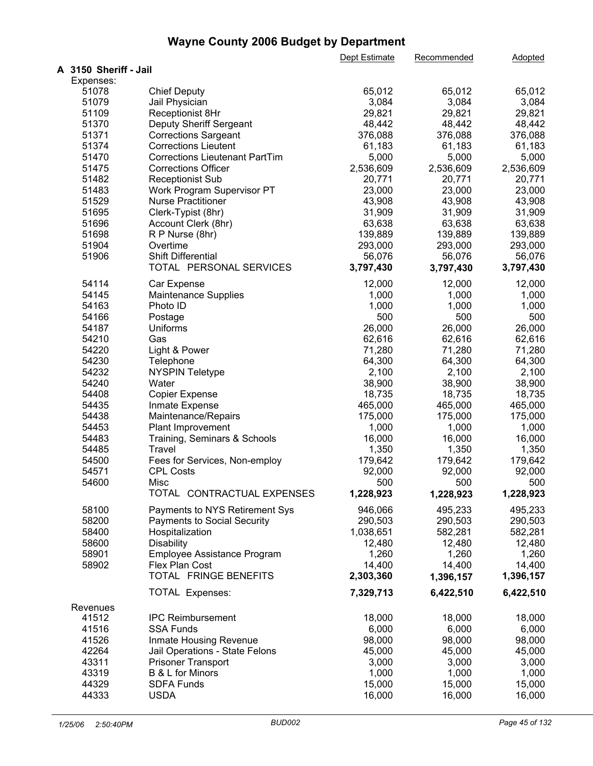|                       |                                       | Dept Estimate | Recommended | Adopted   |
|-----------------------|---------------------------------------|---------------|-------------|-----------|
| A 3150 Sheriff - Jail |                                       |               |             |           |
| Expenses:             |                                       |               |             |           |
| 51078                 | <b>Chief Deputy</b>                   | 65,012        | 65,012      | 65,012    |
| 51079                 | Jail Physician                        | 3,084         | 3,084       | 3,084     |
| 51109                 | Receptionist 8Hr                      | 29,821        | 29,821      | 29,821    |
| 51370                 | Deputy Sheriff Sergeant               | 48,442        | 48,442      | 48,442    |
| 51371                 | <b>Corrections Sargeant</b>           | 376,088       | 376,088     | 376,088   |
| 51374                 | <b>Corrections Lieutent</b>           | 61,183        | 61,183      | 61,183    |
| 51470                 | <b>Corrections Lieutenant PartTim</b> | 5,000         | 5,000       | 5,000     |
| 51475                 | <b>Corrections Officer</b>            | 2,536,609     | 2,536,609   | 2,536,609 |
| 51482                 | <b>Receptionist Sub</b>               | 20,771        | 20,771      | 20,771    |
| 51483                 | Work Program Supervisor PT            | 23,000        | 23,000      | 23,000    |
| 51529                 | <b>Nurse Practitioner</b>             | 43,908        | 43,908      | 43,908    |
| 51695                 | Clerk-Typist (8hr)                    | 31,909        | 31,909      | 31,909    |
| 51696                 | Account Clerk (8hr)                   | 63,638        | 63,638      | 63,638    |
| 51698                 |                                       |               |             |           |
|                       | R P Nurse (8hr)                       | 139,889       | 139,889     | 139,889   |
| 51904                 | Overtime                              | 293,000       | 293,000     | 293,000   |
| 51906                 | Shift Differential                    | 56,076        | 56,076      | 56,076    |
|                       | TOTAL PERSONAL SERVICES               | 3,797,430     | 3,797,430   | 3,797,430 |
| 54114                 | Car Expense                           | 12,000        | 12,000      | 12,000    |
| 54145                 | <b>Maintenance Supplies</b>           | 1,000         | 1,000       | 1,000     |
| 54163                 | Photo ID                              | 1,000         | 1,000       | 1,000     |
| 54166                 | Postage                               | 500           | 500         | 500       |
| 54187                 | <b>Uniforms</b>                       | 26,000        | 26,000      | 26,000    |
| 54210                 | Gas                                   | 62,616        | 62,616      | 62,616    |
| 54220                 | Light & Power                         | 71,280        | 71,280      | 71,280    |
| 54230                 | Telephone                             | 64,300        | 64,300      | 64,300    |
| 54232                 | <b>NYSPIN Teletype</b>                | 2,100         | 2,100       | 2,100     |
| 54240                 | Water                                 | 38,900        | 38,900      | 38,900    |
| 54408                 | <b>Copier Expense</b>                 | 18,735        | 18,735      | 18,735    |
| 54435                 |                                       | 465,000       | 465,000     | 465,000   |
| 54438                 | Inmate Expense                        | 175,000       | 175,000     |           |
|                       | Maintenance/Repairs                   |               |             | 175,000   |
| 54453                 | Plant Improvement                     | 1,000         | 1,000       | 1,000     |
| 54483                 | Training, Seminars & Schools          | 16,000        | 16,000      | 16,000    |
| 54485                 | <b>Travel</b>                         | 1,350         | 1,350       | 1,350     |
| 54500                 | Fees for Services, Non-employ         | 179,642       | 179,642     | 179,642   |
| 54571                 | <b>CPL Costs</b>                      | 92,000        | 92,000      | 92,000    |
| 54600                 | Misc                                  | 500           | 500         | 500       |
|                       | TOTAL CONTRACTUAL EXPENSES            | 1,228,923     | 1,228,923   | 1,228,923 |
| 58100                 | Payments to NYS Retirement Sys        | 946,066       | 495,233     | 495,233   |
| 58200                 | <b>Payments to Social Security</b>    | 290,503       | 290,503     | 290,503   |
| 58400                 | Hospitalization                       | 1,038,651     | 582,281     | 582,281   |
| 58600                 | <b>Disability</b>                     | 12,480        | 12,480      | 12,480    |
| 58901                 | Employee Assistance Program           | 1,260         | 1,260       | 1,260     |
| 58902                 | Flex Plan Cost                        | 14,400        | 14,400      | 14,400    |
|                       | TOTAL FRINGE BENEFITS                 | 2,303,360     | 1,396,157   | 1,396,157 |
|                       |                                       |               |             |           |
|                       | <b>TOTAL Expenses:</b>                | 7,329,713     | 6,422,510   | 6,422,510 |
| Revenues              |                                       |               |             |           |
| 41512                 | <b>IPC Reimbursement</b>              | 18,000        | 18,000      | 18,000    |
| 41516                 | <b>SSA Funds</b>                      | 6,000         | 6,000       | 6,000     |
| 41526                 | Inmate Housing Revenue                | 98,000        | 98,000      | 98,000    |
| 42264                 | Jail Operations - State Felons        | 45,000        | 45,000      | 45,000    |
| 43311                 | <b>Prisoner Transport</b>             | 3,000         | 3,000       | 3,000     |
| 43319                 | B & L for Minors                      | 1,000         | 1,000       | 1,000     |
| 44329                 | <b>SDFA Funds</b>                     | 15,000        | 15,000      | 15,000    |
| 44333                 | <b>USDA</b>                           | 16,000        | 16,000      | 16,000    |
|                       |                                       |               |             |           |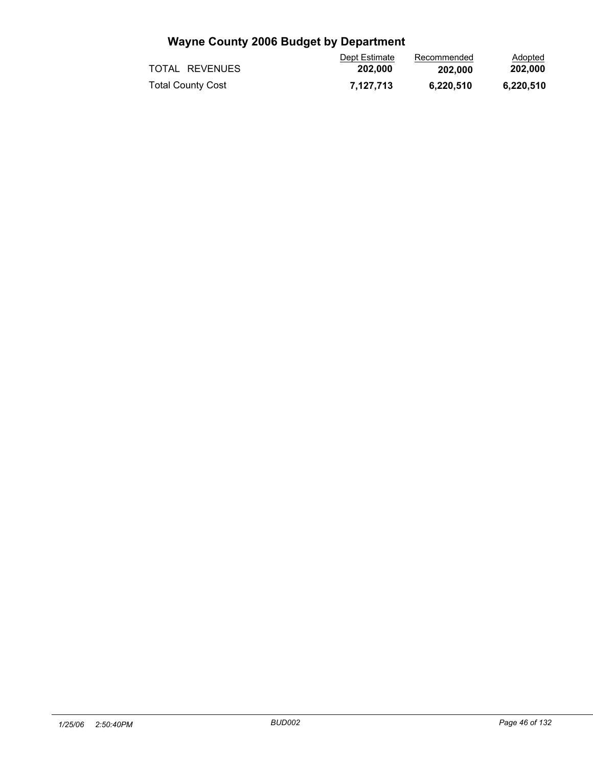|                          | Dept Estimate | Recommended | Adopted   |  |
|--------------------------|---------------|-------------|-----------|--|
| TOTAL REVENUES           | 202.000       | 202.000     | 202.000   |  |
| <b>Total County Cost</b> | 7.127.713     | 6.220.510   | 6.220.510 |  |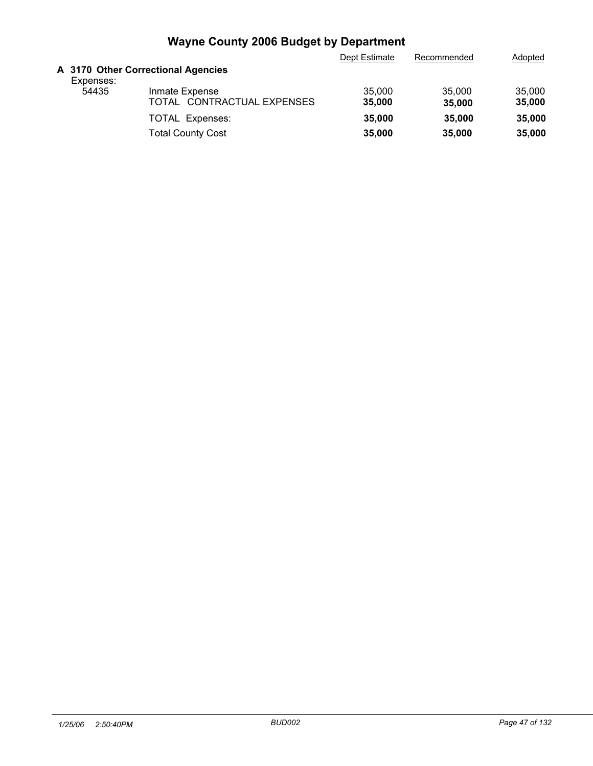|           |                                              | Dept Estimate    | Recommended      | Adopted          |
|-----------|----------------------------------------------|------------------|------------------|------------------|
| Expenses: | A 3170 Other Correctional Agencies           |                  |                  |                  |
| 54435     | Inmate Expense<br>TOTAL CONTRACTUAL EXPENSES | 35,000<br>35,000 | 35,000<br>35,000 | 35,000<br>35,000 |
|           | <b>TOTAL Expenses:</b>                       | 35,000           | 35,000           | 35,000           |
|           | <b>Total County Cost</b>                     | 35,000           | 35,000           | 35,000           |
|           |                                              |                  |                  |                  |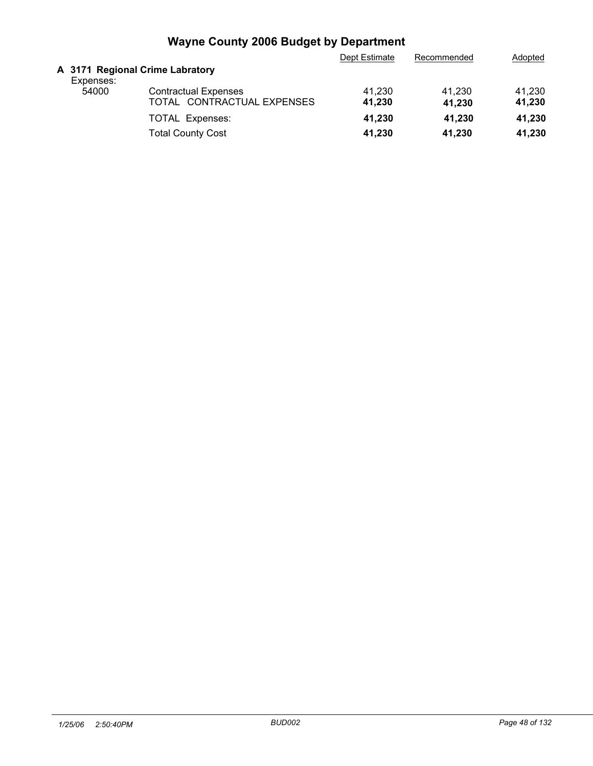| A 3171 Regional Crime Labratory<br>Expenses:<br>41.230<br>41.230<br>54000<br><b>Contractual Expenses</b><br>41.230<br>TOTAL CONTRACTUAL EXPENSES<br>41,230<br>41.230<br>41.230<br>41,230<br>41.230<br>41,230<br><b>TOTAL Expenses:</b><br><b>Total County Cost</b><br>41.230<br>41.230<br>41,230 |  | Dept Estimate | Recommended | Adopted |
|--------------------------------------------------------------------------------------------------------------------------------------------------------------------------------------------------------------------------------------------------------------------------------------------------|--|---------------|-------------|---------|
|                                                                                                                                                                                                                                                                                                  |  |               |             |         |
|                                                                                                                                                                                                                                                                                                  |  |               |             |         |
|                                                                                                                                                                                                                                                                                                  |  |               |             |         |
|                                                                                                                                                                                                                                                                                                  |  |               |             |         |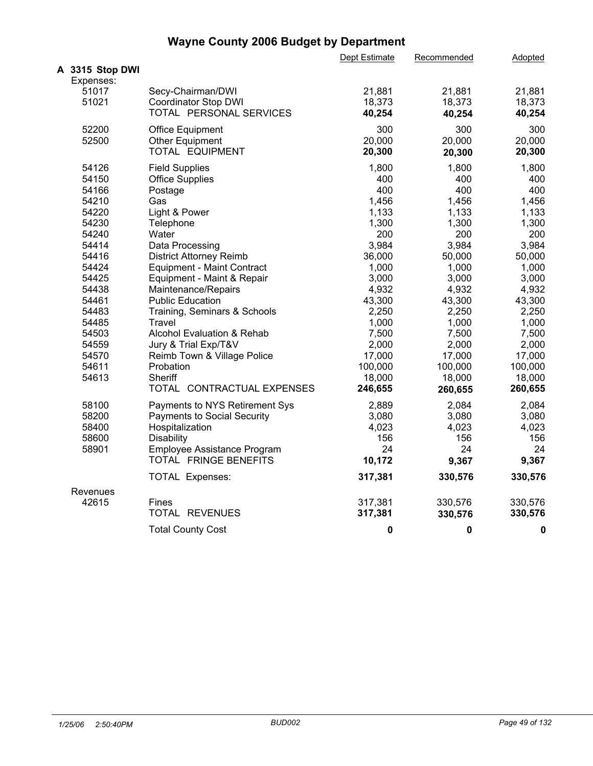|                              |                                   | Dept Estimate | Recommended | Adopted     |  |
|------------------------------|-----------------------------------|---------------|-------------|-------------|--|
| A 3315 Stop DWI<br>Expenses: |                                   |               |             |             |  |
| 51017                        | Secy-Chairman/DWI                 | 21,881        | 21,881      | 21,881      |  |
| 51021                        | <b>Coordinator Stop DWI</b>       | 18,373        | 18,373      | 18,373      |  |
|                              | TOTAL PERSONAL SERVICES           | 40,254        | 40,254      | 40,254      |  |
| 52200                        | Office Equipment                  | 300           | 300         | 300         |  |
| 52500                        | Other Equipment                   | 20,000        | 20,000      | 20,000      |  |
|                              | TOTAL EQUIPMENT                   | 20,300        | 20,300      | 20,300      |  |
| 54126                        | <b>Field Supplies</b>             | 1,800         | 1,800       | 1,800       |  |
| 54150                        | <b>Office Supplies</b>            | 400           | 400         | 400         |  |
| 54166                        | Postage                           | 400           | 400         | 400         |  |
| 54210                        | Gas                               | 1,456         | 1,456       | 1,456       |  |
| 54220                        | Light & Power                     | 1,133         | 1,133       | 1,133       |  |
| 54230                        | Telephone                         | 1,300         | 1,300       | 1,300       |  |
| 54240                        | Water                             | 200           | 200         | 200         |  |
| 54414                        | Data Processing                   | 3,984         | 3,984       | 3,984       |  |
| 54416                        | <b>District Attorney Reimb</b>    | 36,000        | 50,000      | 50,000      |  |
| 54424                        | <b>Equipment - Maint Contract</b> | 1,000         | 1,000       | 1,000       |  |
| 54425                        | Equipment - Maint & Repair        | 3,000         | 3,000       | 3,000       |  |
| 54438                        | Maintenance/Repairs               | 4,932         | 4,932       | 4,932       |  |
| 54461                        | <b>Public Education</b>           | 43,300        | 43,300      | 43,300      |  |
| 54483                        | Training, Seminars & Schools      | 2,250         | 2,250       | 2,250       |  |
| 54485                        | Travel                            | 1,000         | 1,000       | 1,000       |  |
| 54503                        | Alcohol Evaluation & Rehab        | 7,500         | 7,500       | 7,500       |  |
| 54559                        | Jury & Trial Exp/T&V              | 2,000         | 2,000       | 2,000       |  |
| 54570                        | Reimb Town & Village Police       | 17,000        | 17,000      | 17,000      |  |
| 54611                        | Probation                         | 100,000       | 100,000     | 100,000     |  |
| 54613                        | Sheriff                           | 18,000        | 18,000      | 18,000      |  |
|                              | TOTAL CONTRACTUAL EXPENSES        | 246,655       | 260,655     | 260,655     |  |
| 58100                        | Payments to NYS Retirement Sys    | 2,889         | 2,084       | 2,084       |  |
| 58200                        | Payments to Social Security       | 3,080         | 3,080       | 3,080       |  |
| 58400                        | Hospitalization                   | 4,023         | 4,023       | 4,023       |  |
| 58600                        | <b>Disability</b>                 | 156           | 156         | 156         |  |
| 58901                        | Employee Assistance Program       | 24            | 24          | 24          |  |
|                              | TOTAL FRINGE BENEFITS             | 10,172        | 9,367       | 9,367       |  |
|                              | <b>TOTAL Expenses:</b>            | 317,381       | 330,576     | 330,576     |  |
| Revenues                     |                                   |               |             |             |  |
| 42615                        | <b>Fines</b>                      | 317,381       | 330,576     | 330,576     |  |
|                              | TOTAL REVENUES                    | 317,381       | 330,576     | 330,576     |  |
|                              | <b>Total County Cost</b>          | 0             | 0           | $\mathbf 0$ |  |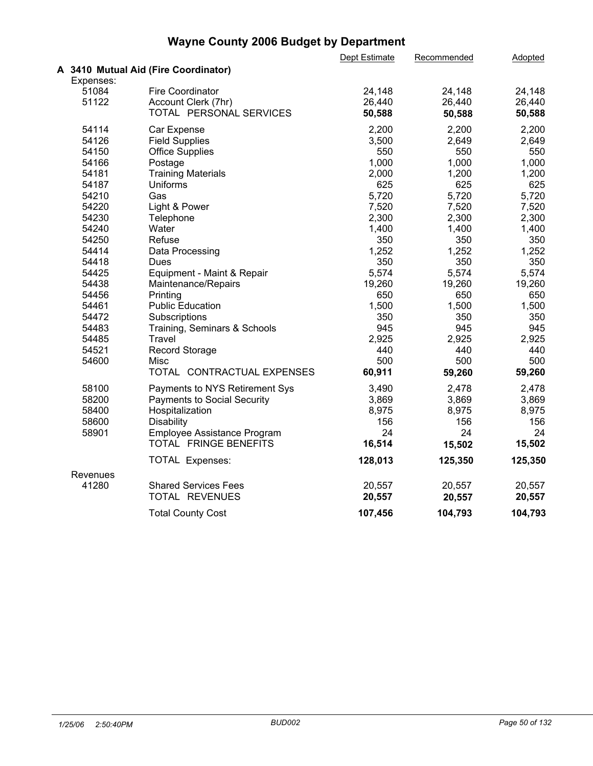|           |                                      | Dept Estimate | Recommended | Adopted |  |
|-----------|--------------------------------------|---------------|-------------|---------|--|
|           | A 3410 Mutual Aid (Fire Coordinator) |               |             |         |  |
| Expenses: |                                      |               |             |         |  |
| 51084     | <b>Fire Coordinator</b>              | 24,148        | 24,148      | 24,148  |  |
| 51122     | Account Clerk (7hr)                  | 26,440        | 26,440      | 26,440  |  |
|           | TOTAL PERSONAL SERVICES              | 50,588        | 50,588      | 50,588  |  |
| 54114     | Car Expense                          | 2,200         | 2,200       | 2,200   |  |
| 54126     | <b>Field Supplies</b>                | 3,500         | 2,649       | 2,649   |  |
| 54150     | <b>Office Supplies</b>               | 550           | 550         | 550     |  |
| 54166     | Postage                              | 1,000         | 1,000       | 1,000   |  |
| 54181     | <b>Training Materials</b>            | 2,000         | 1,200       | 1,200   |  |
| 54187     | Uniforms                             | 625           | 625         | 625     |  |
| 54210     | Gas                                  | 5,720         | 5,720       | 5,720   |  |
| 54220     | Light & Power                        | 7,520         | 7,520       | 7,520   |  |
| 54230     | Telephone                            | 2,300         | 2,300       | 2,300   |  |
| 54240     | Water                                | 1,400         | 1,400       | 1,400   |  |
| 54250     | Refuse                               | 350           | 350         | 350     |  |
| 54414     | Data Processing                      | 1,252         | 1,252       | 1,252   |  |
| 54418     | <b>Dues</b>                          | 350           | 350         | 350     |  |
| 54425     | Equipment - Maint & Repair           | 5,574         | 5,574       | 5,574   |  |
| 54438     | Maintenance/Repairs                  | 19,260        | 19,260      | 19,260  |  |
| 54456     | Printing                             | 650           | 650         | 650     |  |
| 54461     | <b>Public Education</b>              | 1,500         | 1,500       | 1,500   |  |
| 54472     | Subscriptions                        | 350           | 350         | 350     |  |
| 54483     | Training, Seminars & Schools         | 945           | 945         | 945     |  |
| 54485     | Travel                               | 2,925         | 2,925       | 2,925   |  |
| 54521     | <b>Record Storage</b>                | 440           | 440         | 440     |  |
| 54600     | Misc                                 | 500           | 500         | 500     |  |
|           | TOTAL CONTRACTUAL EXPENSES           | 60,911        | 59,260      | 59,260  |  |
| 58100     | Payments to NYS Retirement Sys       | 3,490         | 2,478       | 2,478   |  |
| 58200     | <b>Payments to Social Security</b>   | 3,869         | 3,869       | 3,869   |  |
| 58400     | Hospitalization                      | 8,975         | 8,975       | 8,975   |  |
| 58600     | <b>Disability</b>                    | 156           | 156         | 156     |  |
| 58901     | Employee Assistance Program          | 24            | 24          | 24      |  |
|           | TOTAL FRINGE BENEFITS                | 16,514        | 15,502      | 15,502  |  |
|           | <b>TOTAL Expenses:</b>               | 128,013       | 125,350     | 125,350 |  |
| Revenues  |                                      |               |             |         |  |
| 41280     | <b>Shared Services Fees</b>          | 20,557        | 20,557      | 20,557  |  |
|           | TOTAL REVENUES                       | 20,557        | 20,557      | 20,557  |  |
|           | <b>Total County Cost</b>             | 107,456       | 104,793     | 104,793 |  |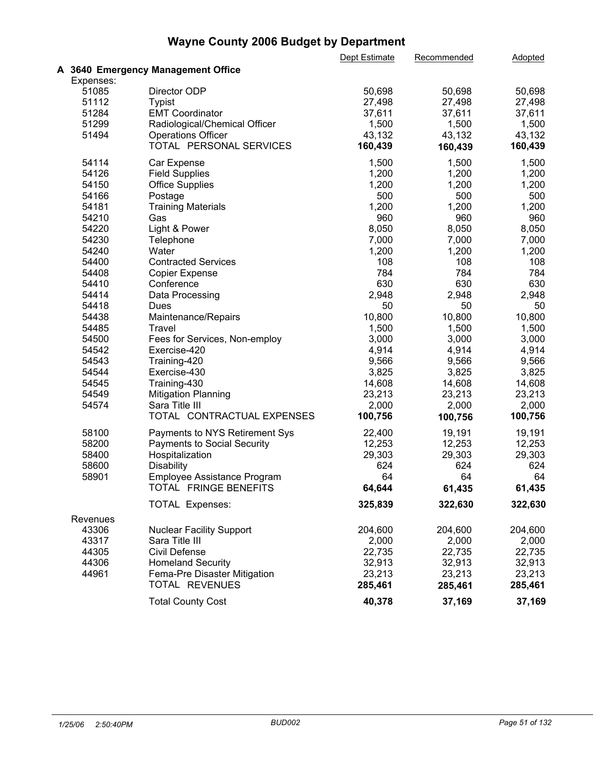|           |                                    | Dept Estimate | Recommended | Adopted |  |
|-----------|------------------------------------|---------------|-------------|---------|--|
|           | A 3640 Emergency Management Office |               |             |         |  |
| Expenses: |                                    |               |             |         |  |
| 51085     | Director ODP                       | 50,698        | 50,698      | 50,698  |  |
| 51112     | <b>Typist</b>                      | 27,498        | 27,498      | 27,498  |  |
| 51284     | <b>EMT Coordinator</b>             | 37,611        | 37,611      | 37,611  |  |
| 51299     | Radiological/Chemical Officer      | 1,500         | 1,500       | 1,500   |  |
| 51494     | <b>Operations Officer</b>          | 43,132        | 43,132      | 43,132  |  |
|           | TOTAL PERSONAL SERVICES            | 160,439       | 160,439     | 160,439 |  |
| 54114     | Car Expense                        | 1,500         | 1,500       | 1,500   |  |
| 54126     | <b>Field Supplies</b>              | 1,200         | 1,200       | 1,200   |  |
| 54150     | <b>Office Supplies</b>             | 1,200         | 1,200       | 1,200   |  |
| 54166     | Postage                            | 500           | 500         | 500     |  |
| 54181     | <b>Training Materials</b>          | 1,200         | 1,200       | 1,200   |  |
| 54210     | Gas                                | 960           | 960         | 960     |  |
| 54220     | Light & Power                      | 8,050         | 8,050       | 8,050   |  |
| 54230     | Telephone                          | 7,000         | 7,000       | 7,000   |  |
| 54240     | Water                              | 1,200         | 1,200       | 1,200   |  |
| 54400     | <b>Contracted Services</b>         | 108           | 108         | 108     |  |
| 54408     | <b>Copier Expense</b>              | 784           | 784         | 784     |  |
| 54410     | Conference                         | 630           | 630         | 630     |  |
| 54414     | Data Processing                    | 2,948         | 2,948       | 2,948   |  |
| 54418     | Dues                               | 50            | 50          | 50      |  |
| 54438     | Maintenance/Repairs                | 10,800        | 10,800      | 10,800  |  |
| 54485     | Travel                             | 1,500         | 1,500       | 1,500   |  |
| 54500     | Fees for Services, Non-employ      | 3,000         | 3,000       | 3,000   |  |
| 54542     | Exercise-420                       | 4,914         | 4,914       | 4,914   |  |
| 54543     | Training-420                       | 9,566         | 9,566       | 9,566   |  |
| 54544     | Exercise-430                       | 3,825         | 3,825       | 3,825   |  |
| 54545     | Training-430                       | 14,608        | 14,608      | 14,608  |  |
| 54549     | <b>Mitigation Planning</b>         | 23,213        | 23,213      | 23,213  |  |
| 54574     | Sara Title III                     | 2,000         | 2,000       | 2,000   |  |
|           | TOTAL CONTRACTUAL EXPENSES         | 100,756       | 100,756     | 100,756 |  |
| 58100     | Payments to NYS Retirement Sys     | 22,400        | 19,191      | 19,191  |  |
| 58200     | Payments to Social Security        | 12,253        | 12,253      | 12,253  |  |
| 58400     | Hospitalization                    | 29,303        | 29,303      | 29,303  |  |
| 58600     | Disability                         | 624           | 624         | 624     |  |
| 58901     | Employee Assistance Program        | 64            | 64          | 64      |  |
|           | TOTAL FRINGE BENEFITS              | 64,644        | 61,435      | 61,435  |  |
|           | <b>TOTAL Expenses:</b>             | 325,839       | 322,630     | 322,630 |  |
|           |                                    |               |             |         |  |
| Revenues  |                                    |               |             |         |  |
| 43306     | <b>Nuclear Facility Support</b>    | 204,600       | 204,600     | 204,600 |  |
| 43317     | Sara Title III                     | 2,000         | 2,000       | 2,000   |  |
| 44305     | Civil Defense                      | 22,735        | 22,735      | 22,735  |  |
| 44306     | <b>Homeland Security</b>           | 32,913        | 32,913      | 32,913  |  |
| 44961     | Fema-Pre Disaster Mitigation       | 23,213        | 23,213      | 23,213  |  |
|           | TOTAL REVENUES                     | 285,461       | 285,461     | 285,461 |  |
|           | <b>Total County Cost</b>           | 40,378        | 37,169      | 37,169  |  |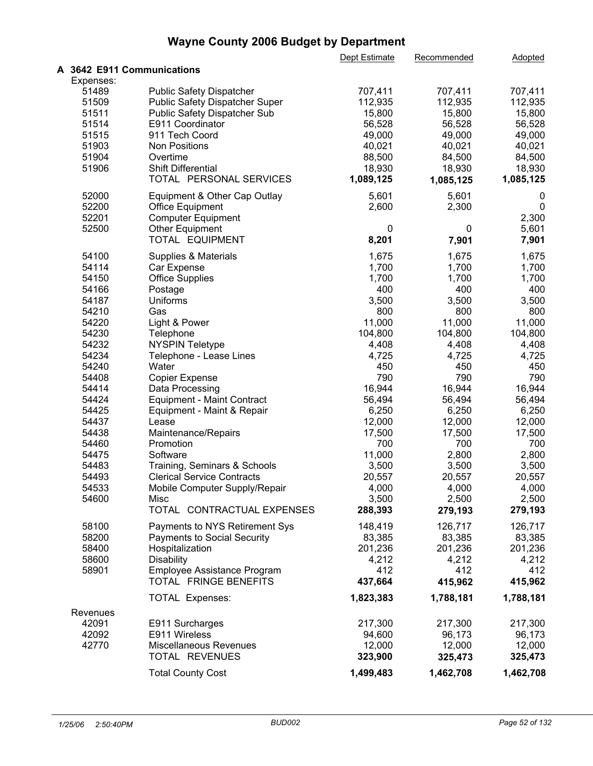|                                      |                                                                                                   | Dept Estimate                 | Recommended                   | <b>Adopted</b>                |  |
|--------------------------------------|---------------------------------------------------------------------------------------------------|-------------------------------|-------------------------------|-------------------------------|--|
| A 3642 E911 Communications           |                                                                                                   |                               |                               |                               |  |
| Expenses:<br>51489<br>51509<br>51511 | <b>Public Safety Dispatcher</b><br>Public Safety Dispatcher Super<br>Public Safety Dispatcher Sub | 707,411<br>112,935<br>15,800  | 707,411<br>112,935<br>15,800  | 707,411<br>112,935<br>15,800  |  |
| 51514<br>51515<br>51903              | E911 Coordinator<br>911 Tech Coord<br><b>Non Positions</b>                                        | 56,528<br>49,000<br>40,021    | 56,528<br>49,000<br>40,021    | 56,528<br>49,000<br>40,021    |  |
| 51904<br>51906                       | Overtime<br>Shift Differential<br>TOTAL PERSONAL SERVICES                                         | 88,500<br>18,930<br>1,089,125 | 84,500<br>18,930<br>1,085,125 | 84,500<br>18,930<br>1,085,125 |  |
| 52000<br>52200<br>52201              | Equipment & Other Cap Outlay<br>Office Equipment<br><b>Computer Equipment</b>                     | 5,601<br>2,600                | 5,601<br>2,300                | 0<br>0<br>2,300               |  |
| 52500                                | Other Equipment<br>TOTAL EQUIPMENT                                                                | 0<br>8,201                    | 0<br>7,901                    | 5,601<br>7,901                |  |
| 54100                                | Supplies & Materials                                                                              | 1,675                         | 1,675                         | 1,675                         |  |
| 54114                                | Car Expense                                                                                       | 1,700                         | 1,700                         | 1,700                         |  |
| 54150                                | <b>Office Supplies</b>                                                                            | 1,700                         | 1,700                         | 1,700                         |  |
| 54166                                | Postage                                                                                           | 400                           | 400                           | 400                           |  |
| 54187<br>54210                       | Uniforms<br>Gas                                                                                   | 3,500<br>800                  | 3,500<br>800                  | 3,500<br>800                  |  |
| 54220                                | Light & Power                                                                                     | 11,000                        | 11,000                        | 11,000                        |  |
| 54230                                | Telephone                                                                                         | 104,800                       | 104,800                       | 104,800                       |  |
| 54232                                | <b>NYSPIN Teletype</b>                                                                            | 4,408                         | 4,408                         | 4,408                         |  |
| 54234                                | Telephone - Lease Lines                                                                           | 4,725                         | 4,725                         | 4,725                         |  |
| 54240                                | Water                                                                                             | 450                           | 450                           | 450                           |  |
| 54408                                | <b>Copier Expense</b>                                                                             | 790                           | 790                           | 790                           |  |
| 54414                                | Data Processing                                                                                   | 16,944                        | 16,944                        | 16,944                        |  |
| 54424<br>54425                       | <b>Equipment - Maint Contract</b><br>Equipment - Maint & Repair                                   | 56,494<br>6,250               | 56,494<br>6,250               | 56,494<br>6,250               |  |
| 54437                                | Lease                                                                                             | 12,000                        | 12,000                        | 12,000                        |  |
| 54438                                | Maintenance/Repairs                                                                               | 17,500                        | 17,500                        | 17,500                        |  |
| 54460                                | Promotion                                                                                         | 700                           | 700                           | 700                           |  |
| 54475                                | Software                                                                                          | 11,000                        | 2,800                         | 2,800                         |  |
| 54483                                | Training, Seminars & Schools                                                                      | 3,500                         | 3,500                         | 3,500                         |  |
| 54493                                | <b>Clerical Service Contracts</b>                                                                 | 20,557                        | 20,557                        | 20,557                        |  |
| 54533                                | Mobile Computer Supply/Repair                                                                     | 4,000                         | 4,000                         | 4,000                         |  |
| 54600                                | Misc<br>TOTAL CONTRACTUAL EXPENSES                                                                | 3,500<br>288,393              | 2,500<br>279,193              | 2,500<br>279,193              |  |
| 58100                                | Payments to NYS Retirement Sys                                                                    | 148,419                       | 126,717                       | 126,717                       |  |
| 58200                                | <b>Payments to Social Security</b>                                                                | 83,385                        | 83,385                        | 83,385                        |  |
| 58400                                | Hospitalization                                                                                   | 201,236                       | 201,236                       | 201,236                       |  |
| 58600                                | <b>Disability</b>                                                                                 | 4,212<br>412                  | 4,212<br>412                  | 4,212<br>412                  |  |
| 58901                                | Employee Assistance Program<br>TOTAL FRINGE BENEFITS                                              | 437,664                       | 415,962                       | 415,962                       |  |
|                                      | <b>TOTAL Expenses:</b>                                                                            | 1,823,383                     | 1,788,181                     | 1,788,181                     |  |
| Revenues                             |                                                                                                   |                               |                               |                               |  |
| 42091                                | E911 Surcharges                                                                                   | 217,300                       | 217,300                       | 217,300                       |  |
| 42092                                | E911 Wireless                                                                                     | 94,600                        | 96,173                        | 96,173                        |  |
| 42770                                | Miscellaneous Revenues<br>TOTAL REVENUES                                                          | 12,000<br>323,900             | 12,000<br>325,473             | 12,000<br>325,473             |  |
|                                      | <b>Total County Cost</b>                                                                          | 1,499,483                     | 1,462,708                     | 1,462,708                     |  |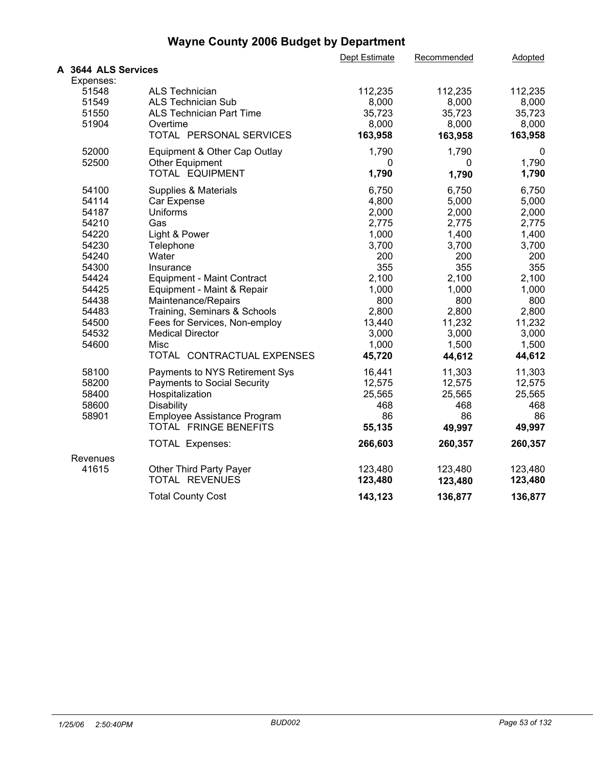|                     |                                    | Dept Estimate | Recommended | Adopted |  |
|---------------------|------------------------------------|---------------|-------------|---------|--|
| A 3644 ALS Services |                                    |               |             |         |  |
| Expenses:           |                                    |               |             |         |  |
| 51548               | <b>ALS Technician</b>              | 112,235       | 112,235     | 112,235 |  |
| 51549               | <b>ALS Technician Sub</b>          | 8,000         | 8,000       | 8,000   |  |
| 51550               | <b>ALS Technician Part Time</b>    | 35,723        | 35,723      | 35,723  |  |
| 51904               | Overtime                           | 8,000         | 8,000       | 8,000   |  |
|                     | TOTAL PERSONAL SERVICES            | 163,958       | 163,958     | 163,958 |  |
| 52000               | Equipment & Other Cap Outlay       | 1,790         | 1,790       | 0       |  |
| 52500               | <b>Other Equipment</b>             | 0             | 0           | 1,790   |  |
|                     | TOTAL EQUIPMENT                    | 1,790         | 1,790       | 1,790   |  |
| 54100               | Supplies & Materials               | 6,750         | 6,750       | 6,750   |  |
| 54114               | Car Expense                        | 4,800         | 5,000       | 5,000   |  |
| 54187               | Uniforms                           | 2,000         | 2,000       | 2,000   |  |
| 54210               | Gas                                | 2,775         | 2,775       | 2,775   |  |
| 54220               | Light & Power                      | 1,000         | 1,400       | 1,400   |  |
| 54230               | Telephone                          | 3,700         | 3,700       | 3,700   |  |
| 54240               | Water                              | 200           | 200         | 200     |  |
| 54300               | Insurance                          | 355           | 355         | 355     |  |
| 54424               | <b>Equipment - Maint Contract</b>  | 2,100         | 2,100       | 2,100   |  |
| 54425               | Equipment - Maint & Repair         | 1,000         | 1,000       | 1,000   |  |
| 54438               | Maintenance/Repairs                | 800           | 800         | 800     |  |
| 54483               | Training, Seminars & Schools       | 2,800         | 2,800       | 2,800   |  |
| 54500               | Fees for Services, Non-employ      | 13,440        | 11,232      | 11,232  |  |
| 54532               | <b>Medical Director</b>            | 3,000         | 3,000       | 3,000   |  |
| 54600               | Misc                               | 1,000         | 1,500       | 1,500   |  |
|                     | TOTAL CONTRACTUAL EXPENSES         | 45,720        | 44,612      | 44,612  |  |
| 58100               | Payments to NYS Retirement Sys     | 16,441        | 11,303      | 11,303  |  |
| 58200               | <b>Payments to Social Security</b> | 12,575        | 12,575      | 12,575  |  |
| 58400               | Hospitalization                    | 25,565        | 25,565      | 25,565  |  |
| 58600               | <b>Disability</b>                  | 468           | 468         | 468     |  |
| 58901               | Employee Assistance Program        | 86            | 86          | 86      |  |
|                     | TOTAL FRINGE BENEFITS              | 55,135        | 49,997      | 49,997  |  |
|                     | <b>TOTAL Expenses:</b>             | 266,603       | 260,357     | 260,357 |  |
| Revenues            |                                    |               |             |         |  |
| 41615               | Other Third Party Payer            | 123,480       | 123,480     | 123,480 |  |
|                     | TOTAL REVENUES                     | 123,480       | 123,480     | 123,480 |  |
|                     | <b>Total County Cost</b>           | 143,123       | 136,877     | 136,877 |  |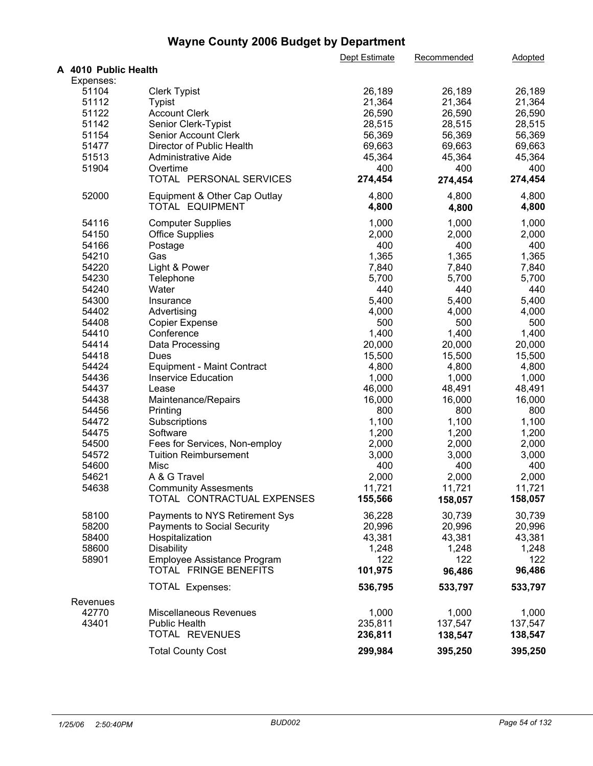|                      |                                    | Dept Estimate | Recommended | Adopted |  |
|----------------------|------------------------------------|---------------|-------------|---------|--|
| A 4010 Public Health |                                    |               |             |         |  |
| Expenses:            |                                    |               |             |         |  |
| 51104                | <b>Clerk Typist</b>                | 26,189        | 26,189      | 26,189  |  |
| 51112                | Typist                             | 21,364        | 21,364      | 21,364  |  |
| 51122                | <b>Account Clerk</b>               | 26,590        | 26,590      | 26,590  |  |
| 51142                | Senior Clerk-Typist                | 28,515        | 28,515      | 28,515  |  |
| 51154                | Senior Account Clerk               | 56,369        | 56,369      | 56,369  |  |
| 51477                | Director of Public Health          | 69,663        | 69,663      | 69,663  |  |
| 51513                | Administrative Aide                | 45,364        | 45,364      | 45,364  |  |
| 51904                | Overtime                           | 400           | 400         | 400     |  |
|                      | TOTAL PERSONAL SERVICES            | 274,454       | 274,454     | 274,454 |  |
| 52000                | Equipment & Other Cap Outlay       | 4,800         | 4,800       | 4,800   |  |
|                      | TOTAL EQUIPMENT                    | 4,800         | 4,800       | 4,800   |  |
|                      |                                    |               |             |         |  |
| 54116                | <b>Computer Supplies</b>           | 1,000         | 1,000       | 1,000   |  |
| 54150                | <b>Office Supplies</b>             | 2,000         | 2,000       | 2,000   |  |
| 54166                | Postage                            | 400           | 400         | 400     |  |
| 54210                | Gas                                | 1,365         | 1,365       | 1,365   |  |
| 54220                | Light & Power                      | 7,840         | 7,840       | 7,840   |  |
| 54230                | Telephone                          | 5,700         | 5,700       | 5,700   |  |
| 54240                | Water                              | 440           | 440         | 440     |  |
| 54300                | Insurance                          | 5,400         | 5,400       | 5,400   |  |
| 54402                | Advertising                        | 4,000         | 4,000       | 4,000   |  |
| 54408                | <b>Copier Expense</b>              | 500           | 500         | 500     |  |
| 54410                | Conference                         | 1,400         | 1,400       | 1,400   |  |
| 54414                | Data Processing                    | 20,000        | 20,000      | 20,000  |  |
| 54418                | Dues                               | 15,500        | 15,500      | 15,500  |  |
| 54424                | <b>Equipment - Maint Contract</b>  | 4,800         | 4,800       | 4,800   |  |
| 54436                | <b>Inservice Education</b>         | 1,000         | 1,000       | 1,000   |  |
| 54437                | Lease                              | 46,000        | 48,491      | 48,491  |  |
| 54438                | Maintenance/Repairs                | 16,000        | 16,000      | 16,000  |  |
| 54456                | Printing                           | 800           | 800         | 800     |  |
| 54472                | Subscriptions                      | 1,100         | 1,100       | 1,100   |  |
| 54475                | Software                           | 1,200         | 1,200       | 1,200   |  |
| 54500                | Fees for Services, Non-employ      | 2,000         | 2,000       | 2,000   |  |
| 54572                | <b>Tuition Reimbursement</b>       | 3,000         | 3,000       | 3,000   |  |
| 54600                | Misc                               | 400           | 400         | 400     |  |
| 54621                | A & G Travel                       | 2,000         | 2,000       | 2,000   |  |
| 54638                | <b>Community Assesments</b>        | 11,721        | 11,721      | 11,721  |  |
|                      | TOTAL CONTRACTUAL EXPENSES         | 155,566       | 158,057     | 158,057 |  |
|                      |                                    |               |             |         |  |
| 58100                | Payments to NYS Retirement Sys     | 36,228        | 30,739      | 30,739  |  |
| 58200                | <b>Payments to Social Security</b> | 20,996        | 20,996      | 20,996  |  |
| 58400                | Hospitalization                    | 43,381        | 43,381      | 43,381  |  |
| 58600                | <b>Disability</b>                  | 1,248         | 1,248       | 1,248   |  |
| 58901                | Employee Assistance Program        | 122           | 122         | 122     |  |
|                      | TOTAL FRINGE BENEFITS              | 101,975       | 96,486      | 96,486  |  |
|                      | <b>TOTAL Expenses:</b>             | 536,795       | 533,797     | 533,797 |  |
| Revenues             |                                    |               |             |         |  |
| 42770                | Miscellaneous Revenues             | 1,000         | 1,000       | 1,000   |  |
| 43401                | <b>Public Health</b>               | 235,811       | 137,547     | 137,547 |  |
|                      | TOTAL REVENUES                     | 236,811       | 138,547     | 138,547 |  |
|                      |                                    |               |             |         |  |
|                      | <b>Total County Cost</b>           | 299,984       | 395,250     | 395,250 |  |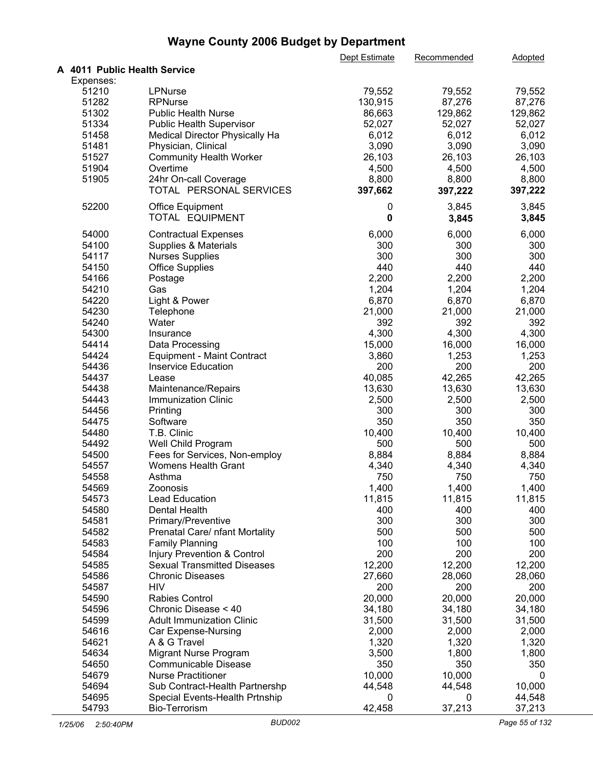|                              |                                                  | Dept Estimate    | Recommended      | Adopted          |  |
|------------------------------|--------------------------------------------------|------------------|------------------|------------------|--|
| A 4011 Public Health Service |                                                  |                  |                  |                  |  |
| Expenses:                    |                                                  |                  |                  |                  |  |
| 51210                        | <b>LPNurse</b>                                   | 79,552           | 79,552           | 79,552           |  |
| 51282                        | <b>RPNurse</b>                                   | 130,915          | 87,276           | 87,276           |  |
| 51302                        | <b>Public Health Nurse</b>                       | 86,663           | 129,862          | 129,862          |  |
| 51334                        | <b>Public Health Supervisor</b>                  | 52,027           | 52,027           | 52,027           |  |
| 51458                        | Medical Director Physically Ha                   | 6,012            | 6,012            | 6,012            |  |
| 51481                        | Physician, Clinical                              | 3,090            | 3,090            | 3,090            |  |
|                              |                                                  |                  |                  |                  |  |
| 51527                        | <b>Community Health Worker</b>                   | 26,103           | 26,103           | 26,103           |  |
| 51904                        | Overtime                                         | 4,500            | 4,500            | 4,500            |  |
| 51905                        | 24hr On-call Coverage<br>TOTAL PERSONAL SERVICES | 8,800<br>397,662 | 8,800<br>397,222 | 8,800<br>397,222 |  |
| 52200                        | <b>Office Equipment</b><br>TOTAL EQUIPMENT       | 0<br>$\mathbf 0$ | 3,845<br>3,845   | 3,845<br>3,845   |  |
| 54000                        | <b>Contractual Expenses</b>                      | 6,000            | 6,000            | 6,000            |  |
| 54100                        | Supplies & Materials                             | 300              | 300              | 300              |  |
| 54117                        | <b>Nurses Supplies</b>                           | 300              | 300              | 300              |  |
| 54150                        | <b>Office Supplies</b>                           | 440              | 440              | 440              |  |
| 54166                        |                                                  | 2,200            | 2,200            | 2,200            |  |
|                              | Postage                                          | 1,204            |                  |                  |  |
| 54210                        | Gas                                              |                  | 1,204            | 1,204            |  |
| 54220                        | Light & Power                                    | 6,870            | 6,870            | 6,870            |  |
| 54230                        | Telephone                                        | 21,000           | 21,000           | 21,000           |  |
| 54240                        | Water                                            | 392              | 392              | 392              |  |
| 54300                        | Insurance                                        | 4,300            | 4,300            | 4,300            |  |
| 54414                        | Data Processing                                  | 15,000           | 16,000           | 16,000           |  |
| 54424                        | <b>Equipment - Maint Contract</b>                | 3,860            | 1,253            | 1,253            |  |
| 54436                        | <b>Inservice Education</b>                       | 200              | 200              | 200              |  |
| 54437                        | Lease                                            | 40,085           | 42,265           | 42,265           |  |
| 54438                        | Maintenance/Repairs                              | 13,630           | 13,630           | 13,630           |  |
| 54443                        | <b>Immunization Clinic</b>                       | 2,500            | 2,500            | 2,500            |  |
| 54456                        | Printing                                         | 300              | 300              | 300              |  |
| 54475                        | Software                                         | 350              | 350              | 350              |  |
| 54480                        | T.B. Clinic                                      | 10,400           | 10,400           | 10,400           |  |
| 54492                        | Well Child Program                               | 500              | 500              | 500              |  |
| 54500                        | Fees for Services, Non-employ                    | 8,884            | 8,884            | 8,884            |  |
| 54557                        | <b>Womens Health Grant</b>                       | 4,340            | 4,340            | 4,340            |  |
|                              |                                                  | 750              | 750              |                  |  |
| 54558                        | Asthma                                           |                  |                  | 750              |  |
| 54569                        | Zoonosis                                         | 1,400            | 1,400            | 1,400            |  |
| 54573                        | <b>Lead Education</b>                            | 11,815           | 11,815           | 11,815           |  |
| 54580                        | <b>Dental Health</b>                             | 400              | 400              | 400              |  |
| 54581                        | Primary/Preventive                               | 300              | 300              | 300              |  |
| 54582                        | Prenatal Care/ nfant Mortality                   | 500              | 500              | 500              |  |
| 54583                        | <b>Family Planning</b>                           | 100              | 100              | 100              |  |
| 54584                        | Injury Prevention & Control                      | 200              | 200              | 200              |  |
| 54585                        | <b>Sexual Transmitted Diseases</b>               | 12,200           | 12,200           | 12,200           |  |
| 54586                        | <b>Chronic Diseases</b>                          | 27,660           | 28,060           | 28,060           |  |
| 54587                        | <b>HIV</b>                                       | 200              | 200              | 200              |  |
| 54590                        | Rabies Control                                   | 20,000           | 20,000           | 20,000           |  |
| 54596                        | Chronic Disease < 40                             | 34,180           | 34,180           | 34,180           |  |
| 54599                        | <b>Adult Immunization Clinic</b>                 | 31,500           | 31,500           | 31,500           |  |
| 54616                        | Car Expense-Nursing                              | 2,000            | 2,000            | 2,000            |  |
|                              | A & G Travel                                     |                  |                  |                  |  |
| 54621                        |                                                  | 1,320            | 1,320            | 1,320            |  |
| 54634                        | Migrant Nurse Program                            | 3,500            | 1,800            | 1,800            |  |
| 54650                        | Communicable Disease                             | 350              | 350              | 350              |  |
| 54679                        | <b>Nurse Practitioner</b>                        | 10,000           | 10,000           | 0                |  |
| 54694                        | Sub Contract-Health Partnershp                   | 44,548           | 44,548           | 10,000           |  |
| 54695                        | Special Events-Health Prtnship                   | 0                | 0                | 44,548           |  |
| 54793                        | <b>Bio-Terrorism</b>                             | 42,458           | 37,213           | 37,213           |  |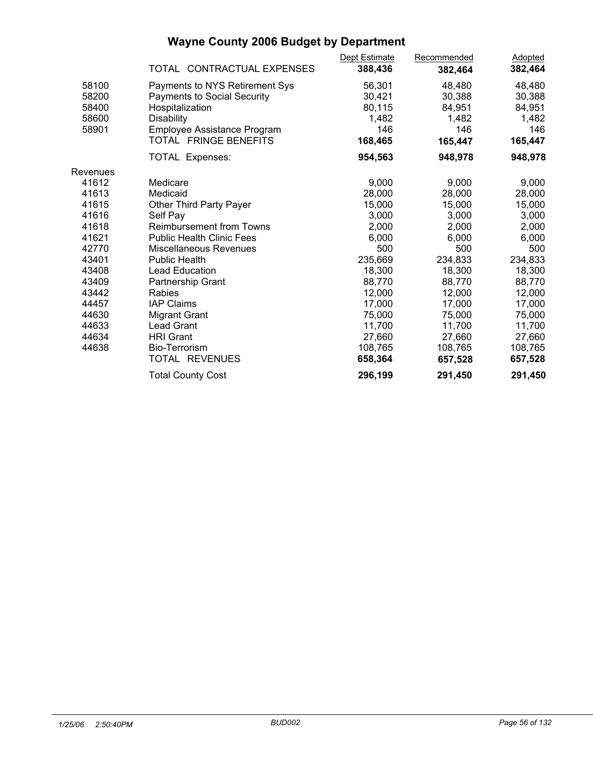|                                  | TOTAL CONTRACTUAL EXPENSES                                                                                   | Dept Estimate<br>388,436            | Recommended<br>382,464              | <b>Adopted</b><br>382,464           |  |
|----------------------------------|--------------------------------------------------------------------------------------------------------------|-------------------------------------|-------------------------------------|-------------------------------------|--|
| 58100<br>58200<br>58400<br>58600 | Payments to NYS Retirement Sys<br><b>Payments to Social Security</b><br>Hospitalization<br><b>Disability</b> | 56,301<br>30,421<br>80,115<br>1,482 | 48,480<br>30,388<br>84,951<br>1,482 | 48,480<br>30,388<br>84,951<br>1,482 |  |
| 58901                            | Employee Assistance Program<br>TOTAL FRINGE BENEFITS                                                         | 146<br>168,465                      | 146<br>165,447                      | 146<br>165,447                      |  |
|                                  | TOTAL Expenses:                                                                                              | 954,563                             | 948,978                             | 948,978                             |  |
| Revenues                         |                                                                                                              |                                     |                                     |                                     |  |
| 41612                            | Medicare                                                                                                     | 9,000                               | 9,000                               | 9,000                               |  |
| 41613                            | Medicaid                                                                                                     | 28,000                              | 28,000                              | 28,000                              |  |
| 41615                            | Other Third Party Payer                                                                                      | 15,000                              | 15,000                              | 15,000                              |  |
| 41616                            | Self Pay                                                                                                     | 3,000                               | 3,000                               | 3,000                               |  |
| 41618                            | <b>Reimbursement from Towns</b>                                                                              | 2,000                               | 2,000                               | 2,000                               |  |
| 41621                            | <b>Public Health Clinic Fees</b>                                                                             | 6,000                               | 6,000                               | 6,000                               |  |
| 42770                            | Miscellaneous Revenues                                                                                       | 500                                 | 500                                 | 500                                 |  |
| 43401                            | <b>Public Health</b>                                                                                         | 235,669                             | 234,833                             | 234,833                             |  |
| 43408                            | Lead Education                                                                                               | 18,300                              | 18,300                              | 18,300                              |  |
| 43409                            | Partnership Grant                                                                                            | 88,770                              | 88,770                              | 88,770                              |  |
| 43442                            | <b>Rabies</b>                                                                                                | 12,000                              | 12,000                              | 12,000                              |  |
| 44457                            | <b>IAP Claims</b>                                                                                            | 17,000                              | 17,000                              | 17,000                              |  |
| 44630                            | <b>Migrant Grant</b>                                                                                         | 75,000                              | 75,000                              | 75,000                              |  |
| 44633                            | <b>Lead Grant</b>                                                                                            | 11,700                              | 11,700                              | 11,700                              |  |
| 44634                            | <b>HRI</b> Grant                                                                                             | 27,660                              | 27,660                              | 27,660                              |  |
| 44638                            | Bio-Terrorism                                                                                                | 108,765                             | 108,765                             | 108,765                             |  |
|                                  | TOTAL REVENUES                                                                                               | 658,364                             | 657,528                             | 657,528                             |  |
|                                  | <b>Total County Cost</b>                                                                                     | 296,199                             | 291,450                             | 291,450                             |  |
|                                  |                                                                                                              |                                     |                                     |                                     |  |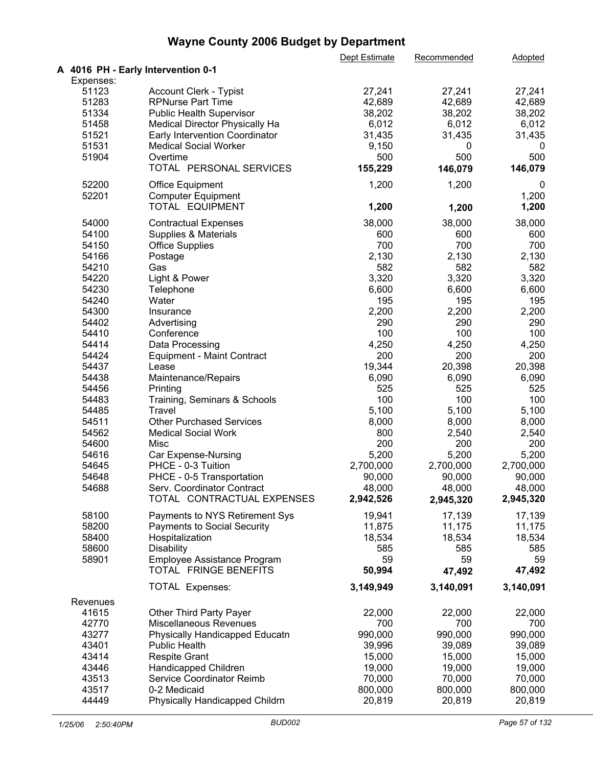|           |                                    | Dept Estimate | Recommended | <b>Adopted</b> |  |
|-----------|------------------------------------|---------------|-------------|----------------|--|
|           | A 4016 PH - Early Intervention 0-1 |               |             |                |  |
| Expenses: |                                    |               |             |                |  |
| 51123     | Account Clerk - Typist             | 27,241        | 27,241      | 27,241         |  |
| 51283     | <b>RPNurse Part Time</b>           | 42,689        | 42,689      | 42,689         |  |
| 51334     | Public Health Supervisor           | 38,202        | 38,202      | 38,202         |  |
| 51458     | Medical Director Physically Ha     | 6,012         | 6,012       | 6,012          |  |
| 51521     | Early Intervention Coordinator     | 31,435        | 31,435      | 31,435         |  |
| 51531     | <b>Medical Social Worker</b>       | 9,150         | 0           | 0              |  |
| 51904     | Overtime                           | 500           | 500         | 500            |  |
|           | TOTAL PERSONAL SERVICES            | 155,229       | 146,079     | 146,079        |  |
|           |                                    |               |             |                |  |
| 52200     | <b>Office Equipment</b>            | 1,200         | 1,200       | 0              |  |
| 52201     | <b>Computer Equipment</b>          |               |             | 1,200          |  |
|           | TOTAL EQUIPMENT                    | 1,200         | 1,200       | 1,200          |  |
| 54000     | <b>Contractual Expenses</b>        | 38,000        | 38,000      | 38,000         |  |
| 54100     | Supplies & Materials               | 600           | 600         | 600            |  |
| 54150     | <b>Office Supplies</b>             | 700           | 700         | 700            |  |
| 54166     | Postage                            | 2,130         | 2,130       | 2,130          |  |
| 54210     | Gas                                | 582           | 582         | 582            |  |
|           |                                    | 3,320         | 3,320       |                |  |
| 54220     | Light & Power                      |               |             | 3,320          |  |
| 54230     | Telephone                          | 6,600         | 6,600       | 6,600          |  |
| 54240     | Water                              | 195           | 195         | 195            |  |
| 54300     | Insurance                          | 2,200         | 2,200       | 2,200          |  |
| 54402     | Advertising                        | 290           | 290         | 290            |  |
| 54410     | Conference                         | 100           | 100         | 100            |  |
| 54414     | Data Processing                    | 4,250         | 4,250       | 4,250          |  |
| 54424     | <b>Equipment - Maint Contract</b>  | 200           | 200         | 200            |  |
| 54437     | Lease                              | 19,344        | 20,398      | 20,398         |  |
| 54438     | Maintenance/Repairs                | 6,090         | 6,090       | 6,090          |  |
| 54456     | Printing                           | 525           | 525         | 525            |  |
| 54483     | Training, Seminars & Schools       | 100           | 100         | 100            |  |
| 54485     | Travel                             | 5,100         | 5,100       | 5,100          |  |
| 54511     | <b>Other Purchased Services</b>    | 8,000         | 8,000       | 8,000          |  |
| 54562     | <b>Medical Social Work</b>         | 800           | 2,540       | 2,540          |  |
| 54600     | Misc                               | 200           | 200         | 200            |  |
| 54616     | Car Expense-Nursing                | 5,200         | 5,200       | 5,200          |  |
| 54645     |                                    |               |             |                |  |
|           | PHCE - 0-3 Tuition                 | 2,700,000     | 2,700,000   | 2,700,000      |  |
| 54648     | PHCE - 0-5 Transportation          | 90,000        | 90,000      | 90,000         |  |
| 54688     | Serv. Coordinator Contract         | 48,000        | 48,000      | 48,000         |  |
|           | TOTAL CONTRACTUAL EXPENSES         | 2,942,526     | 2,945,320   | 2,945,320      |  |
| 58100     | Payments to NYS Retirement Sys     | 19,941        | 17,139      | 17,139         |  |
| 58200     | <b>Payments to Social Security</b> | 11,875        | 11,175      | 11,175         |  |
| 58400     | Hospitalization                    | 18,534        | 18,534      | 18,534         |  |
| 58600     | Disability                         | 585           | 585         | 585            |  |
| 58901     | Employee Assistance Program        | 59            | 59          | 59             |  |
|           | TOTAL FRINGE BENEFITS              | 50,994        | 47,492      | 47,492         |  |
|           | <b>TOTAL Expenses:</b>             | 3,149,949     | 3,140,091   | 3,140,091      |  |
|           |                                    |               |             |                |  |
| Revenues  |                                    |               |             |                |  |
| 41615     | Other Third Party Payer            | 22,000        | 22,000      | 22,000         |  |
| 42770     | Miscellaneous Revenues             | 700           | 700         | 700            |  |
| 43277     | Physically Handicapped Educatn     | 990,000       | 990,000     | 990,000        |  |
| 43401     | <b>Public Health</b>               | 39,996        | 39,089      | 39,089         |  |
| 43414     | <b>Respite Grant</b>               | 15,000        | 15,000      | 15,000         |  |
| 43446     | Handicapped Children               | 19,000        | 19,000      | 19,000         |  |
| 43513     | Service Coordinator Reimb          | 70,000        | 70,000      | 70,000         |  |
| 43517     | 0-2 Medicaid                       | 800,000       | 800,000     | 800,000        |  |
| 44449     | Physically Handicapped Childrn     | 20,819        | 20,819      | 20,819         |  |
|           |                                    |               |             |                |  |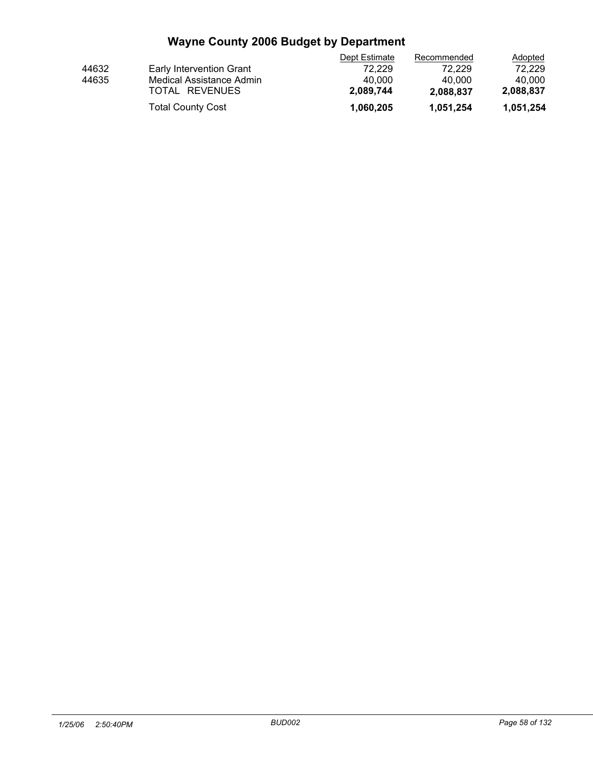|                          | Dept Estimate | Recommended | <b>Adopted</b> |  |
|--------------------------|---------------|-------------|----------------|--|
| Early Intervention Grant | 72.229        | 72.229      | 72.229         |  |
| Medical Assistance Admin | 40.000        | 40.000      | 40.000         |  |
| TOTAL REVENUES           | 2.089.744     | 2.088.837   | 2,088,837      |  |
| <b>Total County Cost</b> | 1.060.205     | 1,051,254   | 1,051,254      |  |
|                          |               |             |                |  |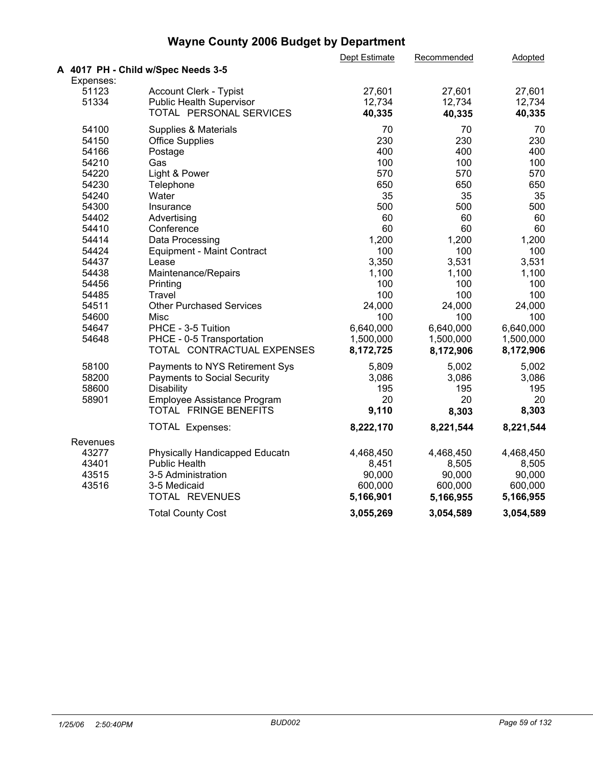| A 4017 PH - Child w/Spec Needs 3-5<br>Expenses:<br>51123<br>Account Clerk - Typist<br>27,601<br>27,601<br>27,601<br>51334<br>12,734<br>12,734<br>12,734<br><b>Public Health Supervisor</b><br>TOTAL PERSONAL SERVICES<br>40,335<br>40,335<br>40,335<br>70<br>70<br>54100<br>Supplies & Materials<br>70<br>230<br>230<br>230<br>54150<br><b>Office Supplies</b><br>400<br>54166<br>400<br>400<br>Postage<br>54210<br>100<br>100<br>Gas<br>100<br>570<br>570<br>54220<br>Light & Power<br>570<br>54230<br>650<br>650<br>650<br>Telephone<br>35<br>35<br>54240<br>35<br>Water<br>500<br>54300<br>500<br>500<br>Insurance<br>60<br>60<br>54402<br>60<br>Advertising<br>60<br>60<br>54410<br>Conference<br>60<br>1,200<br>1,200<br>1,200<br>54414<br>Data Processing<br>100<br>100<br>54424<br>100<br><b>Equipment - Maint Contract</b><br>3,350<br>3,531<br>54437<br>3,531<br>Lease<br>54438<br>Maintenance/Repairs<br>1,100<br>1,100<br>1,100<br>100<br>100<br>54456<br>100<br>Printing<br>100<br>100<br>54485<br>100<br>Travel<br>24,000<br>24,000<br>54511<br><b>Other Purchased Services</b><br>24,000<br>54600<br>100<br>100<br>100<br>Misc<br>PHCE - 3-5 Tuition<br>6,640,000<br>6,640,000<br>54647<br>6,640,000<br>1,500,000<br>1,500,000<br>54648<br>PHCE - 0-5 Transportation<br>1,500,000<br>TOTAL CONTRACTUAL EXPENSES<br>8,172,725<br>8,172,906<br>8,172,906<br>58100<br>5,809<br>5,002<br>5,002<br>Payments to NYS Retirement Sys<br>58200<br>3,086<br>3,086<br>3,086<br><b>Payments to Social Security</b><br>195<br>195<br>195<br>58600<br><b>Disability</b><br>20<br>20<br>58901<br>Employee Assistance Program<br>20<br>TOTAL FRINGE BENEFITS<br>9,110<br>8,303<br>8,303<br>8,222,170<br>8,221,544<br>8,221,544<br><b>TOTAL Expenses:</b><br>Revenues<br>43277<br>4,468,450<br>Physically Handicapped Educatn<br>4,468,450<br>4,468,450<br>43401<br><b>Public Health</b><br>8,505<br>8,451<br>8,505<br>43515<br>90,000<br>90,000<br>90,000<br>3-5 Administration<br>43516<br>3-5 Medicaid<br>600,000<br>600,000<br>600,000 |                | Dept Estimate | Recommended | Adopted   |  |
|-----------------------------------------------------------------------------------------------------------------------------------------------------------------------------------------------------------------------------------------------------------------------------------------------------------------------------------------------------------------------------------------------------------------------------------------------------------------------------------------------------------------------------------------------------------------------------------------------------------------------------------------------------------------------------------------------------------------------------------------------------------------------------------------------------------------------------------------------------------------------------------------------------------------------------------------------------------------------------------------------------------------------------------------------------------------------------------------------------------------------------------------------------------------------------------------------------------------------------------------------------------------------------------------------------------------------------------------------------------------------------------------------------------------------------------------------------------------------------------------------------------------------------------------------------------------------------------------------------------------------------------------------------------------------------------------------------------------------------------------------------------------------------------------------------------------------------------------------------------------------------------------------------------------------------------------------------------------------------------------------------------------------------------------|----------------|---------------|-------------|-----------|--|
|                                                                                                                                                                                                                                                                                                                                                                                                                                                                                                                                                                                                                                                                                                                                                                                                                                                                                                                                                                                                                                                                                                                                                                                                                                                                                                                                                                                                                                                                                                                                                                                                                                                                                                                                                                                                                                                                                                                                                                                                                                         |                |               |             |           |  |
|                                                                                                                                                                                                                                                                                                                                                                                                                                                                                                                                                                                                                                                                                                                                                                                                                                                                                                                                                                                                                                                                                                                                                                                                                                                                                                                                                                                                                                                                                                                                                                                                                                                                                                                                                                                                                                                                                                                                                                                                                                         |                |               |             |           |  |
|                                                                                                                                                                                                                                                                                                                                                                                                                                                                                                                                                                                                                                                                                                                                                                                                                                                                                                                                                                                                                                                                                                                                                                                                                                                                                                                                                                                                                                                                                                                                                                                                                                                                                                                                                                                                                                                                                                                                                                                                                                         |                |               |             |           |  |
|                                                                                                                                                                                                                                                                                                                                                                                                                                                                                                                                                                                                                                                                                                                                                                                                                                                                                                                                                                                                                                                                                                                                                                                                                                                                                                                                                                                                                                                                                                                                                                                                                                                                                                                                                                                                                                                                                                                                                                                                                                         |                |               |             |           |  |
|                                                                                                                                                                                                                                                                                                                                                                                                                                                                                                                                                                                                                                                                                                                                                                                                                                                                                                                                                                                                                                                                                                                                                                                                                                                                                                                                                                                                                                                                                                                                                                                                                                                                                                                                                                                                                                                                                                                                                                                                                                         |                |               |             |           |  |
|                                                                                                                                                                                                                                                                                                                                                                                                                                                                                                                                                                                                                                                                                                                                                                                                                                                                                                                                                                                                                                                                                                                                                                                                                                                                                                                                                                                                                                                                                                                                                                                                                                                                                                                                                                                                                                                                                                                                                                                                                                         |                |               |             |           |  |
|                                                                                                                                                                                                                                                                                                                                                                                                                                                                                                                                                                                                                                                                                                                                                                                                                                                                                                                                                                                                                                                                                                                                                                                                                                                                                                                                                                                                                                                                                                                                                                                                                                                                                                                                                                                                                                                                                                                                                                                                                                         |                |               |             |           |  |
|                                                                                                                                                                                                                                                                                                                                                                                                                                                                                                                                                                                                                                                                                                                                                                                                                                                                                                                                                                                                                                                                                                                                                                                                                                                                                                                                                                                                                                                                                                                                                                                                                                                                                                                                                                                                                                                                                                                                                                                                                                         |                |               |             |           |  |
|                                                                                                                                                                                                                                                                                                                                                                                                                                                                                                                                                                                                                                                                                                                                                                                                                                                                                                                                                                                                                                                                                                                                                                                                                                                                                                                                                                                                                                                                                                                                                                                                                                                                                                                                                                                                                                                                                                                                                                                                                                         |                |               |             |           |  |
|                                                                                                                                                                                                                                                                                                                                                                                                                                                                                                                                                                                                                                                                                                                                                                                                                                                                                                                                                                                                                                                                                                                                                                                                                                                                                                                                                                                                                                                                                                                                                                                                                                                                                                                                                                                                                                                                                                                                                                                                                                         |                |               |             |           |  |
|                                                                                                                                                                                                                                                                                                                                                                                                                                                                                                                                                                                                                                                                                                                                                                                                                                                                                                                                                                                                                                                                                                                                                                                                                                                                                                                                                                                                                                                                                                                                                                                                                                                                                                                                                                                                                                                                                                                                                                                                                                         |                |               |             |           |  |
|                                                                                                                                                                                                                                                                                                                                                                                                                                                                                                                                                                                                                                                                                                                                                                                                                                                                                                                                                                                                                                                                                                                                                                                                                                                                                                                                                                                                                                                                                                                                                                                                                                                                                                                                                                                                                                                                                                                                                                                                                                         |                |               |             |           |  |
|                                                                                                                                                                                                                                                                                                                                                                                                                                                                                                                                                                                                                                                                                                                                                                                                                                                                                                                                                                                                                                                                                                                                                                                                                                                                                                                                                                                                                                                                                                                                                                                                                                                                                                                                                                                                                                                                                                                                                                                                                                         |                |               |             |           |  |
|                                                                                                                                                                                                                                                                                                                                                                                                                                                                                                                                                                                                                                                                                                                                                                                                                                                                                                                                                                                                                                                                                                                                                                                                                                                                                                                                                                                                                                                                                                                                                                                                                                                                                                                                                                                                                                                                                                                                                                                                                                         |                |               |             |           |  |
|                                                                                                                                                                                                                                                                                                                                                                                                                                                                                                                                                                                                                                                                                                                                                                                                                                                                                                                                                                                                                                                                                                                                                                                                                                                                                                                                                                                                                                                                                                                                                                                                                                                                                                                                                                                                                                                                                                                                                                                                                                         |                |               |             |           |  |
|                                                                                                                                                                                                                                                                                                                                                                                                                                                                                                                                                                                                                                                                                                                                                                                                                                                                                                                                                                                                                                                                                                                                                                                                                                                                                                                                                                                                                                                                                                                                                                                                                                                                                                                                                                                                                                                                                                                                                                                                                                         |                |               |             |           |  |
|                                                                                                                                                                                                                                                                                                                                                                                                                                                                                                                                                                                                                                                                                                                                                                                                                                                                                                                                                                                                                                                                                                                                                                                                                                                                                                                                                                                                                                                                                                                                                                                                                                                                                                                                                                                                                                                                                                                                                                                                                                         |                |               |             |           |  |
|                                                                                                                                                                                                                                                                                                                                                                                                                                                                                                                                                                                                                                                                                                                                                                                                                                                                                                                                                                                                                                                                                                                                                                                                                                                                                                                                                                                                                                                                                                                                                                                                                                                                                                                                                                                                                                                                                                                                                                                                                                         |                |               |             |           |  |
|                                                                                                                                                                                                                                                                                                                                                                                                                                                                                                                                                                                                                                                                                                                                                                                                                                                                                                                                                                                                                                                                                                                                                                                                                                                                                                                                                                                                                                                                                                                                                                                                                                                                                                                                                                                                                                                                                                                                                                                                                                         |                |               |             |           |  |
|                                                                                                                                                                                                                                                                                                                                                                                                                                                                                                                                                                                                                                                                                                                                                                                                                                                                                                                                                                                                                                                                                                                                                                                                                                                                                                                                                                                                                                                                                                                                                                                                                                                                                                                                                                                                                                                                                                                                                                                                                                         |                |               |             |           |  |
|                                                                                                                                                                                                                                                                                                                                                                                                                                                                                                                                                                                                                                                                                                                                                                                                                                                                                                                                                                                                                                                                                                                                                                                                                                                                                                                                                                                                                                                                                                                                                                                                                                                                                                                                                                                                                                                                                                                                                                                                                                         |                |               |             |           |  |
|                                                                                                                                                                                                                                                                                                                                                                                                                                                                                                                                                                                                                                                                                                                                                                                                                                                                                                                                                                                                                                                                                                                                                                                                                                                                                                                                                                                                                                                                                                                                                                                                                                                                                                                                                                                                                                                                                                                                                                                                                                         |                |               |             |           |  |
|                                                                                                                                                                                                                                                                                                                                                                                                                                                                                                                                                                                                                                                                                                                                                                                                                                                                                                                                                                                                                                                                                                                                                                                                                                                                                                                                                                                                                                                                                                                                                                                                                                                                                                                                                                                                                                                                                                                                                                                                                                         |                |               |             |           |  |
|                                                                                                                                                                                                                                                                                                                                                                                                                                                                                                                                                                                                                                                                                                                                                                                                                                                                                                                                                                                                                                                                                                                                                                                                                                                                                                                                                                                                                                                                                                                                                                                                                                                                                                                                                                                                                                                                                                                                                                                                                                         |                |               |             |           |  |
|                                                                                                                                                                                                                                                                                                                                                                                                                                                                                                                                                                                                                                                                                                                                                                                                                                                                                                                                                                                                                                                                                                                                                                                                                                                                                                                                                                                                                                                                                                                                                                                                                                                                                                                                                                                                                                                                                                                                                                                                                                         |                |               |             |           |  |
|                                                                                                                                                                                                                                                                                                                                                                                                                                                                                                                                                                                                                                                                                                                                                                                                                                                                                                                                                                                                                                                                                                                                                                                                                                                                                                                                                                                                                                                                                                                                                                                                                                                                                                                                                                                                                                                                                                                                                                                                                                         |                |               |             |           |  |
|                                                                                                                                                                                                                                                                                                                                                                                                                                                                                                                                                                                                                                                                                                                                                                                                                                                                                                                                                                                                                                                                                                                                                                                                                                                                                                                                                                                                                                                                                                                                                                                                                                                                                                                                                                                                                                                                                                                                                                                                                                         |                |               |             |           |  |
|                                                                                                                                                                                                                                                                                                                                                                                                                                                                                                                                                                                                                                                                                                                                                                                                                                                                                                                                                                                                                                                                                                                                                                                                                                                                                                                                                                                                                                                                                                                                                                                                                                                                                                                                                                                                                                                                                                                                                                                                                                         |                |               |             |           |  |
|                                                                                                                                                                                                                                                                                                                                                                                                                                                                                                                                                                                                                                                                                                                                                                                                                                                                                                                                                                                                                                                                                                                                                                                                                                                                                                                                                                                                                                                                                                                                                                                                                                                                                                                                                                                                                                                                                                                                                                                                                                         |                |               |             |           |  |
|                                                                                                                                                                                                                                                                                                                                                                                                                                                                                                                                                                                                                                                                                                                                                                                                                                                                                                                                                                                                                                                                                                                                                                                                                                                                                                                                                                                                                                                                                                                                                                                                                                                                                                                                                                                                                                                                                                                                                                                                                                         |                |               |             |           |  |
|                                                                                                                                                                                                                                                                                                                                                                                                                                                                                                                                                                                                                                                                                                                                                                                                                                                                                                                                                                                                                                                                                                                                                                                                                                                                                                                                                                                                                                                                                                                                                                                                                                                                                                                                                                                                                                                                                                                                                                                                                                         |                |               |             |           |  |
|                                                                                                                                                                                                                                                                                                                                                                                                                                                                                                                                                                                                                                                                                                                                                                                                                                                                                                                                                                                                                                                                                                                                                                                                                                                                                                                                                                                                                                                                                                                                                                                                                                                                                                                                                                                                                                                                                                                                                                                                                                         |                |               |             |           |  |
|                                                                                                                                                                                                                                                                                                                                                                                                                                                                                                                                                                                                                                                                                                                                                                                                                                                                                                                                                                                                                                                                                                                                                                                                                                                                                                                                                                                                                                                                                                                                                                                                                                                                                                                                                                                                                                                                                                                                                                                                                                         |                |               |             |           |  |
|                                                                                                                                                                                                                                                                                                                                                                                                                                                                                                                                                                                                                                                                                                                                                                                                                                                                                                                                                                                                                                                                                                                                                                                                                                                                                                                                                                                                                                                                                                                                                                                                                                                                                                                                                                                                                                                                                                                                                                                                                                         |                |               |             |           |  |
|                                                                                                                                                                                                                                                                                                                                                                                                                                                                                                                                                                                                                                                                                                                                                                                                                                                                                                                                                                                                                                                                                                                                                                                                                                                                                                                                                                                                                                                                                                                                                                                                                                                                                                                                                                                                                                                                                                                                                                                                                                         |                |               |             |           |  |
|                                                                                                                                                                                                                                                                                                                                                                                                                                                                                                                                                                                                                                                                                                                                                                                                                                                                                                                                                                                                                                                                                                                                                                                                                                                                                                                                                                                                                                                                                                                                                                                                                                                                                                                                                                                                                                                                                                                                                                                                                                         |                |               |             |           |  |
|                                                                                                                                                                                                                                                                                                                                                                                                                                                                                                                                                                                                                                                                                                                                                                                                                                                                                                                                                                                                                                                                                                                                                                                                                                                                                                                                                                                                                                                                                                                                                                                                                                                                                                                                                                                                                                                                                                                                                                                                                                         |                |               |             |           |  |
|                                                                                                                                                                                                                                                                                                                                                                                                                                                                                                                                                                                                                                                                                                                                                                                                                                                                                                                                                                                                                                                                                                                                                                                                                                                                                                                                                                                                                                                                                                                                                                                                                                                                                                                                                                                                                                                                                                                                                                                                                                         | TOTAL REVENUES | 5,166,901     | 5,166,955   | 5,166,955 |  |
| <b>Total County Cost</b><br>3,055,269<br>3,054,589<br>3,054,589                                                                                                                                                                                                                                                                                                                                                                                                                                                                                                                                                                                                                                                                                                                                                                                                                                                                                                                                                                                                                                                                                                                                                                                                                                                                                                                                                                                                                                                                                                                                                                                                                                                                                                                                                                                                                                                                                                                                                                         |                |               |             |           |  |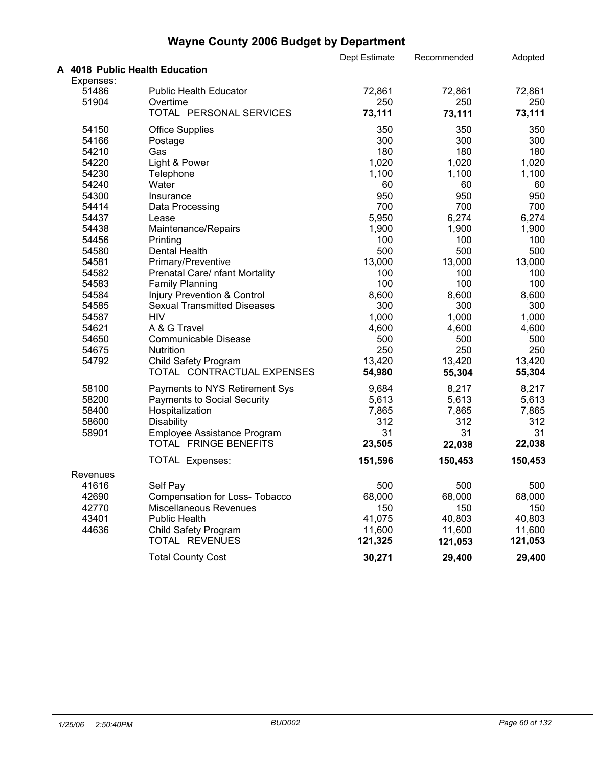|           |                                    | Dept Estimate | Recommended | Adopted |  |
|-----------|------------------------------------|---------------|-------------|---------|--|
|           | A 4018 Public Health Education     |               |             |         |  |
| Expenses: |                                    |               |             |         |  |
| 51486     | <b>Public Health Educator</b>      | 72,861        | 72,861      | 72,861  |  |
| 51904     | Overtime                           | 250           | 250         | 250     |  |
|           | TOTAL PERSONAL SERVICES            | 73,111        | 73,111      | 73,111  |  |
| 54150     | <b>Office Supplies</b>             | 350           | 350         | 350     |  |
| 54166     | Postage                            | 300           | 300         | 300     |  |
| 54210     | Gas                                | 180           | 180         | 180     |  |
| 54220     | Light & Power                      | 1,020         | 1,020       | 1,020   |  |
| 54230     | Telephone                          | 1,100         | 1,100       | 1,100   |  |
| 54240     | Water                              | 60            | 60          | 60      |  |
| 54300     | Insurance                          | 950           | 950         | 950     |  |
| 54414     | Data Processing                    | 700           | 700         | 700     |  |
| 54437     | Lease                              | 5,950         | 6,274       | 6,274   |  |
| 54438     | Maintenance/Repairs                | 1,900         | 1,900       | 1,900   |  |
| 54456     | Printing                           | 100           | 100         | 100     |  |
| 54580     | <b>Dental Health</b>               | 500           | 500         | 500     |  |
| 54581     | Primary/Preventive                 | 13,000        | 13,000      | 13,000  |  |
| 54582     | Prenatal Care/ nfant Mortality     | 100           | 100         | 100     |  |
| 54583     | <b>Family Planning</b>             | 100           | 100         | 100     |  |
| 54584     | Injury Prevention & Control        | 8,600         | 8,600       | 8,600   |  |
| 54585     | <b>Sexual Transmitted Diseases</b> | 300           | 300         | 300     |  |
| 54587     | <b>HIV</b>                         | 1,000         | 1,000       | 1,000   |  |
| 54621     | A & G Travel                       | 4,600         | 4,600       | 4,600   |  |
| 54650     | <b>Communicable Disease</b>        | 500           | 500         | 500     |  |
| 54675     | Nutrition                          | 250           | 250         | 250     |  |
| 54792     | Child Safety Program               | 13,420        | 13,420      | 13,420  |  |
|           | TOTAL CONTRACTUAL EXPENSES         | 54,980        | 55,304      | 55,304  |  |
| 58100     | Payments to NYS Retirement Sys     | 9,684         | 8,217       | 8,217   |  |
| 58200     | <b>Payments to Social Security</b> | 5,613         | 5,613       | 5,613   |  |
| 58400     | Hospitalization                    | 7,865         | 7,865       | 7,865   |  |
| 58600     | <b>Disability</b>                  | 312           | 312         | 312     |  |
| 58901     | Employee Assistance Program        | 31            | 31          | 31      |  |
|           | TOTAL FRINGE BENEFITS              | 23,505        | 22,038      | 22,038  |  |
|           | TOTAL Expenses:                    | 151,596       | 150,453     | 150,453 |  |
| Revenues  |                                    |               |             |         |  |
| 41616     | Self Pay                           | 500           | 500         | 500     |  |
| 42690     | Compensation for Loss- Tobacco     | 68,000        | 68,000      | 68,000  |  |
| 42770     | Miscellaneous Revenues             | 150           | 150         | 150     |  |
| 43401     | <b>Public Health</b>               | 41,075        | 40,803      | 40,803  |  |
| 44636     | Child Safety Program               | 11,600        | 11,600      | 11,600  |  |
|           | TOTAL REVENUES                     | 121,325       | 121,053     | 121,053 |  |
|           | <b>Total County Cost</b>           | 30,271        | 29,400      | 29,400  |  |
|           |                                    |               |             |         |  |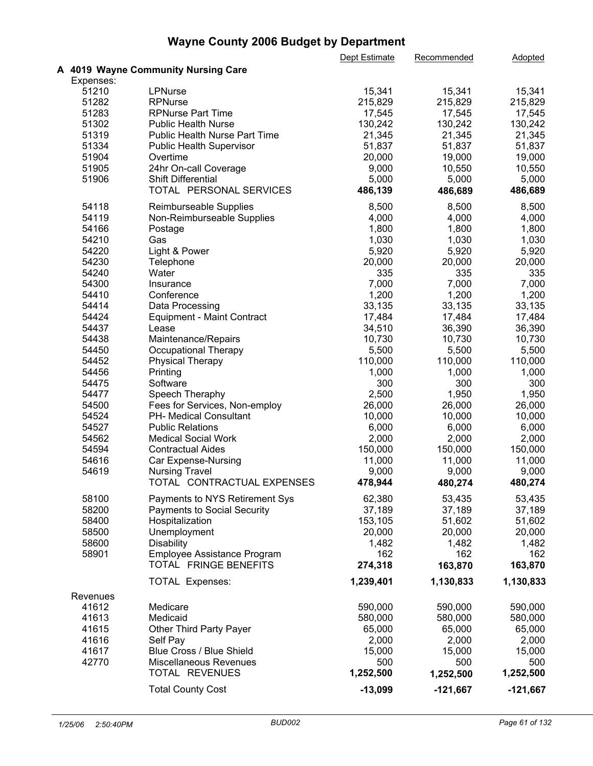|           |                                      | Dept Estimate | Recommended | <b>Adopted</b> |  |
|-----------|--------------------------------------|---------------|-------------|----------------|--|
|           | A 4019 Wayne Community Nursing Care  |               |             |                |  |
| Expenses: |                                      |               |             |                |  |
| 51210     | LPNurse                              | 15,341        | 15,341      | 15,341         |  |
| 51282     | <b>RPNurse</b>                       | 215,829       | 215,829     | 215,829        |  |
| 51283     | <b>RPNurse Part Time</b>             | 17,545        | 17,545      | 17,545         |  |
| 51302     | <b>Public Health Nurse</b>           | 130,242       | 130,242     | 130,242        |  |
| 51319     | <b>Public Health Nurse Part Time</b> | 21,345        | 21,345      | 21,345         |  |
| 51334     | Public Health Supervisor             | 51,837        | 51,837      | 51,837         |  |
| 51904     | Overtime                             | 20,000        | 19,000      | 19,000         |  |
| 51905     | 24hr On-call Coverage                | 9,000         | 10,550      | 10,550         |  |
| 51906     | <b>Shift Differential</b>            | 5,000         | 5,000       | 5,000          |  |
|           | TOTAL PERSONAL SERVICES              | 486,139       | 486,689     | 486,689        |  |
|           |                                      |               |             |                |  |
| 54118     | Reimburseable Supplies               | 8,500         | 8,500       | 8,500          |  |
| 54119     | Non-Reimburseable Supplies           | 4,000         | 4,000       | 4,000          |  |
| 54166     | Postage                              | 1,800         | 1,800       | 1,800          |  |
| 54210     | Gas                                  | 1,030         | 1,030       | 1,030          |  |
| 54220     | Light & Power                        | 5,920         | 5,920       | 5,920          |  |
| 54230     | Telephone                            | 20,000        | 20,000      | 20,000         |  |
| 54240     | Water                                | 335           | 335         | 335            |  |
| 54300     | Insurance                            | 7,000         | 7,000       | 7,000          |  |
| 54410     | Conference                           | 1,200         | 1,200       | 1,200          |  |
| 54414     | Data Processing                      | 33,135        | 33,135      | 33,135         |  |
| 54424     | <b>Equipment - Maint Contract</b>    | 17,484        | 17,484      | 17,484         |  |
| 54437     | Lease                                | 34,510        | 36,390      | 36,390         |  |
| 54438     | Maintenance/Repairs                  | 10,730        | 10,730      | 10,730         |  |
| 54450     | Occupational Therapy                 | 5,500         | 5,500       | 5,500          |  |
| 54452     | <b>Physical Therapy</b>              | 110,000       | 110,000     | 110,000        |  |
| 54456     | Printing                             | 1,000         | 1,000       | 1,000          |  |
| 54475     | Software                             | 300           | 300         | 300            |  |
| 54477     | Speech Theraphy                      | 2,500         | 1,950       | 1,950          |  |
|           |                                      |               |             |                |  |
| 54500     | Fees for Services, Non-employ        | 26,000        | 26,000      | 26,000         |  |
| 54524     | PH- Medical Consultant               | 10,000        | 10,000      | 10,000         |  |
| 54527     | <b>Public Relations</b>              | 6,000         | 6,000       | 6,000          |  |
| 54562     | <b>Medical Social Work</b>           | 2,000         | 2,000       | 2,000          |  |
| 54594     | <b>Contractual Aides</b>             | 150,000       | 150,000     | 150,000        |  |
| 54616     | Car Expense-Nursing                  | 11,000        | 11,000      | 11,000         |  |
| 54619     | <b>Nursing Travel</b>                | 9,000         | 9,000       | 9,000          |  |
|           | TOTAL CONTRACTUAL EXPENSES           | 478,944       | 480,274     | 480,274        |  |
| 58100     | Payments to NYS Retirement Sys       | 62,380        | 53,435      | 53,435         |  |
| 58200     | <b>Payments to Social Security</b>   | 37,189        | 37,189      | 37,189         |  |
| 58400     | Hospitalization                      | 153,105       | 51,602      | 51,602         |  |
| 58500     | Unemployment                         | 20,000        | 20,000      | 20,000         |  |
| 58600     | <b>Disability</b>                    | 1,482         | 1,482       | 1,482          |  |
| 58901     | <b>Employee Assistance Program</b>   | 162           | 162         | 162            |  |
|           | TOTAL FRINGE BENEFITS                | 274,318       | 163,870     | 163,870        |  |
|           |                                      |               |             |                |  |
|           | <b>TOTAL Expenses:</b>               | 1,239,401     | 1,130,833   | 1,130,833      |  |
| Revenues  |                                      |               |             |                |  |
| 41612     | Medicare                             | 590,000       | 590,000     | 590,000        |  |
| 41613     | Medicaid                             | 580,000       | 580,000     | 580,000        |  |
| 41615     | Other Third Party Payer              | 65,000        | 65,000      | 65,000         |  |
| 41616     | Self Pay                             | 2,000         | 2,000       | 2,000          |  |
| 41617     | Blue Cross / Blue Shield             | 15,000        | 15,000      | 15,000         |  |
| 42770     | Miscellaneous Revenues               | 500           | 500         | 500            |  |
|           | TOTAL REVENUES                       | 1,252,500     | 1,252,500   | 1,252,500      |  |
|           | <b>Total County Cost</b>             | $-13,099$     | $-121,667$  | $-121,667$     |  |
|           |                                      |               |             |                |  |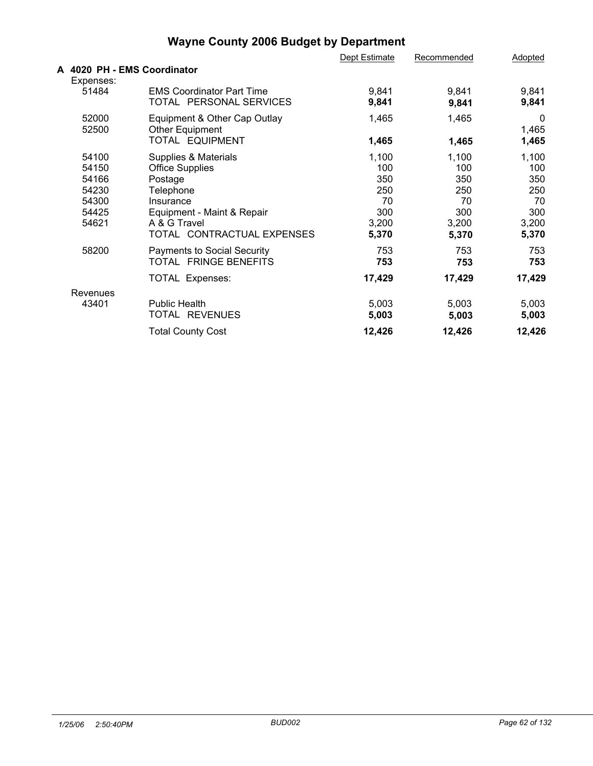|                                                                      |                                                                                                                                                                                                       | Dept Estimate                                                    | Recommended                                                      | <b>Adopted</b>                                                   |
|----------------------------------------------------------------------|-------------------------------------------------------------------------------------------------------------------------------------------------------------------------------------------------------|------------------------------------------------------------------|------------------------------------------------------------------|------------------------------------------------------------------|
| A 4020 PH - EMS Coordinator                                          |                                                                                                                                                                                                       |                                                                  |                                                                  |                                                                  |
| Expenses:<br>51484                                                   | <b>EMS Coordinator Part Time</b><br>TOTAL PERSONAL SERVICES                                                                                                                                           | 9,841<br>9,841                                                   | 9,841<br>9,841                                                   | 9,841<br>9,841                                                   |
| 52000<br>52500                                                       | Equipment & Other Cap Outlay<br>Other Equipment<br>TOTAL EQUIPMENT                                                                                                                                    | 1,465<br>1,465                                                   | 1,465<br>1,465                                                   | $\mathbf 0$<br>1,465<br>1,465                                    |
| 54100<br>54150<br>54166<br>54230<br>54300<br>54425<br>54621<br>58200 | Supplies & Materials<br><b>Office Supplies</b><br>Postage<br>Telephone<br>Insurance<br>Equipment - Maint & Repair<br>A & G Travel<br>TOTAL CONTRACTUAL EXPENSES<br><b>Payments to Social Security</b> | 1,100<br>100<br>350<br>250<br>70<br>300<br>3,200<br>5,370<br>753 | 1,100<br>100<br>350<br>250<br>70<br>300<br>3,200<br>5,370<br>753 | 1,100<br>100<br>350<br>250<br>70<br>300<br>3,200<br>5,370<br>753 |
|                                                                      | TOTAL FRINGE BENEFITS<br>TOTAL Expenses:                                                                                                                                                              | 753<br>17,429                                                    | 753<br>17,429                                                    | 753<br>17,429                                                    |
| Revenues<br>43401                                                    | <b>Public Health</b><br>TOTAL REVENUES                                                                                                                                                                | 5,003<br>5,003                                                   | 5,003<br>5,003                                                   | 5,003<br>5,003                                                   |
|                                                                      | <b>Total County Cost</b>                                                                                                                                                                              | 12,426                                                           | 12,426                                                           | 12,426                                                           |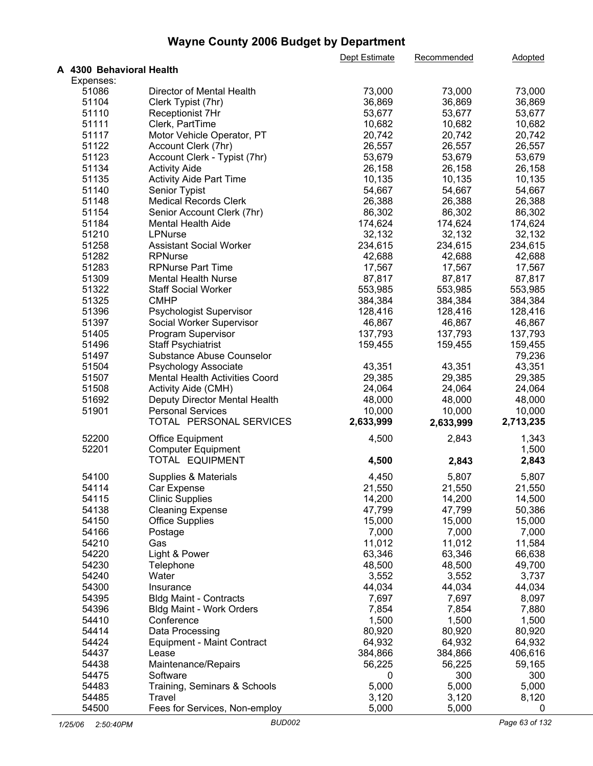|                          |                                   | Dept Estimate | Recommended | Adopted   |  |
|--------------------------|-----------------------------------|---------------|-------------|-----------|--|
| A 4300 Behavioral Health |                                   |               |             |           |  |
| Expenses:                |                                   |               |             |           |  |
| 51086                    | Director of Mental Health         | 73,000        | 73,000      | 73,000    |  |
| 51104                    | Clerk Typist (7hr)                | 36,869        | 36,869      | 36,869    |  |
| 51110                    | Receptionist 7Hr                  | 53,677        | 53,677      | 53,677    |  |
| 51111                    | Clerk, PartTime                   | 10,682        | 10,682      | 10,682    |  |
| 51117                    | Motor Vehicle Operator, PT        | 20,742        | 20,742      | 20,742    |  |
| 51122                    | Account Clerk (7hr)               | 26,557        | 26,557      | 26,557    |  |
| 51123                    | Account Clerk - Typist (7hr)      | 53,679        | 53,679      | 53,679    |  |
| 51134                    | <b>Activity Aide</b>              | 26,158        | 26,158      | 26,158    |  |
| 51135                    | <b>Activity Aide Part Time</b>    | 10,135        | 10,135      | 10,135    |  |
| 51140                    | Senior Typist                     | 54,667        | 54,667      | 54,667    |  |
| 51148                    | <b>Medical Records Clerk</b>      | 26,388        | 26,388      | 26,388    |  |
| 51154                    | Senior Account Clerk (7hr)        | 86,302        | 86,302      | 86,302    |  |
|                          |                                   |               |             |           |  |
| 51184                    | Mental Health Aide                | 174,624       | 174,624     | 174,624   |  |
| 51210                    | LPNurse                           | 32,132        | 32,132      | 32,132    |  |
| 51258                    | <b>Assistant Social Worker</b>    | 234,615       | 234,615     | 234,615   |  |
| 51282                    | <b>RPNurse</b>                    | 42,688        | 42,688      | 42,688    |  |
| 51283                    | <b>RPNurse Part Time</b>          | 17,567        | 17,567      | 17,567    |  |
| 51309                    | <b>Mental Health Nurse</b>        | 87,817        | 87,817      | 87,817    |  |
| 51322                    | <b>Staff Social Worker</b>        | 553,985       | 553,985     | 553,985   |  |
| 51325                    | <b>CMHP</b>                       | 384,384       | 384,384     | 384,384   |  |
| 51396                    | Psychologist Supervisor           | 128,416       | 128,416     | 128,416   |  |
| 51397                    | Social Worker Supervisor          | 46,867        | 46,867      | 46,867    |  |
| 51405                    | Program Supervisor                | 137,793       | 137,793     | 137,793   |  |
| 51496                    | <b>Staff Psychiatrist</b>         | 159,455       | 159,455     | 159,455   |  |
| 51497                    | Substance Abuse Counselor         |               |             | 79,236    |  |
| 51504                    | Psychology Associate              | 43,351        | 43,351      | 43,351    |  |
| 51507                    | Mental Health Activities Coord    | 29,385        | 29,385      | 29,385    |  |
| 51508                    | Activity Aide (CMH)               | 24,064        | 24,064      | 24,064    |  |
| 51692                    | Deputy Director Mental Health     | 48,000        | 48,000      | 48,000    |  |
| 51901                    | <b>Personal Services</b>          | 10,000        | 10,000      | 10,000    |  |
|                          | TOTAL PERSONAL SERVICES           | 2,633,999     | 2,633,999   | 2,713,235 |  |
|                          |                                   |               |             |           |  |
| 52200                    | Office Equipment                  | 4,500         | 2,843       | 1,343     |  |
| 52201                    | <b>Computer Equipment</b>         |               |             | 1,500     |  |
|                          | TOTAL EQUIPMENT                   | 4,500         | 2,843       | 2,843     |  |
| 54100                    | Supplies & Materials              | 4,450         | 5,807       | 5,807     |  |
|                          |                                   |               |             |           |  |
| 54114                    | Car Expense                       | 21,550        | 21,550      | 21,550    |  |
| 54115                    | <b>Clinic Supplies</b>            | 14,200        | 14,200      | 14,500    |  |
| 54138                    | <b>Cleaning Expense</b>           | 47,799        | 47,799      | 50,386    |  |
| 54150                    | <b>Office Supplies</b>            | 15,000        | 15,000      | 15,000    |  |
| 54166                    | Postage                           | 7,000         | 7,000       | 7,000     |  |
| 54210                    | Gas                               | 11,012        | 11,012      | 11,584    |  |
| 54220                    | Light & Power                     | 63,346        | 63,346      | 66,638    |  |
| 54230                    | Telephone                         | 48,500        | 48,500      | 49,700    |  |
| 54240                    | Water                             | 3,552         | 3,552       | 3,737     |  |
| 54300                    | Insurance                         | 44,034        | 44,034      | 44,034    |  |
| 54395                    | <b>Bldg Maint - Contracts</b>     | 7,697         | 7,697       | 8,097     |  |
| 54396                    | Bldg Maint - Work Orders          | 7,854         | 7,854       | 7,880     |  |
| 54410                    | Conference                        | 1,500         | 1,500       | 1,500     |  |
| 54414                    | Data Processing                   | 80,920        | 80,920      | 80,920    |  |
| 54424                    | <b>Equipment - Maint Contract</b> | 64,932        | 64,932      | 64,932    |  |
| 54437                    | Lease                             | 384,866       | 384,866     | 406,616   |  |
| 54438                    | Maintenance/Repairs               | 56,225        | 56,225      | 59,165    |  |
| 54475                    | Software                          | 0             | 300         | 300       |  |
| 54483                    | Training, Seminars & Schools      | 5,000         | 5,000       | 5,000     |  |
| 54485                    | Travel                            | 3,120         |             | 8,120     |  |
| 54500                    |                                   |               | 3,120       |           |  |
|                          | Fees for Services, Non-employ     | 5,000         | 5,000       | 0         |  |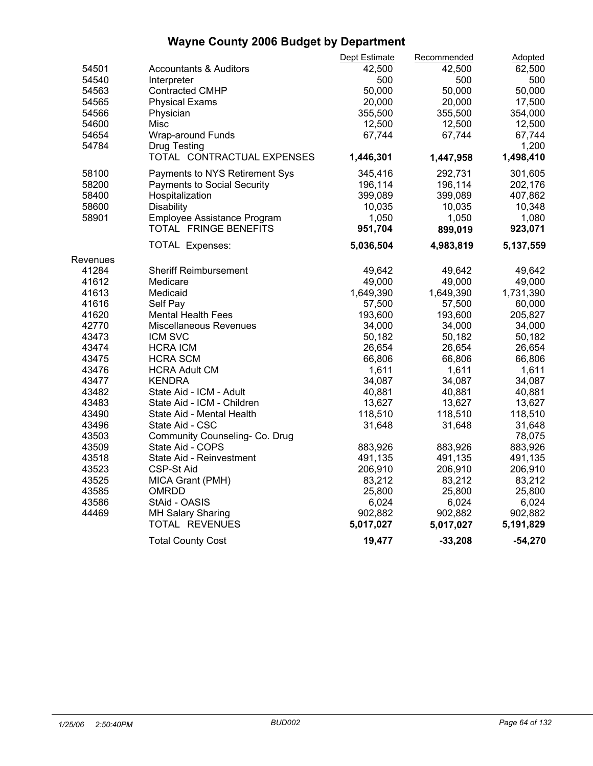|          |                                   | Dept Estimate | Recommended | Adopted   |  |
|----------|-----------------------------------|---------------|-------------|-----------|--|
| 54501    | <b>Accountants &amp; Auditors</b> | 42,500        | 42,500      | 62,500    |  |
| 54540    | Interpreter                       | 500           | 500         | 500       |  |
| 54563    | <b>Contracted CMHP</b>            | 50,000        | 50,000      | 50,000    |  |
| 54565    | <b>Physical Exams</b>             | 20,000        | 20,000      | 17,500    |  |
| 54566    | Physician                         | 355,500       | 355,500     | 354,000   |  |
| 54600    | Misc                              | 12,500        | 12,500      | 12,500    |  |
| 54654    | Wrap-around Funds                 | 67,744        | 67,744      | 67,744    |  |
| 54784    | Drug Testing                      |               |             | 1,200     |  |
|          | TOTAL CONTRACTUAL EXPENSES        | 1,446,301     | 1,447,958   | 1,498,410 |  |
| 58100    | Payments to NYS Retirement Sys    | 345,416       | 292,731     | 301,605   |  |
| 58200    | Payments to Social Security       | 196,114       | 196,114     | 202,176   |  |
| 58400    | Hospitalization                   | 399,089       | 399,089     | 407,862   |  |
| 58600    | Disability                        | 10,035        | 10,035      | 10,348    |  |
| 58901    | Employee Assistance Program       | 1,050         | 1,050       | 1,080     |  |
|          | TOTAL FRINGE BENEFITS             | 951,704       | 899,019     | 923,071   |  |
|          | <b>TOTAL Expenses:</b>            | 5,036,504     | 4,983,819   | 5,137,559 |  |
| Revenues |                                   |               |             |           |  |
| 41284    | <b>Sheriff Reimbursement</b>      | 49,642        | 49,642      | 49,642    |  |
| 41612    | Medicare                          | 49,000        | 49,000      | 49,000    |  |
| 41613    | Medicaid                          | 1,649,390     | 1,649,390   | 1,731,390 |  |
| 41616    | Self Pay                          | 57,500        | 57,500      | 60,000    |  |
| 41620    | <b>Mental Health Fees</b>         | 193,600       | 193,600     | 205,827   |  |
| 42770    | Miscellaneous Revenues            | 34,000        | 34,000      | 34,000    |  |
| 43473    | ICM SVC                           | 50,182        | 50,182      | 50,182    |  |
| 43474    | <b>HCRA ICM</b>                   | 26,654        | 26,654      | 26,654    |  |
| 43475    | <b>HCRA SCM</b>                   | 66,806        | 66,806      | 66,806    |  |
| 43476    | <b>HCRA Adult CM</b>              | 1,611         | 1,611       | 1,611     |  |
| 43477    | <b>KENDRA</b>                     | 34,087        | 34,087      | 34,087    |  |
| 43482    | State Aid - ICM - Adult           | 40,881        | 40,881      | 40,881    |  |
| 43483    | State Aid - ICM - Children        | 13,627        | 13,627      | 13,627    |  |
| 43490    | State Aid - Mental Health         | 118,510       | 118,510     | 118,510   |  |
| 43496    | State Aid - CSC                   | 31,648        | 31,648      | 31,648    |  |
| 43503    | Community Counseling- Co. Drug    |               |             | 78,075    |  |
| 43509    | State Aid - COPS                  | 883,926       | 883,926     | 883,926   |  |
| 43518    | State Aid - Reinvestment          | 491,135       | 491,135     | 491,135   |  |
| 43523    | <b>CSP-St Aid</b>                 | 206,910       | 206,910     | 206,910   |  |
| 43525    | MICA Grant (PMH)                  | 83,212        | 83,212      | 83,212    |  |
| 43585    | <b>OMRDD</b>                      | 25,800        | 25,800      | 25,800    |  |
| 43586    | StAid - OASIS                     | 6,024         | 6,024       | 6,024     |  |
| 44469    | <b>MH Salary Sharing</b>          | 902,882       | 902,882     | 902,882   |  |
|          | TOTAL REVENUES                    | 5,017,027     | 5,017,027   | 5,191,829 |  |
|          | <b>Total County Cost</b>          | 19,477        | $-33,208$   | $-54,270$ |  |
|          |                                   |               |             |           |  |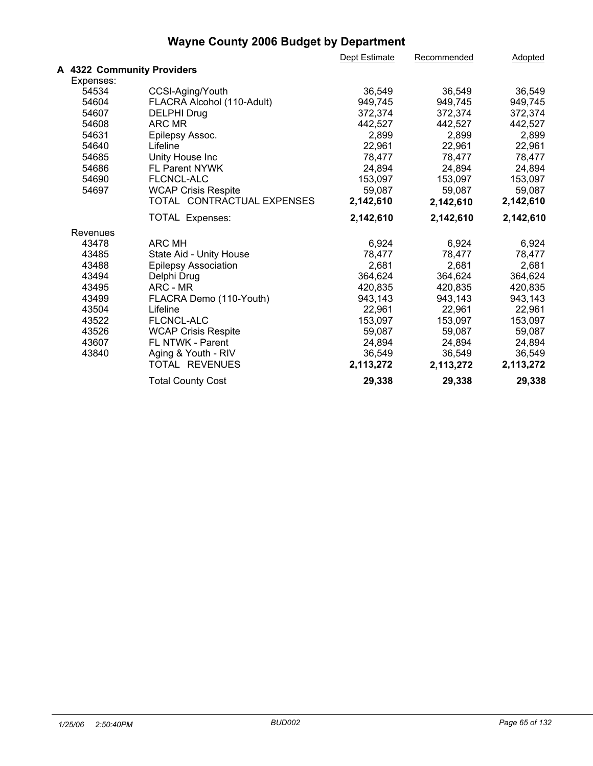|           |                             | Dept Estimate | Recommended | Adopted   |  |
|-----------|-----------------------------|---------------|-------------|-----------|--|
|           | A 4322 Community Providers  |               |             |           |  |
| Expenses: |                             |               |             |           |  |
| 54534     | CCSI-Aging/Youth            | 36,549        | 36,549      | 36,549    |  |
| 54604     | FLACRA Alcohol (110-Adult)  | 949,745       | 949,745     | 949,745   |  |
| 54607     | <b>DELPHI Drug</b>          | 372,374       | 372,374     | 372,374   |  |
| 54608     | ARC MR                      | 442,527       | 442,527     | 442,527   |  |
| 54631     | Epilepsy Assoc.             | 2,899         | 2,899       | 2,899     |  |
| 54640     | Lifeline                    | 22,961        | 22,961      | 22,961    |  |
| 54685     | Unity House Inc             | 78,477        | 78,477      | 78,477    |  |
| 54686     | <b>FL Parent NYWK</b>       | 24,894        | 24,894      | 24,894    |  |
| 54690     | FLCNCL-ALC                  | 153,097       | 153,097     | 153,097   |  |
| 54697     | <b>WCAP Crisis Respite</b>  | 59,087        | 59,087      | 59,087    |  |
|           | TOTAL CONTRACTUAL EXPENSES  | 2,142,610     | 2,142,610   | 2,142,610 |  |
|           | <b>TOTAL Expenses:</b>      | 2,142,610     | 2,142,610   | 2,142,610 |  |
| Revenues  |                             |               |             |           |  |
| 43478     | <b>ARC MH</b>               | 6,924         | 6,924       | 6,924     |  |
| 43485     | State Aid - Unity House     | 78,477        | 78,477      | 78,477    |  |
| 43488     | <b>Epilepsy Association</b> | 2,681         | 2,681       | 2,681     |  |
| 43494     | Delphi Drug                 | 364,624       | 364,624     | 364,624   |  |
| 43495     | ARC - MR                    | 420,835       | 420,835     | 420,835   |  |
| 43499     | FLACRA Demo (110-Youth)     | 943,143       | 943,143     | 943,143   |  |
| 43504     | Lifeline                    | 22,961        | 22,961      | 22,961    |  |
| 43522     | <b>FLCNCL-ALC</b>           | 153,097       | 153,097     | 153,097   |  |
| 43526     | <b>WCAP Crisis Respite</b>  | 59,087        | 59,087      | 59,087    |  |
| 43607     | FL NTWK - Parent            | 24,894        | 24,894      | 24,894    |  |
| 43840     | Aging & Youth - RIV         | 36,549        | 36,549      | 36,549    |  |
|           | TOTAL REVENUES              | 2,113,272     | 2,113,272   | 2,113,272 |  |
|           | <b>Total County Cost</b>    | 29,338        | 29,338      | 29,338    |  |
|           |                             |               |             |           |  |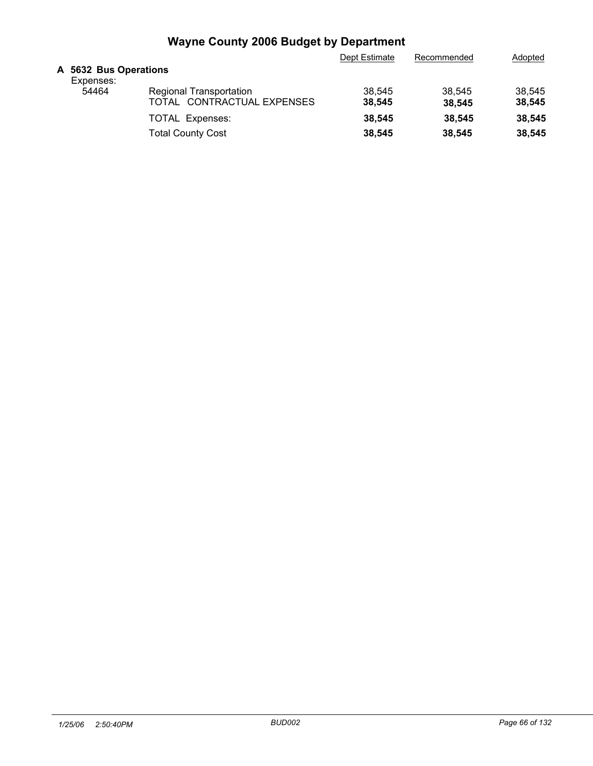|                                    |                            | Dept Estimate | Recommended | Adopted |
|------------------------------------|----------------------------|---------------|-------------|---------|
| A 5632 Bus Operations<br>Expenses: |                            |               |             |         |
| 54464                              | Regional Transportation    | 38,545        | 38.545      | 38.545  |
|                                    | TOTAL CONTRACTUAL EXPENSES | 38.545        | 38.545      | 38,545  |
|                                    | <b>TOTAL Expenses:</b>     | 38.545        | 38.545      | 38,545  |
|                                    | <b>Total County Cost</b>   | 38,545        | 38.545      | 38,545  |
|                                    |                            |               |             |         |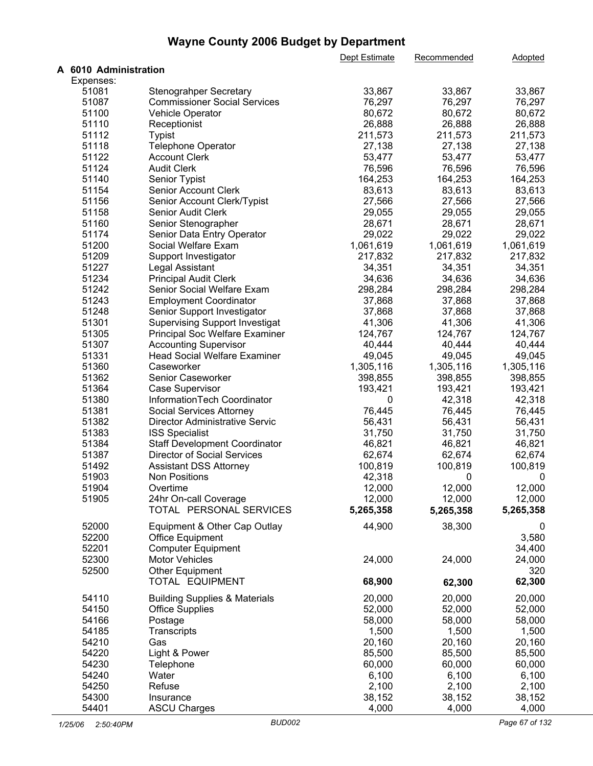|                       |                                                    | Dept Estimate | Recommended | Adopted   |  |
|-----------------------|----------------------------------------------------|---------------|-------------|-----------|--|
| A 6010 Administration |                                                    |               |             |           |  |
| Expenses:             |                                                    |               |             |           |  |
| 51081                 | <b>Stenograhper Secretary</b>                      | 33,867        | 33,867      | 33,867    |  |
| 51087                 | <b>Commissioner Social Services</b>                | 76,297        | 76,297      | 76,297    |  |
| 51100                 | Vehicle Operator                                   | 80,672        | 80,672      | 80,672    |  |
| 51110                 | Receptionist                                       | 26,888        | 26,888      | 26,888    |  |
| 51112                 | <b>Typist</b>                                      | 211,573       | 211,573     | 211,573   |  |
| 51118                 | Telephone Operator                                 | 27,138        | 27,138      | 27,138    |  |
| 51122                 | <b>Account Clerk</b>                               | 53,477        | 53,477      | 53,477    |  |
| 51124                 | <b>Audit Clerk</b>                                 | 76,596        | 76,596      | 76,596    |  |
| 51140                 | Senior Typist                                      | 164,253       | 164,253     | 164,253   |  |
| 51154                 | Senior Account Clerk                               | 83,613        | 83,613      | 83,613    |  |
| 51156                 | Senior Account Clerk/Typist                        | 27,566        | 27,566      | 27,566    |  |
| 51158                 | Senior Audit Clerk                                 | 29,055        | 29,055      | 29,055    |  |
|                       |                                                    |               |             |           |  |
| 51160                 | Senior Stenographer                                | 28,671        | 28,671      | 28,671    |  |
| 51174                 | Senior Data Entry Operator                         | 29,022        | 29,022      | 29,022    |  |
| 51200                 | Social Welfare Exam                                | 1,061,619     | 1,061,619   | 1,061,619 |  |
| 51209                 | Support Investigator                               | 217,832       | 217,832     | 217,832   |  |
| 51227                 | Legal Assistant                                    | 34,351        | 34,351      | 34,351    |  |
| 51234                 | <b>Principal Audit Clerk</b>                       | 34,636        | 34,636      | 34,636    |  |
| 51242                 | Senior Social Welfare Exam                         | 298,284       | 298,284     | 298,284   |  |
| 51243                 | <b>Employment Coordinator</b>                      | 37,868        | 37,868      | 37,868    |  |
| 51248                 | Senior Support Investigator                        | 37,868        | 37,868      | 37,868    |  |
| 51301                 | <b>Supervising Support Investigat</b>              | 41,306        | 41,306      | 41,306    |  |
| 51305                 | Principal Soc Welfare Examiner                     | 124,767       | 124,767     | 124,767   |  |
| 51307                 | <b>Accounting Supervisor</b>                       | 40,444        | 40,444      | 40,444    |  |
| 51331                 | <b>Head Social Welfare Examiner</b>                | 49,045        | 49,045      | 49,045    |  |
| 51360                 | Caseworker                                         | 1,305,116     | 1,305,116   | 1,305,116 |  |
| 51362                 | Senior Caseworker                                  | 398,855       | 398,855     | 398,855   |  |
| 51364                 | Case Supervisor                                    | 193,421       | 193,421     | 193,421   |  |
| 51380                 | InformationTech Coordinator                        | 0             | 42,318      | 42,318    |  |
| 51381                 |                                                    | 76,445        | 76,445      | 76,445    |  |
|                       | Social Services Attorney                           |               |             |           |  |
| 51382                 | Director Administrative Servic                     | 56,431        | 56,431      | 56,431    |  |
| 51383                 | <b>ISS Specialist</b>                              | 31,750        | 31,750      | 31,750    |  |
| 51384                 | <b>Staff Development Coordinator</b>               | 46,821        | 46,821      | 46,821    |  |
| 51387                 | <b>Director of Social Services</b>                 | 62,674        | 62,674      | 62,674    |  |
| 51492                 | <b>Assistant DSS Attorney</b>                      | 100,819       | 100,819     | 100,819   |  |
| 51903                 | <b>Non Positions</b>                               | 42,318        | 0           | 0         |  |
| 51904                 | Overtime                                           | 12,000        | 12,000      | 12,000    |  |
| 51905                 | 24hr On-call Coverage                              | 12,000        | 12,000      | 12,000    |  |
|                       | TOTAL PERSONAL SERVICES                            | 5,265,358     | 5,265,358   | 5,265,358 |  |
| 52000                 | Equipment & Other Cap Outlay                       | 44,900        | 38,300      | 0         |  |
| 52200                 | <b>Office Equipment</b>                            |               |             | 3,580     |  |
| 52201                 |                                                    |               |             | 34,400    |  |
|                       | <b>Computer Equipment</b><br><b>Motor Vehicles</b> |               |             |           |  |
| 52300                 |                                                    | 24,000        | 24,000      | 24,000    |  |
| 52500                 | <b>Other Equipment</b>                             |               |             | 320       |  |
|                       | TOTAL EQUIPMENT                                    | 68,900        | 62,300      | 62,300    |  |
| 54110                 | <b>Building Supplies &amp; Materials</b>           | 20,000        | 20,000      | 20,000    |  |
| 54150                 | <b>Office Supplies</b>                             | 52,000        | 52,000      | 52,000    |  |
| 54166                 | Postage                                            | 58,000        | 58,000      | 58,000    |  |
| 54185                 | Transcripts                                        | 1,500         | 1,500       | 1,500     |  |
| 54210                 | Gas                                                | 20,160        | 20,160      | 20,160    |  |
|                       |                                                    |               |             |           |  |
| 54220                 | Light & Power                                      | 85,500        | 85,500      | 85,500    |  |
| 54230                 | Telephone                                          | 60,000        | 60,000      | 60,000    |  |
| 54240                 | Water                                              | 6,100         | 6,100       | 6,100     |  |
| 54250                 | Refuse                                             | 2,100         | 2,100       | 2,100     |  |
| 54300                 | Insurance                                          | 38,152        | 38,152      | 38,152    |  |
| 54401                 | <b>ASCU Charges</b>                                | 4,000         | 4,000       | 4,000     |  |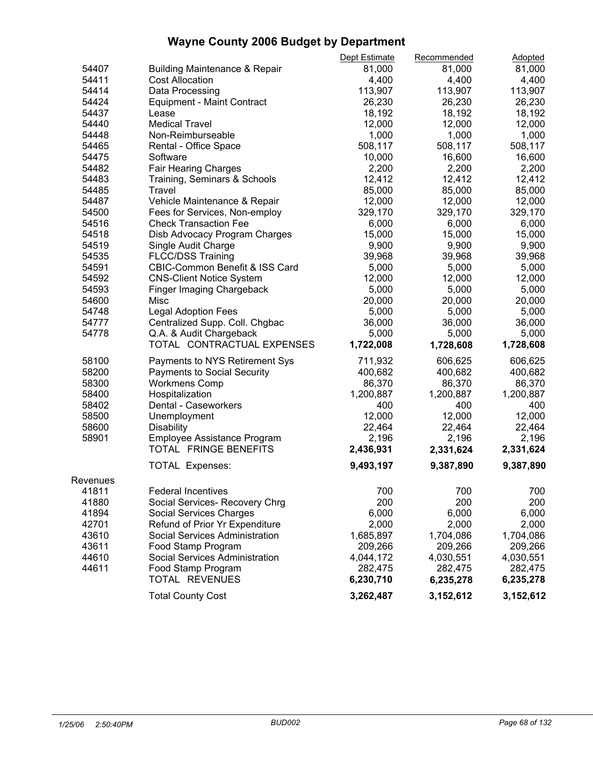|          |                                                                   | Dept Estimate | Recommended | Adopted   |  |
|----------|-------------------------------------------------------------------|---------------|-------------|-----------|--|
| 54407    | <b>Building Maintenance &amp; Repair</b>                          | 81,000        | 81,000      | 81,000    |  |
| 54411    | <b>Cost Allocation</b>                                            | 4,400         | 4,400       | 4,400     |  |
| 54414    | Data Processing                                                   | 113,907       | 113,907     | 113,907   |  |
| 54424    | <b>Equipment - Maint Contract</b>                                 | 26,230        | 26,230      | 26,230    |  |
| 54437    | Lease                                                             | 18,192        | 18,192      | 18,192    |  |
| 54440    | <b>Medical Travel</b>                                             | 12,000        | 12,000      | 12,000    |  |
| 54448    | Non-Reimburseable                                                 | 1,000         | 1,000       | 1,000     |  |
| 54465    | Rental - Office Space                                             | 508,117       | 508,117     | 508,117   |  |
| 54475    | Software                                                          | 10,000        | 16,600      | 16,600    |  |
| 54482    | Fair Hearing Charges                                              | 2,200         | 2,200       | 2,200     |  |
| 54483    | Training, Seminars & Schools                                      | 12,412        | 12,412      | 12,412    |  |
| 54485    | Travel                                                            | 85,000        | 85,000      | 85,000    |  |
| 54487    | Vehicle Maintenance & Repair                                      | 12,000        | 12,000      | 12,000    |  |
| 54500    | Fees for Services, Non-employ                                     | 329,170       | 329,170     | 329,170   |  |
| 54516    | <b>Check Transaction Fee</b>                                      | 6,000         | 6,000       | 6,000     |  |
| 54518    | Disb Advocacy Program Charges                                     | 15,000        | 15,000      | 15,000    |  |
| 54519    | Single Audit Charge                                               | 9,900         | 9,900       | 9,900     |  |
| 54535    | <b>FLCC/DSS Training</b>                                          | 39,968        | 39,968      | 39,968    |  |
| 54591    |                                                                   | 5,000         | 5,000       | 5,000     |  |
| 54592    | CBIC-Common Benefit & ISS Card<br><b>CNS-Client Notice System</b> | 12,000        | 12,000      | 12,000    |  |
|          |                                                                   |               |             |           |  |
| 54593    | Finger Imaging Chargeback                                         | 5,000         | 5,000       | 5,000     |  |
| 54600    | Misc                                                              | 20,000        | 20,000      | 20,000    |  |
| 54748    | <b>Legal Adoption Fees</b>                                        | 5,000         | 5,000       | 5,000     |  |
| 54777    | Centralized Supp. Coll. Chgbac                                    | 36,000        | 36,000      | 36,000    |  |
| 54778    | Q.A. & Audit Chargeback                                           | 5,000         | 5,000       | 5,000     |  |
|          | TOTAL CONTRACTUAL EXPENSES                                        | 1,722,008     | 1,728,608   | 1,728,608 |  |
| 58100    | Payments to NYS Retirement Sys                                    | 711,932       | 606,625     | 606,625   |  |
| 58200    | <b>Payments to Social Security</b>                                | 400,682       | 400,682     | 400,682   |  |
| 58300    | <b>Workmens Comp</b>                                              | 86,370        | 86,370      | 86,370    |  |
| 58400    | Hospitalization                                                   | 1,200,887     | 1,200,887   | 1,200,887 |  |
| 58402    | Dental - Caseworkers                                              | 400           | 400         | 400       |  |
| 58500    | Unemployment                                                      | 12,000        | 12,000      | 12,000    |  |
| 58600    | <b>Disability</b>                                                 | 22,464        | 22,464      | 22,464    |  |
| 58901    | Employee Assistance Program                                       | 2,196         | 2,196       | 2,196     |  |
|          | TOTAL FRINGE BENEFITS                                             | 2,436,931     | 2,331,624   | 2,331,624 |  |
|          |                                                                   |               |             |           |  |
|          | TOTAL Expenses:                                                   | 9,493,197     | 9,387,890   | 9,387,890 |  |
| Revenues |                                                                   |               |             |           |  |
| 41811    | <b>Federal Incentives</b>                                         | 700           | 700         | 700       |  |
| 41880    | Social Services- Recovery Chrg                                    | 200           | 200         | 200       |  |
| 41894    | <b>Social Services Charges</b>                                    | 6,000         | 6,000       | 6,000     |  |
| 42701    | Refund of Prior Yr Expenditure                                    | 2,000         | 2,000       | 2,000     |  |
| 43610    | Social Services Administration                                    | 1,685,897     | 1,704,086   | 1,704,086 |  |
| 43611    | Food Stamp Program                                                | 209,266       | 209,266     | 209,266   |  |
| 44610    | Social Services Administration                                    | 4,044,172     | 4,030,551   | 4,030,551 |  |
| 44611    | Food Stamp Program                                                | 282,475       | 282,475     | 282,475   |  |
|          | TOTAL REVENUES                                                    | 6,230,710     | 6,235,278   | 6,235,278 |  |
|          |                                                                   |               |             |           |  |
|          | <b>Total County Cost</b>                                          | 3,262,487     | 3,152,612   | 3,152,612 |  |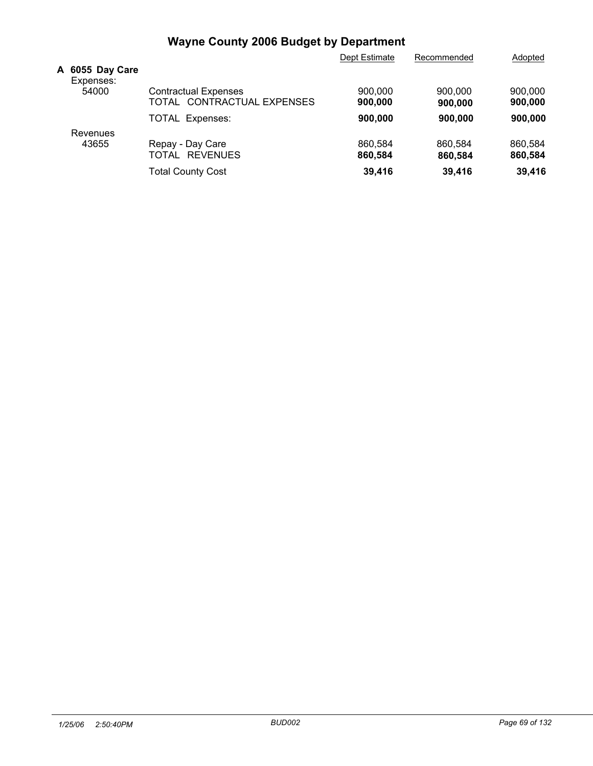|                              |                                                           | Dept Estimate      | Recommended        | Adopted            |
|------------------------------|-----------------------------------------------------------|--------------------|--------------------|--------------------|
| A 6055 Day Care<br>Expenses: |                                                           |                    |                    |                    |
| 54000                        | <b>Contractual Expenses</b><br>TOTAL CONTRACTUAL EXPENSES | 900,000<br>900,000 | 900,000<br>900,000 | 900,000<br>900,000 |
|                              | <b>TOTAL Expenses:</b>                                    | 900,000            | 900,000            | 900,000            |
| Revenues                     |                                                           |                    |                    |                    |
| 43655                        | Repay - Day Care<br>TOTAL REVENUES                        | 860.584<br>860,584 | 860.584<br>860,584 | 860.584<br>860,584 |
|                              | <b>Total County Cost</b>                                  | 39,416             | 39,416             | 39,416             |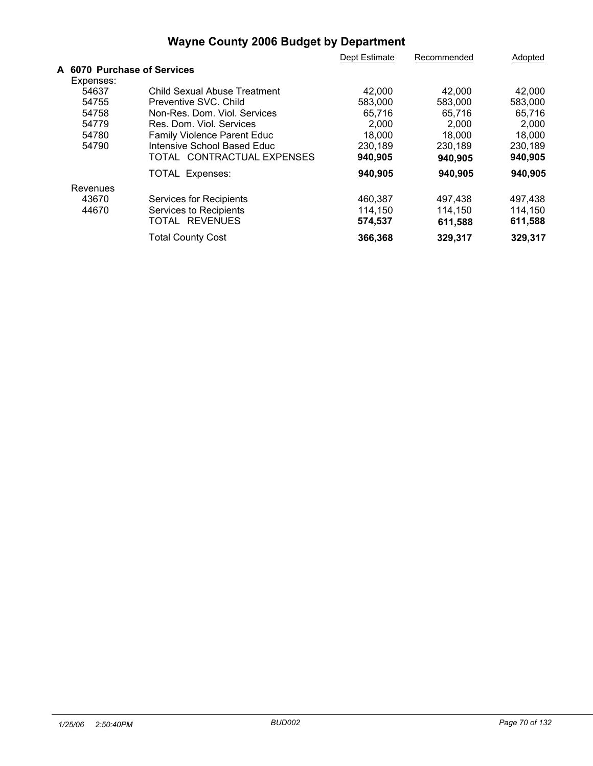|                             |                                    | Dept Estimate | Recommended | Adopted |  |
|-----------------------------|------------------------------------|---------------|-------------|---------|--|
| A 6070 Purchase of Services |                                    |               |             |         |  |
| Expenses:                   |                                    |               |             |         |  |
| 54637                       | Child Sexual Abuse Treatment       | 42,000        | 42.000      | 42,000  |  |
| 54755                       | Preventive SVC, Child              | 583,000       | 583,000     | 583,000 |  |
| 54758                       | Non-Res. Dom. Viol. Services       | 65,716        | 65,716      | 65,716  |  |
| 54779                       | Res. Dom. Viol. Services           | 2,000         | 2,000       | 2,000   |  |
| 54780                       | <b>Family Violence Parent Educ</b> | 18,000        | 18,000      | 18,000  |  |
| 54790                       | Intensive School Based Educ        | 230,189       | 230.189     | 230.189 |  |
|                             | TOTAL CONTRACTUAL EXPENSES         | 940,905       | 940,905     | 940,905 |  |
|                             | <b>TOTAL Expenses:</b>             | 940,905       | 940,905     | 940,905 |  |
| Revenues                    |                                    |               |             |         |  |
| 43670                       | <b>Services for Recipients</b>     | 460,387       | 497,438     | 497,438 |  |
| 44670                       | Services to Recipients             | 114,150       | 114.150     | 114,150 |  |
|                             | TOTAL REVENUES                     | 574,537       | 611,588     | 611,588 |  |
|                             | <b>Total County Cost</b>           | 366,368       | 329,317     | 329,317 |  |
|                             |                                    |               |             |         |  |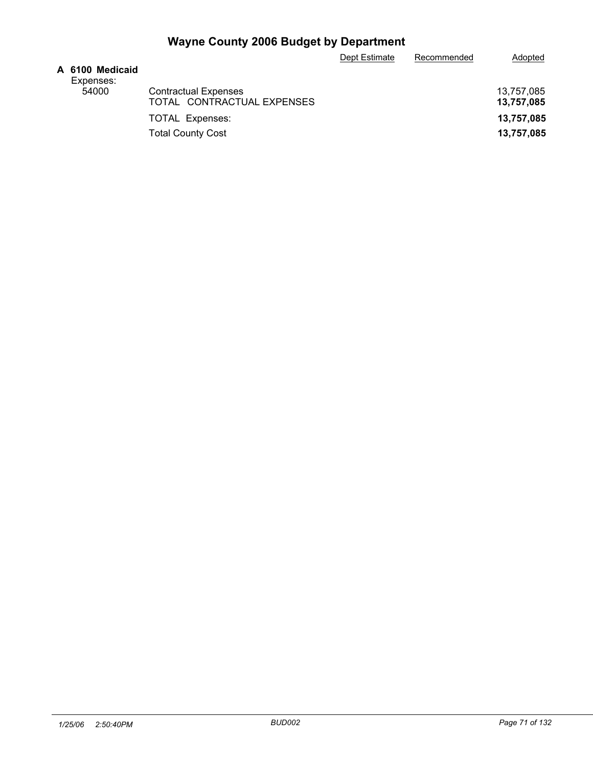|           | A 6100 Medicaid |
|-----------|-----------------|
| Expenses: |                 |
|           | 54000           |

| A 6100 Medicaid<br>Expenses: |                             |            |
|------------------------------|-----------------------------|------------|
| 54000                        | <b>Contractual Expenses</b> | 13.757.085 |
|                              | TOTAL CONTRACTUAL EXPENSES  | 13,757,085 |
|                              | <b>TOTAL Expenses:</b>      | 13,757,085 |
|                              | <b>Total County Cost</b>    | 13,757,085 |

Dept Estimate Recommended Adopted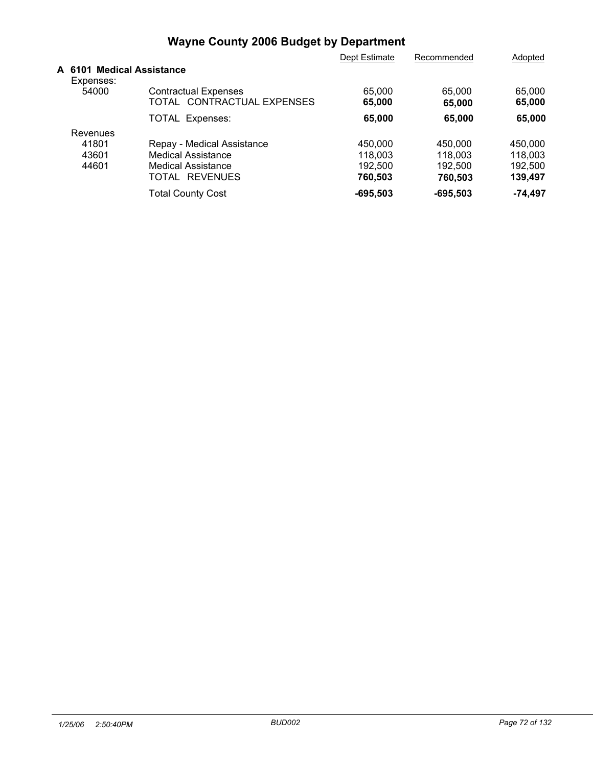|                                        |                                                           | Dept Estimate    | Recommended      | Adopted          |
|----------------------------------------|-----------------------------------------------------------|------------------|------------------|------------------|
| A 6101 Medical Assistance<br>Expenses: |                                                           |                  |                  |                  |
| 54000                                  | <b>Contractual Expenses</b><br>TOTAL CONTRACTUAL EXPENSES | 65,000<br>65,000 | 65,000<br>65,000 | 65,000<br>65,000 |
|                                        | <b>TOTAL Expenses:</b>                                    | 65,000           | 65,000           | 65,000           |
| Revenues                               |                                                           |                  |                  |                  |
| 41801                                  | Repay - Medical Assistance                                | 450,000          | 450,000          | 450,000          |
| 43601                                  | <b>Medical Assistance</b>                                 | 118,003          | 118.003          | 118,003          |
| 44601                                  | Medical Assistance                                        | 192.500          | 192.500          | 192.500          |
|                                        | <b>REVENUES</b><br>TOTAL                                  | 760,503          | 760,503          | 139,497          |
|                                        | <b>Total County Cost</b>                                  | $-695,503$       | $-695,503$       | -74,497          |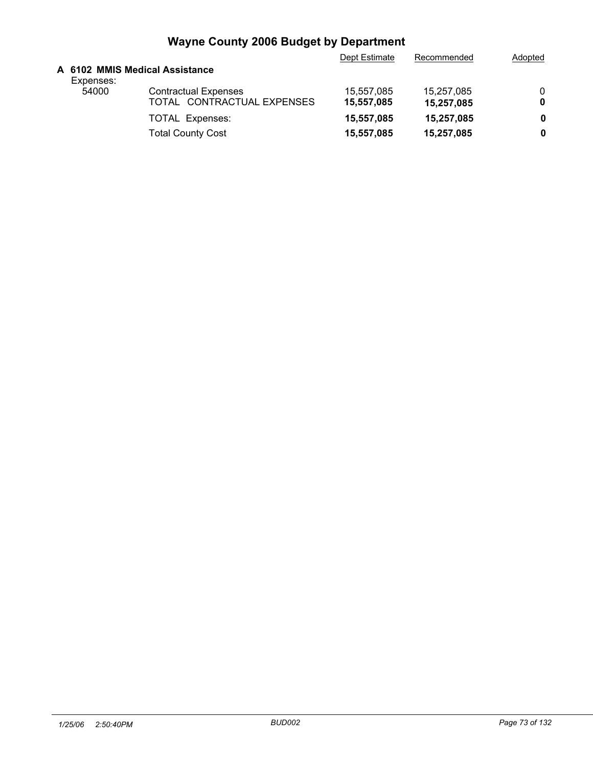|           |                                | Dept Estimate | Recommended | Adopted |
|-----------|--------------------------------|---------------|-------------|---------|
| Expenses: | A 6102 MMIS Medical Assistance |               |             |         |
| 54000     | <b>Contractual Expenses</b>    | 15.557.085    | 15.257.085  | 0       |
|           | TOTAL CONTRACTUAL EXPENSES     | 15,557,085    | 15,257,085  | 0       |
|           | <b>TOTAL Expenses:</b>         | 15,557,085    | 15,257,085  | 0       |
|           | <b>Total County Cost</b>       | 15,557,085    | 15,257,085  | 0       |
|           |                                |               |             |         |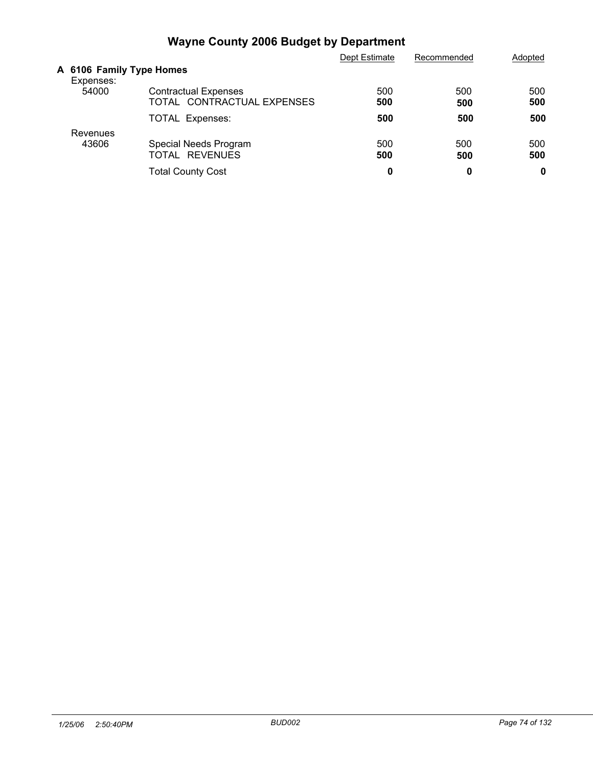|                                       |                                                           | Dept Estimate | Recommended | Adopted    |
|---------------------------------------|-----------------------------------------------------------|---------------|-------------|------------|
| A 6106 Family Type Homes<br>Expenses: |                                                           |               |             |            |
| 54000                                 | <b>Contractual Expenses</b><br>TOTAL CONTRACTUAL EXPENSES | 500<br>500    | 500<br>500  | 500<br>500 |
|                                       | <b>TOTAL Expenses:</b>                                    | 500           | 500         | 500        |
| Revenues<br>43606                     | Special Needs Program<br>TOTAL REVENUES                   | 500<br>500    | 500<br>500  | 500<br>500 |
|                                       | <b>Total County Cost</b>                                  | 0             | 0           | 0          |
|                                       |                                                           |               |             |            |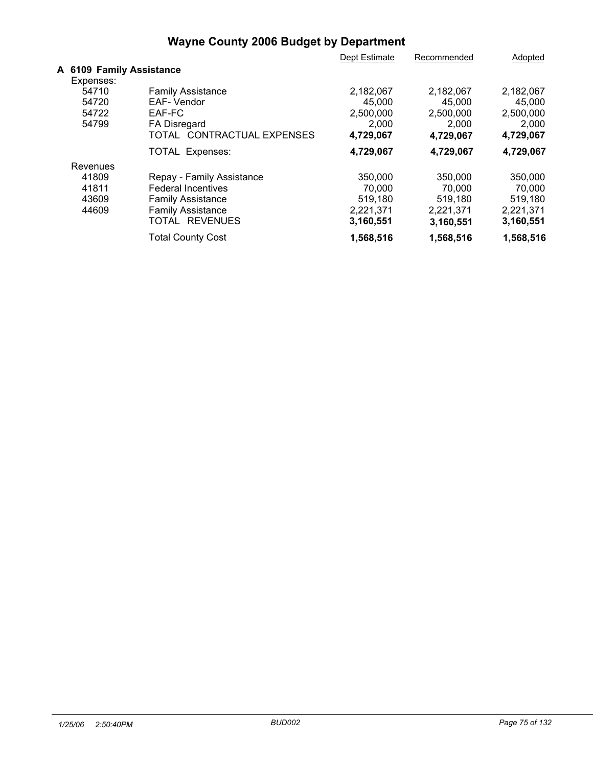|                                       |                            | Dept Estimate | Recommended | Adopted   |  |
|---------------------------------------|----------------------------|---------------|-------------|-----------|--|
| A 6109 Family Assistance<br>Expenses: |                            |               |             |           |  |
| 54710                                 | <b>Family Assistance</b>   | 2,182,067     | 2,182,067   | 2,182,067 |  |
| 54720                                 | EAF-Vendor                 | 45.000        | 45.000      | 45,000    |  |
| 54722                                 | EAF-FC                     | 2,500,000     | 2,500,000   | 2,500,000 |  |
| 54799                                 | FA Disregard               | 2,000         | 2,000       | 2.000     |  |
|                                       | TOTAL CONTRACTUAL EXPENSES | 4,729,067     | 4,729,067   | 4,729,067 |  |
|                                       | TOTAL Expenses:            | 4,729,067     | 4,729,067   | 4,729,067 |  |
| Revenues                              |                            |               |             |           |  |
| 41809                                 | Repay - Family Assistance  | 350,000       | 350,000     | 350,000   |  |
| 41811                                 | <b>Federal Incentives</b>  | 70.000        | 70.000      | 70.000    |  |
| 43609                                 | <b>Family Assistance</b>   | 519,180       | 519,180     | 519.180   |  |
| 44609                                 | <b>Family Assistance</b>   | 2,221,371     | 2,221,371   | 2,221,371 |  |
|                                       | TOTAL REVENUES             | 3,160,551     | 3,160,551   | 3,160,551 |  |
|                                       | <b>Total County Cost</b>   | 1,568,516     | 1,568,516   | 1,568,516 |  |
|                                       |                            |               |             |           |  |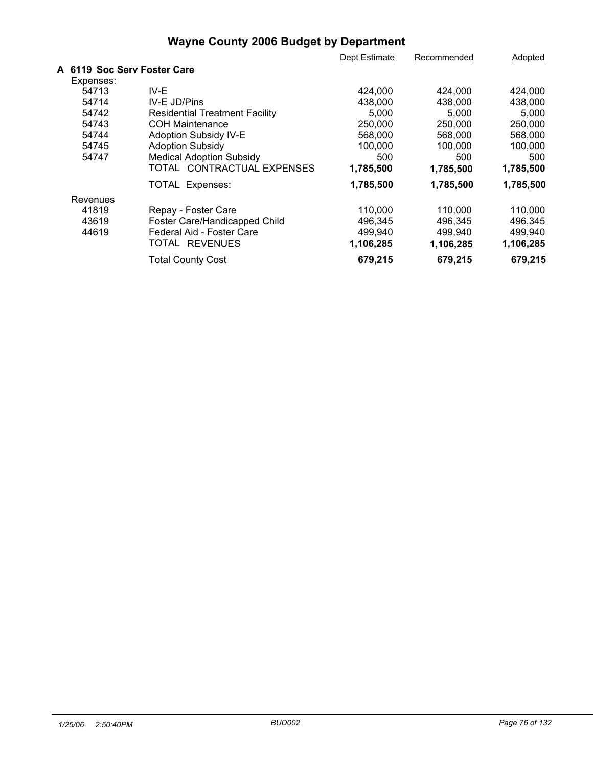|                             |                                       | Dept Estimate | Recommended | Adopted   |  |
|-----------------------------|---------------------------------------|---------------|-------------|-----------|--|
| A 6119 Soc Serv Foster Care |                                       |               |             |           |  |
| Expenses:                   |                                       |               |             |           |  |
| 54713                       | IV-E                                  | 424,000       | 424,000     | 424,000   |  |
| 54714                       | IV-E JD/Pins                          | 438,000       | 438,000     | 438,000   |  |
| 54742                       | <b>Residential Treatment Facility</b> | 5,000         | 5,000       | 5,000     |  |
| 54743                       | <b>COH Maintenance</b>                | 250,000       | 250,000     | 250,000   |  |
| 54744                       | Adoption Subsidy IV-E                 | 568,000       | 568,000     | 568,000   |  |
| 54745                       | <b>Adoption Subsidy</b>               | 100,000       | 100,000     | 100,000   |  |
| 54747                       | <b>Medical Adoption Subsidy</b>       | 500           | 500         | 500       |  |
|                             | TOTAL CONTRACTUAL EXPENSES            | 1,785,500     | 1,785,500   | 1,785,500 |  |
|                             | <b>TOTAL Expenses:</b>                | 1,785,500     | 1,785,500   | 1,785,500 |  |
| Revenues                    |                                       |               |             |           |  |
| 41819                       | Repay - Foster Care                   | 110,000       | 110,000     | 110,000   |  |
| 43619                       | Foster Care/Handicapped Child         | 496,345       | 496,345     | 496,345   |  |
| 44619                       | Federal Aid - Foster Care             | 499,940       | 499,940     | 499,940   |  |
|                             | TOTAL REVENUES                        | 1,106,285     | 1,106,285   | 1,106,285 |  |
|                             | <b>Total County Cost</b>              | 679,215       | 679,215     | 679,215   |  |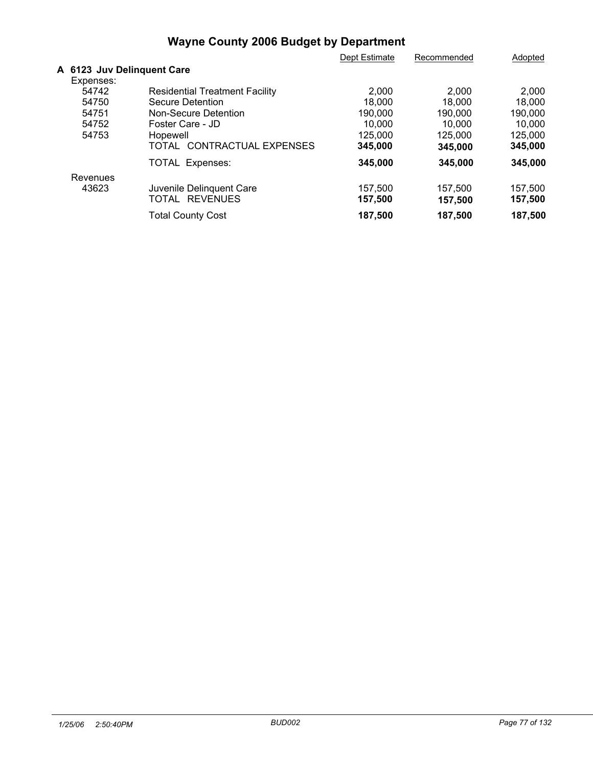|           |                                       | Dept Estimate | Recommended | Adopted |  |
|-----------|---------------------------------------|---------------|-------------|---------|--|
|           | A 6123 Juv Delinquent Care            |               |             |         |  |
| Expenses: |                                       |               |             |         |  |
| 54742     | <b>Residential Treatment Facility</b> | 2,000         | 2.000       | 2,000   |  |
| 54750     | Secure Detention                      | 18,000        | 18,000      | 18,000  |  |
| 54751     | Non-Secure Detention                  | 190,000       | 190.000     | 190,000 |  |
| 54752     | Foster Care - JD                      | 10,000        | 10,000      | 10,000  |  |
| 54753     | Hopewell                              | 125,000       | 125,000     | 125,000 |  |
|           | TOTAL CONTRACTUAL EXPENSES            | 345,000       | 345,000     | 345,000 |  |
|           | TOTAL Expenses:                       | 345,000       | 345,000     | 345,000 |  |
| Revenues  |                                       |               |             |         |  |
| 43623     | Juvenile Delinquent Care              | 157,500       | 157,500     | 157,500 |  |
|           | TOTAL REVENUES                        | 157,500       | 157,500     | 157,500 |  |
|           | <b>Total County Cost</b>              | 187,500       | 187,500     | 187,500 |  |
|           |                                       |               |             |         |  |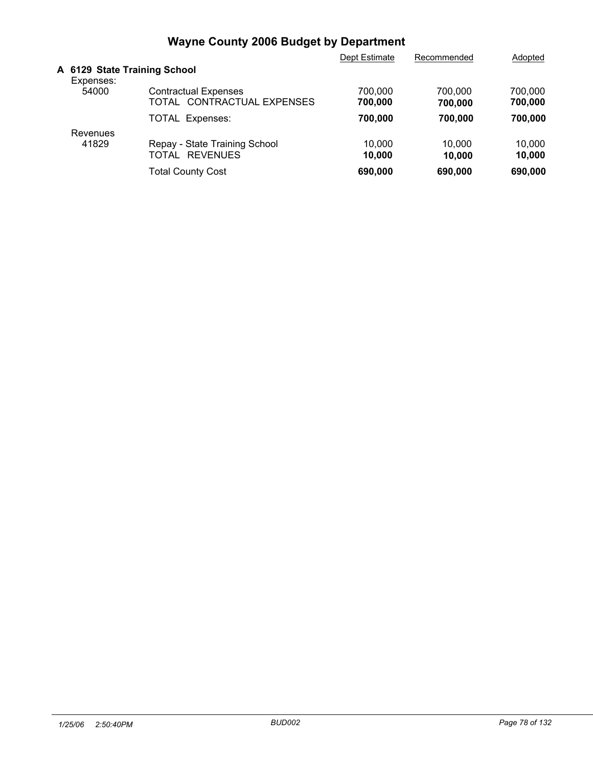|                                           |                                                           | Dept Estimate      | Recommended        | Adopted            |
|-------------------------------------------|-----------------------------------------------------------|--------------------|--------------------|--------------------|
| A 6129 State Training School<br>Expenses: |                                                           |                    |                    |                    |
| 54000                                     | <b>Contractual Expenses</b><br>TOTAL CONTRACTUAL EXPENSES | 700.000<br>700.000 | 700.000<br>700,000 | 700.000<br>700,000 |
|                                           | <b>TOTAL Expenses:</b>                                    | 700.000            | 700.000            | 700.000            |
| Revenues                                  |                                                           |                    |                    |                    |
| 41829                                     | Repay - State Training School<br><b>REVENUES</b><br>TOTAL | 10,000<br>10.000   | 10.000<br>10.000   | 10.000<br>10,000   |
|                                           | <b>Total County Cost</b>                                  | 690,000            | 690,000            | 690,000            |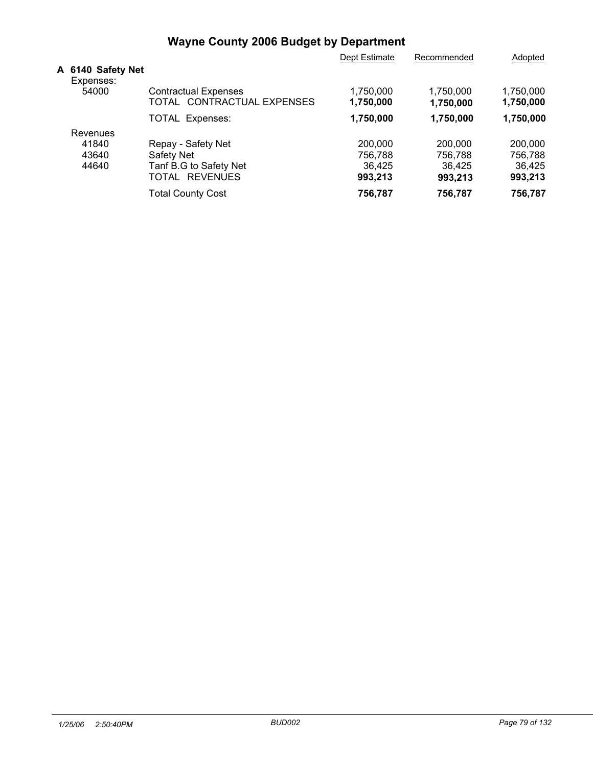|                                |                                                           | Dept Estimate          | Recommended            | Adopted                |
|--------------------------------|-----------------------------------------------------------|------------------------|------------------------|------------------------|
| A 6140 Safety Net<br>Expenses: |                                                           |                        |                        |                        |
| 54000                          | <b>Contractual Expenses</b><br>TOTAL CONTRACTUAL EXPENSES | 1,750,000<br>1,750,000 | 1.750.000<br>1,750,000 | 1.750.000<br>1,750,000 |
|                                | <b>TOTAL Expenses:</b>                                    | 1,750,000              | 1,750,000              | 1,750,000              |
| Revenues                       |                                                           |                        |                        |                        |
| 41840                          | Repay - Safety Net                                        | 200,000                | 200,000                | 200,000                |
| 43640                          | Safety Net                                                | 756.788                | 756.788                | 756.788                |
| 44640                          | Tanf B.G to Safety Net                                    | 36,425                 | 36.425                 | 36,425                 |
|                                | <b>REVENUES</b><br>TOTAL                                  | 993,213                | 993,213                | 993,213                |
|                                | <b>Total County Cost</b>                                  | 756,787                | 756,787                | 756,787                |
|                                |                                                           |                        |                        |                        |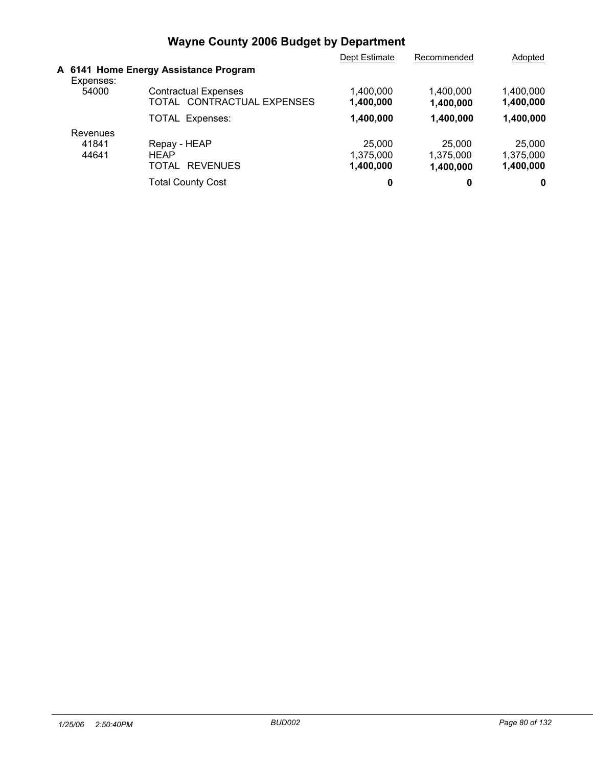|           |                                                           | Dept Estimate          | Recommended            | Adopted                |  |
|-----------|-----------------------------------------------------------|------------------------|------------------------|------------------------|--|
| Expenses: | A 6141 Home Energy Assistance Program                     |                        |                        |                        |  |
| 54000     | <b>Contractual Expenses</b><br>TOTAL CONTRACTUAL EXPENSES | 1.400.000<br>1,400,000 | 1.400.000<br>1,400,000 | 1.400.000<br>1,400,000 |  |
|           | <b>TOTAL Expenses:</b>                                    | 1,400,000              | 1,400,000              | 1,400,000              |  |
| Revenues  |                                                           |                        |                        |                        |  |
| 41841     | Repay - HEAP                                              | 25,000                 | 25,000                 | 25,000                 |  |
| 44641     | <b>HEAP</b>                                               | 1,375,000              | 1.375.000              | 1,375,000              |  |
|           | <b>REVENUES</b><br>TOTAL                                  | 1,400,000              | 1,400,000              | 1,400,000              |  |
|           | <b>Total County Cost</b>                                  | 0                      | 0                      | 0                      |  |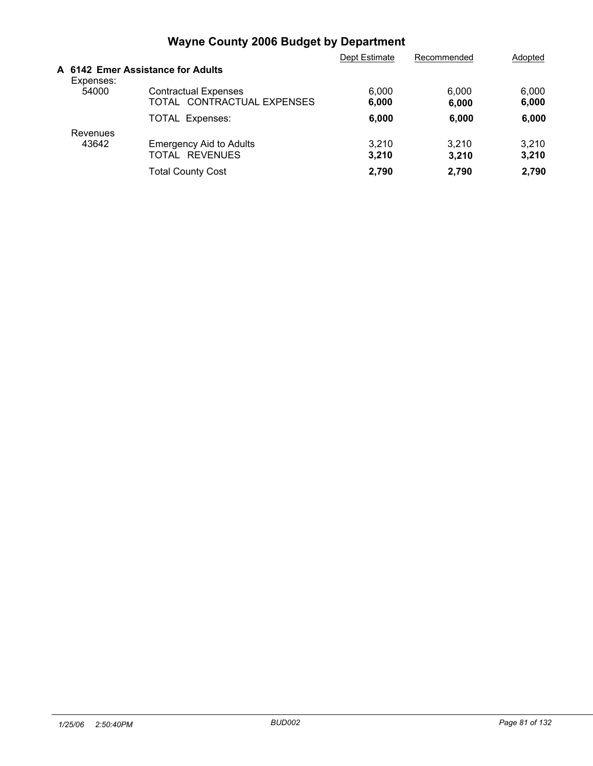|           |                                                           | Dept Estimate  | Recommended    | Adopted        |
|-----------|-----------------------------------------------------------|----------------|----------------|----------------|
| Expenses: | A 6142 Emer Assistance for Adults                         |                |                |                |
| 54000     | <b>Contractual Expenses</b><br>TOTAL CONTRACTUAL EXPENSES | 6.000<br>6,000 | 6.000<br>6,000 | 6,000<br>6,000 |
|           | <b>TOTAL Expenses:</b>                                    | 6,000          | 6,000          | 6,000          |
| Revenues  |                                                           |                |                |                |
| 43642     | <b>Emergency Aid to Adults</b><br>TOTAL REVENUES          | 3,210<br>3,210 | 3,210<br>3,210 | 3.210<br>3,210 |
|           | <b>Total County Cost</b>                                  | 2.790          | 2.790          | 2,790          |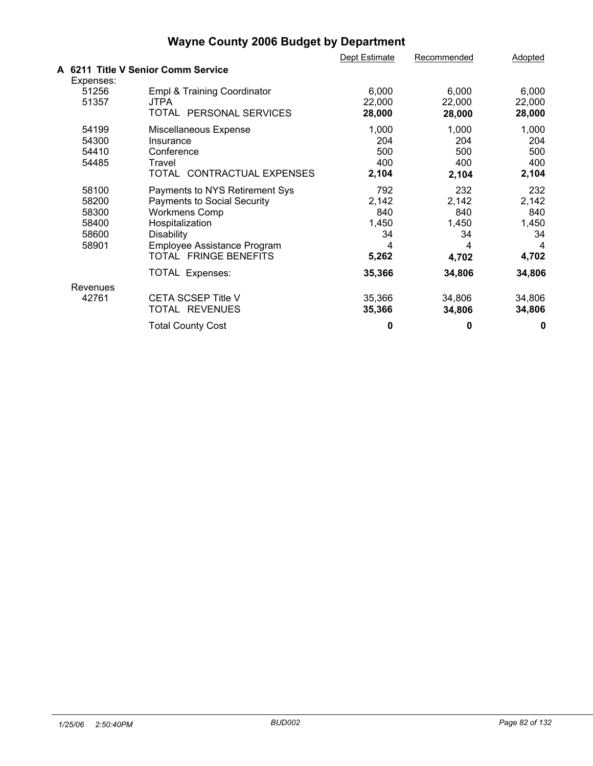|                                                    |                                                                                                                                                                                                                 | Dept Estimate                                              | Recommended                                                | Adopted                                               |
|----------------------------------------------------|-----------------------------------------------------------------------------------------------------------------------------------------------------------------------------------------------------------------|------------------------------------------------------------|------------------------------------------------------------|-------------------------------------------------------|
|                                                    | A 6211 Title V Senior Comm Service                                                                                                                                                                              |                                                            |                                                            |                                                       |
| Expenses:<br>51256<br>51357                        | Empl & Training Coordinator<br><b>JTPA</b><br>TOTAL PERSONAL SERVICES                                                                                                                                           | 6,000<br>22,000<br>28,000                                  | 6,000<br>22,000<br>28,000                                  | 6,000<br>22,000<br>28,000                             |
| 54199<br>54300<br>54410<br>54485                   | Miscellaneous Expense<br>Insurance<br>Conference<br>Travel<br>TOTAL CONTRACTUAL EXPENSES                                                                                                                        | 1,000<br>204<br>500<br>400<br>2,104                        | 1,000<br>204<br>500<br>400<br>2,104                        | 1,000<br>204<br>500<br>400<br>2,104                   |
| 58100<br>58200<br>58300<br>58400<br>58600<br>58901 | Payments to NYS Retirement Sys<br><b>Payments to Social Security</b><br><b>Workmens Comp</b><br>Hospitalization<br><b>Disability</b><br>Employee Assistance Program<br>TOTAL FRINGE BENEFITS<br>TOTAL Expenses: | 792<br>2,142<br>840<br>1,450<br>34<br>4<br>5,262<br>35,366 | 232<br>2,142<br>840<br>1,450<br>34<br>4<br>4,702<br>34,806 | 232<br>2,142<br>840<br>1,450<br>34<br>4,702<br>34,806 |
| Revenues<br>42761                                  | <b>CETA SCSEP Title V</b><br>TOTAL REVENUES<br><b>Total County Cost</b>                                                                                                                                         | 35,366<br>35,366<br>0                                      | 34,806<br>34,806<br>0                                      | 34,806<br>34,806<br>0                                 |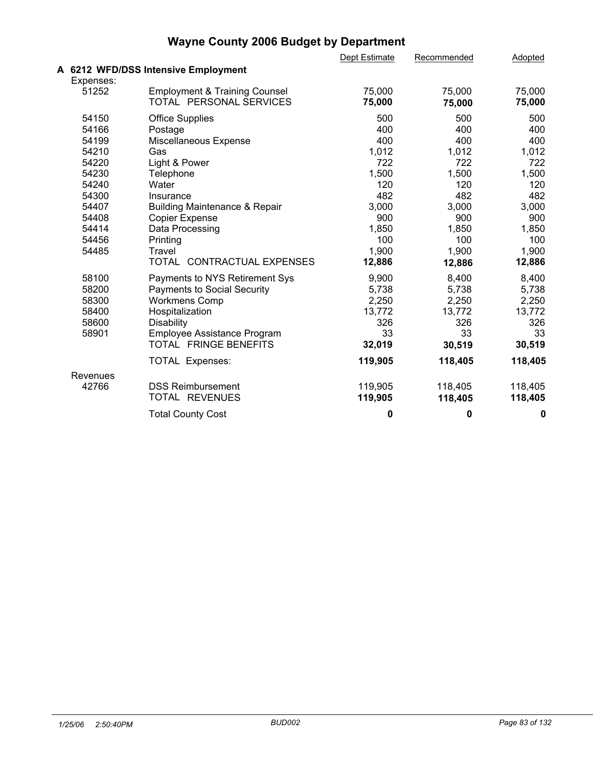|           |                                          | Dept Estimate | Recommended | Adopted |  |
|-----------|------------------------------------------|---------------|-------------|---------|--|
|           | A 6212 WFD/DSS Intensive Employment      |               |             |         |  |
| Expenses: |                                          |               |             |         |  |
| 51252     | <b>Employment &amp; Training Counsel</b> | 75,000        | 75,000      | 75,000  |  |
|           | TOTAL PERSONAL SERVICES                  | 75,000        | 75,000      | 75,000  |  |
| 54150     | <b>Office Supplies</b>                   | 500           | 500         | 500     |  |
| 54166     | Postage                                  | 400           | 400         | 400     |  |
| 54199     | Miscellaneous Expense                    | 400           | 400         | 400     |  |
| 54210     | Gas                                      | 1,012         | 1,012       | 1,012   |  |
| 54220     | Light & Power                            | 722           | 722         | 722     |  |
| 54230     | Telephone                                | 1,500         | 1,500       | 1,500   |  |
| 54240     | Water                                    | 120           | 120         | 120     |  |
| 54300     | Insurance                                | 482           | 482         | 482     |  |
| 54407     | <b>Building Maintenance &amp; Repair</b> | 3,000         | 3,000       | 3,000   |  |
| 54408     | Copier Expense                           | 900           | 900         | 900     |  |
| 54414     | Data Processing                          | 1,850         | 1,850       | 1,850   |  |
| 54456     | Printing                                 | 100           | 100         | 100     |  |
| 54485     | Travel                                   | 1,900         | 1,900       | 1,900   |  |
|           | TOTAL CONTRACTUAL EXPENSES               | 12,886        | 12,886      | 12,886  |  |
| 58100     | Payments to NYS Retirement Sys           | 9,900         | 8,400       | 8,400   |  |
| 58200     | <b>Payments to Social Security</b>       | 5,738         | 5,738       | 5,738   |  |
| 58300     | <b>Workmens Comp</b>                     | 2,250         | 2,250       | 2,250   |  |
| 58400     | Hospitalization                          | 13,772        | 13,772      | 13,772  |  |
| 58600     | <b>Disability</b>                        | 326           | 326         | 326     |  |
| 58901     | Employee Assistance Program              | 33            | 33          | 33      |  |
|           | TOTAL FRINGE BENEFITS                    | 32,019        | 30,519      | 30,519  |  |
|           | TOTAL Expenses:                          | 119,905       | 118,405     | 118,405 |  |
| Revenues  |                                          |               |             |         |  |
| 42766     | <b>DSS Reimbursement</b>                 | 119,905       | 118,405     | 118,405 |  |
|           | TOTAL REVENUES                           | 119,905       | 118,405     | 118,405 |  |
|           | <b>Total County Cost</b>                 | 0             | 0           | 0       |  |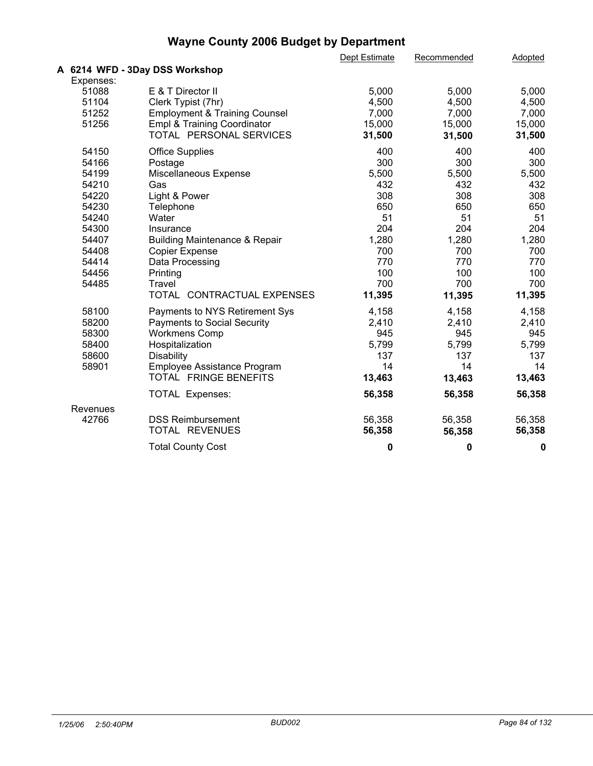|           |                                          | Dept Estimate | Recommended | Adopted |  |
|-----------|------------------------------------------|---------------|-------------|---------|--|
|           | A 6214 WFD - 3Day DSS Workshop           |               |             |         |  |
| Expenses: |                                          |               |             |         |  |
| 51088     | E & T Director II                        | 5,000         | 5,000       | 5,000   |  |
| 51104     | Clerk Typist (7hr)                       | 4,500         | 4,500       | 4,500   |  |
| 51252     | <b>Employment &amp; Training Counsel</b> | 7,000         | 7,000       | 7,000   |  |
| 51256     | <b>Empl &amp; Training Coordinator</b>   | 15,000        | 15,000      | 15,000  |  |
|           | TOTAL PERSONAL SERVICES                  | 31,500        | 31,500      | 31,500  |  |
| 54150     | <b>Office Supplies</b>                   | 400           | 400         | 400     |  |
| 54166     | Postage                                  | 300           | 300         | 300     |  |
| 54199     | Miscellaneous Expense                    | 5,500         | 5,500       | 5,500   |  |
| 54210     | Gas                                      | 432           | 432         | 432     |  |
| 54220     | Light & Power                            | 308           | 308         | 308     |  |
| 54230     | Telephone                                | 650           | 650         | 650     |  |
| 54240     | Water                                    | 51            | 51          | 51      |  |
| 54300     | Insurance                                | 204           | 204         | 204     |  |
| 54407     | <b>Building Maintenance &amp; Repair</b> | 1,280         | 1,280       | 1,280   |  |
| 54408     | <b>Copier Expense</b>                    | 700           | 700         | 700     |  |
| 54414     | Data Processing                          | 770           | 770         | 770     |  |
| 54456     | Printing                                 | 100           | 100         | 100     |  |
| 54485     | Travel                                   | 700           | 700         | 700     |  |
|           | TOTAL CONTRACTUAL EXPENSES               | 11,395        | 11,395      | 11,395  |  |
| 58100     | Payments to NYS Retirement Sys           | 4,158         | 4,158       | 4,158   |  |
| 58200     | <b>Payments to Social Security</b>       | 2,410         | 2,410       | 2,410   |  |
| 58300     | <b>Workmens Comp</b>                     | 945           | 945         | 945     |  |
| 58400     | Hospitalization                          | 5,799         | 5,799       | 5,799   |  |
| 58600     | Disability                               | 137           | 137         | 137     |  |
| 58901     | Employee Assistance Program              | 14            | 14          | 14      |  |
|           | TOTAL FRINGE BENEFITS                    | 13,463        | 13,463      | 13,463  |  |
|           | <b>TOTAL Expenses:</b>                   | 56,358        | 56,358      | 56,358  |  |
| Revenues  |                                          |               |             |         |  |
| 42766     | <b>DSS Reimbursement</b>                 | 56,358        | 56,358      | 56,358  |  |
|           | TOTAL REVENUES                           | 56,358        | 56,358      | 56,358  |  |
|           | <b>Total County Cost</b>                 | 0             | 0           | 0       |  |
|           |                                          |               |             |         |  |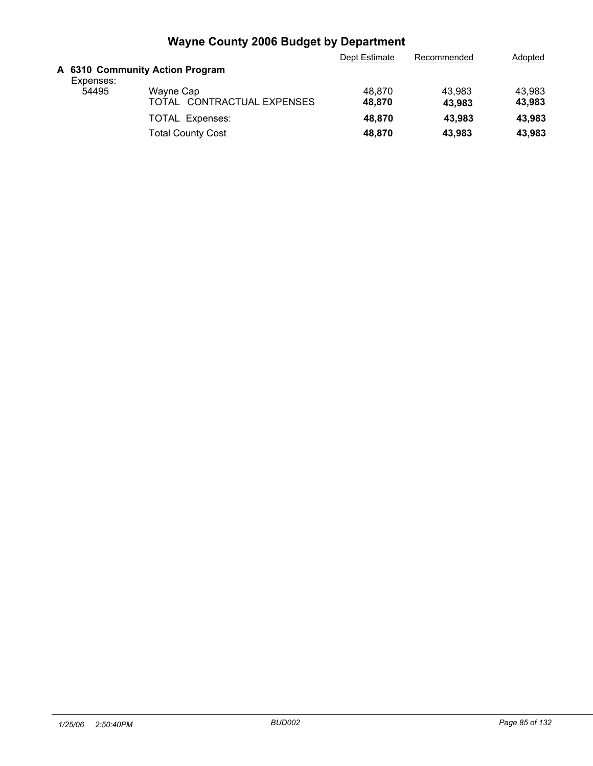|           |                                 | Dept Estimate | Recommended | Adopted |
|-----------|---------------------------------|---------------|-------------|---------|
| Expenses: | A 6310 Community Action Program |               |             |         |
| 54495     | Wayne Cap                       | 48.870        | 43.983      | 43.983  |
|           | TOTAL CONTRACTUAL EXPENSES      | 48.870        | 43,983      | 43,983  |
|           | <b>TOTAL Expenses:</b>          | 48.870        | 43,983      | 43.983  |
|           | <b>Total County Cost</b>        | 48,870        | 43,983      | 43,983  |
|           |                                 |               |             |         |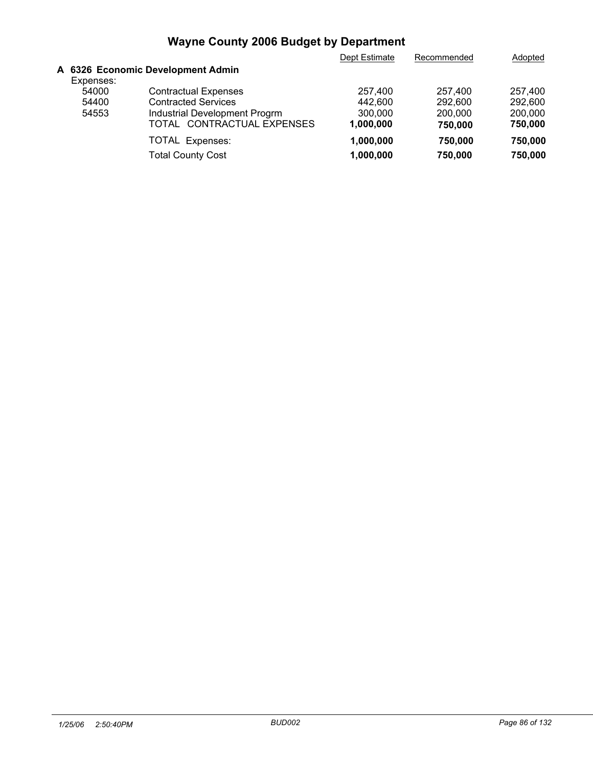|           |                                   | Dept Estimate | Recommended | Adopted |
|-----------|-----------------------------------|---------------|-------------|---------|
|           | A 6326 Economic Development Admin |               |             |         |
| Expenses: |                                   |               |             |         |
| 54000     | <b>Contractual Expenses</b>       | 257,400       | 257.400     | 257,400 |
| 54400     | <b>Contracted Services</b>        | 442.600       | 292,600     | 292,600 |
| 54553     | Industrial Development Progrm     | 300,000       | 200,000     | 200,000 |
|           | TOTAL CONTRACTUAL EXPENSES        | 1,000,000     | 750,000     | 750,000 |
|           | <b>TOTAL Expenses:</b>            | 1,000,000     | 750,000     | 750,000 |
|           | <b>Total County Cost</b>          | 1,000,000     | 750,000     | 750,000 |
|           |                                   |               |             |         |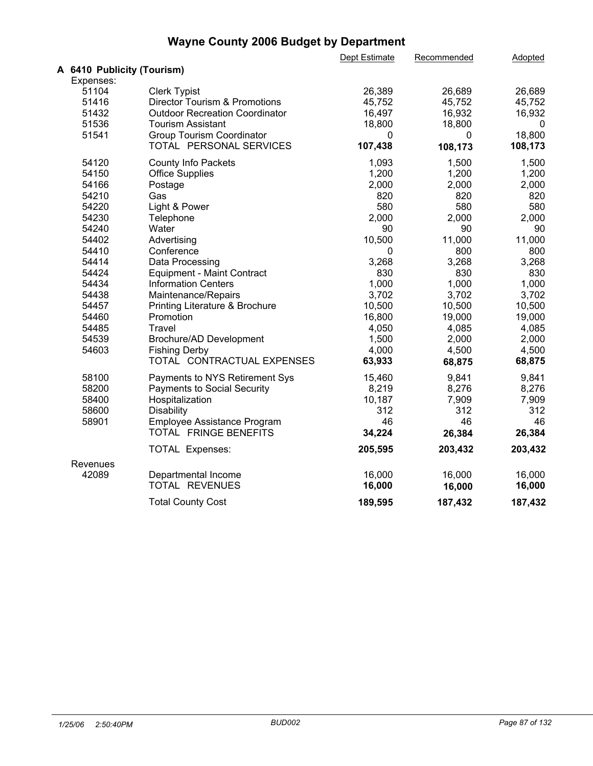|                            |                                          | Dept Estimate | Recommended | Adopted |  |
|----------------------------|------------------------------------------|---------------|-------------|---------|--|
| A 6410 Publicity (Tourism) |                                          |               |             |         |  |
| Expenses:                  |                                          |               |             |         |  |
| 51104                      | <b>Clerk Typist</b>                      | 26,389        | 26,689      | 26,689  |  |
| 51416                      | <b>Director Tourism &amp; Promotions</b> | 45,752        | 45,752      | 45,752  |  |
| 51432                      | <b>Outdoor Recreation Coordinator</b>    | 16,497        | 16,932      | 16,932  |  |
| 51536                      | <b>Tourism Assistant</b>                 | 18,800        | 18,800      | 0       |  |
| 51541                      | Group Tourism Coordinator                | 0             | 0           | 18,800  |  |
|                            | TOTAL PERSONAL SERVICES                  | 107,438       | 108,173     | 108,173 |  |
| 54120                      | County Info Packets                      | 1,093         | 1,500       | 1,500   |  |
| 54150                      | <b>Office Supplies</b>                   | 1,200         | 1,200       | 1,200   |  |
| 54166                      | Postage                                  | 2,000         | 2,000       | 2,000   |  |
| 54210                      | Gas                                      | 820           | 820         | 820     |  |
| 54220                      | Light & Power                            | 580           | 580         | 580     |  |
| 54230                      | Telephone                                | 2,000         | 2,000       | 2,000   |  |
| 54240                      | Water                                    | 90            | 90          | 90      |  |
| 54402                      | Advertising                              | 10,500        | 11,000      | 11,000  |  |
| 54410                      | Conference                               | 0             | 800         | 800     |  |
| 54414                      | Data Processing                          | 3,268         | 3,268       | 3,268   |  |
| 54424                      | Equipment - Maint Contract               | 830           | 830         | 830     |  |
| 54434                      | <b>Information Centers</b>               | 1,000         | 1,000       | 1,000   |  |
| 54438                      | Maintenance/Repairs                      | 3,702         | 3,702       | 3,702   |  |
| 54457                      | Printing Literature & Brochure           | 10,500        | 10,500      | 10,500  |  |
| 54460                      | Promotion                                | 16,800        | 19,000      | 19,000  |  |
| 54485                      | Travel                                   | 4,050         | 4,085       | 4,085   |  |
| 54539                      | Brochure/AD Development                  | 1,500         | 2,000       | 2,000   |  |
| 54603                      | <b>Fishing Derby</b>                     | 4,000         | 4,500       | 4,500   |  |
|                            | TOTAL CONTRACTUAL EXPENSES               | 63,933        | 68,875      | 68,875  |  |
| 58100                      | Payments to NYS Retirement Sys           | 15,460        | 9,841       | 9,841   |  |
| 58200                      | <b>Payments to Social Security</b>       | 8,219         | 8,276       | 8,276   |  |
| 58400                      | Hospitalization                          | 10,187        | 7,909       | 7,909   |  |
| 58600                      | Disability                               | 312           | 312         | 312     |  |
| 58901                      | Employee Assistance Program              | 46            | 46          | 46      |  |
|                            | TOTAL FRINGE BENEFITS                    | 34,224        | 26,384      | 26,384  |  |
|                            | TOTAL Expenses:                          | 205,595       | 203,432     | 203,432 |  |
| Revenues                   |                                          |               |             |         |  |
| 42089                      | Departmental Income                      | 16,000        | 16,000      | 16,000  |  |
|                            | TOTAL REVENUES                           | 16,000        | 16,000      | 16,000  |  |
|                            | <b>Total County Cost</b>                 | 189,595       | 187,432     | 187,432 |  |
|                            |                                          |               |             |         |  |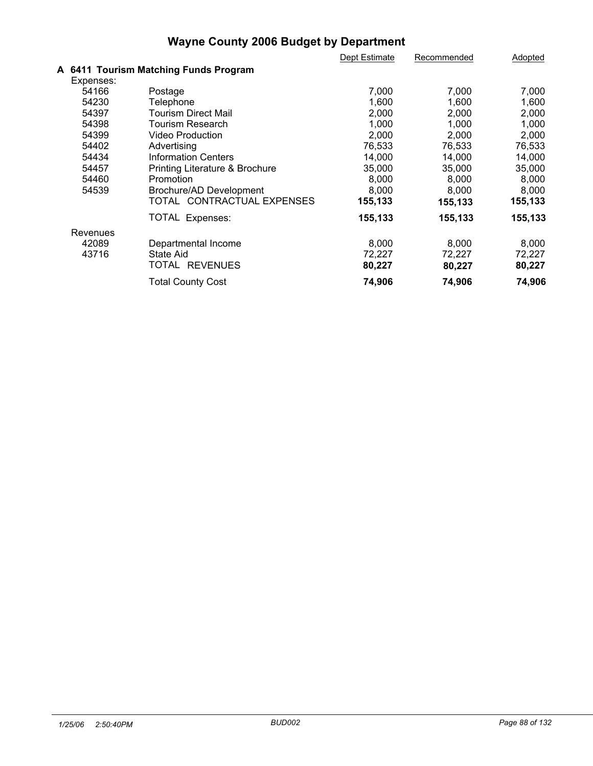|           |                                       | Dept Estimate | Recommended | Adopted |
|-----------|---------------------------------------|---------------|-------------|---------|
|           | A 6411 Tourism Matching Funds Program |               |             |         |
| Expenses: |                                       |               |             |         |
| 54166     | Postage                               | 7,000         | 7,000       | 7,000   |
| 54230     | Telephone                             | 1,600         | 1,600       | 1,600   |
| 54397     | Tourism Direct Mail                   | 2,000         | 2,000       | 2,000   |
| 54398     | Tourism Research                      | 1,000         | 1,000       | 1,000   |
| 54399     | Video Production                      | 2,000         | 2,000       | 2,000   |
| 54402     | Advertising                           | 76,533        | 76,533      | 76,533  |
| 54434     | <b>Information Centers</b>            | 14,000        | 14,000      | 14,000  |
| 54457     | Printing Literature & Brochure        | 35,000        | 35,000      | 35,000  |
| 54460     | Promotion                             | 8,000         | 8,000       | 8,000   |
| 54539     | Brochure/AD Development               | 8,000         | 8,000       | 8,000   |
|           | TOTAL CONTRACTUAL EXPENSES            | 155,133       | 155,133     | 155,133 |
|           | TOTAL Expenses:                       | 155,133       | 155,133     | 155,133 |
| Revenues  |                                       |               |             |         |
| 42089     | Departmental Income                   | 8,000         | 8,000       | 8,000   |
| 43716     | State Aid                             | 72,227        | 72,227      | 72,227  |
|           | TOTAL REVENUES                        | 80,227        | 80,227      | 80,227  |
|           | <b>Total County Cost</b>              | 74,906        | 74,906      | 74,906  |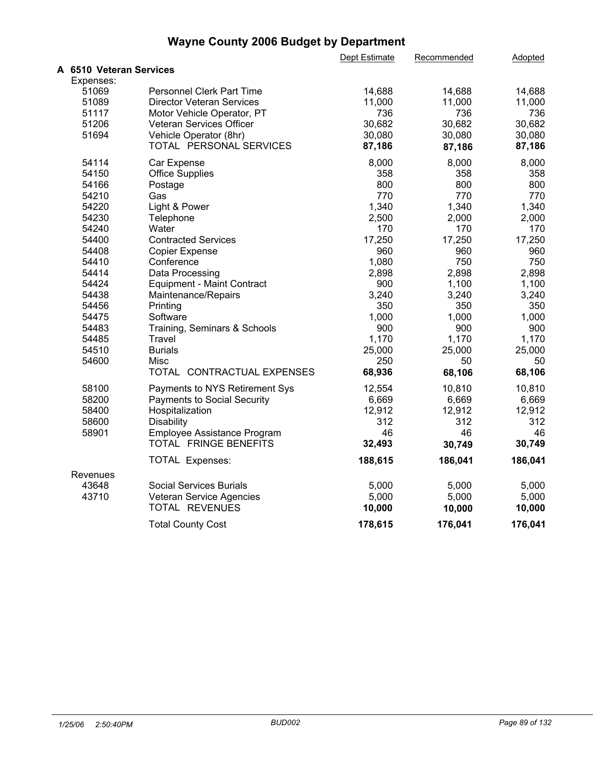|                         |                                   | Dept Estimate | Recommended | Adopted |  |
|-------------------------|-----------------------------------|---------------|-------------|---------|--|
| A 6510 Veteran Services |                                   |               |             |         |  |
| Expenses:               |                                   |               |             |         |  |
| 51069                   | <b>Personnel Clerk Part Time</b>  | 14,688        | 14,688      | 14,688  |  |
| 51089                   | <b>Director Veteran Services</b>  | 11,000        | 11,000      | 11,000  |  |
| 51117                   | Motor Vehicle Operator, PT        | 736           | 736         | 736     |  |
| 51206                   | Veteran Services Officer          | 30,682        | 30,682      | 30,682  |  |
| 51694                   | Vehicle Operator (8hr)            | 30,080        | 30,080      | 30,080  |  |
|                         | TOTAL PERSONAL SERVICES           | 87,186        | 87,186      | 87,186  |  |
| 54114                   | Car Expense                       | 8,000         | 8,000       | 8,000   |  |
| 54150                   | <b>Office Supplies</b>            | 358           | 358         | 358     |  |
| 54166                   | Postage                           | 800           | 800         | 800     |  |
| 54210                   | Gas                               | 770           | 770         | 770     |  |
| 54220                   | Light & Power                     | 1,340         | 1,340       | 1,340   |  |
| 54230                   | Telephone                         | 2,500         | 2,000       | 2,000   |  |
| 54240                   | Water                             | 170           | 170         | 170     |  |
| 54400                   | <b>Contracted Services</b>        | 17,250        | 17,250      | 17,250  |  |
| 54408                   | <b>Copier Expense</b>             | 960           | 960         | 960     |  |
| 54410                   | Conference                        | 1,080         | 750         | 750     |  |
| 54414                   | Data Processing                   | 2,898         | 2,898       | 2,898   |  |
| 54424                   | <b>Equipment - Maint Contract</b> | 900           | 1,100       | 1,100   |  |
| 54438                   | Maintenance/Repairs               | 3,240         | 3,240       | 3,240   |  |
| 54456                   | Printing                          | 350           | 350         | 350     |  |
| 54475                   | Software                          | 1,000         | 1,000       | 1,000   |  |
| 54483                   | Training, Seminars & Schools      | 900           | 900         | 900     |  |
| 54485                   | Travel                            | 1,170         | 1,170       | 1,170   |  |
| 54510                   | <b>Burials</b>                    | 25,000        | 25,000      | 25,000  |  |
| 54600                   | Misc                              | 250           | 50          | 50      |  |
|                         | TOTAL CONTRACTUAL EXPENSES        | 68,936        | 68,106      | 68,106  |  |
| 58100                   | Payments to NYS Retirement Sys    | 12,554        | 10,810      | 10,810  |  |
| 58200                   | Payments to Social Security       | 6,669         | 6,669       | 6,669   |  |
| 58400                   | Hospitalization                   | 12,912        | 12,912      | 12,912  |  |
| 58600                   | Disability                        | 312           | 312         | 312     |  |
| 58901                   | Employee Assistance Program       | 46            | 46          | 46      |  |
|                         | TOTAL FRINGE BENEFITS             | 32,493        | 30,749      | 30,749  |  |
|                         | TOTAL Expenses:                   | 188,615       | 186,041     | 186,041 |  |
| Revenues                |                                   |               |             |         |  |
| 43648                   | <b>Social Services Burials</b>    | 5,000         | 5,000       | 5,000   |  |
| 43710                   | Veteran Service Agencies          | 5,000         | 5,000       | 5,000   |  |
|                         | TOTAL REVENUES                    | 10,000        | 10,000      | 10,000  |  |
|                         | <b>Total County Cost</b>          | 178,615       | 176,041     | 176,041 |  |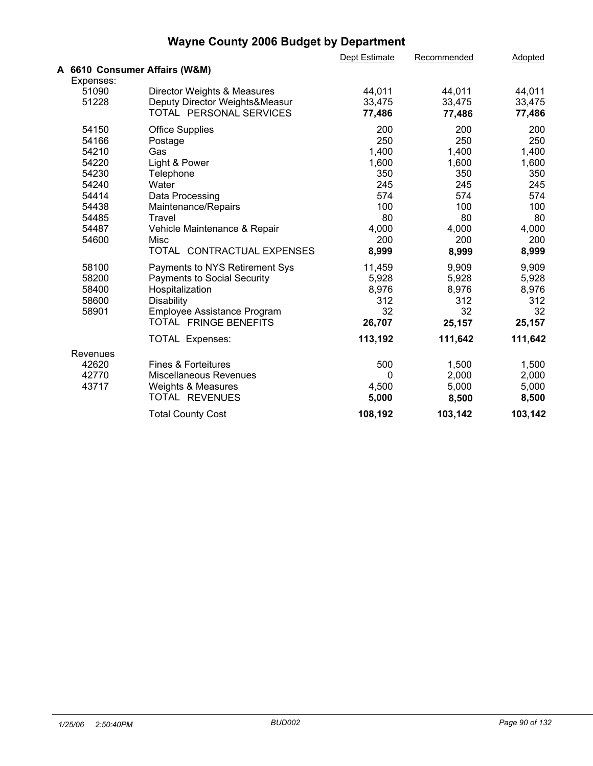|                               |                                    | Dept Estimate | Recommended | Adopted |  |
|-------------------------------|------------------------------------|---------------|-------------|---------|--|
| A 6610 Consumer Affairs (W&M) |                                    |               |             |         |  |
| Expenses:                     |                                    |               |             |         |  |
| 51090                         | Director Weights & Measures        | 44,011        | 44,011      | 44,011  |  |
| 51228                         | Deputy Director Weights&Measur     | 33,475        | 33,475      | 33,475  |  |
|                               | TOTAL PERSONAL SERVICES            | 77,486        | 77,486      | 77,486  |  |
| 54150                         | <b>Office Supplies</b>             | 200           | 200         | 200     |  |
| 54166                         | Postage                            | 250           | 250         | 250     |  |
| 54210                         | Gas                                | 1,400         | 1,400       | 1,400   |  |
| 54220                         | Light & Power                      | 1,600         | 1,600       | 1,600   |  |
| 54230                         | Telephone                          | 350           | 350         | 350     |  |
| 54240                         | Water                              | 245           | 245         | 245     |  |
| 54414                         | Data Processing                    | 574           | 574         | 574     |  |
| 54438                         | Maintenance/Repairs                | 100           | 100         | 100     |  |
| 54485                         | Travel                             | 80            | 80          | 80      |  |
| 54487                         | Vehicle Maintenance & Repair       | 4,000         | 4,000       | 4,000   |  |
| 54600                         | Misc                               | 200           | 200         | 200     |  |
|                               | TOTAL CONTRACTUAL EXPENSES         | 8,999         | 8,999       | 8,999   |  |
| 58100                         | Payments to NYS Retirement Sys     | 11,459        | 9,909       | 9,909   |  |
| 58200                         | <b>Payments to Social Security</b> | 5,928         | 5,928       | 5,928   |  |
| 58400                         | Hospitalization                    | 8,976         | 8,976       | 8,976   |  |
| 58600                         | <b>Disability</b>                  | 312           | 312         | 312     |  |
| 58901                         | Employee Assistance Program        | 32            | 32          | 32      |  |
|                               | TOTAL FRINGE BENEFITS              | 26,707        | 25,157      | 25,157  |  |
|                               | <b>TOTAL Expenses:</b>             | 113,192       | 111,642     | 111,642 |  |
| Revenues                      |                                    |               |             |         |  |
| 42620                         | <b>Fines &amp; Forteitures</b>     | 500           | 1,500       | 1,500   |  |
| 42770                         | <b>Miscellaneous Revenues</b>      | 0             | 2,000       | 2,000   |  |
| 43717                         | Weights & Measures                 | 4,500         | 5,000       | 5,000   |  |
|                               | TOTAL REVENUES                     | 5,000         | 8,500       | 8,500   |  |
|                               | <b>Total County Cost</b>           | 108,192       | 103,142     | 103,142 |  |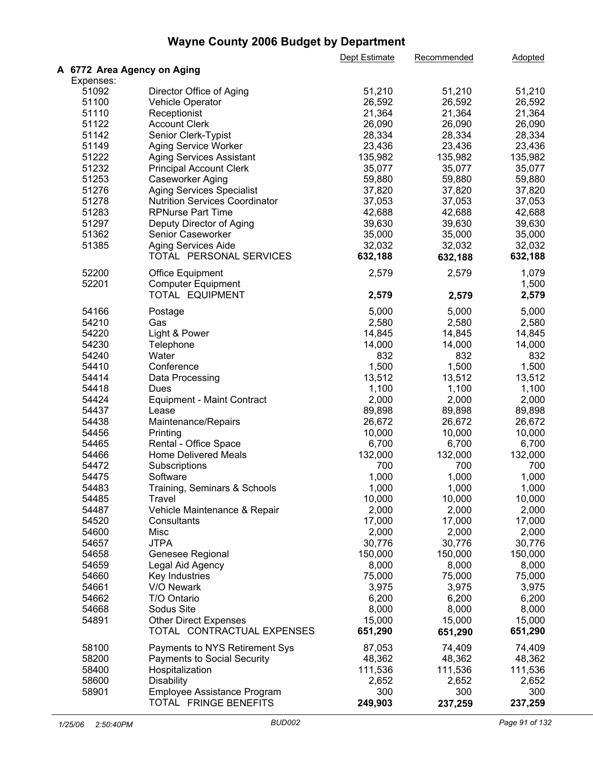|                             |                                       | Dept Estimate | Recommended | Adopted |  |
|-----------------------------|---------------------------------------|---------------|-------------|---------|--|
| A 6772 Area Agency on Aging |                                       |               |             |         |  |
| Expenses:                   |                                       |               |             |         |  |
| 51092                       | Director Office of Aging              | 51,210        | 51,210      | 51,210  |  |
| 51100                       | Vehicle Operator                      | 26,592        | 26,592      | 26,592  |  |
| 51110                       | Receptionist                          | 21,364        | 21,364      | 21,364  |  |
| 51122                       | <b>Account Clerk</b>                  | 26,090        | 26,090      | 26,090  |  |
| 51142                       | Senior Clerk-Typist                   | 28,334        | 28,334      | 28,334  |  |
| 51149                       | Aging Service Worker                  | 23,436        | 23,436      | 23,436  |  |
| 51222                       | <b>Aging Services Assistant</b>       | 135,982       | 135,982     | 135,982 |  |
| 51232                       | <b>Principal Account Clerk</b>        | 35,077        | 35,077      | 35,077  |  |
| 51253                       | Caseworker Aging                      | 59,880        | 59,880      | 59,880  |  |
| 51276                       | <b>Aging Services Specialist</b>      | 37,820        | 37,820      | 37,820  |  |
| 51278                       | <b>Nutrition Services Coordinator</b> | 37,053        | 37,053      | 37,053  |  |
| 51283                       | <b>RPNurse Part Time</b>              | 42,688        | 42,688      | 42,688  |  |
| 51297                       |                                       | 39,630        | 39,630      | 39,630  |  |
|                             | Deputy Director of Aging              |               |             |         |  |
| 51362                       | Senior Caseworker                     | 35,000        | 35,000      | 35,000  |  |
| 51385                       | Aging Services Aide                   | 32,032        | 32,032      | 32,032  |  |
|                             | TOTAL PERSONAL SERVICES               | 632,188       | 632,188     | 632,188 |  |
| 52200                       | <b>Office Equipment</b>               | 2,579         | 2,579       | 1,079   |  |
| 52201                       | <b>Computer Equipment</b>             |               |             | 1,500   |  |
|                             | TOTAL EQUIPMENT                       | 2,579         | 2,579       | 2,579   |  |
| 54166                       | Postage                               | 5,000         | 5,000       | 5,000   |  |
| 54210                       | Gas                                   | 2,580         | 2,580       | 2,580   |  |
| 54220                       | Light & Power                         | 14,845        | 14,845      | 14,845  |  |
| 54230                       |                                       | 14,000        | 14,000      | 14,000  |  |
|                             | Telephone                             |               |             |         |  |
| 54240                       | Water                                 | 832           | 832         | 832     |  |
| 54410                       | Conference                            | 1,500         | 1,500       | 1,500   |  |
| 54414                       | Data Processing                       | 13,512        | 13,512      | 13,512  |  |
| 54418                       | Dues                                  | 1,100         | 1,100       | 1,100   |  |
| 54424                       | <b>Equipment - Maint Contract</b>     | 2,000         | 2,000       | 2,000   |  |
| 54437                       | Lease                                 | 89,898        | 89,898      | 89,898  |  |
| 54438                       | Maintenance/Repairs                   | 26,672        | 26,672      | 26,672  |  |
| 54456                       | Printing                              | 10,000        | 10,000      | 10,000  |  |
| 54465                       | Rental - Office Space                 | 6,700         | 6,700       | 6,700   |  |
| 54466                       | <b>Home Delivered Meals</b>           | 132,000       | 132,000     | 132,000 |  |
| 54472                       | Subscriptions                         | 700           | 700         | 700     |  |
| 54475                       | Software                              | 1,000         | 1,000       | 1,000   |  |
| 54483                       | Training, Seminars & Schools          | 1,000         | 1,000       | 1,000   |  |
| 54485                       | Travel                                | 10,000        | 10,000      | 10,000  |  |
| 54487                       | Vehicle Maintenance & Repair          | 2,000         | 2,000       | 2,000   |  |
| 54520                       | Consultants                           | 17,000        | 17,000      | 17,000  |  |
| 54600                       | Misc                                  | 2,000         | 2,000       | 2,000   |  |
| 54657                       | <b>JTPA</b>                           | 30,776        | 30,776      | 30,776  |  |
| 54658                       | Genesee Regional                      | 150,000       | 150,000     | 150,000 |  |
| 54659                       | Legal Aid Agency                      | 8,000         | 8,000       | 8,000   |  |
| 54660                       | Key Industries                        | 75,000        | 75,000      | 75,000  |  |
| 54661                       | V/O Newark                            | 3,975         | 3,975       | 3,975   |  |
| 54662                       | T/O Ontario                           | 6,200         | 6,200       | 6,200   |  |
| 54668                       | Sodus Site                            | 8,000         | 8,000       | 8,000   |  |
| 54891                       | <b>Other Direct Expenses</b>          | 15,000        | 15,000      | 15,000  |  |
|                             | TOTAL CONTRACTUAL EXPENSES            | 651,290       | 651,290     | 651,290 |  |
|                             |                                       |               |             |         |  |
| 58100                       | Payments to NYS Retirement Sys        | 87,053        | 74,409      | 74,409  |  |
| 58200                       | <b>Payments to Social Security</b>    | 48,362        | 48,362      | 48,362  |  |
| 58400                       | Hospitalization                       | 111,536       | 111,536     | 111,536 |  |
| 58600                       | <b>Disability</b>                     | 2,652         | 2,652       | 2,652   |  |
| 58901                       | Employee Assistance Program           | 300           | 300         | 300     |  |
|                             | TOTAL FRINGE BENEFITS                 | 249,903       | 237,259     | 237,259 |  |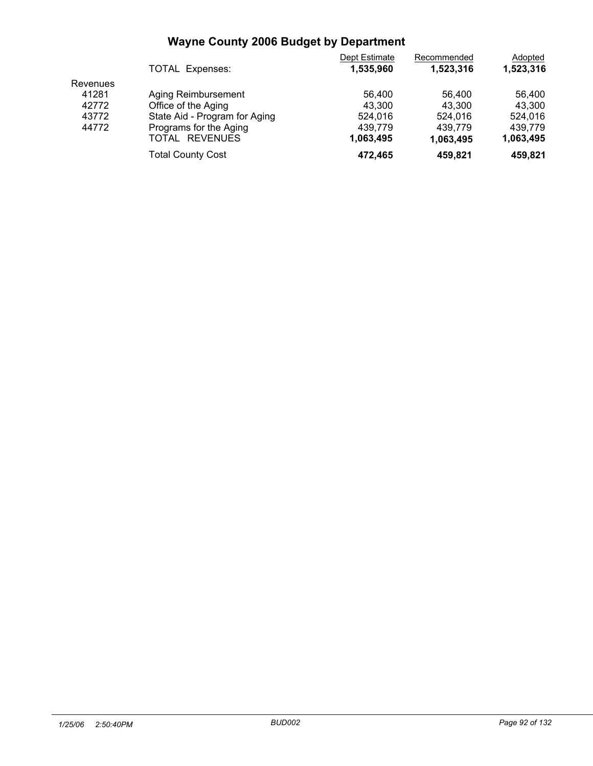|          |                               | Dept Estimate | Recommended | Adopted   |  |
|----------|-------------------------------|---------------|-------------|-----------|--|
|          | TOTAL Expenses:               | 1,535,960     | 1.523.316   | 1,523,316 |  |
| Revenues |                               |               |             |           |  |
| 41281    | Aging Reimbursement           | 56.400        | 56.400      | 56.400    |  |
| 42772    | Office of the Aging           | 43.300        | 43.300      | 43.300    |  |
| 43772    | State Aid - Program for Aging | 524.016       | 524.016     | 524.016   |  |
| 44772    | Programs for the Aging        | 439.779       | 439.779     | 439.779   |  |
|          | TOTAL REVENUES                | 1,063,495     | 1,063,495   | 1,063,495 |  |
|          | <b>Total County Cost</b>      | 472.465       | 459.821     | 459.821   |  |
|          |                               |               |             |           |  |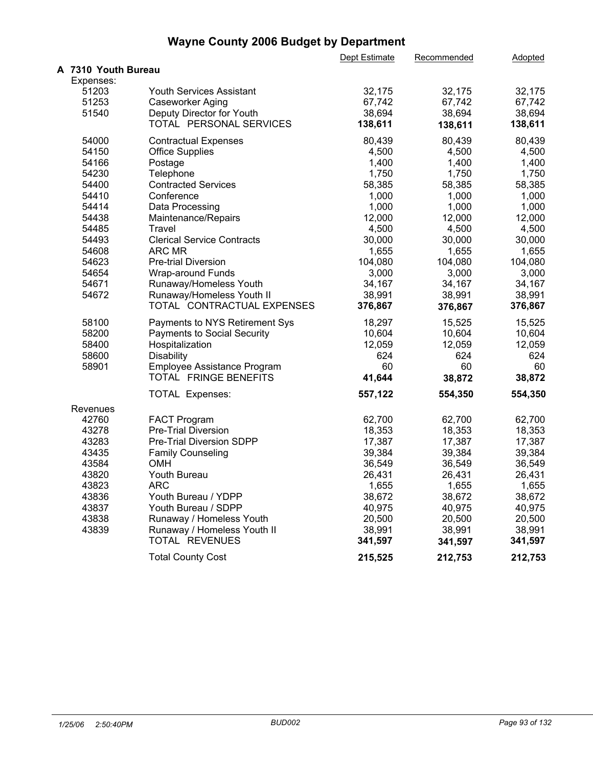|                     |                                   | Dept Estimate | Recommended | Adopted |  |
|---------------------|-----------------------------------|---------------|-------------|---------|--|
| A 7310 Youth Bureau |                                   |               |             |         |  |
| Expenses:           |                                   |               |             |         |  |
| 51203               | Youth Services Assistant          | 32,175        | 32,175      | 32,175  |  |
| 51253               | Caseworker Aging                  | 67,742        | 67,742      | 67,742  |  |
| 51540               | Deputy Director for Youth         | 38,694        | 38,694      | 38,694  |  |
|                     | TOTAL PERSONAL SERVICES           | 138,611       | 138,611     | 138,611 |  |
| 54000               | <b>Contractual Expenses</b>       | 80,439        | 80,439      | 80,439  |  |
| 54150               | <b>Office Supplies</b>            | 4,500         | 4,500       | 4,500   |  |
| 54166               | Postage                           | 1,400         | 1,400       | 1,400   |  |
| 54230               | Telephone                         | 1,750         | 1,750       | 1,750   |  |
| 54400               | <b>Contracted Services</b>        | 58,385        | 58,385      | 58,385  |  |
| 54410               | Conference                        | 1,000         | 1,000       | 1,000   |  |
| 54414               | Data Processing                   | 1,000         | 1,000       | 1,000   |  |
| 54438               | Maintenance/Repairs               | 12,000        | 12,000      | 12,000  |  |
| 54485               | Travel                            | 4,500         | 4,500       | 4,500   |  |
| 54493               | <b>Clerical Service Contracts</b> | 30,000        | 30,000      | 30,000  |  |
| 54608               | ARC MR                            | 1,655         | 1,655       | 1,655   |  |
| 54623               | <b>Pre-trial Diversion</b>        | 104,080       | 104,080     | 104,080 |  |
| 54654               | Wrap-around Funds                 | 3,000         | 3,000       | 3,000   |  |
| 54671               | Runaway/Homeless Youth            | 34,167        | 34,167      | 34,167  |  |
| 54672               | Runaway/Homeless Youth II         | 38,991        | 38,991      | 38,991  |  |
|                     | TOTAL CONTRACTUAL EXPENSES        | 376,867       | 376,867     | 376,867 |  |
| 58100               | Payments to NYS Retirement Sys    | 18,297        | 15,525      | 15,525  |  |
| 58200               | Payments to Social Security       | 10,604        | 10,604      | 10,604  |  |
| 58400               | Hospitalization                   | 12,059        | 12,059      | 12,059  |  |
| 58600               | <b>Disability</b>                 | 624           | 624         | 624     |  |
| 58901               | Employee Assistance Program       | 60            | 60          | 60      |  |
|                     | TOTAL FRINGE BENEFITS             | 41,644        | 38,872      | 38,872  |  |
|                     | <b>TOTAL Expenses:</b>            | 557,122       | 554,350     | 554,350 |  |
| Revenues            |                                   |               |             |         |  |
| 42760               | <b>FACT Program</b>               | 62,700        | 62,700      | 62,700  |  |
| 43278               | <b>Pre-Trial Diversion</b>        | 18,353        | 18,353      | 18,353  |  |
| 43283               | Pre-Trial Diversion SDPP          | 17,387        | 17,387      | 17,387  |  |
| 43435               | <b>Family Counseling</b>          | 39,384        | 39,384      | 39,384  |  |
| 43584               | <b>OMH</b>                        | 36,549        | 36,549      | 36,549  |  |
| 43820               | Youth Bureau                      | 26,431        | 26,431      | 26,431  |  |
| 43823               | <b>ARC</b>                        | 1,655         | 1,655       | 1,655   |  |
| 43836               | Youth Bureau / YDPP               | 38,672        | 38,672      | 38,672  |  |
| 43837               | Youth Bureau / SDPP               | 40,975        | 40,975      | 40,975  |  |
| 43838               | Runaway / Homeless Youth          | 20,500        | 20,500      | 20,500  |  |
| 43839               | Runaway / Homeless Youth II       | 38,991        | 38,991      | 38,991  |  |
|                     | TOTAL REVENUES                    | 341,597       | 341,597     | 341,597 |  |
|                     | <b>Total County Cost</b>          | 215,525       | 212,753     | 212,753 |  |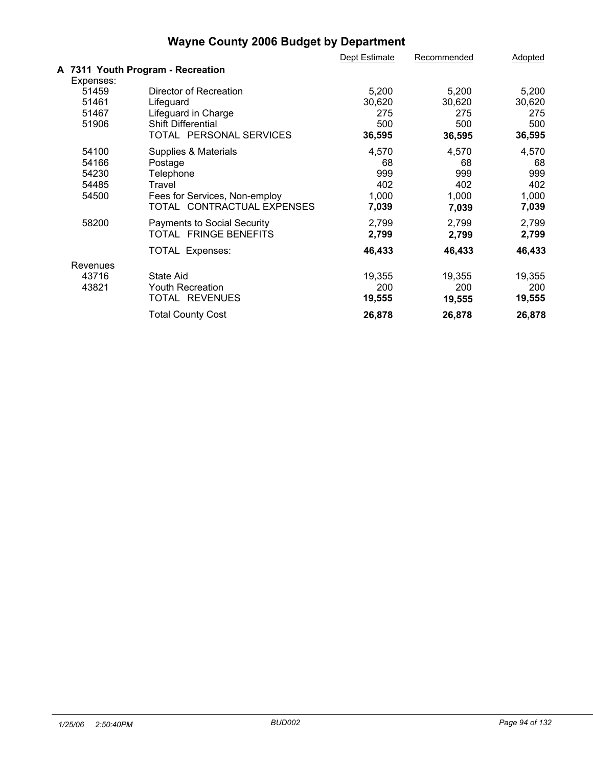|           |                                   | Dept Estimate | Recommended | Adopted |  |
|-----------|-----------------------------------|---------------|-------------|---------|--|
|           | A 7311 Youth Program - Recreation |               |             |         |  |
| Expenses: |                                   |               |             |         |  |
| 51459     | Director of Recreation            | 5,200         | 5,200       | 5,200   |  |
| 51461     | Lifeguard                         | 30,620        | 30,620      | 30,620  |  |
| 51467     | Lifeguard in Charge               | 275           | 275         | 275     |  |
| 51906     | <b>Shift Differential</b>         | 500           | 500         | 500     |  |
|           | TOTAL PERSONAL SERVICES           | 36,595        | 36,595      | 36,595  |  |
| 54100     | Supplies & Materials              | 4,570         | 4,570       | 4,570   |  |
| 54166     | Postage                           | 68            | 68          | 68      |  |
| 54230     | Telephone                         | 999           | 999         | 999     |  |
| 54485     | Travel                            | 402           | 402         | 402     |  |
| 54500     | Fees for Services, Non-employ     | 1,000         | 1,000       | 1,000   |  |
|           | TOTAL CONTRACTUAL EXPENSES        | 7,039         | 7,039       | 7,039   |  |
| 58200     | Payments to Social Security       | 2,799         | 2,799       | 2,799   |  |
|           | TOTAL FRINGE BENEFITS             | 2,799         | 2,799       | 2,799   |  |
|           | <b>TOTAL Expenses:</b>            | 46,433        | 46,433      | 46,433  |  |
| Revenues  |                                   |               |             |         |  |
| 43716     | State Aid                         | 19,355        | 19,355      | 19,355  |  |
| 43821     | Youth Recreation                  | 200           | 200         | 200     |  |
|           | TOTAL REVENUES                    | 19,555        | 19,555      | 19,555  |  |
|           | <b>Total County Cost</b>          | 26,878        | 26,878      | 26,878  |  |
|           |                                   |               |             |         |  |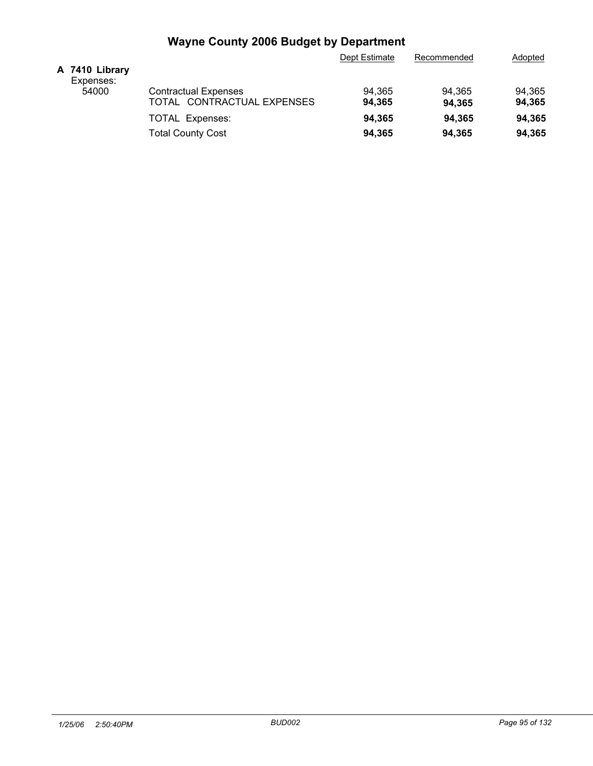|                             | Dept Estimate  | Recommended | Adopted |
|-----------------------------|----------------|-------------|---------|
|                             |                |             |         |
| <b>Contractual Expenses</b> | 94.365         | 94.365      | 94,365  |
| TOTAL CONTRACTUAL EXPENSES  | 94.365         | 94.365      | 94,365  |
| <b>TOTAL Expenses:</b>      | 94.365         | 94.365      | 94.365  |
| <b>Total County Cost</b>    | 94.365         | 94.365      | 94,365  |
|                             | A 7410 Library |             |         |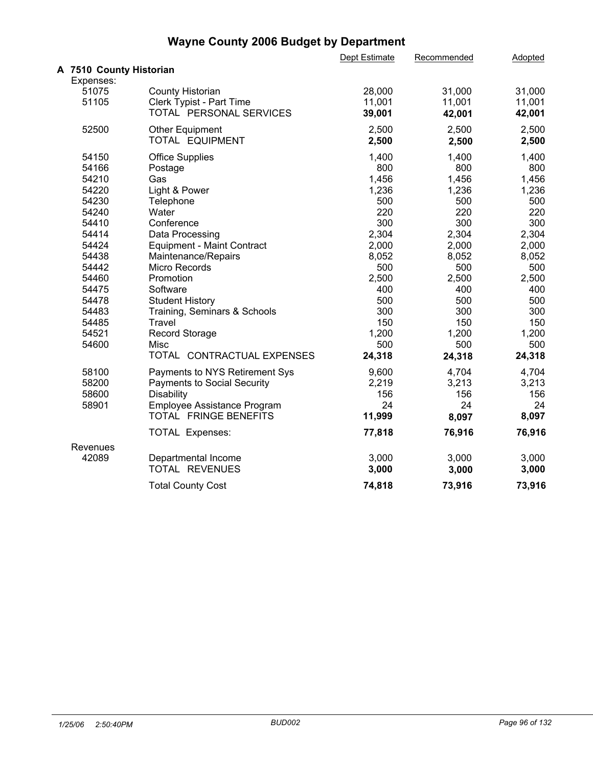|                                | Dept Estimate                                                                                                                   | Recommended               | Adopted                  |                          |
|--------------------------------|---------------------------------------------------------------------------------------------------------------------------------|---------------------------|--------------------------|--------------------------|
|                                |                                                                                                                                 |                           |                          |                          |
| Expenses:                      |                                                                                                                                 |                           |                          |                          |
| <b>County Historian</b>        | 28,000                                                                                                                          | 31,000                    | 31,000                   |                          |
| Clerk Typist - Part Time       |                                                                                                                                 |                           |                          |                          |
|                                |                                                                                                                                 | 42,001                    | 42,001                   |                          |
|                                |                                                                                                                                 |                           |                          |                          |
| TOTAL EQUIPMENT                | 2,500                                                                                                                           | 2,500                     | 2,500                    |                          |
|                                | 1,400                                                                                                                           |                           |                          |                          |
| Postage                        | 800                                                                                                                             | 800                       | 800                      |                          |
| Gas                            | 1,456                                                                                                                           | 1,456                     | 1,456                    |                          |
| Light & Power                  | 1,236                                                                                                                           | 1,236                     | 1,236                    |                          |
| Telephone                      | 500                                                                                                                             | 500                       | 500                      |                          |
| Water                          | 220                                                                                                                             | 220                       | 220                      |                          |
| Conference                     | 300                                                                                                                             | 300                       | 300                      |                          |
| Data Processing                | 2,304                                                                                                                           | 2,304                     | 2,304                    |                          |
| Equipment - Maint Contract     | 2,000                                                                                                                           | 2,000                     | 2,000                    |                          |
| Maintenance/Repairs            | 8,052                                                                                                                           | 8,052                     | 8,052                    |                          |
| Micro Records                  | 500                                                                                                                             | 500                       | 500                      |                          |
| Promotion                      | 2,500                                                                                                                           | 2,500                     | 2,500                    |                          |
| Software                       | 400                                                                                                                             | 400                       | 400                      |                          |
| <b>Student History</b>         | 500                                                                                                                             | 500                       | 500                      |                          |
| Training, Seminars & Schools   | 300                                                                                                                             | 300                       | 300                      |                          |
| Travel                         | 150                                                                                                                             | 150                       | 150                      |                          |
| <b>Record Storage</b>          | 1,200                                                                                                                           | 1,200                     | 1,200                    |                          |
| Misc                           | 500                                                                                                                             | 500                       | 500                      |                          |
| TOTAL CONTRACTUAL EXPENSES     | 24,318                                                                                                                          | 24,318                    | 24,318                   |                          |
| Payments to NYS Retirement Sys | 9,600                                                                                                                           | 4,704                     | 4,704                    |                          |
| Payments to Social Security    | 2,219                                                                                                                           | 3,213                     | 3,213                    |                          |
| Disability                     | 156                                                                                                                             | 156                       | 156                      |                          |
| Employee Assistance Program    | 24                                                                                                                              | 24                        | 24                       |                          |
|                                | 11,999                                                                                                                          | 8,097                     | 8,097                    |                          |
| <b>TOTAL Expenses:</b>         | 77,818                                                                                                                          | 76,916                    | 76,916                   |                          |
|                                |                                                                                                                                 |                           |                          |                          |
| Departmental Income            | 3,000                                                                                                                           | 3,000                     | 3,000                    |                          |
| TOTAL REVENUES                 | 3,000                                                                                                                           | 3,000                     | 3,000                    |                          |
| <b>Total County Cost</b>       | 74,818                                                                                                                          | 73,916                    | 73,916                   |                          |
|                                | A 7510 County Historian<br>TOTAL PERSONAL SERVICES<br><b>Other Equipment</b><br><b>Office Supplies</b><br>TOTAL FRINGE BENEFITS | 11,001<br>39,001<br>2,500 | 11,001<br>2,500<br>1,400 | 11,001<br>2,500<br>1,400 |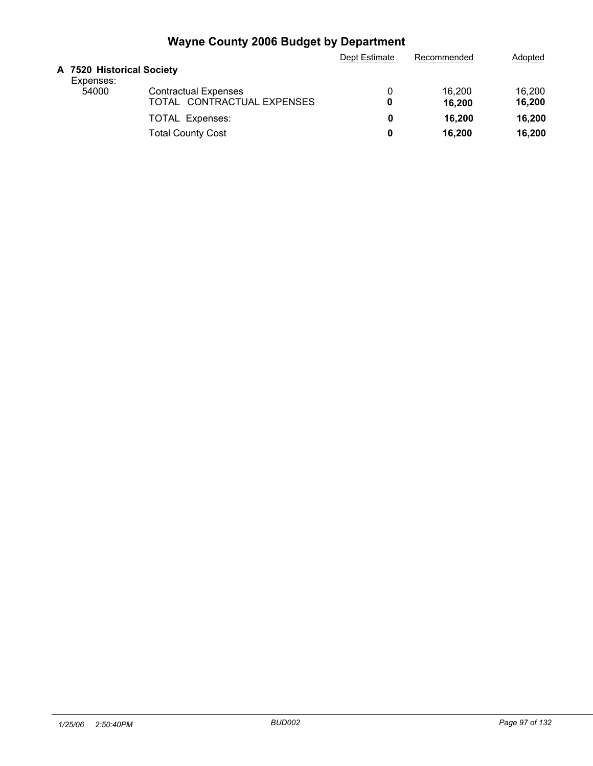|                                        |                             | Dept Estimate | Recommended | Adopted |
|----------------------------------------|-----------------------------|---------------|-------------|---------|
| A 7520 Historical Society<br>Expenses: |                             |               |             |         |
| 54000                                  | <b>Contractual Expenses</b> |               | 16.200      | 16.200  |
|                                        | TOTAL CONTRACTUAL EXPENSES  | 0             | 16,200      | 16,200  |
|                                        | <b>TOTAL Expenses:</b>      | 0             | 16,200      | 16.200  |
|                                        | <b>Total County Cost</b>    | 0             | 16.200      | 16,200  |
|                                        |                             |               |             |         |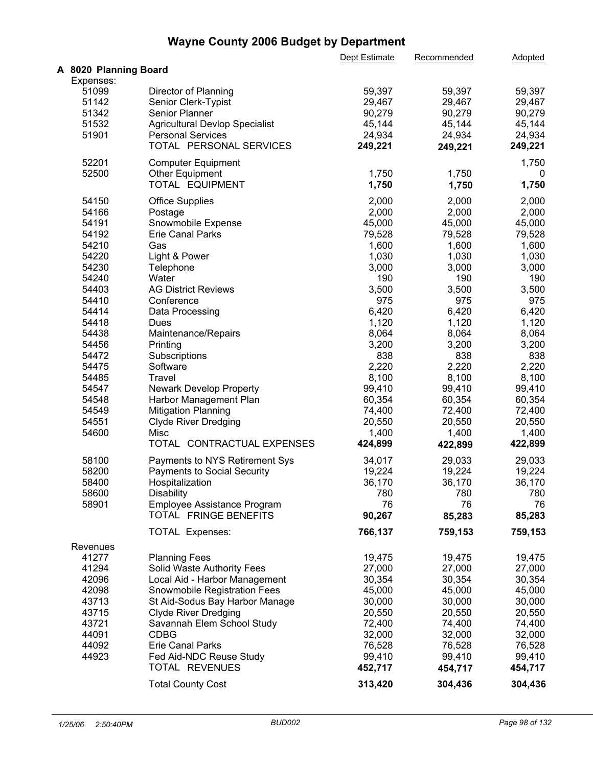|                       |                                       | Dept Estimate | Recommended | Adopted |  |
|-----------------------|---------------------------------------|---------------|-------------|---------|--|
| A 8020 Planning Board |                                       |               |             |         |  |
| Expenses:             |                                       |               |             |         |  |
| 51099                 | Director of Planning                  | 59,397        | 59,397      | 59,397  |  |
| 51142                 | Senior Clerk-Typist                   | 29,467        | 29,467      | 29,467  |  |
| 51342                 | Senior Planner                        | 90,279        | 90,279      | 90,279  |  |
| 51532                 | <b>Agricultural Devlop Specialist</b> | 45,144        | 45,144      | 45,144  |  |
| 51901                 | <b>Personal Services</b>              | 24,934        | 24,934      | 24,934  |  |
|                       | TOTAL PERSONAL SERVICES               | 249,221       | 249,221     | 249,221 |  |
| 52201                 | <b>Computer Equipment</b>             |               |             | 1,750   |  |
| 52500                 | <b>Other Equipment</b>                | 1,750         | 1,750       | 0       |  |
|                       | TOTAL EQUIPMENT                       | 1,750         | 1,750       | 1,750   |  |
|                       |                                       |               |             |         |  |
| 54150                 | <b>Office Supplies</b>                | 2,000         | 2,000       | 2,000   |  |
| 54166                 | Postage                               | 2,000         | 2,000       | 2,000   |  |
| 54191                 | Snowmobile Expense                    | 45,000        | 45,000      | 45,000  |  |
| 54192                 | <b>Erie Canal Parks</b>               | 79,528        | 79,528      | 79,528  |  |
| 54210                 | Gas                                   | 1,600         | 1,600       | 1,600   |  |
| 54220                 | Light & Power                         | 1,030         | 1,030       | 1,030   |  |
| 54230                 | Telephone                             | 3,000         | 3,000       | 3,000   |  |
| 54240                 | Water                                 | 190           | 190         | 190     |  |
| 54403                 | <b>AG District Reviews</b>            | 3,500         | 3,500       | 3,500   |  |
| 54410                 | Conference                            | 975           | 975         | 975     |  |
| 54414                 | Data Processing                       | 6,420         | 6,420       | 6,420   |  |
| 54418                 | <b>Dues</b>                           | 1,120         | 1,120       | 1,120   |  |
| 54438                 | Maintenance/Repairs                   | 8,064         | 8,064       | 8,064   |  |
| 54456                 | Printing                              | 3,200         | 3,200       | 3,200   |  |
| 54472                 | Subscriptions                         | 838           | 838         | 838     |  |
| 54475                 | Software                              | 2,220         | 2,220       | 2,220   |  |
| 54485                 | Travel                                | 8,100         | 8,100       | 8,100   |  |
| 54547                 | <b>Newark Develop Property</b>        | 99,410        | 99,410      | 99,410  |  |
| 54548                 | Harbor Management Plan                | 60,354        | 60,354      | 60,354  |  |
| 54549                 | <b>Mitigation Planning</b>            | 74,400        | 72,400      | 72,400  |  |
| 54551                 | <b>Clyde River Dredging</b>           | 20,550        | 20,550      | 20,550  |  |
| 54600                 | Misc                                  | 1,400         | 1,400       | 1,400   |  |
|                       | TOTAL CONTRACTUAL EXPENSES            | 424,899       |             | 422,899 |  |
|                       |                                       |               | 422,899     |         |  |
| 58100                 | Payments to NYS Retirement Sys        | 34,017        | 29,033      | 29,033  |  |
| 58200                 | <b>Payments to Social Security</b>    | 19,224        | 19,224      | 19,224  |  |
| 58400                 | Hospitalization                       | 36,170        | 36,170      | 36,170  |  |
| 58600                 | <b>Disability</b>                     | 780           | 780         | 780     |  |
| 58901                 | Employee Assistance Program           | 76            | 76          | 76      |  |
|                       | TOTAL FRINGE BENEFITS                 | 90,267        | 85,283      | 85,283  |  |
|                       | <b>TOTAL Expenses:</b>                | 766,137       | 759,153     | 759,153 |  |
|                       |                                       |               |             |         |  |
| Revenues<br>41277     | <b>Planning Fees</b>                  | 19,475        | 19,475      | 19,475  |  |
| 41294                 | Solid Waste Authority Fees            | 27,000        | 27,000      | 27,000  |  |
| 42096                 | Local Aid - Harbor Management         | 30,354        | 30,354      | 30,354  |  |
| 42098                 | Snowmobile Registration Fees          | 45,000        | 45,000      | 45,000  |  |
|                       |                                       |               |             |         |  |
| 43713                 | St Aid-Sodus Bay Harbor Manage        | 30,000        | 30,000      | 30,000  |  |
| 43715                 | <b>Clyde River Dredging</b>           | 20,550        | 20,550      | 20,550  |  |
| 43721                 | Savannah Elem School Study            | 72,400        | 74,400      | 74,400  |  |
| 44091                 | <b>CDBG</b>                           | 32,000        | 32,000      | 32,000  |  |
| 44092                 | Erie Canal Parks                      | 76,528        | 76,528      | 76,528  |  |
| 44923                 | Fed Aid-NDC Reuse Study               | 99,410        | 99,410      | 99,410  |  |
|                       | TOTAL REVENUES                        | 452,717       | 454,717     | 454,717 |  |
|                       | <b>Total County Cost</b>              | 313,420       | 304,436     | 304,436 |  |
|                       |                                       |               |             |         |  |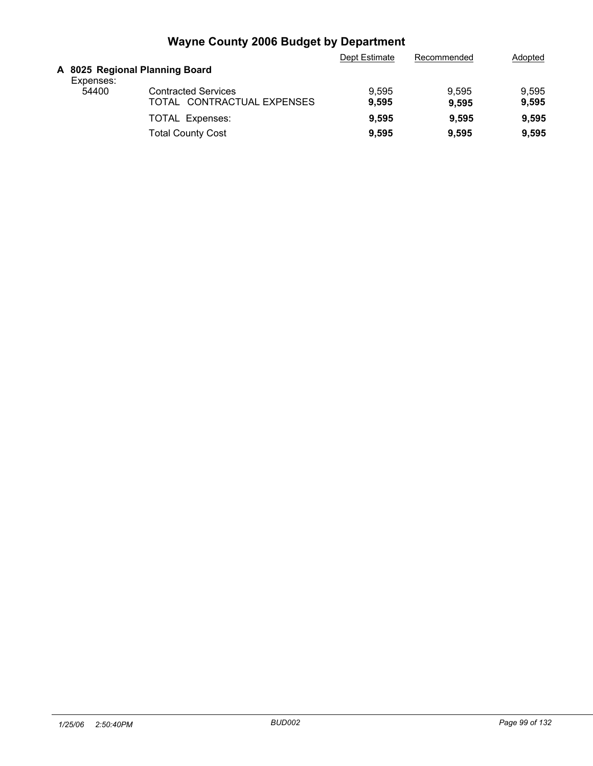|                                             |                            | Dept Estimate | Recommended | Adopted |
|---------------------------------------------|----------------------------|---------------|-------------|---------|
| A 8025 Regional Planning Board<br>Expenses: |                            |               |             |         |
| 54400                                       | <b>Contracted Services</b> | 9,595         | 9.595       | 9,595   |
|                                             | TOTAL CONTRACTUAL EXPENSES | 9,595         | 9.595       | 9,595   |
|                                             | <b>TOTAL Expenses:</b>     | 9,595         | 9.595       | 9,595   |
|                                             | <b>Total County Cost</b>   | 9.595         | 9.595       | 9,595   |
|                                             |                            |               |             |         |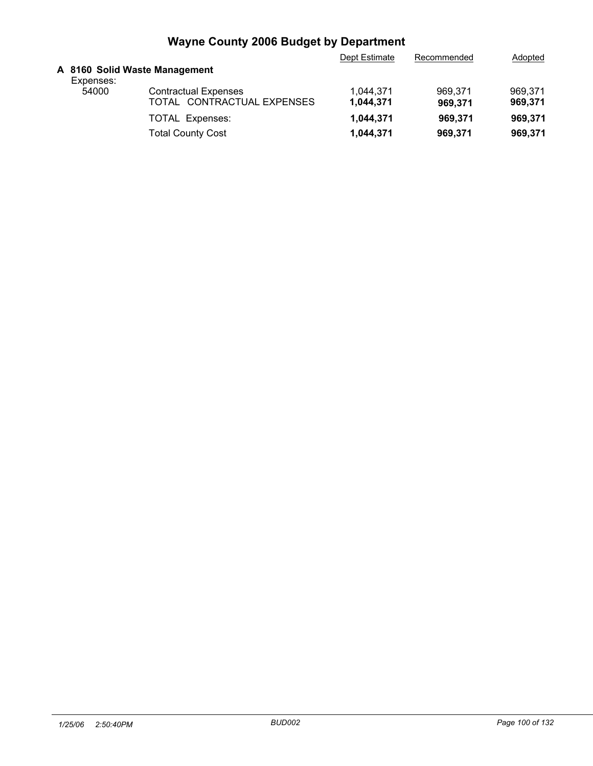|           |                                                           | Dept Estimate                 | Recommended        | Adopted            |
|-----------|-----------------------------------------------------------|-------------------------------|--------------------|--------------------|
| Expenses: |                                                           |                               |                    |                    |
| 54000     | <b>Contractual Expenses</b><br>TOTAL CONTRACTUAL EXPENSES | 1,044,371<br>1,044,371        | 969.371<br>969.371 | 969.371<br>969,371 |
|           | <b>TOTAL Expenses:</b>                                    | 1,044,371                     | 969.371            | 969.371            |
|           | <b>Total County Cost</b>                                  | 1,044,371                     | 969,371            | 969,371            |
|           |                                                           | A 8160 Solid Waste Management |                    |                    |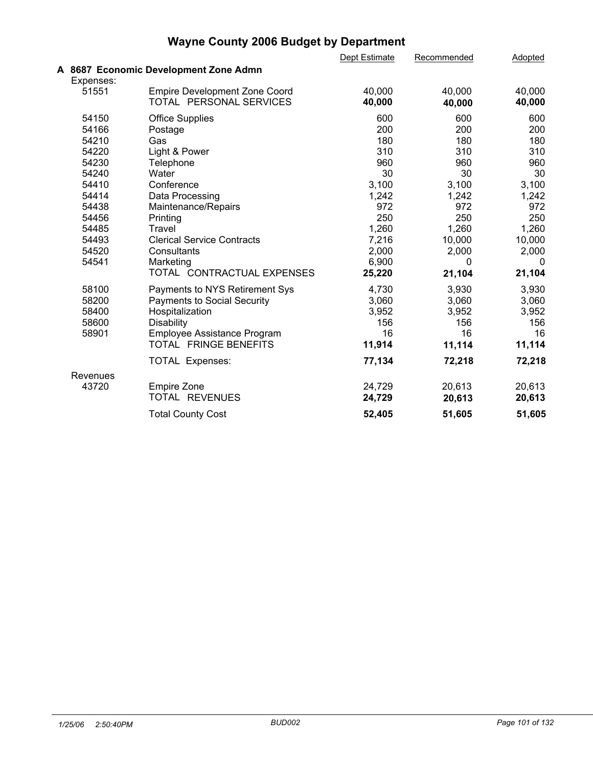| <b>Wayne County 2006 Budget by Department</b> |  |
|-----------------------------------------------|--|
|-----------------------------------------------|--|

|           |                                       | Dept Estimate | Recommended | Adopted |  |
|-----------|---------------------------------------|---------------|-------------|---------|--|
|           | A 8687 Economic Development Zone Admn |               |             |         |  |
| Expenses: |                                       |               |             |         |  |
| 51551     | <b>Empire Development Zone Coord</b>  | 40,000        | 40,000      | 40,000  |  |
|           | TOTAL PERSONAL SERVICES               | 40,000        | 40,000      | 40,000  |  |
| 54150     | <b>Office Supplies</b>                | 600           | 600         | 600     |  |
| 54166     | Postage                               | 200           | 200         | 200     |  |
| 54210     | Gas                                   | 180           | 180         | 180     |  |
| 54220     | Light & Power                         | 310           | 310         | 310     |  |
| 54230     | Telephone                             | 960           | 960         | 960     |  |
| 54240     | Water                                 | 30            | 30          | 30      |  |
| 54410     | Conference                            | 3,100         | 3,100       | 3,100   |  |
| 54414     | Data Processing                       | 1,242         | 1,242       | 1,242   |  |
| 54438     | Maintenance/Repairs                   | 972           | 972         | 972     |  |
| 54456     | Printing                              | 250           | 250         | 250     |  |
| 54485     | Travel                                | 1,260         | 1,260       | 1,260   |  |
| 54493     | <b>Clerical Service Contracts</b>     | 7,216         | 10,000      | 10,000  |  |
| 54520     | Consultants                           | 2,000         | 2,000       | 2,000   |  |
| 54541     | Marketing                             | 6,900         | $\Omega$    | 0       |  |
|           | TOTAL CONTRACTUAL EXPENSES            | 25,220        | 21,104      | 21,104  |  |
| 58100     | Payments to NYS Retirement Sys        | 4,730         | 3,930       | 3,930   |  |
| 58200     | <b>Payments to Social Security</b>    | 3,060         | 3,060       | 3,060   |  |
| 58400     | Hospitalization                       | 3,952         | 3,952       | 3,952   |  |
| 58600     | <b>Disability</b>                     | 156           | 156         | 156     |  |
| 58901     | Employee Assistance Program           | 16            | 16          | 16      |  |
|           | TOTAL FRINGE BENEFITS                 | 11,914        | 11,114      | 11,114  |  |
|           | <b>TOTAL Expenses:</b>                | 77,134        | 72,218      | 72,218  |  |
| Revenues  |                                       |               |             |         |  |
| 43720     | <b>Empire Zone</b>                    | 24,729        | 20,613      | 20,613  |  |
|           | TOTAL REVENUES                        | 24,729        | 20,613      | 20,613  |  |
|           | <b>Total County Cost</b>              | 52,405        | 51,605      | 51,605  |  |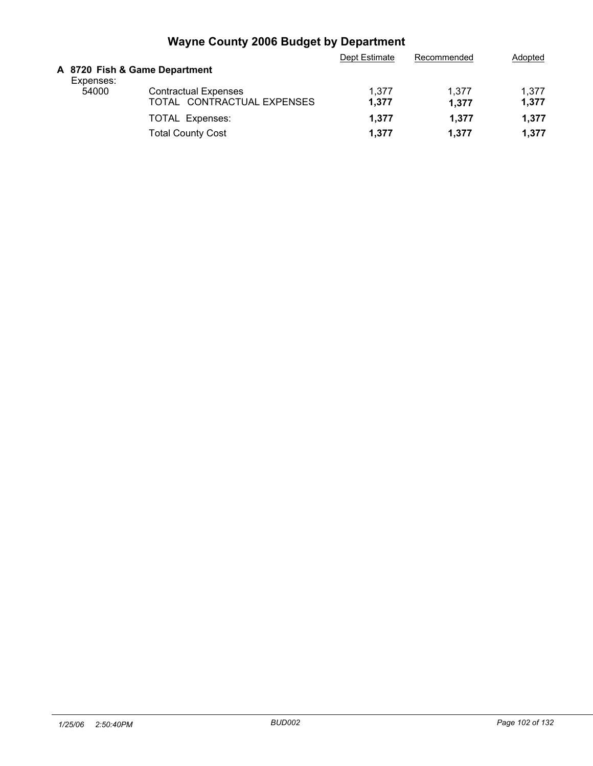| A 8720 Fish & Game Department                                                                                            | Adopted |
|--------------------------------------------------------------------------------------------------------------------------|---------|
| Expenses:                                                                                                                |         |
| <b>Contractual Expenses</b><br>54000<br>1.377<br>1.377<br>1,377<br>TOTAL CONTRACTUAL EXPENSES<br>1.377<br>1,377<br>1.377 |         |
| 1.377<br>1,377<br>1.377<br><b>TOTAL Expenses:</b>                                                                        |         |
| <b>Total County Cost</b><br>1.377<br>1.377<br>1,377                                                                      |         |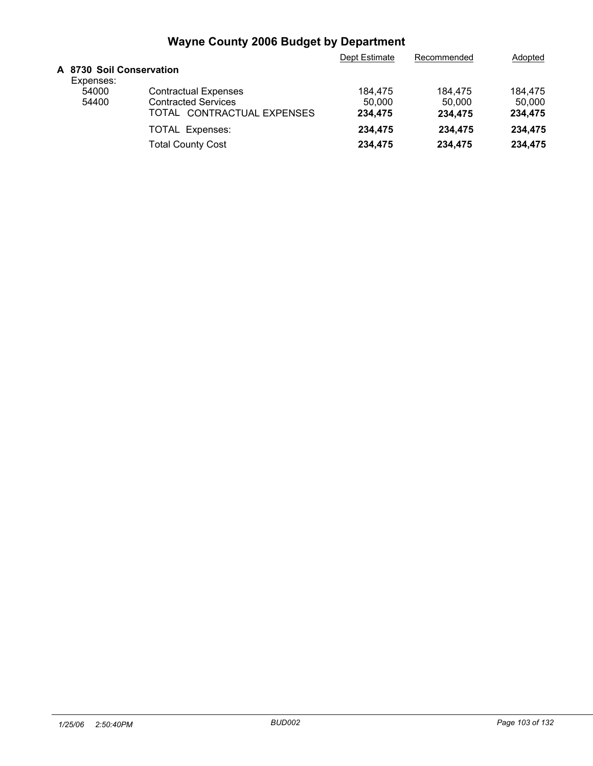|                                       |                             | Dept Estimate | Recommended | Adopted |
|---------------------------------------|-----------------------------|---------------|-------------|---------|
| A 8730 Soil Conservation<br>Expenses: |                             |               |             |         |
| 54000                                 | <b>Contractual Expenses</b> | 184.475       | 184,475     | 184.475 |
| 54400                                 | <b>Contracted Services</b>  | 50.000        | 50,000      | 50.000  |
|                                       | TOTAL CONTRACTUAL EXPENSES  | 234,475       | 234.475     | 234,475 |
|                                       | <b>TOTAL Expenses:</b>      | 234.475       | 234.475     | 234.475 |
|                                       | <b>Total County Cost</b>    | 234,475       | 234.475     | 234,475 |
|                                       |                             |               |             |         |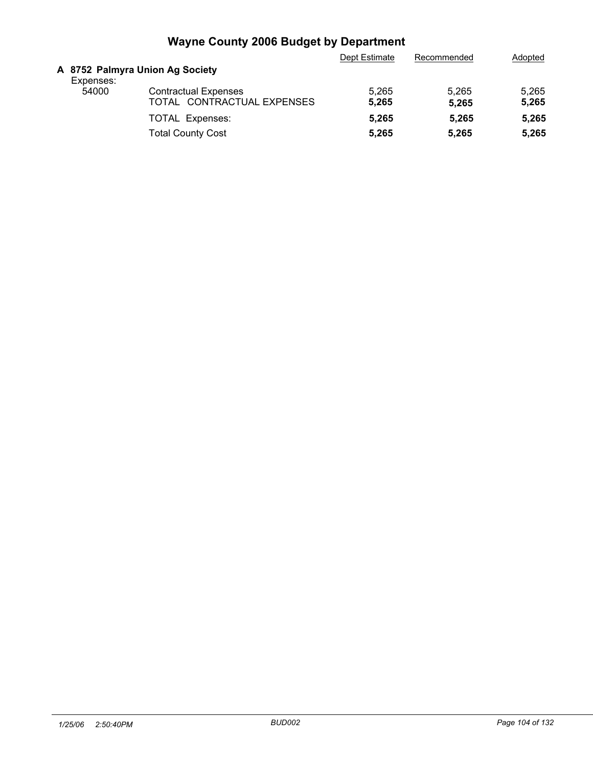|           |                                                           | Dept Estimate  | Recommended    | Adopted        |
|-----------|-----------------------------------------------------------|----------------|----------------|----------------|
| Expenses: | A 8752 Palmyra Union Ag Society                           |                |                |                |
| 54000     | <b>Contractual Expenses</b><br>TOTAL CONTRACTUAL EXPENSES | 5,265<br>5,265 | 5.265<br>5,265 | 5,265<br>5,265 |
|           | <b>TOTAL Expenses:</b>                                    | 5.265          | 5.265          | 5,265          |
|           | <b>Total County Cost</b>                                  | 5,265          | 5.265          | 5,265          |
|           |                                                           |                |                |                |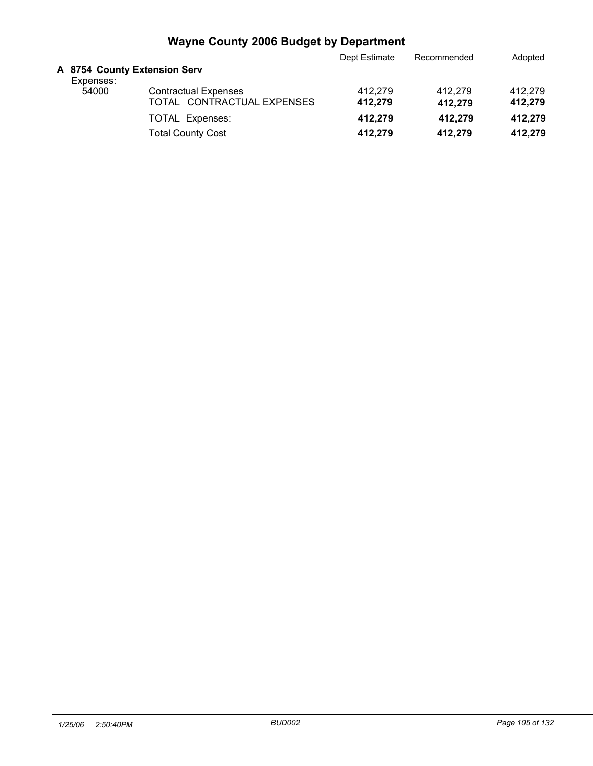|                                           |                                                           | Dept Estimate      | Recommended        | Adopted            |
|-------------------------------------------|-----------------------------------------------------------|--------------------|--------------------|--------------------|
| A 8754 County Extension Serv<br>Expenses: |                                                           |                    |                    |                    |
| 54000                                     | <b>Contractual Expenses</b><br>TOTAL CONTRACTUAL EXPENSES | 412.279<br>412.279 | 412.279<br>412,279 | 412.279<br>412,279 |
|                                           | TOTAL Expenses:                                           | 412,279            | 412.279            | 412.279            |
|                                           | <b>Total County Cost</b>                                  | 412,279            | 412.279            | 412.279            |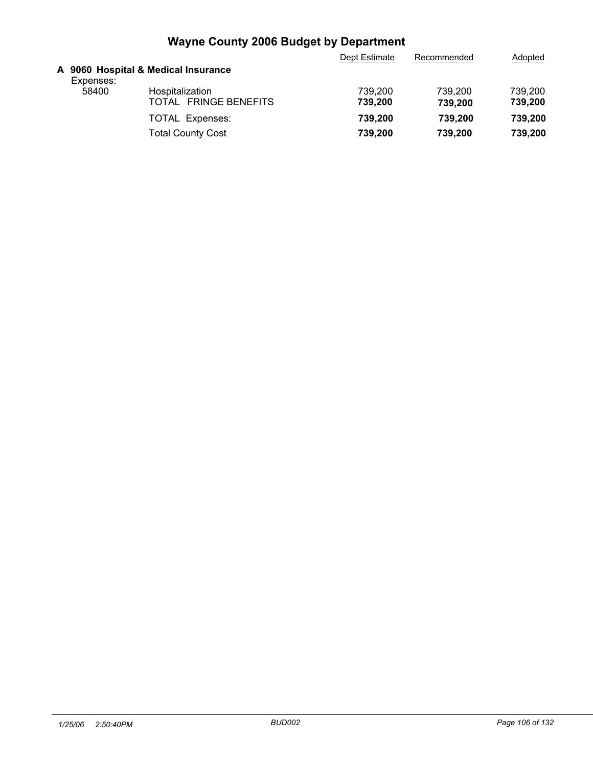|           |                                          | Dept Estimate      | Recommended        | Adopted            |
|-----------|------------------------------------------|--------------------|--------------------|--------------------|
| Expenses: | A 9060 Hospital & Medical Insurance      |                    |                    |                    |
| 58400     | Hospitalization<br>TOTAL FRINGE BENEFITS | 739,200<br>739.200 | 739,200<br>739,200 | 739,200<br>739,200 |
|           | TOTAL Expenses:                          | 739,200            | 739.200            | 739.200            |
|           | <b>Total County Cost</b>                 | 739,200            | 739.200            | 739,200            |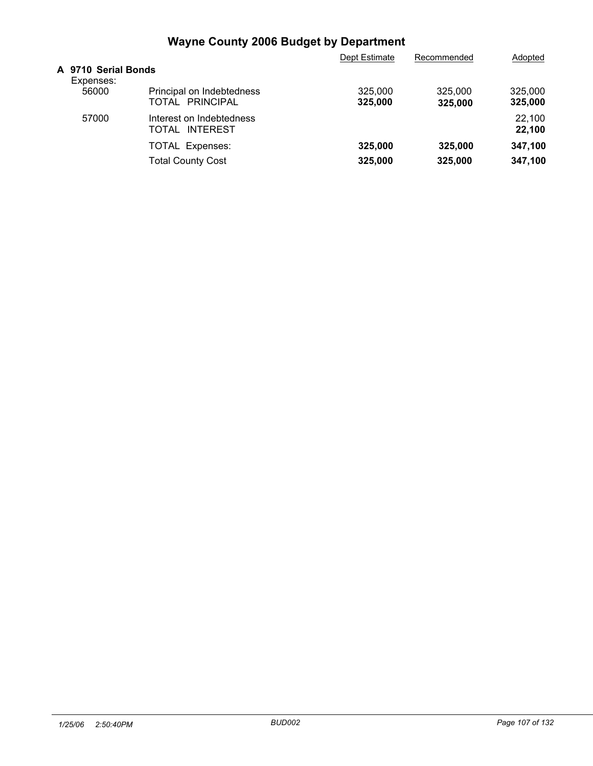|                                  |                                              | Dept Estimate      | Recommended        | Adopted            |  |
|----------------------------------|----------------------------------------------|--------------------|--------------------|--------------------|--|
| A 9710 Serial Bonds<br>Expenses: |                                              |                    |                    |                    |  |
| 56000                            | Principal on Indebtedness<br>TOTAL PRINCIPAL | 325,000<br>325,000 | 325,000<br>325,000 | 325,000<br>325,000 |  |
| 57000                            | Interest on Indebtedness<br>TOTAL INTEREST   |                    |                    | 22,100<br>22,100   |  |
|                                  | <b>TOTAL Expenses:</b>                       | 325,000            | 325,000            | 347,100            |  |
|                                  | <b>Total County Cost</b>                     | 325,000            | 325,000            | 347,100            |  |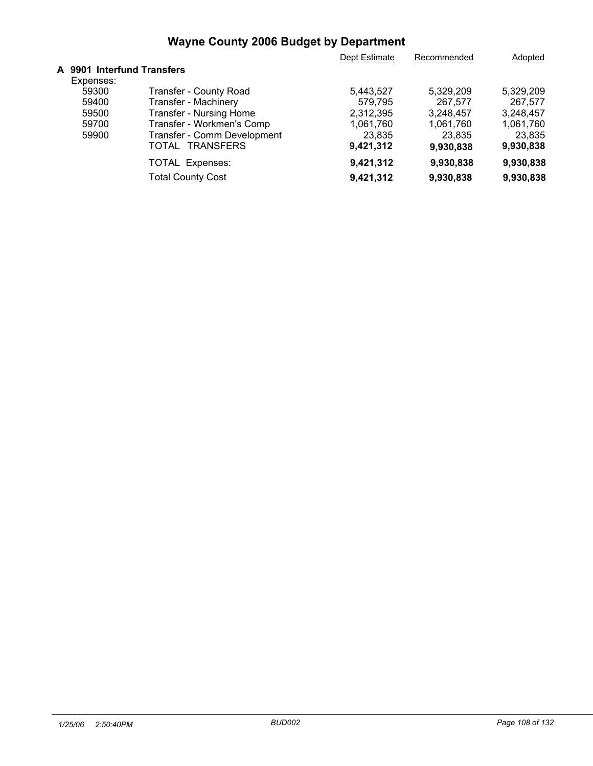|                            |                             | Dept Estimate | Recommended | Adopted   |  |
|----------------------------|-----------------------------|---------------|-------------|-----------|--|
| A 9901 Interfund Transfers |                             |               |             |           |  |
| Expenses:                  |                             |               |             |           |  |
| 59300                      | Transfer - County Road      | 5,443,527     | 5,329,209   | 5,329,209 |  |
| 59400                      | <b>Transfer - Machinery</b> | 579,795       | 267.577     | 267.577   |  |
| 59500                      | Transfer - Nursing Home     | 2,312,395     | 3,248,457   | 3,248,457 |  |
| 59700                      | Transfer - Workmen's Comp   | 1,061,760     | 1,061,760   | 1,061,760 |  |
| 59900                      | Transfer - Comm Development | 23,835        | 23,835      | 23,835    |  |
|                            | TOTAL<br><b>TRANSFERS</b>   | 9,421,312     | 9,930,838   | 9,930,838 |  |
|                            | <b>TOTAL Expenses:</b>      | 9,421,312     | 9,930,838   | 9,930,838 |  |
|                            | <b>Total County Cost</b>    | 9,421,312     | 9,930,838   | 9,930,838 |  |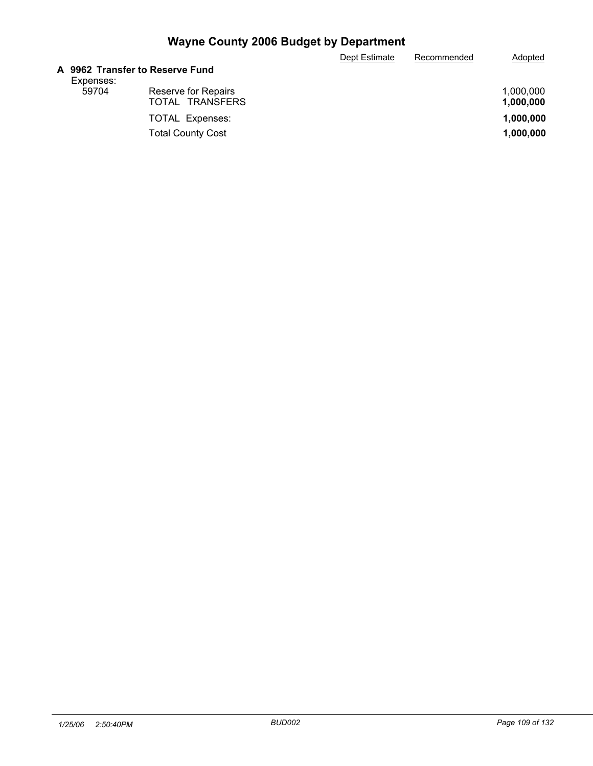|                                 |                          | Dept Estimate | Recommended | Adopted   |
|---------------------------------|--------------------------|---------------|-------------|-----------|
| A 9962 Transfer to Reserve Fund |                          |               |             |           |
| Expenses:                       |                          |               |             |           |
| 59704                           | Reserve for Repairs      |               |             | 1.000.000 |
|                                 | TOTAL TRANSFERS          |               |             | 1,000,000 |
|                                 | <b>TOTAL Expenses:</b>   |               |             | 1,000,000 |
|                                 | <b>Total County Cost</b> |               |             | 1,000,000 |
|                                 |                          |               |             |           |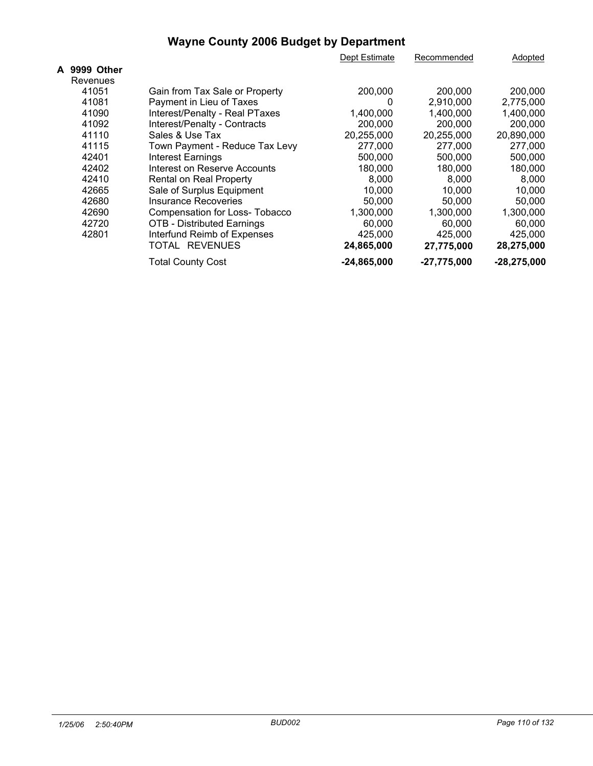|              |                                     | Dept Estimate | Recommended   | Adopted       |
|--------------|-------------------------------------|---------------|---------------|---------------|
| A 9999 Other |                                     |               |               |               |
| Revenues     |                                     |               |               |               |
| 41051        | Gain from Tax Sale or Property      | 200,000       | 200,000       | 200,000       |
| 41081        | Payment in Lieu of Taxes            | 0             | 2.910.000     | 2,775,000     |
| 41090        | Interest/Penalty - Real PTaxes      | 1,400,000     | 1,400,000     | 1,400,000     |
| 41092        | Interest/Penalty - Contracts        | 200,000       | 200,000       | 200,000       |
| 41110        | Sales & Use Tax                     | 20,255,000    | 20,255,000    | 20,890,000    |
| 41115        | Town Payment - Reduce Tax Levy      | 277,000       | 277,000       | 277,000       |
| 42401        | Interest Earnings                   | 500,000       | 500,000       | 500,000       |
| 42402        | <b>Interest on Reserve Accounts</b> | 180,000       | 180,000       | 180,000       |
| 42410        | Rental on Real Property             | 8,000         | 8.000         | 8.000         |
| 42665        | Sale of Surplus Equipment           | 10,000        | 10,000        | 10.000        |
| 42680        | Insurance Recoveries                | 50.000        | 50.000        | 50.000        |
| 42690        | Compensation for Loss- Tobacco      | 1,300,000     | 1,300,000     | 1,300,000     |
| 42720        | <b>OTB - Distributed Earnings</b>   | 60,000        | 60,000        | 60,000        |
| 42801        | Interfund Reimb of Expenses         | 425,000       | 425,000       | 425,000       |
|              | TOTAL REVENUES                      | 24,865,000    | 27,775,000    | 28,275,000    |
|              | <b>Total County Cost</b>            | $-24,865,000$ | $-27,775,000$ | $-28,275,000$ |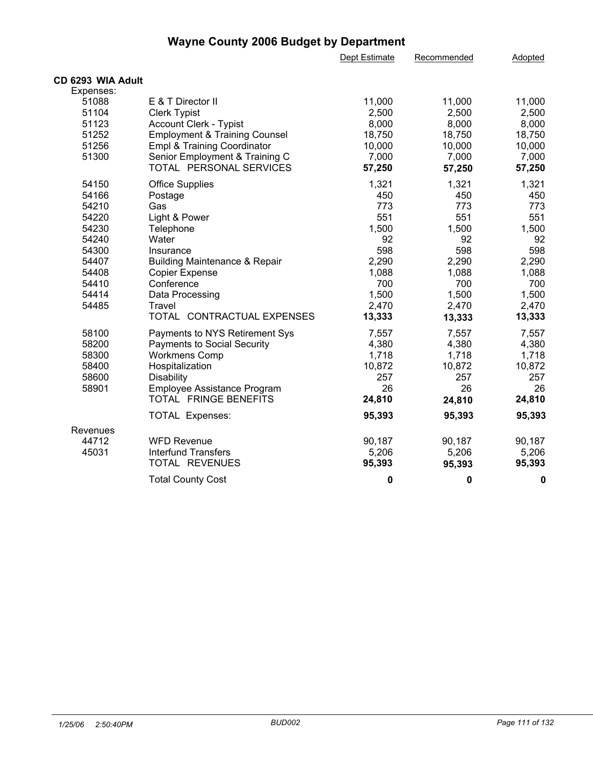|                   |                                          | Dept Estimate | Recommended | Adopted |  |
|-------------------|------------------------------------------|---------------|-------------|---------|--|
| CD 6293 WIA Adult |                                          |               |             |         |  |
| Expenses:         |                                          |               |             |         |  |
| 51088             | E & T Director II                        | 11,000        | 11,000      | 11,000  |  |
| 51104             | <b>Clerk Typist</b>                      | 2,500         | 2,500       | 2,500   |  |
| 51123             | <b>Account Clerk - Typist</b>            | 8,000         | 8,000       | 8,000   |  |
| 51252             | <b>Employment &amp; Training Counsel</b> | 18,750        | 18,750      | 18,750  |  |
| 51256             | Empl & Training Coordinator              | 10,000        | 10,000      | 10,000  |  |
| 51300             | Senior Employment & Training C           | 7,000         | 7,000       | 7,000   |  |
|                   | TOTAL PERSONAL SERVICES                  | 57,250        | 57,250      | 57,250  |  |
|                   |                                          |               |             |         |  |
| 54150             | <b>Office Supplies</b>                   | 1,321         | 1,321       | 1,321   |  |
| 54166             | Postage                                  | 450           | 450         | 450     |  |
| 54210             | Gas                                      | 773           | 773         | 773     |  |
| 54220             | Light & Power                            | 551           | 551         | 551     |  |
| 54230             | Telephone                                | 1,500         | 1,500       | 1,500   |  |
| 54240             | Water                                    | 92            | 92          | 92      |  |
| 54300             | Insurance                                | 598           | 598         | 598     |  |
| 54407             | <b>Building Maintenance &amp; Repair</b> | 2,290         | 2,290       | 2,290   |  |
| 54408             | <b>Copier Expense</b>                    | 1,088         | 1,088       | 1,088   |  |
| 54410             | Conference                               | 700           | 700         | 700     |  |
| 54414             | Data Processing                          | 1,500         | 1,500       | 1,500   |  |
| 54485             | Travel                                   | 2,470         | 2,470       | 2,470   |  |
|                   | TOTAL CONTRACTUAL EXPENSES               | 13,333        | 13,333      | 13,333  |  |
| 58100             | Payments to NYS Retirement Sys           | 7,557         | 7,557       | 7,557   |  |
| 58200             | <b>Payments to Social Security</b>       | 4,380         | 4,380       | 4,380   |  |
| 58300             | <b>Workmens Comp</b>                     | 1,718         | 1,718       | 1,718   |  |
| 58400             | Hospitalization                          | 10,872        | 10,872      | 10,872  |  |
| 58600             | <b>Disability</b>                        | 257           | 257         | 257     |  |
| 58901             | Employee Assistance Program              | 26            | 26          | 26      |  |
|                   | TOTAL FRINGE BENEFITS                    | 24,810        | 24,810      | 24,810  |  |
|                   | <b>TOTAL Expenses:</b>                   | 95,393        | 95,393      | 95,393  |  |
| Revenues          |                                          |               |             |         |  |
| 44712             | <b>WFD Revenue</b>                       | 90,187        | 90,187      | 90,187  |  |
| 45031             | <b>Interfund Transfers</b>               | 5,206         | 5,206       | 5,206   |  |
|                   | TOTAL REVENUES                           | 95,393        | 95,393      | 95,393  |  |
|                   | <b>Total County Cost</b>                 | 0             | 0           | 0       |  |
|                   |                                          |               |             |         |  |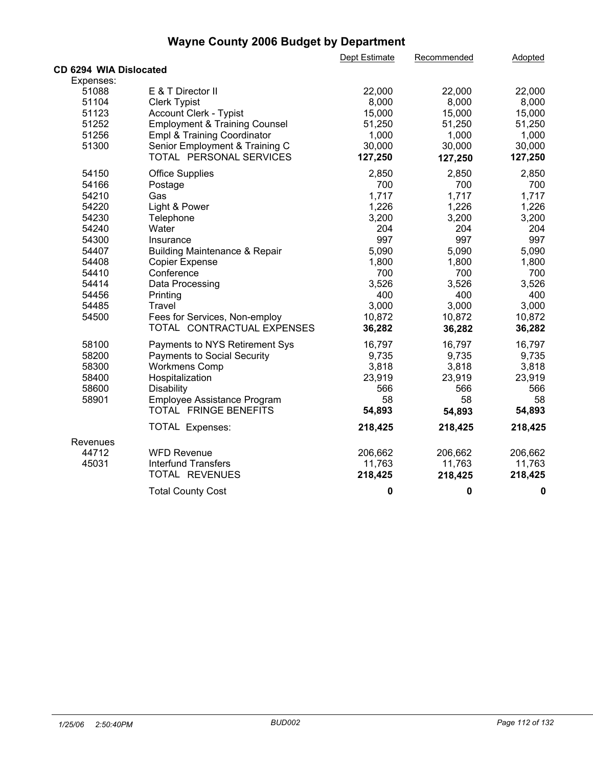|                        |                                          | Dept Estimate | Recommended | <b>Adopted</b> |
|------------------------|------------------------------------------|---------------|-------------|----------------|
| CD 6294 WIA Dislocated |                                          |               |             |                |
| Expenses:              |                                          |               |             |                |
| 51088                  | E & T Director II                        | 22,000        | 22,000      | 22,000         |
| 51104                  | <b>Clerk Typist</b>                      | 8,000         | 8,000       | 8,000          |
| 51123                  | <b>Account Clerk - Typist</b>            | 15,000        | 15,000      | 15,000         |
| 51252                  | <b>Employment &amp; Training Counsel</b> | 51,250        | 51,250      | 51,250         |
| 51256                  | Empl & Training Coordinator              | 1,000         | 1,000       | 1,000          |
| 51300                  | Senior Employment & Training C           | 30,000        | 30,000      | 30,000         |
|                        | TOTAL PERSONAL SERVICES                  | 127,250       | 127,250     | 127,250        |
| 54150                  | <b>Office Supplies</b>                   | 2,850         | 2,850       | 2,850          |
| 54166                  | Postage                                  | 700           | 700         | 700            |
| 54210                  | Gas                                      | 1,717         | 1,717       | 1,717          |
| 54220                  | Light & Power                            | 1,226         | 1,226       | 1,226          |
| 54230                  | Telephone                                | 3,200         | 3,200       | 3,200          |
| 54240                  | Water                                    | 204           | 204         | 204            |
| 54300                  | Insurance                                | 997           | 997         | 997            |
| 54407                  | <b>Building Maintenance &amp; Repair</b> | 5,090         | 5,090       | 5,090          |
| 54408                  | Copier Expense                           | 1,800         | 1,800       | 1,800          |
| 54410                  | Conference                               | 700           | 700         | 700            |
| 54414                  | Data Processing                          | 3,526         | 3,526       | 3,526          |
| 54456                  | Printing                                 | 400           | 400         | 400            |
| 54485                  | Travel                                   | 3,000         | 3,000       | 3,000          |
| 54500                  | Fees for Services, Non-employ            | 10,872        | 10,872      | 10,872         |
|                        | TOTAL CONTRACTUAL EXPENSES               | 36,282        | 36,282      | 36,282         |
| 58100                  | Payments to NYS Retirement Sys           | 16,797        | 16,797      | 16,797         |
| 58200                  | <b>Payments to Social Security</b>       | 9,735         | 9,735       | 9,735          |
| 58300                  | <b>Workmens Comp</b>                     | 3,818         | 3,818       | 3,818          |
| 58400                  | Hospitalization                          | 23,919        | 23,919      | 23,919         |
| 58600                  | Disability                               | 566           | 566         | 566            |
| 58901                  | Employee Assistance Program              | 58            | 58          | 58             |
|                        | TOTAL FRINGE BENEFITS                    | 54,893        | 54,893      | 54,893         |
|                        | TOTAL Expenses:                          | 218,425       | 218,425     | 218,425        |
| Revenues               |                                          |               |             |                |
| 44712                  | <b>WFD Revenue</b>                       | 206,662       | 206,662     | 206,662        |
| 45031                  | <b>Interfund Transfers</b>               | 11,763        | 11,763      | 11,763         |
|                        | TOTAL REVENUES                           | 218,425       | 218,425     | 218,425        |
|                        | <b>Total County Cost</b>                 | $\mathbf 0$   | 0           | 0              |
|                        |                                          |               |             |                |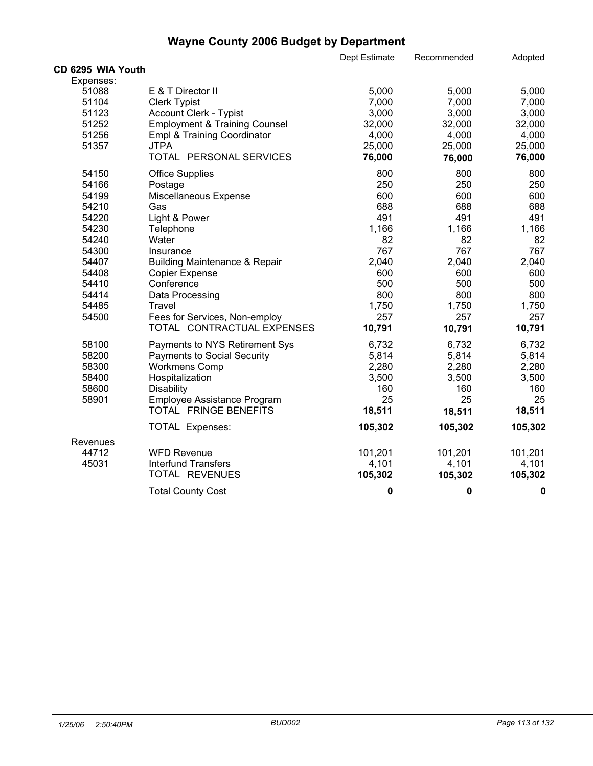|                   |                                          | Dept Estimate | Recommended | <b>Adopted</b> |  |
|-------------------|------------------------------------------|---------------|-------------|----------------|--|
| CD 6295 WIA Youth |                                          |               |             |                |  |
| Expenses:         |                                          |               |             |                |  |
| 51088             | E & T Director II                        | 5,000         | 5,000       | 5,000          |  |
| 51104             | <b>Clerk Typist</b>                      | 7,000         | 7,000       | 7,000          |  |
| 51123             | Account Clerk - Typist                   | 3,000         | 3,000       | 3,000          |  |
| 51252             | <b>Employment &amp; Training Counsel</b> | 32,000        | 32,000      | 32,000         |  |
| 51256             | Empl & Training Coordinator              | 4,000         | 4,000       | 4,000          |  |
| 51357             | <b>JTPA</b>                              | 25,000        | 25,000      | 25,000         |  |
|                   | TOTAL PERSONAL SERVICES                  | 76,000        | 76,000      | 76,000         |  |
| 54150             | <b>Office Supplies</b>                   | 800           | 800         | 800            |  |
| 54166             | Postage                                  | 250           | 250         | 250            |  |
| 54199             | Miscellaneous Expense                    | 600           | 600         | 600            |  |
| 54210             | Gas                                      | 688           | 688         | 688            |  |
| 54220             | Light & Power                            | 491           | 491         | 491            |  |
| 54230             | Telephone                                | 1,166         | 1,166       | 1,166          |  |
| 54240             | Water                                    | 82            | 82          | 82             |  |
| 54300             | Insurance                                | 767           | 767         | 767            |  |
| 54407             | <b>Building Maintenance &amp; Repair</b> | 2,040         | 2,040       | 2,040          |  |
| 54408             | <b>Copier Expense</b>                    | 600           | 600         | 600            |  |
| 54410             | Conference                               | 500           | 500         | 500            |  |
| 54414             | Data Processing                          | 800           | 800         | 800            |  |
| 54485             | Travel                                   | 1,750         | 1,750       | 1,750          |  |
| 54500             | Fees for Services, Non-employ            | 257           | 257         | 257            |  |
|                   | TOTAL CONTRACTUAL EXPENSES               | 10,791        | 10,791      | 10,791         |  |
| 58100             | Payments to NYS Retirement Sys           | 6,732         | 6,732       | 6,732          |  |
| 58200             | Payments to Social Security              | 5,814         | 5,814       | 5,814          |  |
| 58300             | <b>Workmens Comp</b>                     | 2,280         | 2,280       | 2,280          |  |
| 58400             | Hospitalization                          | 3,500         | 3,500       | 3,500          |  |
| 58600             | Disability                               | 160           | 160         | 160            |  |
| 58901             | Employee Assistance Program              | 25            | 25          | 25             |  |
|                   | TOTAL FRINGE BENEFITS                    | 18,511        | 18,511      | 18,511         |  |
|                   | <b>TOTAL Expenses:</b>                   | 105,302       | 105,302     | 105,302        |  |
| Revenues          |                                          |               |             |                |  |
| 44712             | <b>WFD Revenue</b>                       | 101,201       | 101,201     | 101,201        |  |
| 45031             | <b>Interfund Transfers</b>               | 4,101         | 4,101       | 4,101          |  |
|                   | TOTAL REVENUES                           | 105,302       | 105,302     | 105,302        |  |
|                   | <b>Total County Cost</b>                 | $\mathbf 0$   | $\pmb{0}$   | $\bf{0}$       |  |
|                   |                                          |               |             |                |  |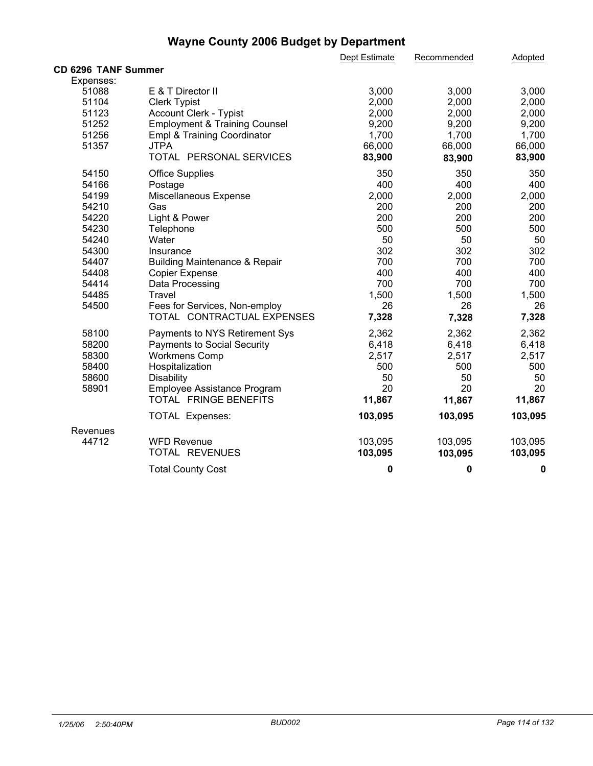|                            |                                          | Dept Estimate | Recommended | Adopted |  |
|----------------------------|------------------------------------------|---------------|-------------|---------|--|
| <b>CD 6296 TANF Summer</b> |                                          |               |             |         |  |
| Expenses:                  |                                          |               |             |         |  |
| 51088                      | E & T Director II                        | 3,000         | 3,000       | 3,000   |  |
| 51104                      | <b>Clerk Typist</b>                      | 2,000         | 2,000       | 2,000   |  |
| 51123                      | <b>Account Clerk - Typist</b>            | 2,000         | 2,000       | 2,000   |  |
| 51252                      | <b>Employment &amp; Training Counsel</b> | 9,200         | 9,200       | 9,200   |  |
| 51256                      | Empl & Training Coordinator              | 1,700         | 1,700       | 1,700   |  |
| 51357                      | <b>JTPA</b>                              | 66,000        | 66,000      | 66,000  |  |
|                            | TOTAL PERSONAL SERVICES                  | 83,900        | 83,900      | 83,900  |  |
| 54150                      | <b>Office Supplies</b>                   | 350           | 350         | 350     |  |
| 54166                      | Postage                                  | 400           | 400         | 400     |  |
| 54199                      | Miscellaneous Expense                    | 2,000         | 2,000       | 2,000   |  |
| 54210                      | Gas                                      | 200           | 200         | 200     |  |
| 54220                      | Light & Power                            | 200           | 200         | 200     |  |
| 54230                      | Telephone                                | 500           | 500         | 500     |  |
| 54240                      | Water                                    | 50            | 50          | 50      |  |
| 54300                      | Insurance                                | 302           | 302         | 302     |  |
| 54407                      | <b>Building Maintenance &amp; Repair</b> | 700           | 700         | 700     |  |
| 54408                      | <b>Copier Expense</b>                    | 400           | 400         | 400     |  |
| 54414                      | Data Processing                          | 700           | 700         | 700     |  |
| 54485                      | Travel                                   | 1,500         | 1,500       | 1,500   |  |
| 54500                      | Fees for Services, Non-employ            | 26            | 26          | 26      |  |
|                            | TOTAL CONTRACTUAL EXPENSES               | 7,328         | 7,328       | 7,328   |  |
| 58100                      | Payments to NYS Retirement Sys           | 2,362         | 2,362       | 2,362   |  |
| 58200                      | Payments to Social Security              | 6,418         | 6,418       | 6,418   |  |
| 58300                      | <b>Workmens Comp</b>                     | 2,517         | 2,517       | 2,517   |  |
| 58400                      | Hospitalization                          | 500           | 500         | 500     |  |
| 58600                      | <b>Disability</b>                        | 50            | 50          | 50      |  |
| 58901                      | Employee Assistance Program              | 20            | 20          | 20      |  |
|                            | TOTAL FRINGE BENEFITS                    | 11,867        | 11,867      | 11,867  |  |
|                            | TOTAL Expenses:                          | 103,095       | 103,095     | 103,095 |  |
| Revenues                   |                                          |               |             |         |  |
| 44712                      | <b>WFD Revenue</b>                       | 103,095       | 103,095     | 103,095 |  |
|                            | TOTAL REVENUES                           | 103,095       | 103,095     | 103,095 |  |
|                            | <b>Total County Cost</b>                 | $\mathbf 0$   | 0           | 0       |  |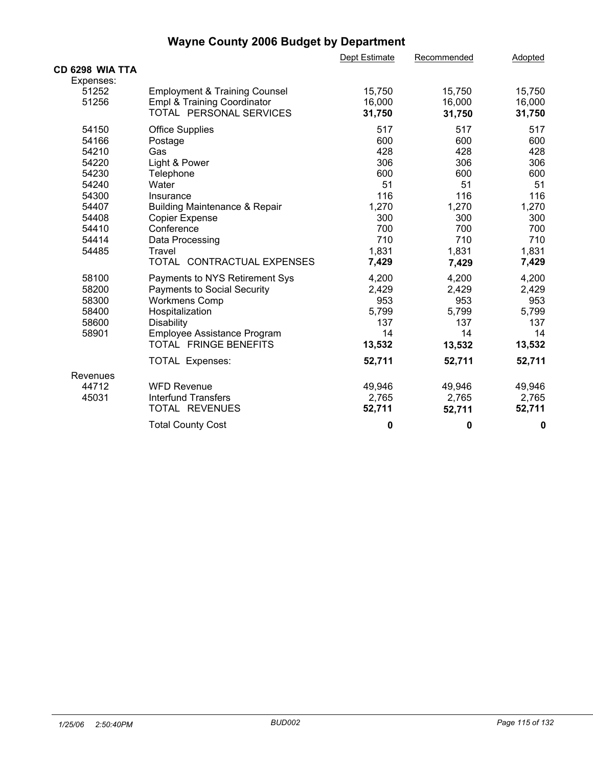|                 |                                          | Dept Estimate | Recommended | Adopted |  |
|-----------------|------------------------------------------|---------------|-------------|---------|--|
| CD 6298 WIA TTA |                                          |               |             |         |  |
| Expenses:       |                                          |               |             |         |  |
| 51252           | <b>Employment &amp; Training Counsel</b> | 15,750        | 15,750      | 15,750  |  |
| 51256           | Empl & Training Coordinator              | 16,000        | 16,000      | 16,000  |  |
|                 | TOTAL PERSONAL SERVICES                  | 31,750        | 31,750      | 31,750  |  |
| 54150           | <b>Office Supplies</b>                   | 517           | 517         | 517     |  |
| 54166           | Postage                                  | 600           | 600         | 600     |  |
| 54210           | Gas                                      | 428           | 428         | 428     |  |
| 54220           | Light & Power                            | 306           | 306         | 306     |  |
| 54230           | Telephone                                | 600           | 600         | 600     |  |
| 54240           | Water                                    | 51            | 51          | 51      |  |
| 54300           | Insurance                                | 116           | 116         | 116     |  |
| 54407           | <b>Building Maintenance &amp; Repair</b> | 1,270         | 1,270       | 1,270   |  |
| 54408           | <b>Copier Expense</b>                    | 300           | 300         | 300     |  |
| 54410           | Conference                               | 700           | 700         | 700     |  |
| 54414           | Data Processing                          | 710           | 710         | 710     |  |
| 54485           | Travel                                   | 1,831         | 1,831       | 1,831   |  |
|                 | TOTAL CONTRACTUAL EXPENSES               | 7,429         | 7,429       | 7,429   |  |
| 58100           | Payments to NYS Retirement Sys           | 4,200         | 4,200       | 4,200   |  |
| 58200           | Payments to Social Security              | 2,429         | 2,429       | 2,429   |  |
| 58300           | <b>Workmens Comp</b>                     | 953           | 953         | 953     |  |
| 58400           | Hospitalization                          | 5,799         | 5,799       | 5,799   |  |
| 58600           | <b>Disability</b>                        | 137           | 137         | 137     |  |
| 58901           | Employee Assistance Program              | 14            | 14          | 14      |  |
|                 | TOTAL FRINGE BENEFITS                    | 13,532        | 13,532      | 13,532  |  |
|                 | <b>TOTAL Expenses:</b>                   | 52,711        | 52,711      | 52,711  |  |
| Revenues        |                                          |               |             |         |  |
| 44712           | <b>WFD Revenue</b>                       | 49,946        | 49,946      | 49,946  |  |
| 45031           | <b>Interfund Transfers</b>               | 2,765         | 2,765       | 2,765   |  |
|                 | TOTAL REVENUES                           | 52,711        | 52,711      | 52,711  |  |
|                 | <b>Total County Cost</b>                 | 0             | 0           | 0       |  |
|                 |                                          |               |             |         |  |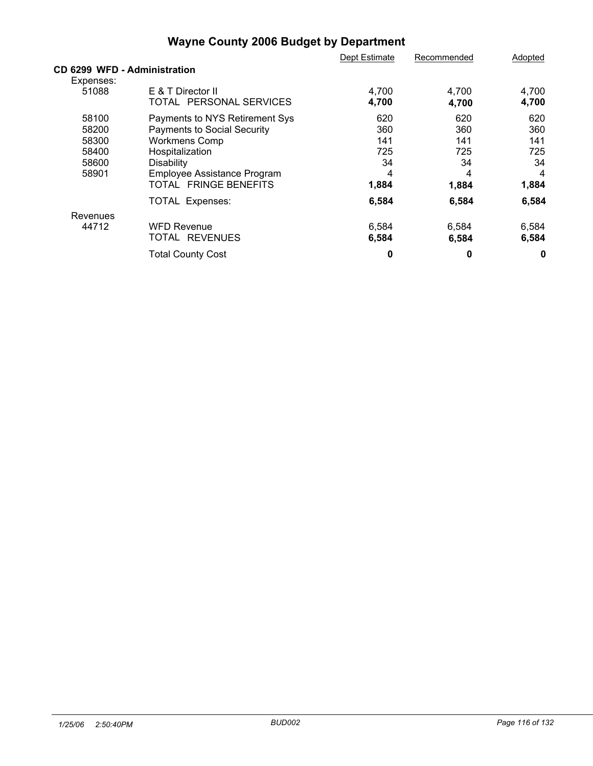|                              |                                | Dept Estimate | Recommended | Adopted |
|------------------------------|--------------------------------|---------------|-------------|---------|
| CD 6299 WFD - Administration |                                |               |             |         |
| Expenses:                    |                                |               |             |         |
| 51088                        | E & T Director II              | 4,700         | 4,700       | 4,700   |
|                              | TOTAL PERSONAL SERVICES        | 4,700         | 4,700       | 4,700   |
| 58100                        | Payments to NYS Retirement Sys | 620           | 620         | 620     |
| 58200                        | Payments to Social Security    | 360           | 360         | 360     |
| 58300                        | <b>Workmens Comp</b>           | 141           | 141         | 141     |
| 58400                        | Hospitalization                | 725           | 725         | 725     |
| 58600                        | Disability                     | 34            | 34          | 34      |
| 58901                        | Employee Assistance Program    | 4             | 4           | 4       |
|                              | TOTAL FRINGE BENEFITS          | 1,884         | 1,884       | 1,884   |
|                              | <b>TOTAL Expenses:</b>         | 6,584         | 6,584       | 6,584   |
| Revenues                     |                                |               |             |         |
| 44712                        | <b>WFD Revenue</b>             | 6,584         | 6,584       | 6,584   |
|                              | TOTAL REVENUES                 | 6,584         | 6,584       | 6,584   |
|                              | <b>Total County Cost</b>       | 0             | 0           | 0       |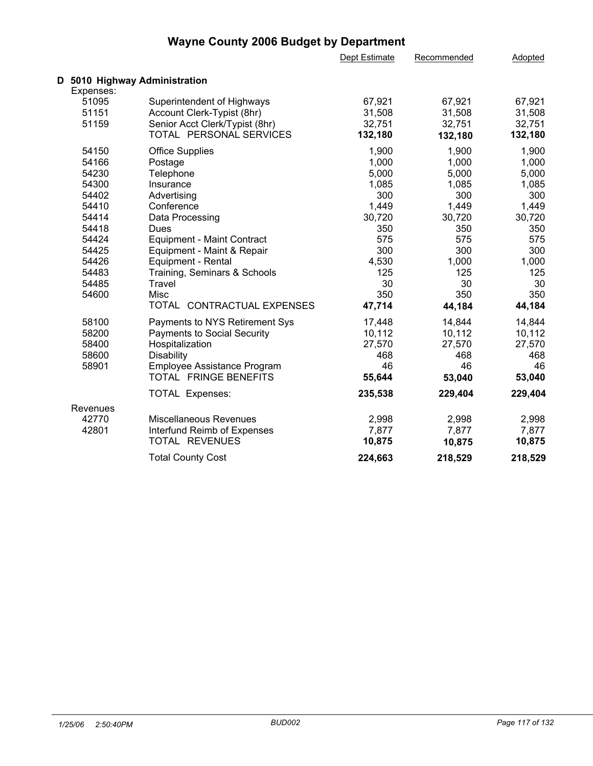| D 5010 Highway Administration<br>Expenses:<br>51095<br>Superintendent of Highways<br>67,921<br>67,921<br>67,921<br>51151<br>Account Clerk-Typist (8hr)<br>31,508<br>31,508<br>31,508<br>Senior Acct Clerk/Typist (8hr)<br>51159<br>32,751<br>32,751<br>32,751<br>TOTAL PERSONAL SERVICES<br>132,180<br>132,180<br>132,180<br>54150<br><b>Office Supplies</b><br>1,900<br>1,900<br>1,900<br>1,000<br>54166<br>1,000<br>1,000<br>Postage<br>54230<br>5,000<br>5,000<br>5,000<br>Telephone<br>1,085<br>1,085<br>54300<br>1,085<br>Insurance<br>300<br>54402<br>300<br>300<br>Advertising<br>54410<br>1,449<br>1,449<br>Conference<br>1,449<br>54414<br>30,720<br>30,720<br>30,720<br>Data Processing<br>54418<br>350<br>350<br>Dues<br>350<br>575<br>575<br>54424<br><b>Equipment - Maint Contract</b><br>575<br>300<br>300<br>54425<br>300<br>Equipment - Maint & Repair<br>54426<br>4,530<br>1,000<br>Equipment - Rental<br>1,000<br>54483<br>Training, Seminars & Schools<br>125<br>125<br>125<br>30<br>30<br>54485<br>30<br>Travel<br>350<br>350<br>54600<br>350<br>Misc<br>TOTAL CONTRACTUAL EXPENSES<br>47,714<br>44,184<br>44,184<br>58100<br>14,844<br>Payments to NYS Retirement Sys<br>17,448<br>14,844<br>10,112<br>10,112<br>58200<br><b>Payments to Social Security</b><br>10,112<br>58400<br>27,570<br>27,570<br>27,570<br>Hospitalization<br>58600<br>468<br>468<br><b>Disability</b><br>468<br>46<br>46<br>58901<br>Employee Assistance Program<br>46<br>TOTAL FRINGE BENEFITS<br>55,644<br>53,040<br>53,040<br>235,538<br>229,404<br><b>TOTAL Expenses:</b><br>229,404<br>Revenues<br>Miscellaneous Revenues<br>2,998<br>2,998<br>2,998<br>42770<br>42801<br>7,877<br>7,877<br>7,877<br>Interfund Reimb of Expenses<br>TOTAL REVENUES<br>10,875<br>10,875<br>10,875<br>224,663<br>218,529<br><b>Total County Cost</b><br>218,529 |  | Dept Estimate | Recommended | Adopted |  |
|------------------------------------------------------------------------------------------------------------------------------------------------------------------------------------------------------------------------------------------------------------------------------------------------------------------------------------------------------------------------------------------------------------------------------------------------------------------------------------------------------------------------------------------------------------------------------------------------------------------------------------------------------------------------------------------------------------------------------------------------------------------------------------------------------------------------------------------------------------------------------------------------------------------------------------------------------------------------------------------------------------------------------------------------------------------------------------------------------------------------------------------------------------------------------------------------------------------------------------------------------------------------------------------------------------------------------------------------------------------------------------------------------------------------------------------------------------------------------------------------------------------------------------------------------------------------------------------------------------------------------------------------------------------------------------------------------------------------------------------------------------------------------------------------------------------------------------------------|--|---------------|-------------|---------|--|
|                                                                                                                                                                                                                                                                                                                                                                                                                                                                                                                                                                                                                                                                                                                                                                                                                                                                                                                                                                                                                                                                                                                                                                                                                                                                                                                                                                                                                                                                                                                                                                                                                                                                                                                                                                                                                                                |  |               |             |         |  |
|                                                                                                                                                                                                                                                                                                                                                                                                                                                                                                                                                                                                                                                                                                                                                                                                                                                                                                                                                                                                                                                                                                                                                                                                                                                                                                                                                                                                                                                                                                                                                                                                                                                                                                                                                                                                                                                |  |               |             |         |  |
|                                                                                                                                                                                                                                                                                                                                                                                                                                                                                                                                                                                                                                                                                                                                                                                                                                                                                                                                                                                                                                                                                                                                                                                                                                                                                                                                                                                                                                                                                                                                                                                                                                                                                                                                                                                                                                                |  |               |             |         |  |
|                                                                                                                                                                                                                                                                                                                                                                                                                                                                                                                                                                                                                                                                                                                                                                                                                                                                                                                                                                                                                                                                                                                                                                                                                                                                                                                                                                                                                                                                                                                                                                                                                                                                                                                                                                                                                                                |  |               |             |         |  |
|                                                                                                                                                                                                                                                                                                                                                                                                                                                                                                                                                                                                                                                                                                                                                                                                                                                                                                                                                                                                                                                                                                                                                                                                                                                                                                                                                                                                                                                                                                                                                                                                                                                                                                                                                                                                                                                |  |               |             |         |  |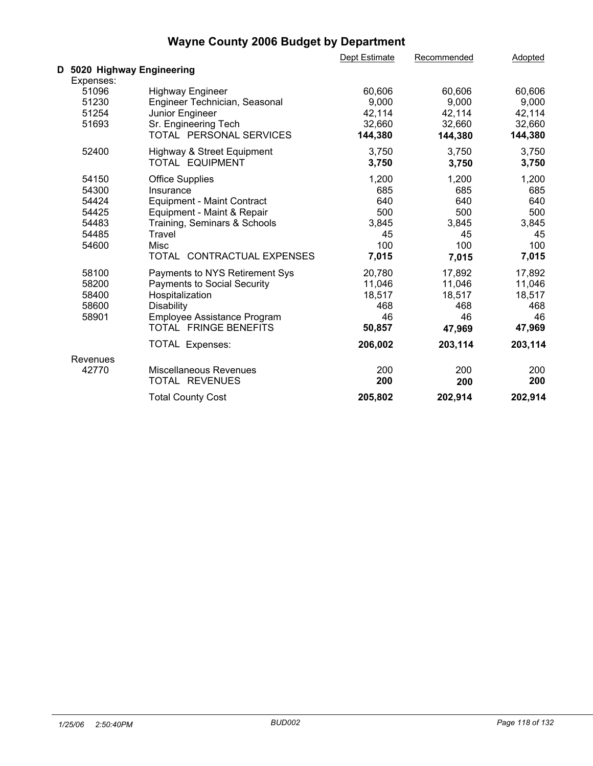|                            |                                    | Dept Estimate | Recommended | Adopted |  |
|----------------------------|------------------------------------|---------------|-------------|---------|--|
| D 5020 Highway Engineering |                                    |               |             |         |  |
| Expenses:                  |                                    |               |             |         |  |
| 51096                      | <b>Highway Engineer</b>            | 60,606        | 60,606      | 60,606  |  |
| 51230                      | Engineer Technician, Seasonal      | 9,000         | 9,000       | 9,000   |  |
| 51254                      | Junior Engineer                    | 42,114        | 42,114      | 42,114  |  |
| 51693                      | Sr. Engineering Tech               | 32,660        | 32,660      | 32,660  |  |
|                            | TOTAL PERSONAL SERVICES            | 144,380       | 144,380     | 144,380 |  |
| 52400                      | Highway & Street Equipment         | 3,750         | 3,750       | 3,750   |  |
|                            | TOTAL EQUIPMENT                    | 3,750         | 3,750       | 3,750   |  |
| 54150                      | Office Supplies                    | 1,200         | 1,200       | 1,200   |  |
| 54300                      | Insurance                          | 685           | 685         | 685     |  |
| 54424                      | <b>Equipment - Maint Contract</b>  | 640           | 640         | 640     |  |
| 54425                      | Equipment - Maint & Repair         | 500           | 500         | 500     |  |
| 54483                      | Training, Seminars & Schools       | 3,845         | 3,845       | 3,845   |  |
| 54485                      | Travel                             | 45            | 45          | 45      |  |
| 54600                      | Misc                               | 100           | 100         | 100     |  |
|                            | TOTAL CONTRACTUAL EXPENSES         | 7,015         | 7,015       | 7,015   |  |
| 58100                      | Payments to NYS Retirement Sys     | 20,780        | 17,892      | 17,892  |  |
| 58200                      | <b>Payments to Social Security</b> | 11,046        | 11,046      | 11,046  |  |
| 58400                      | Hospitalization                    | 18,517        | 18,517      | 18,517  |  |
| 58600                      | Disability                         | 468           | 468         | 468     |  |
| 58901                      | Employee Assistance Program        | 46            | 46          | 46      |  |
|                            | <b>TOTAL FRINGE BENEFITS</b>       | 50,857        | 47,969      | 47,969  |  |
|                            | <b>TOTAL Expenses:</b>             | 206,002       | 203,114     | 203,114 |  |
| Revenues                   |                                    |               |             |         |  |
| 42770                      | Miscellaneous Revenues             | 200           | 200         | 200     |  |
|                            | TOTAL REVENUES                     | 200           | 200         | 200     |  |
|                            | <b>Total County Cost</b>           | 205,802       | 202,914     | 202,914 |  |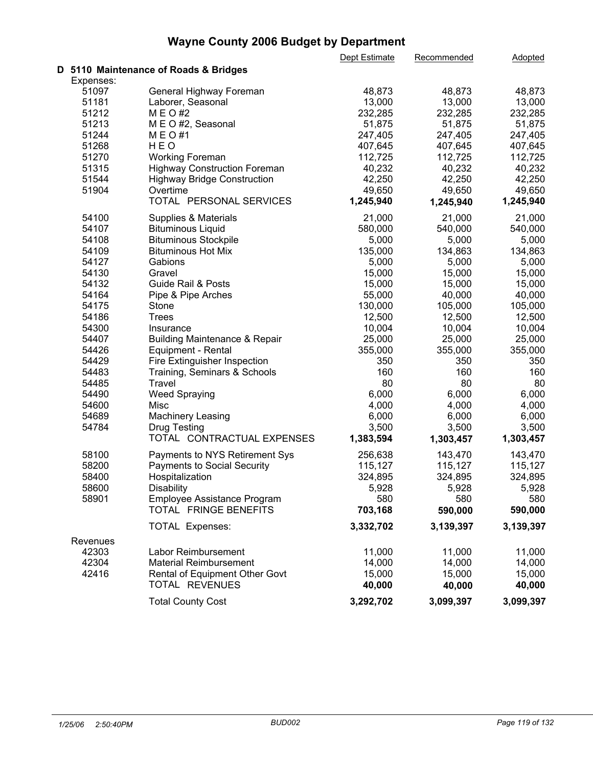|           |                                          | Dept Estimate | Recommended | Adopted   |  |
|-----------|------------------------------------------|---------------|-------------|-----------|--|
|           | D 5110 Maintenance of Roads & Bridges    |               |             |           |  |
| Expenses: |                                          |               |             |           |  |
| 51097     | General Highway Foreman                  | 48,873        | 48,873      | 48,873    |  |
| 51181     | Laborer, Seasonal                        | 13,000        | 13,000      | 13,000    |  |
| 51212     | M E O #2                                 | 232,285       | 232,285     | 232,285   |  |
| 51213     | M E O #2, Seasonal                       | 51,875        | 51,875      | 51,875    |  |
| 51244     | M E O #1                                 | 247,405       | 247,405     | 247,405   |  |
| 51268     | HEO                                      | 407,645       | 407,645     | 407,645   |  |
| 51270     | <b>Working Foreman</b>                   | 112,725       | 112,725     | 112,725   |  |
| 51315     | <b>Highway Construction Foreman</b>      | 40,232        | 40,232      | 40,232    |  |
| 51544     | <b>Highway Bridge Construction</b>       | 42,250        | 42,250      | 42,250    |  |
| 51904     | Overtime                                 | 49,650        | 49,650      | 49,650    |  |
|           | TOTAL PERSONAL SERVICES                  | 1,245,940     | 1,245,940   | 1,245,940 |  |
|           |                                          |               |             |           |  |
| 54100     | Supplies & Materials                     | 21,000        | 21,000      | 21,000    |  |
| 54107     | <b>Bituminous Liquid</b>                 | 580,000       | 540,000     | 540,000   |  |
| 54108     | <b>Bituminous Stockpile</b>              | 5,000         | 5,000       | 5,000     |  |
| 54109     | <b>Bituminous Hot Mix</b>                | 135,000       | 134,863     | 134,863   |  |
| 54127     | Gabions                                  | 5,000         | 5,000       | 5,000     |  |
| 54130     | Gravel                                   | 15,000        | 15,000      | 15,000    |  |
| 54132     | <b>Guide Rail &amp; Posts</b>            | 15,000        | 15,000      | 15,000    |  |
| 54164     | Pipe & Pipe Arches                       | 55,000        | 40,000      | 40,000    |  |
| 54175     | Stone                                    | 130,000       | 105,000     | 105,000   |  |
| 54186     | <b>Trees</b>                             | 12,500        | 12,500      | 12,500    |  |
| 54300     | Insurance                                | 10,004        | 10,004      | 10,004    |  |
| 54407     | <b>Building Maintenance &amp; Repair</b> | 25,000        | 25,000      | 25,000    |  |
| 54426     | Equipment - Rental                       | 355,000       | 355,000     | 355,000   |  |
| 54429     | Fire Extinguisher Inspection             | 350           | 350         | 350       |  |
| 54483     | Training, Seminars & Schools             | 160           | 160         | 160       |  |
| 54485     | Travel                                   | 80            | 80          | 80        |  |
| 54490     | <b>Weed Spraying</b>                     | 6,000         | 6,000       | 6,000     |  |
| 54600     | Misc                                     | 4,000         | 4,000       | 4,000     |  |
| 54689     | <b>Machinery Leasing</b>                 | 6,000         | 6,000       | 6,000     |  |
| 54784     | <b>Drug Testing</b>                      | 3,500         | 3,500       | 3,500     |  |
|           | TOTAL CONTRACTUAL EXPENSES               | 1,383,594     |             | 1,303,457 |  |
|           |                                          |               | 1,303,457   |           |  |
| 58100     | Payments to NYS Retirement Sys           | 256,638       | 143,470     | 143,470   |  |
| 58200     | <b>Payments to Social Security</b>       | 115,127       | 115,127     | 115,127   |  |
| 58400     | Hospitalization                          | 324,895       | 324,895     | 324,895   |  |
| 58600     | Disability                               | 5,928         | 5,928       | 5,928     |  |
| 58901     | Employee Assistance Program              | 580           | 580         | 580       |  |
|           | TOTAL FRINGE BENEFITS                    | 703,168       | 590,000     | 590,000   |  |
|           | <b>TOTAL Expenses:</b>                   | 3,332,702     | 3,139,397   | 3,139,397 |  |
| Revenues  |                                          |               |             |           |  |
| 42303     | Labor Reimbursement                      | 11,000        | 11,000      | 11,000    |  |
| 42304     | <b>Material Reimbursement</b>            | 14,000        | 14,000      | 14,000    |  |
| 42416     | Rental of Equipment Other Govt           | 15,000        | 15,000      | 15,000    |  |
|           | TOTAL REVENUES                           | 40,000        | 40,000      | 40,000    |  |
|           |                                          |               |             |           |  |
|           | <b>Total County Cost</b>                 | 3,292,702     | 3,099,397   | 3,099,397 |  |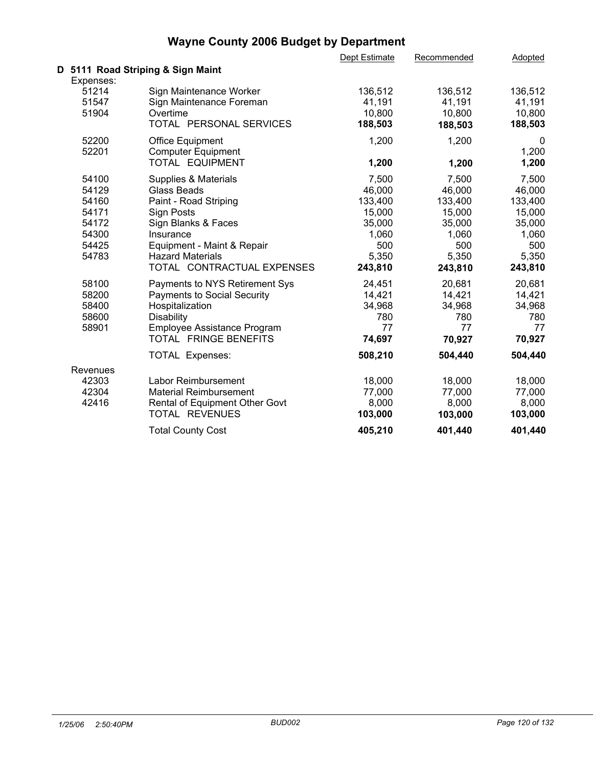|                                      |                                                                                            | Dept Estimate                          | Recommended                            | Adopted                                |  |
|--------------------------------------|--------------------------------------------------------------------------------------------|----------------------------------------|----------------------------------------|----------------------------------------|--|
|                                      | D 5111 Road Striping & Sign Maint                                                          |                                        |                                        |                                        |  |
| Expenses:<br>51214<br>51547<br>51904 | Sign Maintenance Worker<br>Sign Maintenance Foreman<br>Overtime<br>TOTAL PERSONAL SERVICES | 136,512<br>41,191<br>10,800<br>188,503 | 136,512<br>41,191<br>10,800<br>188,503 | 136,512<br>41,191<br>10,800<br>188,503 |  |
| 52200<br>52201                       | <b>Office Equipment</b><br><b>Computer Equipment</b><br>TOTAL EQUIPMENT                    | 1,200<br>1,200                         | 1,200<br>1,200                         | 0<br>1,200<br>1,200                    |  |
| 54100                                | Supplies & Materials                                                                       | 7,500                                  | 7,500                                  | 7,500                                  |  |
| 54129                                | <b>Glass Beads</b>                                                                         | 46,000                                 | 46,000                                 | 46,000                                 |  |
| 54160                                | Paint - Road Striping                                                                      | 133,400                                | 133,400                                | 133,400                                |  |
| 54171                                | <b>Sign Posts</b>                                                                          | 15,000                                 | 15,000                                 | 15,000                                 |  |
| 54172                                | Sign Blanks & Faces                                                                        | 35,000                                 | 35,000                                 | 35,000                                 |  |
| 54300                                | Insurance                                                                                  | 1,060                                  | 1,060                                  | 1,060                                  |  |
| 54425                                | Equipment - Maint & Repair                                                                 | 500                                    | 500                                    | 500                                    |  |
| 54783                                | <b>Hazard Materials</b>                                                                    | 5,350                                  | 5,350                                  | 5,350                                  |  |
|                                      | TOTAL CONTRACTUAL EXPENSES                                                                 | 243,810                                | 243,810                                | 243,810                                |  |
| 58100                                | Payments to NYS Retirement Sys                                                             | 24,451                                 | 20,681                                 | 20,681                                 |  |
| 58200                                | <b>Payments to Social Security</b>                                                         | 14,421                                 | 14,421                                 | 14,421                                 |  |
| 58400                                | Hospitalization                                                                            | 34,968                                 | 34,968                                 | 34,968                                 |  |
| 58600                                | <b>Disability</b>                                                                          | 780                                    | 780                                    | 780                                    |  |
| 58901                                | Employee Assistance Program                                                                | 77                                     | 77                                     | 77                                     |  |
|                                      | TOTAL FRINGE BENEFITS                                                                      | 74,697                                 | 70,927                                 | 70,927                                 |  |
|                                      | <b>TOTAL Expenses:</b>                                                                     | 508,210                                | 504,440                                | 504,440                                |  |
| Revenues                             |                                                                                            |                                        |                                        |                                        |  |
| 42303                                | Labor Reimbursement                                                                        | 18,000                                 | 18,000                                 | 18,000                                 |  |
| 42304                                | <b>Material Reimbursement</b>                                                              | 77,000                                 | 77,000                                 | 77,000                                 |  |
| 42416                                | Rental of Equipment Other Govt                                                             | 8,000                                  | 8,000                                  | 8,000                                  |  |
|                                      | TOTAL REVENUES                                                                             | 103,000                                | 103,000                                | 103,000                                |  |
|                                      | <b>Total County Cost</b>                                                                   | 405,210                                | 401,440                                | 401,440                                |  |
|                                      |                                                                                            |                                        |                                        |                                        |  |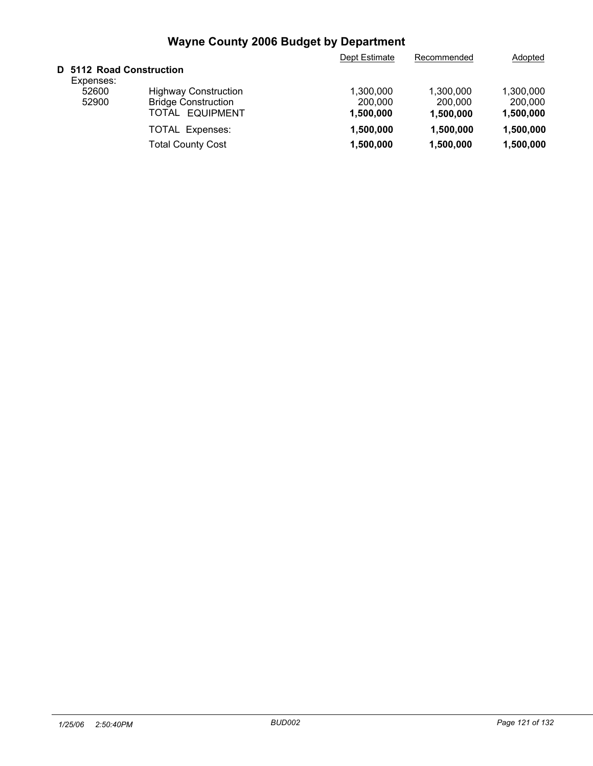| Adopted                           |
|-----------------------------------|
|                                   |
|                                   |
|                                   |
|                                   |
|                                   |
| 1,500,000                         |
| 1,500,000                         |
| 1.300.000<br>200,000<br>1,500,000 |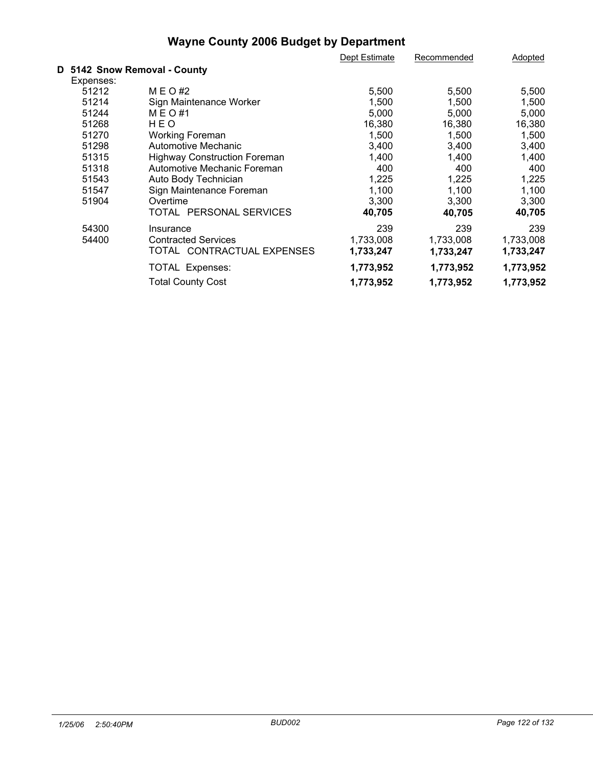|           |                                     | Dept Estimate | Recommended | Adopted   |
|-----------|-------------------------------------|---------------|-------------|-----------|
|           | D 5142 Snow Removal - County        |               |             |           |
| Expenses: |                                     |               |             |           |
| 51212     | M E O #2                            | 5,500         | 5,500       | 5,500     |
| 51214     | Sign Maintenance Worker             | 1,500         | 1,500       | 1,500     |
| 51244     | M E O #1                            | 5,000         | 5,000       | 5,000     |
| 51268     | HEO                                 | 16,380        | 16,380      | 16,380    |
| 51270     | <b>Working Foreman</b>              | 1,500         | 1,500       | 1,500     |
| 51298     | Automotive Mechanic                 | 3,400         | 3,400       | 3,400     |
| 51315     | <b>Highway Construction Foreman</b> | 1,400         | 1,400       | 1,400     |
| 51318     | Automotive Mechanic Foreman         | 400           | 400         | 400       |
| 51543     | Auto Body Technician                | 1,225         | 1,225       | 1,225     |
| 51547     | Sign Maintenance Foreman            | 1,100         | 1,100       | 1,100     |
| 51904     | Overtime                            | 3,300         | 3,300       | 3,300     |
|           | TOTAL PERSONAL SERVICES             | 40,705        | 40,705      | 40,705    |
| 54300     | Insurance                           | 239           | 239         | 239       |
| 54400     | <b>Contracted Services</b>          | 1,733,008     | 1,733,008   | 1,733,008 |
|           | TOTAL CONTRACTUAL EXPENSES          | 1,733,247     | 1,733,247   | 1,733,247 |
|           | TOTAL Expenses:                     | 1,773,952     | 1,773,952   | 1,773,952 |
|           | <b>Total County Cost</b>            | 1,773,952     | 1,773,952   | 1,773,952 |
|           |                                     |               |             |           |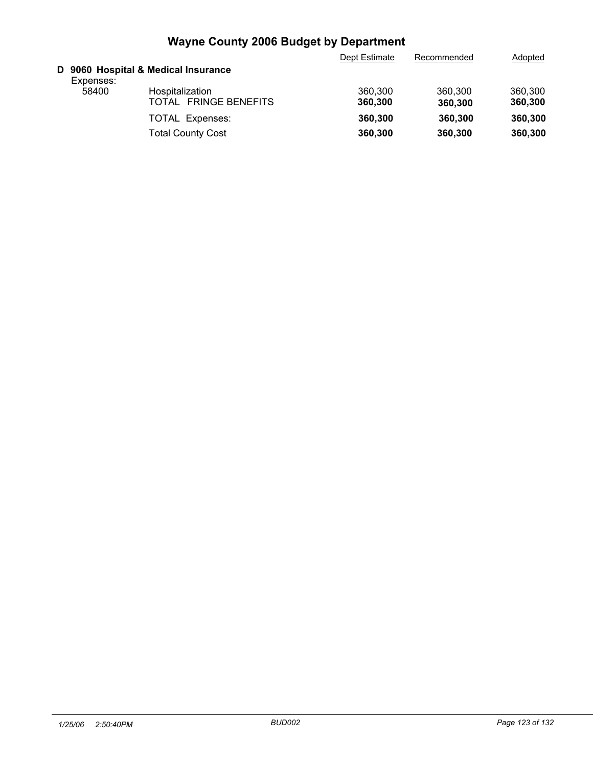|           |                                                    | Dept Estimate      | Recommended        | Adopted            |
|-----------|----------------------------------------------------|--------------------|--------------------|--------------------|
| Expenses: | D 9060 Hospital & Medical Insurance                |                    |                    |                    |
| 58400     | Hospitalization<br><b>FRINGE BENEFITS</b><br>TOTAL | 360,300<br>360,300 | 360,300<br>360,300 | 360,300<br>360,300 |
|           | <b>TOTAL Expenses:</b><br><b>Total County Cost</b> | 360,300<br>360,300 | 360,300<br>360,300 | 360,300<br>360,300 |
|           |                                                    |                    |                    |                    |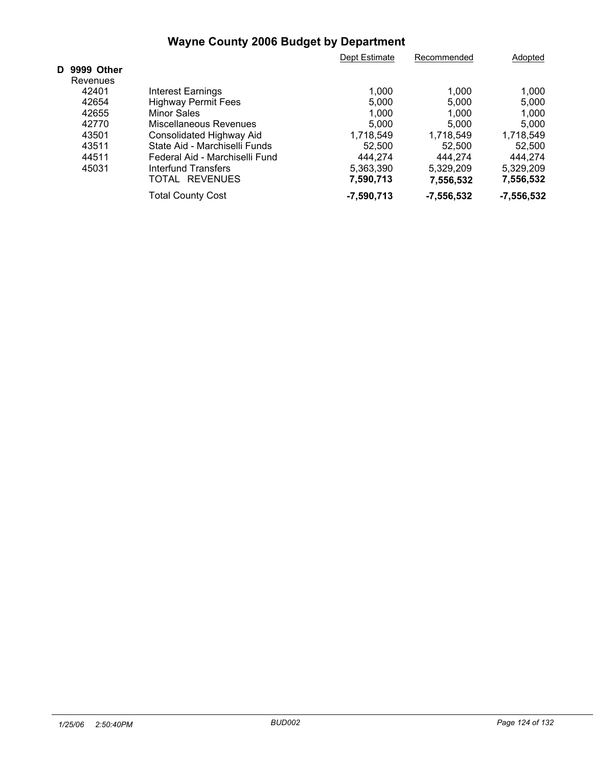|              |                                | Dept Estimate | Recommended  | Adopted      |  |
|--------------|--------------------------------|---------------|--------------|--------------|--|
| D 9999 Other |                                |               |              |              |  |
| Revenues     |                                |               |              |              |  |
| 42401        | <b>Interest Earnings</b>       | 1,000         | 1,000        | 1,000        |  |
| 42654        | <b>Highway Permit Fees</b>     | 5,000         | 5,000        | 5.000        |  |
| 42655        | Minor Sales                    | 1,000         | 1.000        | 1.000        |  |
| 42770        | Miscellaneous Revenues         | 5.000         | 5.000        | 5.000        |  |
| 43501        | Consolidated Highway Aid       | 1,718,549     | 1,718,549    | 1,718,549    |  |
| 43511        | State Aid - Marchiselli Funds  | 52.500        | 52.500       | 52.500       |  |
| 44511        | Federal Aid - Marchiselli Fund | 444.274       | 444.274      | 444.274      |  |
| 45031        | Interfund Transfers            | 5,363,390     | 5,329,209    | 5,329,209    |  |
|              | TOTAL REVENUES                 | 7,590,713     | 7,556,532    | 7,556,532    |  |
|              | <b>Total County Cost</b>       | $-7,590,713$  | $-7,556,532$ | $-7,556,532$ |  |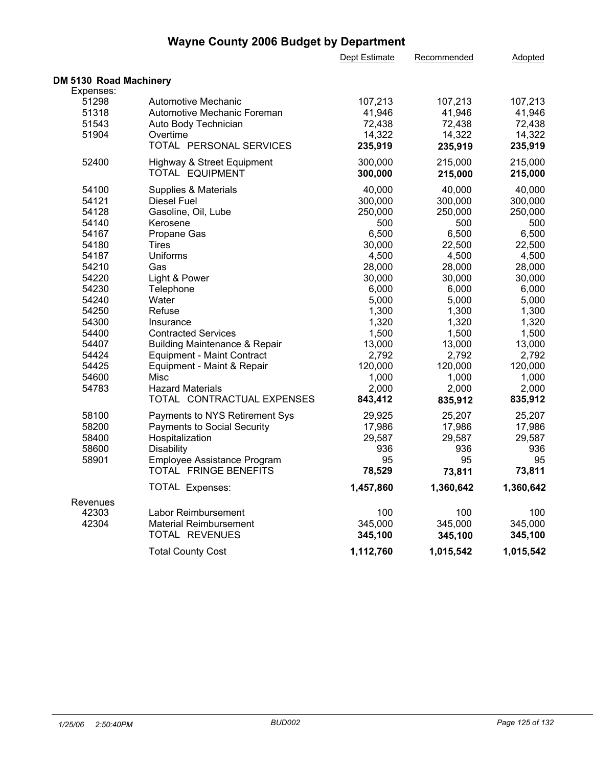|                        |                                          | Dept Estimate | Recommended | Adopted   |
|------------------------|------------------------------------------|---------------|-------------|-----------|
| DM 5130 Road Machinery |                                          |               |             |           |
| Expenses:              |                                          |               |             |           |
| 51298                  | Automotive Mechanic                      | 107,213       | 107,213     | 107,213   |
| 51318                  | Automotive Mechanic Foreman              | 41,946        | 41,946      | 41,946    |
| 51543                  | Auto Body Technician                     | 72,438        | 72,438      | 72,438    |
| 51904                  | Overtime                                 | 14,322        | 14,322      | 14,322    |
|                        | TOTAL PERSONAL SERVICES                  | 235,919       | 235,919     | 235,919   |
| 52400                  | Highway & Street Equipment               | 300,000       | 215,000     | 215,000   |
|                        | TOTAL EQUIPMENT                          | 300,000       | 215,000     | 215,000   |
| 54100                  | <b>Supplies &amp; Materials</b>          | 40,000        | 40,000      | 40,000    |
| 54121                  | <b>Diesel Fuel</b>                       | 300,000       | 300,000     | 300,000   |
| 54128                  | Gasoline, Oil, Lube                      | 250,000       | 250,000     | 250,000   |
| 54140                  | Kerosene                                 | 500           | 500         | 500       |
| 54167                  | Propane Gas                              | 6,500         | 6,500       | 6,500     |
| 54180                  | <b>Tires</b>                             | 30,000        | 22,500      | 22,500    |
| 54187                  | Uniforms                                 | 4,500         | 4,500       | 4,500     |
| 54210                  | Gas                                      | 28,000        | 28,000      | 28,000    |
| 54220                  | Light & Power                            | 30,000        | 30,000      | 30,000    |
| 54230                  | Telephone                                | 6,000         | 6,000       | 6,000     |
| 54240                  | Water                                    | 5,000         | 5,000       | 5,000     |
| 54250                  | Refuse                                   | 1,300         | 1,300       | 1,300     |
| 54300                  | Insurance                                | 1,320         | 1,320       | 1,320     |
| 54400                  | <b>Contracted Services</b>               | 1,500         | 1,500       | 1,500     |
| 54407                  | <b>Building Maintenance &amp; Repair</b> | 13,000        | 13,000      | 13,000    |
| 54424                  | <b>Equipment - Maint Contract</b>        | 2,792         | 2,792       | 2,792     |
| 54425                  | Equipment - Maint & Repair               | 120,000       | 120,000     | 120,000   |
| 54600                  | Misc                                     | 1,000         | 1,000       | 1,000     |
| 54783                  | <b>Hazard Materials</b>                  | 2,000         | 2,000       | 2,000     |
|                        | TOTAL CONTRACTUAL EXPENSES               | 843,412       | 835,912     | 835,912   |
| 58100                  | Payments to NYS Retirement Sys           | 29,925        | 25,207      | 25,207    |
| 58200                  | <b>Payments to Social Security</b>       | 17,986        | 17,986      | 17,986    |
| 58400                  | Hospitalization                          | 29,587        | 29,587      | 29,587    |
| 58600                  | <b>Disability</b>                        | 936           | 936         | 936       |
| 58901                  | Employee Assistance Program              | 95            | 95          | 95        |
|                        | TOTAL FRINGE BENEFITS                    | 78,529        | 73,811      | 73,811    |
|                        | TOTAL Expenses:                          | 1,457,860     | 1,360,642   | 1,360,642 |
| Revenues               |                                          |               |             |           |
| 42303                  | Labor Reimbursement                      | 100           | 100         | 100       |
| 42304                  | <b>Material Reimbursement</b>            | 345,000       | 345,000     | 345,000   |
|                        | TOTAL REVENUES                           | 345,100       | 345,100     | 345,100   |
|                        | <b>Total County Cost</b>                 | 1,112,760     | 1,015,542   | 1,015,542 |
|                        |                                          |               |             |           |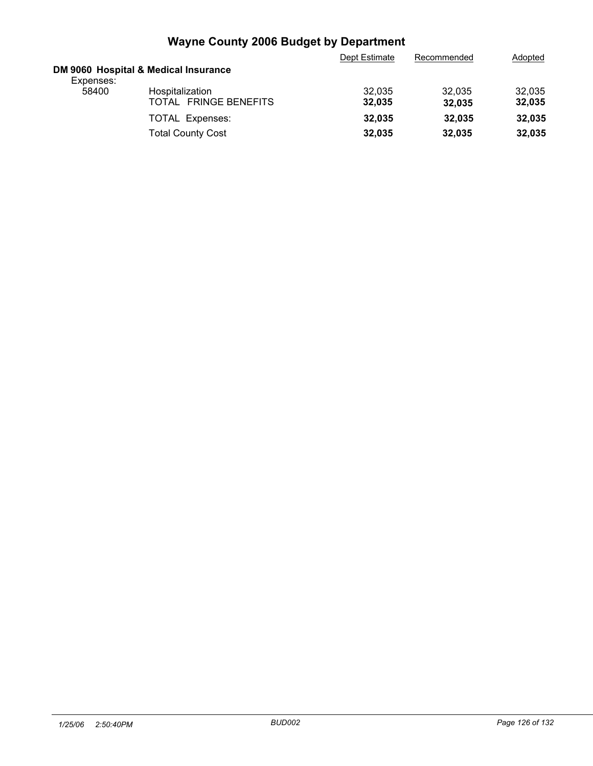|           |                                                    | Dept Estimate    | Recommended      | Adopted          |
|-----------|----------------------------------------------------|------------------|------------------|------------------|
| Expenses: | DM 9060 Hospital & Medical Insurance               |                  |                  |                  |
| 58400     | Hospitalization<br>TOTAL FRINGE BENEFITS           | 32,035<br>32,035 | 32.035<br>32.035 | 32,035<br>32,035 |
|           | <b>TOTAL Expenses:</b><br><b>Total County Cost</b> | 32.035<br>32,035 | 32.035<br>32.035 | 32,035<br>32,035 |
|           |                                                    |                  |                  |                  |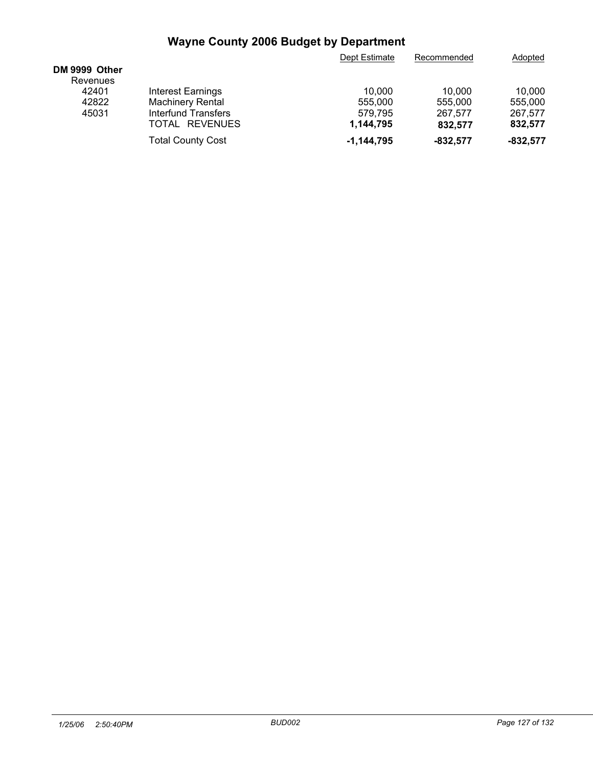| 10.000     |
|------------|
| 555,000    |
| 267,577    |
| 832,577    |
| $-832,577$ |
|            |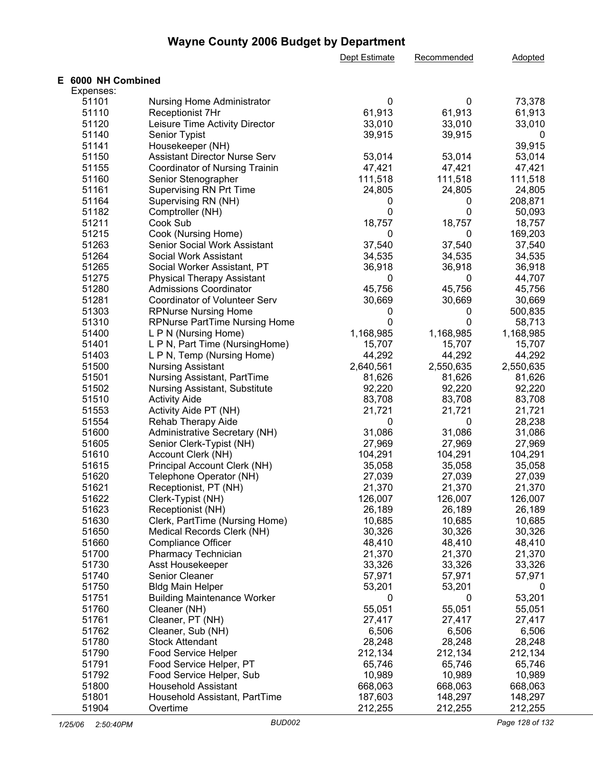|                    |                                                                | Dept Estimate | Recommended  | <b>Adopted</b>   |
|--------------------|----------------------------------------------------------------|---------------|--------------|------------------|
| E 6000 NH Combined |                                                                |               |              |                  |
| Expenses:          |                                                                |               |              |                  |
| 51101              | <b>Nursing Home Administrator</b>                              | 0             | 0            | 73,378           |
| 51110              | Receptionist 7Hr                                               | 61,913        | 61,913       | 61,913           |
| 51120              | Leisure Time Activity Director                                 | 33,010        | 33,010       | 33,010           |
| 51140              | Senior Typist                                                  | 39,915        | 39,915       | 0                |
| 51141              | Housekeeper (NH)                                               |               |              | 39,915           |
| 51150              | <b>Assistant Director Nurse Serv</b>                           | 53,014        | 53,014       | 53,014           |
| 51155              | Coordinator of Nursing Trainin                                 | 47,421        | 47,421       | 47,421           |
| 51160              | Senior Stenographer                                            | 111,518       | 111,518      | 111,518          |
| 51161              | <b>Supervising RN Prt Time</b>                                 | 24,805        | 24,805       | 24,805           |
| 51164              | Supervising RN (NH)                                            | 0             | 0            | 208,871          |
| 51182              | Comptroller (NH)                                               | 0             | 0            | 50,093           |
| 51211              | Cook Sub                                                       | 18,757        | 18,757       | 18,757           |
| 51215              | Cook (Nursing Home)                                            | 0             | $\mathbf 0$  | 169,203          |
| 51263              | Senior Social Work Assistant                                   | 37,540        | 37,540       | 37,540           |
| 51264              | Social Work Assistant                                          | 34,535        | 34,535       | 34,535           |
| 51265              | Social Worker Assistant, PT                                    | 36,918        | 36,918       | 36,918           |
| 51275              | <b>Physical Therapy Assistant</b>                              | 0             | $\mathbf 0$  | 44,707           |
|                    |                                                                |               |              |                  |
| 51280<br>51281     | <b>Admissions Coordinator</b><br>Coordinator of Volunteer Serv | 45,756        | 45,756       | 45,756<br>30,669 |
|                    |                                                                | 30,669        | 30,669       |                  |
| 51303              | <b>RPNurse Nursing Home</b>                                    | 0             | 0            | 500,835          |
| 51310              | <b>RPNurse PartTime Nursing Home</b>                           | $\mathbf{0}$  | $\mathbf{0}$ | 58,713           |
| 51400              | L P N (Nursing Home)                                           | 1,168,985     | 1,168,985    | 1,168,985        |
| 51401              | L P N, Part Time (NursingHome)                                 | 15,707        | 15,707       | 15,707           |
| 51403              | L P N, Temp (Nursing Home)                                     | 44,292        | 44,292       | 44,292           |
| 51500              | <b>Nursing Assistant</b>                                       | 2,640,561     | 2,550,635    | 2,550,635        |
| 51501              | Nursing Assistant, PartTime                                    | 81,626        | 81,626       | 81,626           |
| 51502              | Nursing Assistant, Substitute                                  | 92,220        | 92,220       | 92,220           |
| 51510              | <b>Activity Aide</b>                                           | 83,708        | 83,708       | 83,708           |
| 51553              | Activity Aide PT (NH)                                          | 21,721        | 21,721       | 21,721           |
| 51554              | Rehab Therapy Aide                                             | 0             | 0            | 28,238           |
| 51600              | Administrative Secretary (NH)                                  | 31,086        | 31,086       | 31,086           |
| 51605              | Senior Clerk-Typist (NH)                                       | 27,969        | 27,969       | 27,969           |
| 51610              | Account Clerk (NH)                                             | 104,291       | 104,291      | 104,291          |
| 51615              | Principal Account Clerk (NH)                                   | 35,058        | 35,058       | 35,058           |
| 51620              | Telephone Operator (NH)                                        | 27,039        | 27,039       | 27,039           |
| 51621              | Receptionist, PT (NH)                                          | 21,370        | 21,370       | 21,370           |
| 51622              | Clerk-Typist (NH)                                              | 126,007       | 126,007      | 126,007          |
| 51623              | Receptionist (NH)                                              | 26,189        | 26,189       | 26,189           |
| 51630              | Clerk, PartTime (Nursing Home)                                 | 10,685        | 10,685       | 10,685           |
| 51650              | Medical Records Clerk (NH)                                     | 30,326        | 30,326       | 30,326           |
| 51660              | <b>Compliance Officer</b>                                      | 48,410        | 48,410       | 48,410           |
| 51700              | Pharmacy Technician                                            | 21,370        | 21,370       | 21,370           |
| 51730              | Asst Housekeeper                                               | 33,326        | 33,326       | 33,326           |
| 51740              | Senior Cleaner                                                 | 57,971        | 57,971       | 57,971           |
| 51750              | <b>Bldg Main Helper</b>                                        | 53,201        | 53,201       | 0                |
| 51751              | <b>Building Maintenance Worker</b>                             | 0             | 0            | 53,201           |
| 51760              | Cleaner (NH)                                                   | 55,051        | 55,051       | 55,051           |
| 51761              | Cleaner, PT (NH)                                               | 27,417        | 27,417       | 27,417           |
| 51762              | Cleaner, Sub (NH)                                              | 6,506         | 6,506        | 6,506            |
| 51780              | <b>Stock Attendant</b>                                         | 28,248        | 28,248       | 28,248           |
| 51790              | Food Service Helper                                            | 212,134       | 212,134      | 212,134          |
| 51791              | Food Service Helper, PT                                        | 65,746        | 65,746       | 65,746           |
| 51792              | Food Service Helper, Sub                                       | 10,989        | 10,989       | 10,989           |
| 51800              | <b>Household Assistant</b>                                     | 668,063       | 668,063      | 668,063          |
| 51801              | Household Assistant, PartTime                                  | 187,603       | 148,297      | 148,297          |
| 51904              | Overtime                                                       | 212,255       | 212,255      | 212,255          |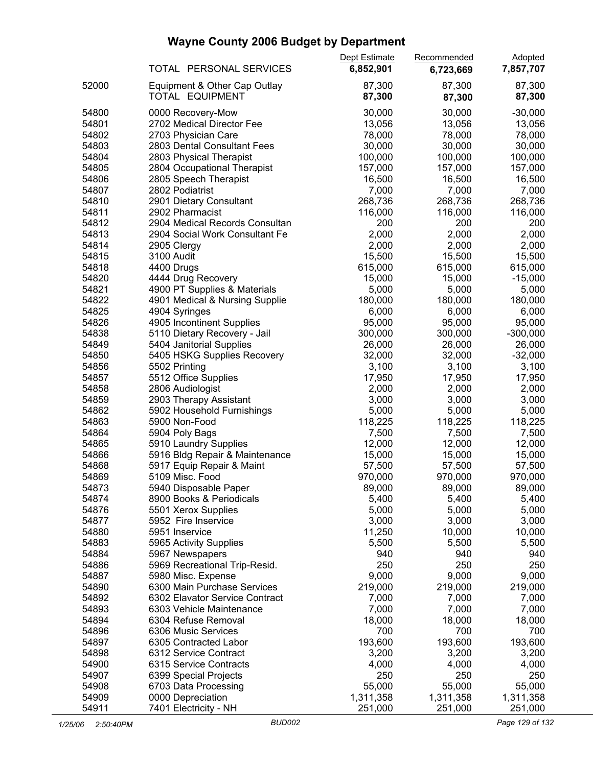|       |                                           | Dept Estimate | Recommended | <b>Adopted</b> |  |
|-------|-------------------------------------------|---------------|-------------|----------------|--|
|       | TOTAL PERSONAL SERVICES                   | 6,852,901     | 6,723,669   | 7,857,707      |  |
| 52000 | Equipment & Other Cap Outlay              | 87,300        | 87,300      | 87,300         |  |
|       | TOTAL EQUIPMENT                           | 87,300        | 87,300      | 87,300         |  |
| 54800 | 0000 Recovery-Mow                         | 30,000        | 30,000      | $-30,000$      |  |
| 54801 | 2702 Medical Director Fee                 | 13,056        | 13,056      | 13,056         |  |
| 54802 | 2703 Physician Care                       | 78,000        | 78,000      | 78,000         |  |
| 54803 | 2803 Dental Consultant Fees               | 30,000        | 30,000      | 30,000         |  |
| 54804 | 2803 Physical Therapist                   | 100,000       | 100,000     | 100,000        |  |
| 54805 | 2804 Occupational Therapist               | 157,000       | 157,000     | 157,000        |  |
| 54806 |                                           | 16,500        | 16,500      | 16,500         |  |
|       | 2805 Speech Therapist                     |               |             |                |  |
| 54807 | 2802 Podiatrist                           | 7,000         | 7,000       | 7,000          |  |
| 54810 | 2901 Dietary Consultant                   | 268,736       | 268,736     | 268,736        |  |
| 54811 | 2902 Pharmacist                           | 116,000       | 116,000     | 116,000        |  |
| 54812 | 2904 Medical Records Consultan            | 200           | 200         | 200            |  |
| 54813 | 2904 Social Work Consultant Fe            | 2,000         | 2,000       | 2,000          |  |
| 54814 | 2905 Clergy                               | 2,000         | 2,000       | 2,000          |  |
| 54815 | 3100 Audit                                | 15,500        | 15,500      | 15,500         |  |
| 54818 | 4400 Drugs                                | 615,000       | 615,000     | 615,000        |  |
| 54820 | 4444 Drug Recovery                        | 15,000        | 15,000      | $-15,000$      |  |
| 54821 | 4900 PT Supplies & Materials              | 5,000         | 5,000       | 5,000          |  |
| 54822 | 4901 Medical & Nursing Supplie            | 180,000       | 180,000     | 180,000        |  |
| 54825 | 4904 Syringes                             | 6,000         | 6,000       | 6,000          |  |
| 54826 | 4905 Incontinent Supplies                 | 95,000        | 95,000      | 95,000         |  |
| 54838 | 5110 Dietary Recovery - Jail              | 300,000       | 300,000     | $-300,000$     |  |
| 54849 | 5404 Janitorial Supplies                  | 26,000        | 26,000      | 26,000         |  |
| 54850 | 5405 HSKG Supplies Recovery               | 32,000        | 32,000      | $-32,000$      |  |
| 54856 | 5502 Printing                             | 3,100         | 3,100       | 3,100          |  |
| 54857 | 5512 Office Supplies                      | 17,950        | 17,950      | 17,950         |  |
| 54858 | 2806 Audiologist                          | 2,000         | 2,000       | 2,000          |  |
| 54859 | 2903 Therapy Assistant                    | 3,000         | 3,000       | 3,000          |  |
| 54862 | 5902 Household Furnishings                | 5,000         | 5,000       | 5,000          |  |
| 54863 | 5900 Non-Food                             | 118,225       | 118,225     | 118,225        |  |
| 54864 | 5904 Poly Bags                            | 7,500         | 7,500       | 7,500          |  |
| 54865 | 5910 Laundry Supplies                     | 12,000        | 12,000      | 12,000         |  |
| 54866 | 5916 Bldg Repair & Maintenance            | 15,000        | 15,000      | 15,000         |  |
| 54868 | 5917 Equip Repair & Maint                 | 57,500        | 57,500      | 57,500         |  |
| 54869 | 5109 Misc. Food                           | 970,000       | 970,000     | 970,000        |  |
| 54873 | 5940 Disposable Paper                     | 89,000        | 89,000      | 89,000         |  |
| 54874 | 8900 Books & Periodicals                  | 5,400         | 5,400       | 5,400          |  |
| 54876 | 5501 Xerox Supplies                       | 5,000         | 5,000       | 5,000          |  |
| 54877 | 5952 Fire Inservice                       | 3,000         | 3,000       | 3,000          |  |
| 54880 | 5951 Inservice                            | 11,250        | 10,000      | 10,000         |  |
| 54883 |                                           | 5,500         | 5,500       | 5,500          |  |
| 54884 | 5965 Activity Supplies<br>5967 Newspapers | 940           |             | 940            |  |
| 54886 |                                           | 250           | 940<br>250  | 250            |  |
|       | 5969 Recreational Trip-Resid.             |               | 9,000       | 9,000          |  |
| 54887 | 5980 Misc. Expense                        | 9,000         |             |                |  |
| 54890 | 6300 Main Purchase Services               | 219,000       | 219,000     | 219,000        |  |
| 54892 | 6302 Elavator Service Contract            | 7,000         | 7,000       | 7,000          |  |
| 54893 | 6303 Vehicle Maintenance                  | 7,000         | 7,000       | 7,000          |  |
| 54894 | 6304 Refuse Removal                       | 18,000        | 18,000      | 18,000         |  |
| 54896 | 6306 Music Services                       | 700           | 700         | 700            |  |
| 54897 | 6305 Contracted Labor                     | 193,600       | 193,600     | 193,600        |  |
| 54898 | 6312 Service Contract                     | 3,200         | 3,200       | 3,200          |  |
| 54900 | 6315 Service Contracts                    | 4,000         | 4,000       | 4,000          |  |
| 54907 | 6399 Special Projects                     | 250           | 250         | 250            |  |
| 54908 | 6703 Data Processing                      | 55,000        | 55,000      | 55,000         |  |
| 54909 | 0000 Depreciation                         | 1,311,358     | 1,311,358   | 1,311,358      |  |
| 54911 | 7401 Electricity - NH                     | 251,000       | 251,000     | 251,000        |  |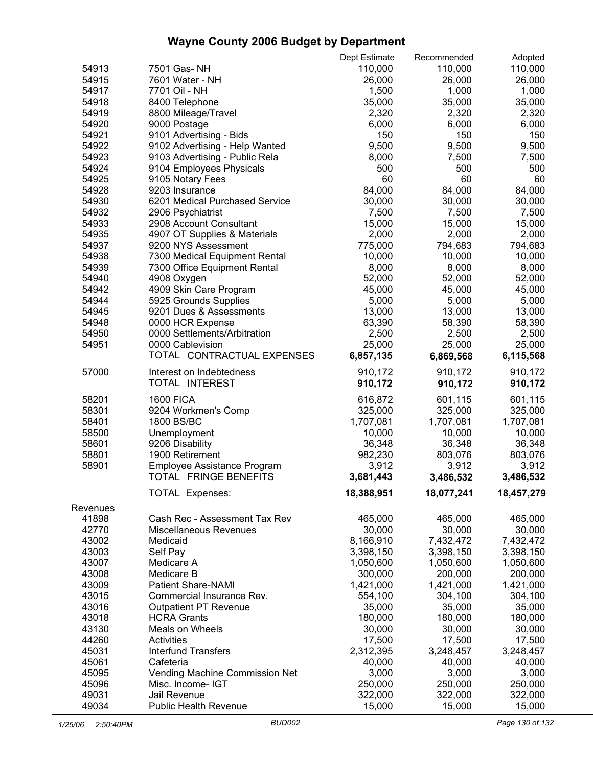|          |                                | Dept Estimate | Recommended | <b>Adopted</b> |  |
|----------|--------------------------------|---------------|-------------|----------------|--|
| 54913    | 7501 Gas-NH                    | 110,000       | 110,000     | 110,000        |  |
| 54915    | 7601 Water - NH                | 26,000        | 26,000      | 26,000         |  |
| 54917    | 7701 Oil - NH                  | 1,500         | 1,000       | 1,000          |  |
| 54918    | 8400 Telephone                 | 35,000        | 35,000      | 35,000         |  |
| 54919    | 8800 Mileage/Travel            | 2,320         | 2,320       | 2,320          |  |
| 54920    | 9000 Postage                   | 6,000         | 6,000       | 6,000          |  |
| 54921    | 9101 Advertising - Bids        | 150           | 150         | 150            |  |
| 54922    | 9102 Advertising - Help Wanted | 9,500         | 9,500       | 9,500          |  |
| 54923    |                                | 8,000         | 7,500       | 7,500          |  |
|          | 9103 Advertising - Public Rela | 500           |             | 500            |  |
| 54924    | 9104 Employees Physicals       |               | 500         |                |  |
| 54925    | 9105 Notary Fees               | 60            | 60          | 60             |  |
| 54928    | 9203 Insurance                 | 84,000        | 84,000      | 84,000         |  |
| 54930    | 6201 Medical Purchased Service | 30,000        | 30,000      | 30,000         |  |
| 54932    | 2906 Psychiatrist              | 7,500         | 7,500       | 7,500          |  |
| 54933    | 2908 Account Consultant        | 15,000        | 15,000      | 15,000         |  |
| 54935    | 4907 OT Supplies & Materials   | 2,000         | 2,000       | 2,000          |  |
| 54937    | 9200 NYS Assessment            | 775,000       | 794,683     | 794,683        |  |
| 54938    | 7300 Medical Equipment Rental  | 10,000        | 10,000      | 10,000         |  |
| 54939    | 7300 Office Equipment Rental   | 8,000         | 8,000       | 8,000          |  |
| 54940    | 4908 Oxygen                    | 52,000        | 52,000      | 52,000         |  |
| 54942    | 4909 Skin Care Program         | 45,000        | 45,000      | 45,000         |  |
| 54944    | 5925 Grounds Supplies          | 5,000         | 5,000       | 5,000          |  |
| 54945    | 9201 Dues & Assessments        | 13,000        | 13,000      | 13,000         |  |
| 54948    | 0000 HCR Expense               | 63,390        | 58,390      | 58,390         |  |
| 54950    | 0000 Settlements/Arbitration   | 2,500         | 2,500       | 2,500          |  |
| 54951    | 0000 Cablevision               | 25,000        | 25,000      | 25,000         |  |
|          | TOTAL CONTRACTUAL EXPENSES     | 6,857,135     |             | 6,115,568      |  |
|          |                                |               | 6,869,568   |                |  |
| 57000    | Interest on Indebtedness       | 910,172       | 910,172     | 910,172        |  |
|          | TOTAL INTEREST                 | 910,172       | 910,172     | 910,172        |  |
| 58201    | <b>1600 FICA</b>               |               |             |                |  |
|          |                                | 616,872       | 601,115     | 601,115        |  |
| 58301    | 9204 Workmen's Comp            | 325,000       | 325,000     | 325,000        |  |
| 58401    | 1800 BS/BC                     | 1,707,081     | 1,707,081   | 1,707,081      |  |
| 58500    | Unemployment                   | 10,000        | 10,000      | 10,000         |  |
| 58601    | 9206 Disability                | 36,348        | 36,348      | 36,348         |  |
| 58801    | 1900 Retirement                | 982,230       | 803,076     | 803,076        |  |
| 58901    | Employee Assistance Program    | 3,912         | 3,912       | 3,912          |  |
|          | TOTAL FRINGE BENEFITS          | 3,681,443     | 3,486,532   | 3,486,532      |  |
|          | TOTAL Expenses:                | 18,388,951    | 18,077,241  | 18,457,279     |  |
|          |                                |               |             |                |  |
| Revenues |                                |               |             |                |  |
| 41898    | Cash Rec - Assessment Tax Rev  | 465,000       | 465,000     | 465,000        |  |
| 42770    | <b>Miscellaneous Revenues</b>  | 30,000        | 30,000      | 30,000         |  |
| 43002    | Medicaid                       | 8,166,910     | 7,432,472   | 7,432,472      |  |
| 43003    | Self Pay                       | 3,398,150     | 3,398,150   | 3,398,150      |  |
| 43007    | Medicare A                     | 1,050,600     | 1,050,600   | 1,050,600      |  |
| 43008    | Medicare B                     | 300,000       | 200,000     | 200,000        |  |
| 43009    | <b>Patient Share-NAMI</b>      | 1,421,000     | 1,421,000   | 1,421,000      |  |
| 43015    | Commercial Insurance Rev.      | 554,100       | 304,100     | 304,100        |  |
| 43016    | <b>Outpatient PT Revenue</b>   | 35,000        | 35,000      | 35,000         |  |
| 43018    | <b>HCRA Grants</b>             | 180,000       | 180,000     | 180,000        |  |
| 43130    | Meals on Wheels                | 30,000        | 30,000      | 30,000         |  |
| 44260    | <b>Activities</b>              | 17,500        | 17,500      | 17,500         |  |
| 45031    | <b>Interfund Transfers</b>     |               | 3,248,457   |                |  |
|          |                                | 2,312,395     |             | 3,248,457      |  |
| 45061    | Cafeteria                      | 40,000        | 40,000      | 40,000         |  |
| 45095    | Vending Machine Commission Net | 3,000         | 3,000       | 3,000          |  |
| 45096    | Misc. Income- IGT              | 250,000       | 250,000     | 250,000        |  |
| 49031    | Jail Revenue                   | 322,000       | 322,000     | 322,000        |  |
| 49034    | <b>Public Health Revenue</b>   | 15,000        | 15,000      | 15,000         |  |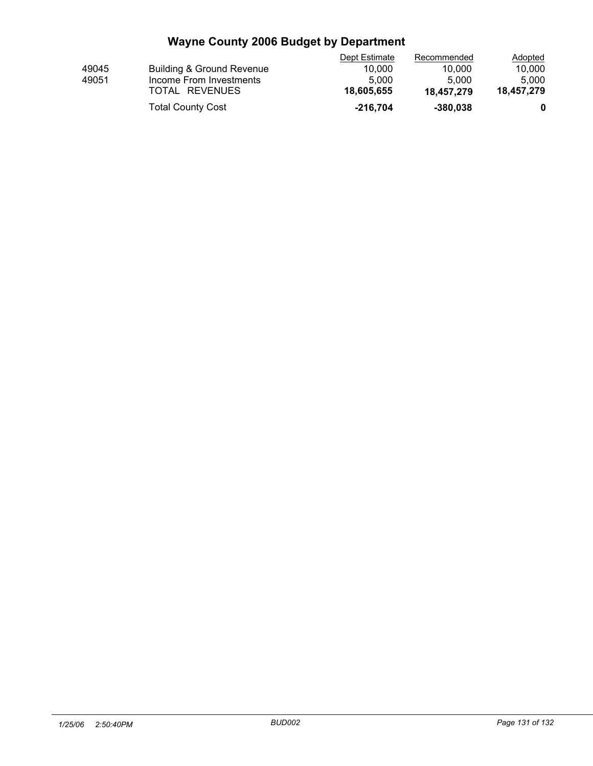|       |                           | Dept Estimate | Recommended | <b>Adopted</b> |  |
|-------|---------------------------|---------------|-------------|----------------|--|
| 49045 | Building & Ground Revenue | 10.000        | 10.000      | 10.000         |  |
| 49051 | Income From Investments   | 5.000         | 5.000       | 5.000          |  |
|       | TOTAL REVENUES            | 18.605.655    | 18.457.279  | 18.457.279     |  |
|       | <b>Total County Cost</b>  | $-216.704$    | $-380.038$  |                |  |
|       |                           |               |             |                |  |